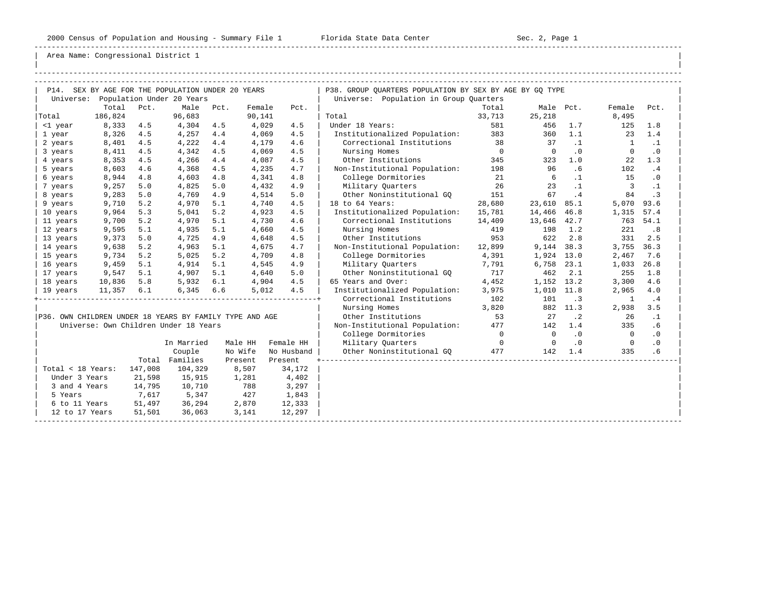-----------------------------------------------------------------------------------------------------------------------------------------------------

| | -----------------------------------------------------------------------------------------------------------------------------------------------------

| P14. SEX BY AGE FOR THE POPULATION UNDER 20 YEARS<br>Population Under 20 Years<br>Universe:<br>Total<br>Pct.<br>Male<br>Pct.<br>Female<br>Pct.<br>186,824<br>96,683<br>Total<br>90,141<br>Total<br>8,333<br>4.5<br>4,304<br>4.5<br>4,029<br>4.5<br>Under 18 Years:<br><1 year<br>8,326<br>4,257<br>4.4<br>4.5<br>4.5<br>4,069<br>1 year<br>8,401<br>4.5<br>4.4<br>4.6<br>4,222<br>4,179<br>2 years<br>8,411<br>4.5<br>4.5<br>4.5<br>Nursing Homes<br>4,342<br>4,069<br>3 years<br>8,353<br>4 years<br>4.5<br>4,266<br>4.4<br>4,087<br>4.5<br>Other Institutions<br>5 years<br>8,603<br>4.6<br>4,368<br>4.5<br>4.7 | P38. GROUP OUARTERS POPULATION BY SEX BY AGE BY GO TYPE<br>Universe: Population in Group Quarters<br>Total<br>Male Pct.<br>Female<br>Pct.<br>33,713<br>25,218<br>8,495<br>581<br>456<br>1.7<br>125<br>1.8<br>Institutionalized Population: 383<br>360<br>1.1<br>23<br>1.4<br>Correctional Institutions<br>38<br>37<br>$\cdot$ 1<br>$\cdot$ 1<br>$\overline{1}$<br>$\overline{0}$<br>.0<br>.0<br>$\overline{0}$<br>$\Omega$ |  |
|-------------------------------------------------------------------------------------------------------------------------------------------------------------------------------------------------------------------------------------------------------------------------------------------------------------------------------------------------------------------------------------------------------------------------------------------------------------------------------------------------------------------------------------------------------------------------------------------------------------------|----------------------------------------------------------------------------------------------------------------------------------------------------------------------------------------------------------------------------------------------------------------------------------------------------------------------------------------------------------------------------------------------------------------------------|--|
|                                                                                                                                                                                                                                                                                                                                                                                                                                                                                                                                                                                                                   |                                                                                                                                                                                                                                                                                                                                                                                                                            |  |
|                                                                                                                                                                                                                                                                                                                                                                                                                                                                                                                                                                                                                   |                                                                                                                                                                                                                                                                                                                                                                                                                            |  |
|                                                                                                                                                                                                                                                                                                                                                                                                                                                                                                                                                                                                                   |                                                                                                                                                                                                                                                                                                                                                                                                                            |  |
|                                                                                                                                                                                                                                                                                                                                                                                                                                                                                                                                                                                                                   |                                                                                                                                                                                                                                                                                                                                                                                                                            |  |
|                                                                                                                                                                                                                                                                                                                                                                                                                                                                                                                                                                                                                   |                                                                                                                                                                                                                                                                                                                                                                                                                            |  |
|                                                                                                                                                                                                                                                                                                                                                                                                                                                                                                                                                                                                                   |                                                                                                                                                                                                                                                                                                                                                                                                                            |  |
|                                                                                                                                                                                                                                                                                                                                                                                                                                                                                                                                                                                                                   |                                                                                                                                                                                                                                                                                                                                                                                                                            |  |
|                                                                                                                                                                                                                                                                                                                                                                                                                                                                                                                                                                                                                   | 345<br>1.3<br>323<br>1.0<br>22                                                                                                                                                                                                                                                                                                                                                                                             |  |
| 4,235                                                                                                                                                                                                                                                                                                                                                                                                                                                                                                                                                                                                             | Non-Institutional Population: 198<br>96<br>.6<br>102<br>.4                                                                                                                                                                                                                                                                                                                                                                 |  |
| 8,944<br>College Dormitories<br>6 years<br>4.8<br>4,603<br>4.8<br>4,341<br>4.8                                                                                                                                                                                                                                                                                                                                                                                                                                                                                                                                    | $\sim$ 21<br>6<br>$\ldots$ 1<br>15<br>$\cdot$ 0                                                                                                                                                                                                                                                                                                                                                                            |  |
| 9,257<br>5.0<br>4,825<br>5.0<br>4.9<br>Military Ouarters<br>7 years<br>4,432                                                                                                                                                                                                                                                                                                                                                                                                                                                                                                                                      | 26<br>23<br>$\cdot$ 1<br>$\overline{\mathbf{3}}$<br>$\cdot$ 1                                                                                                                                                                                                                                                                                                                                                              |  |
| 9,283<br>5.0<br>4,769<br>4.9<br>5.0<br>Other Noninstitutional GO<br>8 years<br>4,514                                                                                                                                                                                                                                                                                                                                                                                                                                                                                                                              | .4<br>151<br>67<br>84<br>$\cdot$ 3                                                                                                                                                                                                                                                                                                                                                                                         |  |
| 18 to 64 Years:<br>9,710<br>5.2<br>4,970<br>5.1<br>4.5<br>9 years<br>4,740                                                                                                                                                                                                                                                                                                                                                                                                                                                                                                                                        | 23,610 85.1<br>5,070 93.6<br>28,680                                                                                                                                                                                                                                                                                                                                                                                        |  |
| 5.2<br>4.5<br>9,964<br>5.3<br>5,041<br>10 years<br>4,923                                                                                                                                                                                                                                                                                                                                                                                                                                                                                                                                                          | Institutionalized Population: 15,781<br>14,466 46.8<br>1,315 57.4                                                                                                                                                                                                                                                                                                                                                          |  |
| 5.2<br>5.1<br>9,700<br>4,970<br>4.6<br>11 years<br>4,730                                                                                                                                                                                                                                                                                                                                                                                                                                                                                                                                                          | Correctional Institutions 14,409<br>13,646 42.7<br>763 54.1                                                                                                                                                                                                                                                                                                                                                                |  |
| 9,595<br>5.1<br>4,935<br>5.1<br>Nursing Homes<br>12 years<br>4,660<br>4.5                                                                                                                                                                                                                                                                                                                                                                                                                                                                                                                                         | 419<br>221<br>.8<br>198<br>1.2                                                                                                                                                                                                                                                                                                                                                                                             |  |
| 13 years<br>9,373<br>5.0<br>4,725<br>4.9<br>4.5<br>Other Institutions<br>4,648                                                                                                                                                                                                                                                                                                                                                                                                                                                                                                                                    | 953<br>622<br>2.8<br>331<br>2.5                                                                                                                                                                                                                                                                                                                                                                                            |  |
| 9,638<br>5.2<br>5.1<br>4,963<br>4.7<br>14 years<br>4,675                                                                                                                                                                                                                                                                                                                                                                                                                                                                                                                                                          | 3,755 36.3<br>Non-Institutional Population:<br>12,899<br>9,144 38.3                                                                                                                                                                                                                                                                                                                                                        |  |
| 9,734<br>5.2<br>College Dormitories<br>15 years<br>5.2<br>5,025<br>4,709<br>4.8                                                                                                                                                                                                                                                                                                                                                                                                                                                                                                                                   | 4,391<br>1,924 13.0<br>2,467<br>7.6                                                                                                                                                                                                                                                                                                                                                                                        |  |
| 9,459<br>4.9<br>Military Quarters<br>16 years<br>5.1<br>5.1<br>4,914<br>4,545                                                                                                                                                                                                                                                                                                                                                                                                                                                                                                                                     | 7,791<br>6,758 23.1<br>1,033<br>26.8                                                                                                                                                                                                                                                                                                                                                                                       |  |
| Other Noninstitutional GO<br>9,547<br>5.1<br>4,907<br>5.1<br>4,640<br>5.0<br>17 years                                                                                                                                                                                                                                                                                                                                                                                                                                                                                                                             | 717<br>462<br>2.1<br>255<br>1.8                                                                                                                                                                                                                                                                                                                                                                                            |  |
| 5,932 6.1<br>4.5<br>65 Years and Over:<br>18 years<br>10,836<br>5.8<br>4,904                                                                                                                                                                                                                                                                                                                                                                                                                                                                                                                                      | 4.6<br>4,452<br>1,152 13.2<br>3,300                                                                                                                                                                                                                                                                                                                                                                                        |  |
| 6.6<br>4.5<br>$11,357$ 6.1<br>6,345<br>5,012<br>19 years                                                                                                                                                                                                                                                                                                                                                                                                                                                                                                                                                          | Institutionalized Population:<br>3,975<br>1,010 11.8<br>2,965<br>4.0                                                                                                                                                                                                                                                                                                                                                       |  |
|                                                                                                                                                                                                                                                                                                                                                                                                                                                                                                                                                                                                                   | Correctional Institutions 102<br>101<br>$\overline{\phantom{a}}$ . 3<br>.4<br>$\overline{1}$                                                                                                                                                                                                                                                                                                                               |  |
| Nursing Homes                                                                                                                                                                                                                                                                                                                                                                                                                                                                                                                                                                                                     | 3,820<br>882 11.3<br>2,938<br>3.5                                                                                                                                                                                                                                                                                                                                                                                          |  |
| P36. OWN CHILDREN UNDER 18 YEARS BY FAMILY TYPE AND AGE<br>Other Institutions                                                                                                                                                                                                                                                                                                                                                                                                                                                                                                                                     | 53<br>27<br>$\cdot$ 2<br>26<br>$\cdot$ 1                                                                                                                                                                                                                                                                                                                                                                                   |  |
| Universe: Own Children Under 18 Years                                                                                                                                                                                                                                                                                                                                                                                                                                                                                                                                                                             | Non-Institutional Population: 477<br>.6<br>142<br>1.4<br>335                                                                                                                                                                                                                                                                                                                                                               |  |
|                                                                                                                                                                                                                                                                                                                                                                                                                                                                                                                                                                                                                   | College Dormitories<br>.0<br>$\overline{0}$<br>$\overline{0}$<br>$\overline{0}$<br>$\cdot$ 0                                                                                                                                                                                                                                                                                                                               |  |
| Military Ouarters<br>In Married<br>Female HH<br>Male HH                                                                                                                                                                                                                                                                                                                                                                                                                                                                                                                                                           | $\overline{0}$<br>.0<br>.0<br>$\overline{0}$<br>$\overline{0}$                                                                                                                                                                                                                                                                                                                                                             |  |
| No Wife<br>Couple<br>No Husband                                                                                                                                                                                                                                                                                                                                                                                                                                                                                                                                                                                   | .6<br>Other Noninstitutional GO 477<br>142<br>1.4<br>335                                                                                                                                                                                                                                                                                                                                                                   |  |
| Total Families<br>Present<br>Present                                                                                                                                                                                                                                                                                                                                                                                                                                                                                                                                                                              |                                                                                                                                                                                                                                                                                                                                                                                                                            |  |
| Total < 18 Years: 147,008<br>104,329<br>8,507<br>34,172                                                                                                                                                                                                                                                                                                                                                                                                                                                                                                                                                           |                                                                                                                                                                                                                                                                                                                                                                                                                            |  |
| 21,598<br>Under 3 Years<br>15,915<br>1,281<br>4,402                                                                                                                                                                                                                                                                                                                                                                                                                                                                                                                                                               |                                                                                                                                                                                                                                                                                                                                                                                                                            |  |
| 14,795<br>788<br>3 and 4 Years<br>10,710<br>3,297                                                                                                                                                                                                                                                                                                                                                                                                                                                                                                                                                                 |                                                                                                                                                                                                                                                                                                                                                                                                                            |  |
| 7,617<br>5,347<br>427<br>1,843<br>5 Years                                                                                                                                                                                                                                                                                                                                                                                                                                                                                                                                                                         |                                                                                                                                                                                                                                                                                                                                                                                                                            |  |
| 6 to 11 Years 51,497<br>36,294<br>2,870<br>12,333                                                                                                                                                                                                                                                                                                                                                                                                                                                                                                                                                                 |                                                                                                                                                                                                                                                                                                                                                                                                                            |  |
| 51,501<br>12 to 17 Years<br>36,063<br>3,141<br>12,297                                                                                                                                                                                                                                                                                                                                                                                                                                                                                                                                                             |                                                                                                                                                                                                                                                                                                                                                                                                                            |  |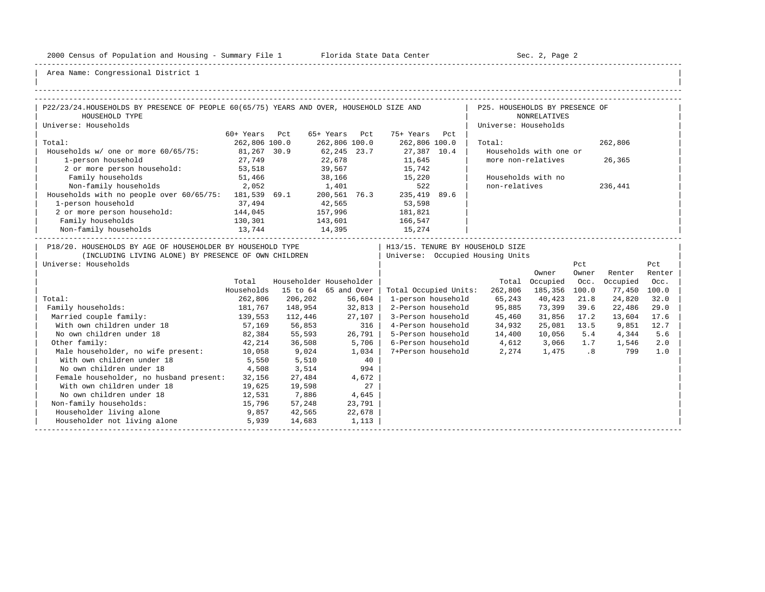-----------------------------------------------------------------------------------------------------------------------------------------------------

| |

| P22/23/24.HOUSEHOLDS BY PRESENCE OF PEOPLE 60(65/75) YEARS AND OVER, HOUSEHOLD SIZE AND |               |                              |               |                  |                           | P25. HOUSEHOLDS BY PRESENCE OF   |                        |       |              |        |
|-----------------------------------------------------------------------------------------|---------------|------------------------------|---------------|------------------|---------------------------|----------------------------------|------------------------|-------|--------------|--------|
| HOUSEHOLD TYPE                                                                          |               |                              |               |                  |                           |                                  | NONRELATIVES           |       |              |        |
| Universe: Households                                                                    |               |                              |               |                  |                           | Universe: Households             |                        |       |              |        |
|                                                                                         | 60+ Years Pct |                              | 65+ Years Pct |                  | 75+ Years Pct             |                                  |                        |       |              |        |
| Total:                                                                                  | 262,806 100.0 |                              | 262,806 100.0 |                  | 262,806 100.0             | Total:                           |                        |       | 262,806      |        |
| Households w/ one or more 60/65/75:                                                     | 81,267 30.9   |                              | 62,245 23.7   |                  | 27,387 10.4               |                                  | Households with one or |       |              |        |
| 1-person household                                                                      | 27,749        |                              | 22,678        |                  | 11,645                    | more non-relatives               |                        |       | 26,365       |        |
| 2 or more person household: 53,518                                                      |               |                              |               |                  | 39,567 15,742             |                                  |                        |       |              |        |
| Family households                                                                       | 51,466        |                              |               |                  | 38,166 15,220             |                                  | Households with no     |       |              |        |
| 2,052<br>Non-family households                                                          |               | 1,401                        |               |                  | 522                       | non-relatives                    |                        |       | 236,441      |        |
| Households with no people over $60/65/75$ : 181,539 69.1                                |               |                              |               |                  | 200,561 76.3 235,419 89.6 |                                  |                        |       |              |        |
| 1-person household                                                                      | 37,494        |                              | 42,565        |                  | 53,598                    |                                  |                        |       |              |        |
| 2 or more person household:                                                             | 144,045       | 157,996<br>143,601<br>14,395 |               |                  | 181,821                   |                                  |                        |       |              |        |
| Family households                                                                       | 130,301       |                              |               |                  | 166,547                   |                                  |                        |       |              |        |
| Non-family households                                                                   | 13,744        |                              |               |                  | 15,274                    |                                  |                        |       |              |        |
| P18/20. HOUSEHOLDS BY AGE OF HOUSEHOLDER BY HOUSEHOLD TYPE                              |               |                              |               |                  |                           | H13/15. TENURE BY HOUSEHOLD SIZE |                        |       |              |        |
| (INCLUDING LIVING ALONE) BY PRESENCE OF OWN CHILDREN                                    |               |                              |               |                  |                           | Universe: Occupied Housing Units |                        |       |              |        |
| Universe: Households                                                                    |               |                              |               |                  |                           |                                  |                        | Pct   |              | Pct    |
|                                                                                         |               |                              |               |                  |                           |                                  | Owner                  | Owner | Renter       | Renter |
|                                                                                         | Total         | Householder Householder      |               |                  |                           |                                  | Total Occupied         | Occ.  | Occupied     | Occ.   |
|                                                                                         | Households    | 15 to 64 65 and Over         |               |                  | Total Occupied Units:     |                                  | 262,806 185,356 100.0  |       | 77,450       | 100.0  |
| Total:                                                                                  | 262,806       | 206,202                      |               | 56,604           | 1-person household        | 65,243                           | 40,423                 | 21.8  | 24,820       | 32.0   |
| Family households:                                                                      | 181,767       | 148,954                      | 32,813        |                  | 2-Person household        | 95,885                           | 73,399                 | 39.6  | 22,486       | 29.0   |
| 139, 553<br>Married couple family:                                                      |               | 112,446                      | 27,107        |                  |                           | 3-Person household 45,460        | 31,856 17.2            |       | 13,604       | 17.6   |
| With own children under 18<br>57,169                                                    |               | 56,853                       |               | 316              | 4-Person household        | 34,932                           | 25,081 13.5            |       | 9,851        | 12.7   |
| No own children under 18                                                                | 82,384        | 55,593                       |               | 26,791           |                           | 5-Person household 14,400        | 10,056                 | 5.4   | 4,344        | 5.6    |
| Other family:                                                                           | 42,214        | 36,508                       | 5,706         |                  | 6-Person household        | 4,612                            | 3,066 1.7              |       | 1,546        | 2.0    |
| Male householder, no wife present: 10,058                                               |               | 9,024                        |               | 1,034            | 7+Person household        | 2,274                            |                        |       | 1,475 .8 799 | 1.0    |
| With own children under 18                                                              | 5,550         | 5,510                        |               |                  |                           |                                  |                        |       |              |        |
| No own children under 18                                                                | 4,508         | 3,514                        |               | $\frac{40}{994}$ |                           |                                  |                        |       |              |        |
| Female householder, no husband present: 32,156                                          |               | 27,484                       |               | 4,672            |                           |                                  |                        |       |              |        |
| With own children under 18                                                              | 19,625        | 19,598                       |               | 27               |                           |                                  |                        |       |              |        |
| No own children under 18                                                                | 12,531        | 7,886                        | 4,645         |                  |                           |                                  |                        |       |              |        |
| Non-family households:<br>15,796                                                        |               | 57,248                       |               | 23,791           |                           |                                  |                        |       |              |        |
| Householder living alone<br>9,857                                                       |               | 42,565                       |               | 22,678           |                           |                                  |                        |       |              |        |
| Householder not living alone                                                            | 5,939         | 14,683                       |               | 1,113            |                           |                                  |                        |       |              |        |
|                                                                                         |               |                              |               |                  |                           |                                  |                        |       |              |        |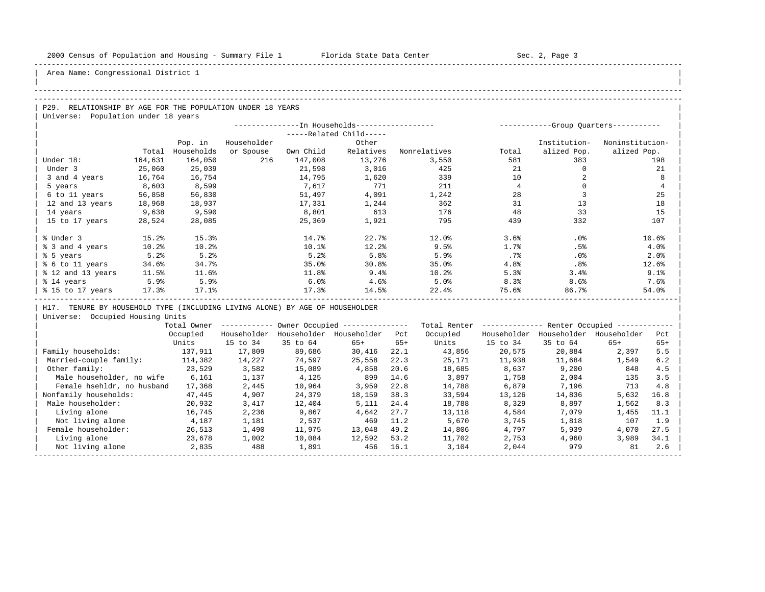| |

Area Name: Congressional District 1

#### -----------------------------------------------------------------------------------------------------------------------------------------------------

## -----------------------------------------------------------------------------------------------------------------------------------------------------

| P29. RELATIONSHIP BY AGE FOR THE POPULATION UNDER 18 YEARS | Universe: Population under 18 years

|                   |         |            |             | -----------Group Quarters----------- |                       |              |        |              |                 |
|-------------------|---------|------------|-------------|--------------------------------------|-----------------------|--------------|--------|--------------|-----------------|
|                   |         |            |             |                                      | $---Related Child---$ |              |        |              |                 |
|                   |         | Pop. in    | Householder |                                      | Other                 |              |        | Institution- | Noninstitution- |
|                   | Total   | Households | or Spouse   | Own Child                            | Relatives             | Nonrelatives | Total  | alized Pop.  | alized Pop.     |
| Under 18:         | 164,631 | 164,050    | 216         | 147,008                              | 13,276                | 3,550        | 581    | 383          | 198             |
| Under 3           | 25,060  | 25,039     |             | 21,598                               | 3,016                 | 425          | 21     |              | 21              |
| 3 and 4 years     | 16,764  | 16,754     |             | 14,795                               | 1,620                 | 339          | 10     |              | 8               |
| 5 years           | 8,603   | 8,599      |             | 7,617                                | 771                   | 211          |        |              | $\overline{4}$  |
| 6 to 11 years     | 56,858  | 56,830     |             | 51,497                               | 4,091                 | 1,242        | 28     |              | 25              |
| 12 and 13 years   | 18,968  | 18,937     |             | 17,331                               | 1,244                 | 362          | 31     | 13           | 18              |
| 14 years          | 9,638   | 9,590      |             | 8,801                                | 613                   | 176          | 48     | 33           | 15              |
| 15 to 17 years    | 28,524  | 28,085     |             | 25,369                               | 1,921                 | 795          | 439    | 332          | 107             |
| % Under 3         | 15.2%   | 15.3%      |             | 14.7%                                | 22.7%                 | 12.0%        | 3.6%   | .0%          | 10.6%           |
| % 3 and 4 years   | 10.2%   | 10.2%      |             | 10.1%                                | 12.2%                 | 9.5%         | 1.7%   | .5%          | 4.0%            |
| % 5 years         | 5.2%    | 5.2%       |             | 5.2%                                 | 5.8%                  | 5.9%         | $.7\%$ | .0%          | 2.0%            |
| % 6 to 11 years   | 34.6%   | 34.7%      |             | 35.0%                                | 30.8%                 | 35.0%        | 4.8%   | .8%          | 12.6%           |
| % 12 and 13 years | 11.5%   | 11.6%      |             | 11.8%                                | 9.4%                  | 10.2%        | 5.3%   | 3.4%         | 9.1%            |
| % 14 years        | 5.9%    | 5.9%       |             | 6.0%                                 | 4.6%                  | 5.0%         | 8.3%   | 8.6%         | 7.6%            |
| % 15 to 17 years  | 17.3%   | 17.1%      |             | 17.3%                                | 14.5%                 | 22.4%        | 75.6%  | 86.7%        | 54.0%           |

H17. TENURE BY HOUSEHOLD TYPE (INCLUDING LIVING ALONE) BY AGE OF HOUSEHOLDER

|                            | Total Owner |             |             | Owner Occupied --------------- |       | Total Renter |             | Renter Occupied -- |             |       |  |
|----------------------------|-------------|-------------|-------------|--------------------------------|-------|--------------|-------------|--------------------|-------------|-------|--|
|                            | Occupied    | Householder | Householder | Householder                    | Pct   | Occupied     | Householder | Householder        | Householder | Pct   |  |
|                            | Units       | 15 to 34    | 35 to 64    | $65+$                          | $65+$ | Units        | 15 to 34    | 35 to 64           | $65+$       | $65+$ |  |
| Family households:         | 137,911     | 17,809      | 89,686      | 30,416                         | 22.1  | 43,856       | 20,575      | 20,884             | 2,397       | 5.5   |  |
| Married-couple family:     | 114,382     | 14,227      | 74,597      | 25,558                         | 22.3  | 25,171       | 11,938      | 11,684             | 1,549       | 6.2   |  |
| Other family:              | 23,529      | 3,582       | 15,089      | 4,858                          | 20.6  | 18,685       | 8,637       | 9,200              | 848         | 4.5   |  |
| Male householder, no wife  | 6,161       | 1,137       | 4,125       | 899                            | 14.6  | 3,897        | 1,758       | 2,004              | 135         | 3.5   |  |
| Female hsehldr, no husband | 17,368      | 2,445       | 10,964      | 3,959                          | 22.8  | 14,788       | 6,879       | 7,196              | 713         | 4.8   |  |
| Nonfamily households:      | 47,445      | 4,907       | 24,379      | 18,159                         | 38.3  | 33,594       | 13,126      | 14,836             | 5,632       | 16.8  |  |
| Male householder:          | 20,932      | 3,417       | 12,404      | 5,111                          | 24.4  | 18,788       | 8,329       | 8,897              | 1,562       | 8.3   |  |
| Living alone               | 16,745      | 2,236       | 9,867       | 4,642                          | 27.7  | 13,118       | 4,584       | 7,079              | 1,455       | 11.1  |  |
| Not living alone           | 4,187       | 1,181       | 2,537       | 469                            | 11.2  | 5,670        | 3,745       | 1,818              | 107         | 1.9   |  |
| Female householder:        | 26,513      | 1,490       | 11,975      | 13,048                         | 49.2  | 14,806       | 4,797       | 5,939              | 4,070       | 27.5  |  |
| Living alone               | 23,678      | 1,002       | 10,084      | 12,592                         | 53.2  | 11,702       | 2,753       | 4,960              | 3,989       | 34.1  |  |
| Not living alone           | 2,835       | 488         | 1,891       | 456                            | 16.1  | 3,104        | 2,044       | 979                | 81          | 2.6   |  |
|                            |             |             |             |                                |       |              |             |                    |             |       |  |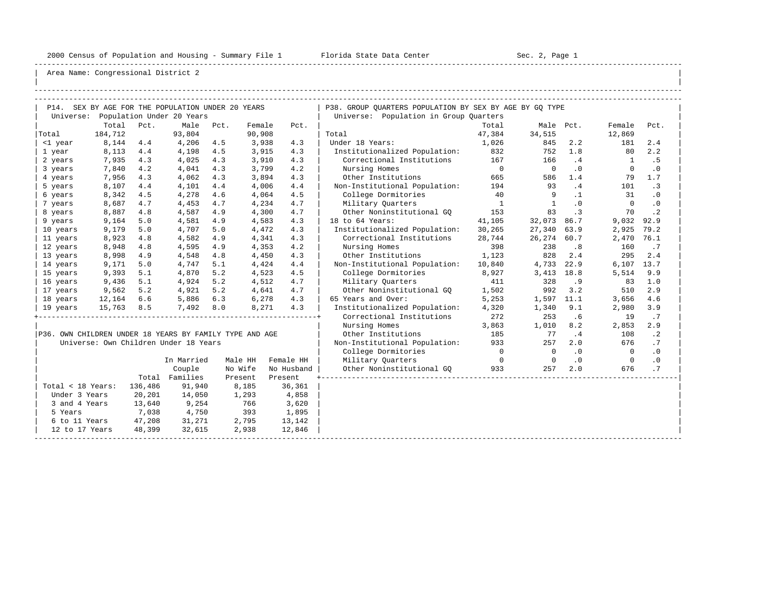-----------------------------------------------------------------------------------------------------------------------------------------------------

| |

|                                                         |         |         | P14. SEX BY AGE FOR THE POPULATION UNDER 20 YEARS |      |         |            | P38. GROUP QUARTERS POPULATION BY SEX BY AGE BY GQ TYPE |                |                          |           |                |           |
|---------------------------------------------------------|---------|---------|---------------------------------------------------|------|---------|------------|---------------------------------------------------------|----------------|--------------------------|-----------|----------------|-----------|
|                                                         |         |         | Universe: Population Under 20 Years               |      |         |            | Universe: Population in Group Quarters                  |                |                          |           |                |           |
|                                                         | Total   | Pct.    | Male                                              | Pct. | Female  | Pct.       |                                                         | Total          | Male Pct.                |           | Female         | Pct.      |
| Total                                                   | 184,712 |         | 93,804                                            |      | 90,908  |            | Total                                                   | 47,384         | 34,515                   |           | 12,869         |           |
| <1 year                                                 | 8,144   | 4.4     | 4,206                                             | 4.5  | 3,938   | 4.3        | Under 18 Years:                                         | 1,026          | 845                      | 2.2       | 181            | 2.4       |
| 1 year                                                  | 8,113   | 4.4     | 4,198                                             | 4.5  | 3,915   | 4.3        | Institutionalized Population:                           | 832            | 752                      | 1.8       | 80             | 2.2       |
| 2 years                                                 | 7,935   | 4.3     | 4,025                                             | 4.3  | 3,910   | 4.3        | Correctional Institutions                               | 167            | 166                      | .4        | $\overline{1}$ | .5        |
| 3 years                                                 | 7,840   | 4.2     | 4,041                                             | 4.3  | 3,799   | 4.2        | Nursing Homes                                           | $\overline{0}$ | $\overline{\phantom{0}}$ | $\cdot$ 0 | $\mathbf 0$    | $\cdot$ 0 |
| 4 years                                                 | 7,956   | 4.3     | 4,062                                             | 4.3  | 3,894   | 4.3        | Other Institutions                                      | 665            | 586                      | 1.4       | 79             | 1.7       |
| 5 years                                                 | 8,107   | 4.4     | 4,101                                             | 4.4  | 4,006   | 4.4        | Non-Institutional Population:                           | 194            | 93                       | .4        | 101            | $\cdot$ 3 |
| 6 years                                                 | 8,342   | 4.5     | 4,278                                             | 4.6  | 4,064   | 4.5        | College Dormitories                                     | 40             | 9                        | $\cdot$ 1 | 31             | $\cdot$ 0 |
| 7 years                                                 | 8,687   | 4.7     | 4,453                                             | 4.7  | 4,234   | 4.7        | Military Ouarters                                       | $\overline{1}$ | $\mathbf{1}$             | $\cdot$ 0 | $\Omega$       | $\cdot$ 0 |
| 8 years                                                 | 8,887   | 4.8     | 4,587                                             | 4.9  | 4,300   | 4.7        | Other Noninstitutional GO                               | 153            | 83                       | $\cdot$ 3 | 70             | $\cdot$ 2 |
| 9 years                                                 | 9,164   | 5.0     | 4,581                                             | 4.9  | 4,583   | 4.3        | 18 to 64 Years:                                         | 41,105         | 32,073                   | 86.7      | 9,032          | 92.9      |
| 10 years                                                | 9,179   | 5.0     | 4,707                                             | 5.0  | 4,472   | 4.3        | Institutionalized Population:                           | 30,265         | 27,340                   | 63.9      | 2,925          | 79.2      |
| 11 years                                                | 8,923   | 4.8     | 4,582                                             | 4.9  | 4,341   | 4.3        | Correctional Institutions                               | 28,744         | 26,274                   | 60.7      | 2,470          | 76.1      |
| 12 years                                                | 8,948   | 4.8     | 4,595                                             | 4.9  | 4,353   | 4.2        | Nursing Homes                                           | 398            | 238                      | .8        | 160            | .7        |
| 13 years                                                | 8,998   | 4.9     | 4,548                                             | 4.8  | 4,450   | 4.3        | Other Institutions                                      | 1,123          | 828                      | 2.4       | 295            | 2.4       |
| 14 years                                                | 9,171   | 5.0     | 4,747                                             | 5.1  | 4,424   | 4.4        | Non-Institutional Population:                           | 10,840         | 4,733                    | 22.9      | 6,107 13.7     |           |
| 15 years                                                | 9,393   | 5.1     | 4,870                                             | 5.2  | 4,523   | 4.5        | College Dormitories                                     | 8,927          | 3,413                    | 18.8      | 5,514          | 9.9       |
| 16 years                                                | 9,436   | 5.1     | 4,924                                             | 5.2  | 4,512   | 4.7        | Military Quarters                                       | 411            | 328                      | .9        | 83             | 1.0       |
| 17 years                                                | 9,562   | 5.2     | 4,921                                             | 5.2  | 4,641   | 4.7        | Other Noninstitutional GQ                               | 1,502          | 992                      | 3.2       | 510            | 2.9       |
| 18 years                                                | 12,164  | 6.6     | 5,886                                             | 6.3  | 6,278   | 4.3        | 65 Years and Over:                                      | 5,253          | 1,597                    | 11.1      | 3,656          | 4.6       |
| 19 years                                                | 15,763  | 8.5     | 7,492                                             | 8.0  | 8,271   | 4.3        | Institutionalized Population:                           | 4,320          | 1,340                    | 9.1       | 2,980          | 3.9       |
|                                                         |         |         |                                                   |      |         |            | Correctional Institutions                               | 272            | 253                      | .6        | 19             | .7        |
|                                                         |         |         |                                                   |      |         |            | Nursing Homes                                           | 3,863          | 1,010                    | 8.2       | 2,853          | 2.9       |
| P36. OWN CHILDREN UNDER 18 YEARS BY FAMILY TYPE AND AGE |         |         |                                                   |      |         |            | Other Institutions                                      | 185            | 77                       | .4        | 108            | $\cdot$ 2 |
|                                                         |         |         | Universe: Own Children Under 18 Years             |      |         |            | Non-Institutional Population:                           | 933            | 257                      | 2.0       | 676            | .7        |
|                                                         |         |         |                                                   |      |         |            | College Dormitories                                     | $\overline{0}$ | $\overline{0}$           | $\cdot$ 0 | $\bigcirc$     | $\cdot$ 0 |
|                                                         |         |         | In Married                                        |      | Male HH | Female HH  | Military Quarters                                       | $\overline{0}$ | $\overline{0}$           | $\cdot$ 0 | $\overline{0}$ | $\cdot$ 0 |
|                                                         |         |         | Couple                                            |      | No Wife | No Husband | Other Noninstitutional GO                               | 933            | 257                      | 2.0       | 676            | .7        |
|                                                         |         |         | Total Families                                    |      | Present | Present    |                                                         |                |                          |           |                |           |
| Total < 18 Years:                                       |         | 136,486 | 91,940                                            |      | 8,185   | 36,361     |                                                         |                |                          |           |                |           |
| Under 3 Years                                           |         | 20,201  | 14,050                                            |      | 1,293   | 4,858      |                                                         |                |                          |           |                |           |
| 3 and 4 Years                                           |         | 13,640  | 9,254                                             |      | 766     | 3,620      |                                                         |                |                          |           |                |           |
| 5 Years                                                 |         | 7,038   | 4,750                                             |      | 393     | 1,895      |                                                         |                |                          |           |                |           |
| 6 to 11 Years                                           |         | 47,208  | 31,271                                            |      | 2,795   | 13,142     |                                                         |                |                          |           |                |           |
| 12 to 17 Years                                          |         | 48,399  | 32,615                                            |      | 2,938   | 12,846     |                                                         |                |                          |           |                |           |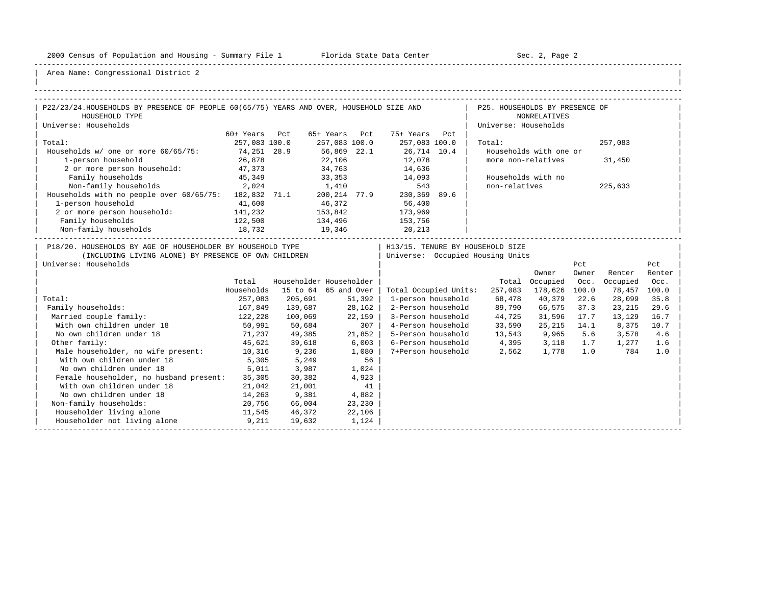-----------------------------------------------------------------------------------------------------------------------------------------------------

| |

| P22/23/24.HOUSEHOLDS BY PRESENCE OF PEOPLE 60(65/75) YEARS AND OVER, HOUSEHOLD SIZE AND                             |                       |                                                 |         |        |                                              |      | P25. HOUSEHOLDS BY PRESENCE OF      |                                              |       |                    |               |
|---------------------------------------------------------------------------------------------------------------------|-----------------------|-------------------------------------------------|---------|--------|----------------------------------------------|------|-------------------------------------|----------------------------------------------|-------|--------------------|---------------|
| HOUSEHOLD TYPE                                                                                                      |                       |                                                 |         |        |                                              |      |                                     | <b>NONRELATIVES</b>                          |       |                    |               |
| Universe: Households                                                                                                |                       |                                                 |         |        |                                              |      | Universe: Households                |                                              |       |                    |               |
|                                                                                                                     | 60+ Years Pct         |                                                 |         |        | 65+ Years Pct 75+ Years Pct                  |      |                                     |                                              |       |                    |               |
| Total:                                                                                                              | 257,083 100.0         |                                                 |         |        | 257,083 100.0 257,083 100.0                  |      | Total:                              |                                              |       | 257,083            |               |
| Households w/ one or more 60/65/75:                                                                                 | 74,251 28.9<br>26,878 |                                                 |         |        | 56,869  22.1  26,714  10.4<br>22,106  12,078 |      | Households with one or              |                                              |       |                    |               |
| 1-person household                                                                                                  |                       |                                                 |         |        | 12,078                                       |      | more non-relatives                  |                                              |       | 31,450             |               |
| 2 or more person household: 47,373                                                                                  |                       |                                                 |         |        | 34,763 14,636                                |      |                                     |                                              |       |                    |               |
| Family households                                                                                                   | 45,349                |                                                 |         |        | 33, 353 14, 093                              |      | Households with no                  |                                              |       |                    |               |
| Non-family households 2,024 1,410 543<br>Households with no people over 60/65/75: 182,832 71.1 200,214 77.9 230,369 |                       |                                                 |         |        |                                              |      | non-relatives                       |                                              |       | 225,633            |               |
|                                                                                                                     |                       |                                                 |         |        |                                              | 89.6 |                                     |                                              |       |                    |               |
| 1-person household                                                                                                  | 41,600                |                                                 | 46,372  |        | 56,400                                       |      |                                     |                                              |       |                    |               |
| 2 or more person household: 141,232                                                                                 |                       | 153,842<br>134,496<br>19,346                    |         |        | 173,969                                      |      |                                     |                                              |       |                    |               |
| Family households                                                                                                   | 122,500<br>18,732     |                                                 |         |        | 153,756<br>20,213                            |      |                                     |                                              |       |                    |               |
| Non-family households                                                                                               |                       |                                                 |         |        |                                              |      |                                     |                                              |       |                    |               |
| P18/20. HOUSEHOLDS BY AGE OF HOUSEHOLDER BY HOUSEHOLD TYPE                                                          |                       |                                                 |         |        |                                              |      | H13/15. TENURE BY HOUSEHOLD SIZE    |                                              |       |                    |               |
| (INCLUDING LIVING ALONE) BY PRESENCE OF OWN CHILDREN                                                                |                       |                                                 |         |        |                                              |      | Universe: Occupied Housing Units    |                                              |       |                    |               |
| Universe: Households                                                                                                |                       |                                                 |         |        |                                              |      |                                     |                                              | Pct   |                    | Pct           |
|                                                                                                                     |                       |                                                 |         |        |                                              |      |                                     | Owner                                        | Owner | Renter             | Renter        |
|                                                                                                                     | Total<br>Households   | Householder Householder<br>15 to 64 65 and Over |         |        | Total Occupied Units:                        |      |                                     | Total Occupied Occ.<br>257,083 178,626 100.0 |       | Occupied<br>78,457 | Occ.<br>100.0 |
| Total:                                                                                                              | 257,083               | 205,691                                         |         | 51,392 | 1-person household                           |      | 68,478                              | 40,379                                       | 22.6  | 28,099             | 35.8          |
| Family households:                                                                                                  | 167,849               | 139,687                                         |         | 28,162 |                                              |      | 2-Person household 89,790           | 66,575 37.3                                  |       | 23,215             | 29.6          |
| Married couple family:                                                                                              | 122,228               | 100,069                                         | 22,159  |        |                                              |      | 3-Person household 44,725           | 31,596 17.7                                  |       | 13,129             | 16.7          |
| With own children under 18<br>50,991                                                                                |                       | 50,684                                          |         | 307    |                                              |      | 4-Person household 33,590           | 25,215 14.1                                  |       | 8,375              | 10.7          |
| No own children under 18                                                                                            |                       | 71,237 49,385                                   |         | 21,852 |                                              |      | 5-Person household 13,543 9,965 5.6 |                                              |       | 3,578              | 4.6           |
| Other family:                                                                                                       | 45,621                | 39,618                                          | $6,003$ |        |                                              |      | 6-Person household 4,395 3,118      |                                              | 1.7   | 1,277              | 1.6           |
| Male householder, no wife present: 10,316                                                                           |                       | 9,236                                           | $1,080$ |        |                                              |      | 7+Person household 2,562 1,778      |                                              |       | 1.0<br>784         | 1.0           |
| With own children under 18                                                                                          | 5,305                 | 5,249                                           |         | 56     |                                              |      |                                     |                                              |       |                    |               |
| No own children under 18                                                                                            | 5,011                 | 3,987                                           | 1,024   |        |                                              |      |                                     |                                              |       |                    |               |
| Female householder, no husband present: 35,305                                                                      |                       | 30,382                                          |         | 4,923  |                                              |      |                                     |                                              |       |                    |               |
| With own children under 18                                                                                          | 21,042                | 21,001                                          |         | 41     |                                              |      |                                     |                                              |       |                    |               |
| No own children under 18                                                                                            | 14,263                | 9,381                                           | 4,882   |        |                                              |      |                                     |                                              |       |                    |               |
| Non-family households:                                                                                              | 20,756                | 66,004                                          |         | 23,230 |                                              |      |                                     |                                              |       |                    |               |
| Householder living alone<br>11,545                                                                                  |                       | 46,372                                          |         | 22,106 |                                              |      |                                     |                                              |       |                    |               |
| Householder not living alone 9,211                                                                                  |                       | 19,632                                          | 1,124   |        |                                              |      |                                     |                                              |       |                    |               |
|                                                                                                                     |                       |                                                 |         |        |                                              |      |                                     |                                              |       |                    |               |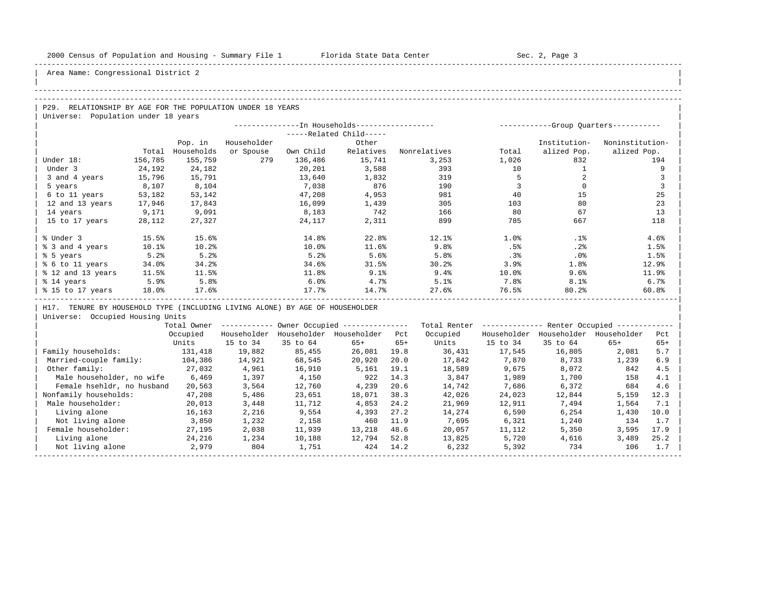| |

## Area Name: Congressional District 2

#### -----------------------------------------------------------------------------------------------------------------------------------------------------

#### -----------------------------------------------------------------------------------------------------------------------------------------------------

| $\overline{P29}$ .<br>RELATIONSHIP BY AGE FOR THE POPULATION UNDER 18 YEARS |  |
|-----------------------------------------------------------------------------|--|
| Universe: Population under 18 years                                         |  |

|                   |                         |            | -----------Group Ouarters----------- |           |           |              |       |              |                 |  |
|-------------------|-------------------------|------------|--------------------------------------|-----------|-----------|--------------|-------|--------------|-----------------|--|
|                   | -----Related Child----- |            |                                      |           |           |              |       |              |                 |  |
|                   |                         | Pop. in    | Householder                          |           | Other     |              |       | Institution- | Noninstitution- |  |
|                   | Total                   | Households | or Spouse                            | Own Child | Relatives | Nonrelatives | Total | alized Pop.  | alized Pop.     |  |
| Under 18:         | 156,785                 | 155,759    | 279                                  | 136,486   | 15,741    | 3,253        | 1,026 | 832          | 194             |  |
| Under 3           | 24,192                  | 24,182     |                                      | 20,201    | 3,588     | 393          | 10    |              | 9               |  |
| 3 and 4 years     | 15,796                  | 15,791     |                                      | 13,640    | 1,832     | 319          |       |              |                 |  |
| 5 years           | 8,107                   | 8,104      |                                      | 7,038     | 876       | 190          |       |              |                 |  |
| 6 to 11 years     | 53,182                  | 53,142     |                                      | 47,208    | 4,953     | 981          | 40    | 15           | 25              |  |
| 12 and 13 years   | 17,946                  | 17,843     |                                      | 16,099    | 1,439     | 305          | 103   | 80           | 23              |  |
| 14 years          | 9,171                   | 9,091      |                                      | 8,183     | 742       | 166          | 80    | 67           | 13              |  |
| 15 to 17 years    | 28,112                  | 27,327     |                                      | 24,117    | 2,311     | 899          | 785   | 667          | 118             |  |
|                   |                         |            |                                      |           |           |              |       |              |                 |  |
| % Under 3         | 15.5%                   | 15.6%      |                                      | 14.8%     | 22.8%     | 12.1%        | 1.0%  | .1%          | 4.6%            |  |
| % 3 and 4 years   | 10.1%                   | 10.2%      |                                      | 10.0%     | 11.6%     | 9.8%         | .5%   | .2%          | 1.5%            |  |
| % 5 years         | 5.2%                    | 5.2%       |                                      | 5.2%      | 5.6%      | 5.8%         | .3%   | .0%          | 1.5%            |  |
| % 6 to 11 years   | 34.0%                   | 34.2%      |                                      | 34.6%     | 31.5%     | 30.2%        | 3.9%  | 1.8%         | 12.9%           |  |
| % 12 and 13 years | 11.5%                   | 11.5%      |                                      | 11.8%     | 9.1%      | 9.4%         | 10.0% | 9.6%         | 11.9%           |  |
| % 14 years        | 5.9%                    | 5.8%       |                                      | 6.0%      | 4.7%      | 5.1%         | 7.8%  | 8.1%         | 6.7%            |  |
| % 15 to 17 years  | 18.0%                   | 17.6%      |                                      | 17.7%     | 14.7%     | 27.6%        | 76.5% | 80.2%        | 60.8%           |  |
|                   |                         |            |                                      |           |           |              |       |              |                 |  |

| H17. TENURE BY HOUSEHOLD TYPE (INCLUDING LIVING ALONE) BY AGE OF HOUSEHOLDER |

|                            | Total Owner |             |             | Owner Occupied --------------- |       | Total Renter |             | Renter Occupied - |             |       |  |
|----------------------------|-------------|-------------|-------------|--------------------------------|-------|--------------|-------------|-------------------|-------------|-------|--|
|                            | Occupied    | Householder | Householder | Householder                    | Pct   | Occupied     | Householder | Householder       | Householder | Pct   |  |
|                            | Units       | 15 to 34    | 35 to 64    | $65+$                          | $65+$ | Units        | 15 to 34    | 35 to 64          | $65+$       | $65+$ |  |
| Family households:         | 131,418     | 19,882      | 85,455      | 26,081                         | 19.8  | 36,431       | 17,545      | 16,805            | 2,081       | 5.7   |  |
| Married-couple family:     | 104,386     | 14,921      | 68,545      | 20,920                         | 20.0  | 17,842       | 7,870       | 8,733             | 1,239       | 6.9   |  |
| Other family:              | 27,032      | 4,961       | 16,910      | 5,161                          | 19.1  | 18,589       | 9,675       | 8,072             | 842         | 4.5   |  |
| Male householder, no wife  | 6,469       | 1,397       | 4,150       | 922                            | 14.3  | 3,847        | 1,989       | 1,700             | 158         | 4.1   |  |
| Female hsehldr, no husband | 20,563      | 3,564       | 12,760      | 4,239                          | 20.6  | 14,742       | 7,686       | 6,372             | 684         | 4.6   |  |
| Nonfamily households:      | 47,208      | 5,486       | 23,651      | 18,071                         | 38.3  | 42,026       | 24,023      | 12,844            | 5,159       | 12.3  |  |
| Male householder:          | 20,013      | 3,448       | 11,712      | 4,853                          | 24.2  | 21,969       | 12,911      | 7,494             | 1,564       | 7.1   |  |
| Living alone               | 16,163      | 2,216       | 9,554       | 4,393                          | 27.2  | 14,274       | 6,590       | 6,254             | 1,430       | 10.0  |  |
| Not living alone           | 3,850       | 1,232       | 2,158       | 460                            | 11.9  | 7,695        | 6,321       | 1,240             | 134         | 1.7   |  |
| Female householder:        | 27,195      | 2,038       | 11,939      | 13,218                         | 48.6  | 20,057       | 11,112      | 5,350             | 3,595       | 17.9  |  |
| Living alone               | 24,216      | 1,234       | 10,188      | 12,794                         | 52.8  | 13,825       | 5,720       | 4,616             | 3,489       | 25.2  |  |
| Not living alone           | 2,979       | 804         | 1,751       | 424                            | 14.2  | 6,232        | 5,392       | 734               | 106         | 1.7   |  |
|                            |             |             |             |                                |       |              |             |                   |             |       |  |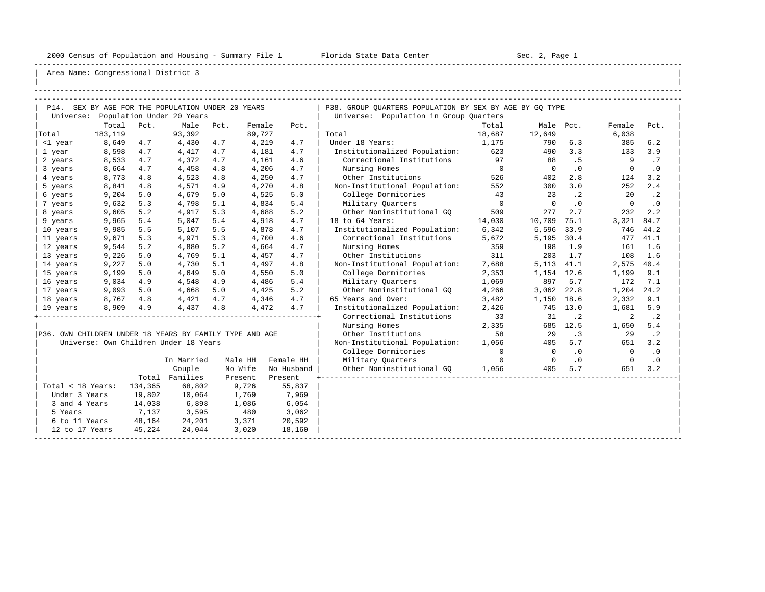-----------------------------------------------------------------------------------------------------------------------------------------------------

| |

|                   |         |         | P14. SEX BY AGE FOR THE POPULATION UNDER 20 YEARS       |      |         |            | P38. GROUP QUARTERS POPULATION BY SEX BY AGE BY GQ TYPE |                |                          |           |                |           |
|-------------------|---------|---------|---------------------------------------------------------|------|---------|------------|---------------------------------------------------------|----------------|--------------------------|-----------|----------------|-----------|
|                   |         |         | Universe: Population Under 20 Years                     |      |         |            | Universe: Population in Group Quarters                  |                |                          |           |                |           |
|                   | Total   | Pct.    | Male                                                    | Pct. | Female  | Pct.       |                                                         | Total          |                          | Male Pct. | Female         | Pct.      |
| Total             | 183,119 |         | 93,392                                                  |      | 89,727  |            | Total                                                   | 18,687         | 12,649                   |           | 6,038          |           |
| <1 year           | 8,649   | 4.7     | 4,430                                                   | 4.7  | 4,219   | 4.7        | Under 18 Years:                                         | 1,175          | 790                      | 6.3       | 385            | 6.2       |
| 1 year            | 8,598   | 4.7     | 4,417                                                   | 4.7  | 4,181   | 4.7        | Institutionalized Population: 623                       |                | 490                      | 3.3       | 133            | 3.9       |
| 2 years           | 8,533   | 4.7     | 4,372                                                   | 4.7  | 4,161   | 4.6        | Correctional Institutions                               | 97             | 88                       | .5        | 9              | .7        |
| 3 years           | 8,664   | 4.7     | 4,458                                                   | 4.8  | 4,206   | 4.7        | Nursing Homes                                           | $\overline{0}$ | $\overline{\phantom{0}}$ | $\cdot$ 0 | $\mathbf{0}$   | $\cdot$ 0 |
| 4 years           | 8,773   | 4.8     | 4,523                                                   | 4.8  | 4,250   | 4.7        | Other Institutions                                      | 526            | 402                      | 2.8       | 124            | 3.2       |
| 5 years           | 8,841   | 4.8     | 4,571                                                   | 4.9  | 4,270   | 4.8        | Non-Institutional Population:                           | 552            | 300                      | 3.0       | 252            | 2.4       |
| 6 years           | 9,204   | 5.0     | 4,679                                                   | 5.0  | 4,525   | 5.0        | College Dormitories                                     | 43             | 23                       | $\cdot$ 2 | 20             | $\cdot$ 2 |
| 7 years           | 9,632   | 5.3     | 4,798                                                   | 5.1  | 4,834   | 5.4        | Military Ouarters                                       | $\overline{0}$ | $\Omega$                 | $\cdot$ 0 | $\Omega$       | $\cdot$ 0 |
| 8 years           | 9,605   | 5.2     | 4,917                                                   | 5.3  | 4,688   | 5.2        | Other Noninstitutional GO                               | 509            | 277                      | 2.7       | 232            | 2.2       |
| 9 years           | 9,965   | 5.4     | 5,047                                                   | 5.4  | 4,918   | 4.7        | 18 to 64 Years:                                         | 14,030         | 10,709                   | 75.1      | 3,321          | 84.7      |
| 10 years          | 9,985   | 5.5     | 5,107                                                   | 5.5  | 4,878   | 4.7        | Institutionalized Population:                           | 6,342          | 5,596                    | 33.9      | 746            | 44.2      |
| 11 years          | 9,671   | 5.3     | 4,971                                                   | 5.3  | 4,700   | 4.6        | Correctional Institutions                               | 5,672          | 5,195                    | 30.4      | 477            | 41.1      |
| 12 years          | 9,544   | 5.2     | 4,880                                                   | 5.2  | 4,664   | 4.7        | Nursing Homes                                           | 359            | 198                      | 1.9       | 161            | 1.6       |
| 13 years          | 9,226   | 5.0     | 4,769                                                   | 5.1  | 4,457   | 4.7        | Other Institutions                                      | 311            | 203                      | 1.7       | 108            | 1.6       |
| 14 years          | 9,227   | 5.0     | 4,730                                                   | 5.1  | 4,497   | 4.8        | Non-Institutional Population:                           | 7,688          | 5,113                    | 41.1      | 2,575 40.4     |           |
| 15 years          | 9,199   | 5.0     | 4,649                                                   | 5.0  | 4,550   | 5.0        | College Dormitories                                     | 2,353          | 1,154 12.6               |           | 1,199          | 9.1       |
| 16 years          | 9,034   | 4.9     | 4,548                                                   | 4.9  | 4,486   | 5.4        | Military Ouarters                                       | 1,069          | 897                      | 5.7       | 172            | 7.1       |
| 17 years          | 9,093   | 5.0     | 4,668                                                   | 5.0  | 4,425   | 5.2        | Other Noninstitutional GO                               | 4,266          | 3,062                    | 22.8      | 1,204          | 24.2      |
| 18 years          | 8,767   | 4.8     | 4,421                                                   | 4.7  | 4,346   | 4.7        | 65 Years and Over:                                      | 3,482          | 1,150 18.6               |           | 2,332          | 9.1       |
| 19 years          | 8,909   | 4.9     | 4,437                                                   | 4.8  | 4,472   | 4.7        | Institutionalized Population:                           | 2,426          |                          | 745 13.0  | 1,681          | 5.9       |
|                   |         |         |                                                         |      |         |            | Correctional Institutions                               | 33             | 31                       | $\cdot$ 2 | 2              | $\cdot$ 2 |
|                   |         |         |                                                         |      |         |            | Nursing Homes                                           | 2,335          |                          | 685 12.5  | 1,650          | 5.4       |
|                   |         |         | P36. OWN CHILDREN UNDER 18 YEARS BY FAMILY TYPE AND AGE |      |         |            | Other Institutions                                      | 58             | 29                       | $\cdot$ 3 | 29             | $\cdot$ 2 |
|                   |         |         | Universe: Own Children Under 18 Years                   |      |         |            | Non-Institutional Population:                           | 1,056          | 405                      | 5.7       | 651            | 3.2       |
|                   |         |         |                                                         |      |         |            | College Dormitories                                     | $\circ$        | $\overline{0}$           | $\cdot$ 0 | $\overline{0}$ | $\cdot$ 0 |
|                   |         |         | In Married                                              |      | Male HH | Female HH  | Military Quarters                                       | $\overline{0}$ | $\overline{0}$           | $\cdot$ 0 | $\overline{0}$ | $\cdot$ 0 |
|                   |         |         | Couple                                                  |      | No Wife | No Husband | Other Noninstitutional GO                               | 1,056          | 405                      | 5.7       | 651            | 3.2       |
|                   |         |         | Total Families                                          |      | Present | Present    |                                                         |                |                          |           |                |           |
| Total < 18 Years: |         | 134,365 | 68,802                                                  |      | 9,726   | 55,837     |                                                         |                |                          |           |                |           |
| Under 3 Years     |         | 19,802  | 10,064                                                  |      | 1,769   | 7,969      |                                                         |                |                          |           |                |           |
| 3 and 4 Years     |         | 14,038  | 6,898                                                   |      | 1,086   | 6,054      |                                                         |                |                          |           |                |           |
| 5 Years           |         | 7,137   | 3,595                                                   |      | 480     | 3,062      |                                                         |                |                          |           |                |           |
| 6 to 11 Years     |         | 48,164  | 24,201                                                  |      | 3,371   | 20,592     |                                                         |                |                          |           |                |           |
| 12 to 17 Years    |         | 45,224  | 24,044                                                  |      | 3,020   | 18,160     |                                                         |                |                          |           |                |           |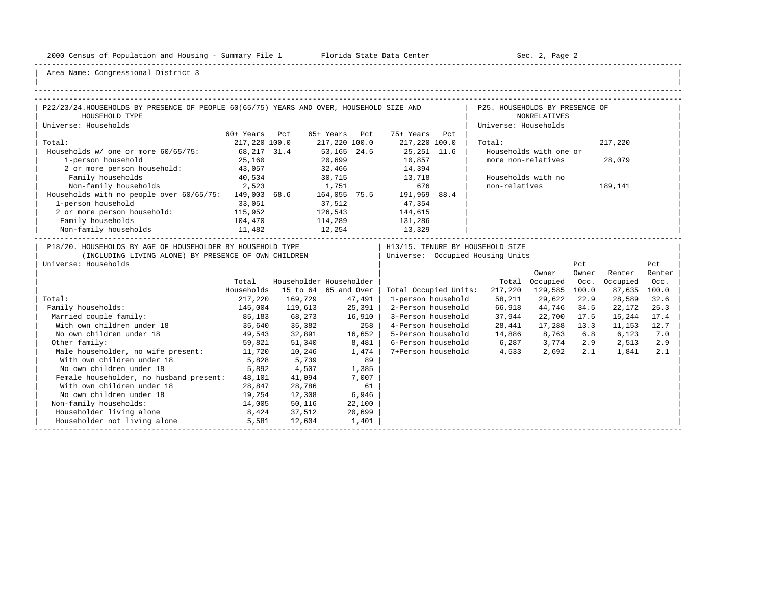-----------------------------------------------------------------------------------------------------------------------------------------------------

| |

| P22/23/24. HOUSEHOLDS BY PRESENCE OF PEOPLE 60(65/75) YEARS AND OVER, HOUSEHOLD SIZE AND<br>P25. HOUSEHOLDS BY PRESENCE OF<br>HOUSEHOLD TYPE<br><b>NONRELATIVES</b><br>Universe: Households<br>Universe: Households<br>60+ Years Pct<br>65+ Years Pct<br>75+ Years Pct<br>Total:<br>217,220 100.0<br>217,220 100.0<br>217,220 100.0<br>Total:<br>Households w/ one or more 60/65/75:<br>68, 217 31.4<br>53, 165 24.5<br>25, 251 11.6<br>Households with one or<br>more non-relatives<br>1-person household<br>25,160<br>20,699<br>10,857<br>14,394<br>43,057<br>32,466<br>2 or more person household:<br>13,718<br>40,534<br>30,715<br>Family households<br>Households with no<br>Non-family households 2,523<br>676<br>1,751<br>non-relatives | 217,220<br>28,079       |
|------------------------------------------------------------------------------------------------------------------------------------------------------------------------------------------------------------------------------------------------------------------------------------------------------------------------------------------------------------------------------------------------------------------------------------------------------------------------------------------------------------------------------------------------------------------------------------------------------------------------------------------------------------------------------------------------------------------------------------------------|-------------------------|
|                                                                                                                                                                                                                                                                                                                                                                                                                                                                                                                                                                                                                                                                                                                                                |                         |
|                                                                                                                                                                                                                                                                                                                                                                                                                                                                                                                                                                                                                                                                                                                                                |                         |
|                                                                                                                                                                                                                                                                                                                                                                                                                                                                                                                                                                                                                                                                                                                                                |                         |
|                                                                                                                                                                                                                                                                                                                                                                                                                                                                                                                                                                                                                                                                                                                                                |                         |
|                                                                                                                                                                                                                                                                                                                                                                                                                                                                                                                                                                                                                                                                                                                                                |                         |
|                                                                                                                                                                                                                                                                                                                                                                                                                                                                                                                                                                                                                                                                                                                                                |                         |
|                                                                                                                                                                                                                                                                                                                                                                                                                                                                                                                                                                                                                                                                                                                                                |                         |
|                                                                                                                                                                                                                                                                                                                                                                                                                                                                                                                                                                                                                                                                                                                                                |                         |
|                                                                                                                                                                                                                                                                                                                                                                                                                                                                                                                                                                                                                                                                                                                                                |                         |
|                                                                                                                                                                                                                                                                                                                                                                                                                                                                                                                                                                                                                                                                                                                                                | 189,141                 |
| Households with no people over 60/65/75: 149,003 68.6 164,055 75.5 191,969 88.4                                                                                                                                                                                                                                                                                                                                                                                                                                                                                                                                                                                                                                                                |                         |
| 1-person household<br>37,512<br>33,051<br>47,354                                                                                                                                                                                                                                                                                                                                                                                                                                                                                                                                                                                                                                                                                               |                         |
| 2 or more person household: 115,952<br>126,543<br>144,615                                                                                                                                                                                                                                                                                                                                                                                                                                                                                                                                                                                                                                                                                      |                         |
| Family households<br>131,286<br>114,289                                                                                                                                                                                                                                                                                                                                                                                                                                                                                                                                                                                                                                                                                                        |                         |
| 104,470<br>11,482<br>Non-family households<br>12,254<br>13,329                                                                                                                                                                                                                                                                                                                                                                                                                                                                                                                                                                                                                                                                                 |                         |
| P18/20. HOUSEHOLDS BY AGE OF HOUSEHOLDER BY HOUSEHOLD TYPE<br>  H13/15. TENURE BY HOUSEHOLD SIZE<br>  Universe: Occupied Housing Units<br>(INCLUDING LIVING ALONE) BY PRESENCE OF OWN CHILDREN<br>Universe: Households<br>Pct<br>Owner<br>Owner                                                                                                                                                                                                                                                                                                                                                                                                                                                                                                | Pct<br>Renter<br>Renter |
| Householder Householder<br>Total<br>Occupied Occ.<br>Total                                                                                                                                                                                                                                                                                                                                                                                                                                                                                                                                                                                                                                                                                     | Occupied<br>Occ.        |
| Households<br>15 to 64 65 and Over<br>Total Occupied Units:<br>217,220 129,585 100.0                                                                                                                                                                                                                                                                                                                                                                                                                                                                                                                                                                                                                                                           | 87,635<br>100.0         |
| Total:<br>169,729<br>58,211<br>29,622<br>22.9<br>217,220<br>47,491<br>1-person household                                                                                                                                                                                                                                                                                                                                                                                                                                                                                                                                                                                                                                                       | 28,589<br>32.6          |
| 145,004 119,613<br>25,391<br>2-Person household 66,918<br>Family households:<br>44,746<br>34.5                                                                                                                                                                                                                                                                                                                                                                                                                                                                                                                                                                                                                                                 | 22,172<br>25.3          |
| 16,910<br>3-Person household 37,944<br>Married couple family:<br>85,183<br>68,273<br>22,700 17.5                                                                                                                                                                                                                                                                                                                                                                                                                                                                                                                                                                                                                                               | 15,244<br>17.4          |
| 4-Person household 28,441<br>With own children under 18<br>35,640 35,382<br>258 l<br>17,288 13.3                                                                                                                                                                                                                                                                                                                                                                                                                                                                                                                                                                                                                                               | 11,153<br>12.7          |
| 16,652<br>No own children under 18<br>32,891<br>5-Person household 14,886<br>8,763<br>6.8<br>49,543                                                                                                                                                                                                                                                                                                                                                                                                                                                                                                                                                                                                                                            | 6,123<br>7.0            |
| Other family:<br>6-Person household<br>6,287 3,774<br>51,340<br>8,481<br>2.9<br>59,821                                                                                                                                                                                                                                                                                                                                                                                                                                                                                                                                                                                                                                                         | 2,513<br>2.9            |
| 7+Person household<br>Male householder, no wife present: 11,720<br>10,246<br>1,474<br>4,533<br>2,692<br>2.1                                                                                                                                                                                                                                                                                                                                                                                                                                                                                                                                                                                                                                    | 1,841<br>2.1            |
| With own children under 18<br>5,739<br>89<br>5,828                                                                                                                                                                                                                                                                                                                                                                                                                                                                                                                                                                                                                                                                                             |                         |
| No own children under 18<br>4,507<br>1,385<br>5,892                                                                                                                                                                                                                                                                                                                                                                                                                                                                                                                                                                                                                                                                                            |                         |
| Female householder, no husband present: 48,101<br>41,094<br>7,007                                                                                                                                                                                                                                                                                                                                                                                                                                                                                                                                                                                                                                                                              |                         |
| 61<br>With own children under 18<br>28,847<br>28,786                                                                                                                                                                                                                                                                                                                                                                                                                                                                                                                                                                                                                                                                                           |                         |
| No own children under 18<br>19,254<br>12,308<br>6,946                                                                                                                                                                                                                                                                                                                                                                                                                                                                                                                                                                                                                                                                                          |                         |
| Non-family households:<br>14,005<br>50,116<br>22,100                                                                                                                                                                                                                                                                                                                                                                                                                                                                                                                                                                                                                                                                                           |                         |
| Householder living alone<br>8,424<br>37,512<br>20,699                                                                                                                                                                                                                                                                                                                                                                                                                                                                                                                                                                                                                                                                                          |                         |
| Householder not living alone<br>5,581<br>12,604<br>1,401                                                                                                                                                                                                                                                                                                                                                                                                                                                                                                                                                                                                                                                                                       |                         |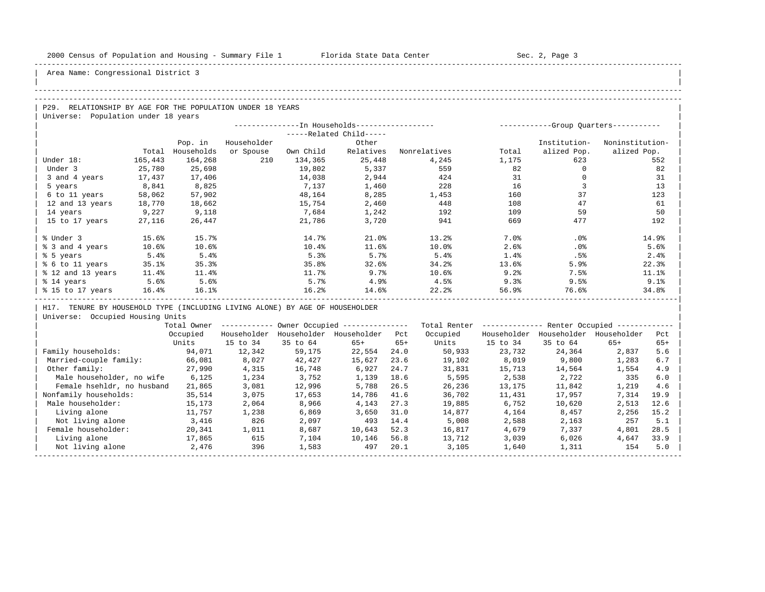| |

## Area Name: Congressional District 3

#### -----------------------------------------------------------------------------------------------------------------------------------------------------

#### -----------------------------------------------------------------------------------------------------------------------------------------------------

| P29. RELATIONSHIP BY AGE FOR THE POPULATION UNDER 18 YEARS |  |
|------------------------------------------------------------|--|
| Universe: Population under 18 years                        |  |

|                   |         |            |             | --------------In Households----------------- |                         |              | ----------- |              | -Group Ouarters----------- |
|-------------------|---------|------------|-------------|----------------------------------------------|-------------------------|--------------|-------------|--------------|----------------------------|
|                   |         |            |             |                                              | -----Related Child----- |              |             |              |                            |
|                   |         | Pop. in    | Householder |                                              | Other                   |              |             | Institution- | Noninstitution-            |
|                   | Total   | Households | or Spouse   | Own Child                                    | Relatives               | Nonrelatives | Total       | alized Pop.  | alized Pop.                |
| Under 18:         | 165,443 | 164,268    | 210         | 134,365                                      | 25,448                  | 4,245        | 1,175       | 623          | 552                        |
| Under 3           | 25,780  | 25,698     |             | 19,802                                       | 5,337                   | 559          | 82          |              | 82                         |
| 3 and 4 years     | 17,437  | 17,406     |             | 14,038                                       | 2,944                   | 424          | 31          |              | 31                         |
| 5 years           | 8,841   | 8,825      |             | 7,137                                        | 1,460                   | 228          | 16          |              | 13                         |
| 6 to 11 years     | 58,062  | 57,902     |             | 48,164                                       | 8,285                   | 1,453        | 160         | 37           | 123                        |
| 12 and 13 years   | 18,770  | 18,662     |             | 15,754                                       | 2,460                   | 448          | 108         | 47           | 61                         |
| 14 years          | 9,227   | 9,118      |             | 7,684                                        | 1,242                   | 192          | 109         | 59           | 50                         |
| 15 to 17 years    | 27,116  | 26,447     |             | 21,786                                       | 3,720                   | 941          | 669         | 477          | 192                        |
|                   |         |            |             |                                              |                         |              |             |              |                            |
| % Under 3         | 15.6%   | 15.7%      |             | 14.7%                                        | 21.0%                   | 13.2%        | 7.0%        | .0%          | 14.9%                      |
| % 3 and 4 years   | 10.6%   | 10.6%      |             | 10.4%                                        | 11.6%                   | 10.0%        | 2.6%        | .0%          | 5.6%                       |
| % 5 years         | 5.4%    | 5.4%       |             | 5.3%                                         | 5.7%                    | 5.4%         | 1.4%        | .5%          | 2.4%                       |
| % 6 to 11 years   | 35.1%   | 35.3%      |             | 35.8%                                        | 32.6%                   | 34.2%        | 13.6%       | 5.9%         | 22.3%                      |
| % 12 and 13 years | 11.4%   | 11.4%      |             | 11.7%                                        | 9.7%                    | 10.6%        | 9.2%        | 7.5%         | 11.1%                      |
| % 14 years        | 5.6%    | 5.6%       |             | 5.7%                                         | 4.9%                    | 4.5%         | 9.3%        | 9.5%         | 9.1%                       |
| % 15 to 17 years  | 16.4%   | 16.1%      |             | 16.2%                                        | 14.6%                   | 22.2         | 56.9%       | 76.6%        | 34.8%                      |
|                   |         |            |             |                                              |                         |              |             |              |                            |

| H17. TENURE BY HOUSEHOLD TYPE (INCLUDING LIVING ALONE) BY AGE OF HOUSEHOLDER |

|                            | Total Owner |             |             | Owner Occupied --------------- |       | Total Renter |             | Renter Occupied - |             |       |  |
|----------------------------|-------------|-------------|-------------|--------------------------------|-------|--------------|-------------|-------------------|-------------|-------|--|
|                            | Occupied    | Householder | Householder | Householder                    | Pct   | Occupied     | Householder | Householder       | Householder | Pct   |  |
|                            | Units       | 15 to 34    | 35 to 64    | $65+$                          | $65+$ | Units        | 15 to 34    | 35 to 64          | $65+$       | $65+$ |  |
| Family households:         | 94,071      | 12,342      | 59,175      | 22,554                         | 24.0  | 50,933       | 23,732      | 24,364            | 2,837       | 5.6   |  |
| Married-couple family:     | 66,081      | 8,027       | 42,427      | 15,627                         | 23.6  | 19,102       | 8,019       | 9,800             | 1,283       | 6.7   |  |
| Other family:              | 27,990      | 4,315       | 16,748      | 6,927                          | 24.7  | 31,831       | 15,713      | 14,564            | 1,554       | 4.9   |  |
| Male householder, no wife  | 6,125       | 1,234       | 3,752       | 1,139                          | 18.6  | 5,595        | 2,538       | 2,722             | 335         | 6.0   |  |
| Female hsehldr, no husband | 21,865      | 3,081       | 12,996      | 5,788                          | 26.5  | 26,236       | 13,175      | 11,842            | 1,219       | 4.6   |  |
| Nonfamily households:      | 35,514      | 3,075       | 17,653      | 14,786                         | 41.6  | 36,702       | 11,431      | 17,957            | 7,314       | 19.9  |  |
| Male householder:          | 15,173      | 2,064       | 8,966       | 4,143                          | 27.3  | 19,885       | 6,752       | 10,620            | 2,513       | 12.6  |  |
| Living alone               | 11,757      | 1,238       | 6,869       | 3,650                          | 31.0  | 14,877       | 4,164       | 8,457             | 2,256       | 15.2  |  |
| Not living alone           | 3,416       | 826         | 2,097       | 493                            | 14.4  | 5,008        | 2,588       | 2,163             | 257         | 5.1   |  |
| Female householder:        | 20,341      | 1,011       | 8,687       | 10,643                         | 52.3  | 16,817       | 4,679       | 7,337             | 4,801       | 28.5  |  |
| Living alone               | 17,865      | 615         | 7,104       | 10,146                         | 56.8  | 13,712       | 3,039       | 6,026             | 4,647       | 33.9  |  |
| Not living alone           | 2,476       | 396         | 1,583       | 497                            | 20.1  | 3,105        | 1,640       | 1,311             | 154         | 5.0   |  |
|                            |             |             |             |                                |       |              |             |                   |             |       |  |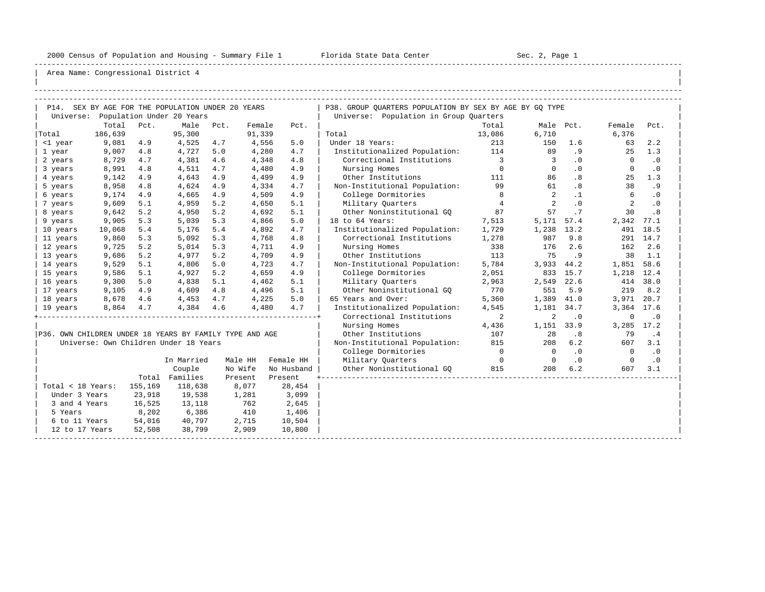-----------------------------------------------------------------------------------------------------------------------------------------------------

| |

|                   |               |         | P14. SEX BY AGE FOR THE POPULATION UNDER 20 YEARS       |     |            |            | P38. GROUP OUARTERS POPULATION BY SEX BY AGE BY GO TYPE |                            |                          |            |                |           |
|-------------------|---------------|---------|---------------------------------------------------------|-----|------------|------------|---------------------------------------------------------|----------------------------|--------------------------|------------|----------------|-----------|
|                   |               |         | Universe: Population Under 20 Years                     |     |            |            | Universe: Population in Group Quarters                  |                            |                          |            |                |           |
|                   | Total         | Pct.    | Male Pct.                                               |     | Female     | Pct.       |                                                         | Total                      | Male Pct.                |            | Female         | Pct.      |
| Total             | 186,639       |         | 95,300                                                  |     | 91,339     |            | Total                                                   | 13,086                     | 6,710                    |            | 6,376          |           |
| <1 year           | 9,081         | 4.9     | 4,525                                                   | 4.7 | 4,556      | 5.0        | Under 18 Years:                                         | 213                        | 150                      | 1.6        | 63             | 2.2       |
| 1 year            | 9,007         | 4.8     | 4,727                                                   | 5.0 | 4,280      | 4.7        | Institutionalized Population: 114                       |                            | 89                       | .9         | 25             | 1.3       |
| 2 years           | 8,729         | 4.7     | 4,381                                                   | 4.6 | 4,348      | 4.8        | Correctional Institutions 3                             |                            | $\overline{3}$           | $\cdot$ 0  | $\overline{0}$ | $\cdot$ 0 |
| 3 years           | 8,991         | 4.8     | 4,511                                                   | 4.7 | 4,480      | 4.9        | Nursing Homes                                           | $\overline{0}$             | $\circ$                  | $.0 \cdot$ | $\circ$        | $\cdot$ 0 |
| 4 years           | 9,142         | 4.9     | 4,643                                                   | 4.9 | 4,499      | 4.9        | Other Institutions                                      | 111                        | 86                       | .8         | 25             | 1.3       |
| 5 years           | 8,958         | 4.8     | 4,624                                                   | 4.9 | 4,334      | 4.7        | Non-Institutional Population:                           | 99                         | 61                       | .8         | 38             | .9        |
| 6 years           | 9,174         | 4.9     | 4,665                                                   | 4.9 | 4,509      | 4.9        | College Dormitories                                     | 8                          | 2                        | $\cdot$ 1  | 6              | $\cdot$ 0 |
| 7 years           | 9,609         | 5.1     | 4,959                                                   | 5.2 | 4,650      | 5.1        | Military Quarters                                       | $\overline{4}$             | $\overline{2}$           | $\cdot$ 0  | 2              | $\cdot$ 0 |
| 8 years           | 9,642         | 5.2     | 4,950                                                   | 5.2 | 4,692      | 5.1        | Other Noninstitutional GO                               | 87                         | 57                       | .7         | 30             | .8        |
| 9 years           | 9,905         | 5.3     | 5,039                                                   | 5.3 | 4,866      | 5.0        | 18 to 64 Years:                                         | 7,513                      | 5,171 57.4               |            | 2,342 77.1     |           |
| 10 years          | 10,068        | 5.4     | 5,176                                                   | 5.4 | 4,892      | 4.7        | Institutionalized Population:                           | 1,729                      | 1,238 13.2               |            |                | 491 18.5  |
| 11 years          | 9,860         | 5.3     | 5,092                                                   | 5.3 | 4,768      | 4.8        | Correctional Institutions 1,278                         |                            | 987                      | 9.8        |                | 291 14.7  |
| 12 years          | 9,725         | 5.2     | 5,014                                                   | 5.3 | 4,711      | 4.9        | Nursing Homes                                           | 338                        | 176                      | 2.6        | 162            | 2.6       |
| 13 years          | 9,686         | 5.2     | 4,977                                                   | 5.2 | 4,709      | 4.9        | Other Institutions                                      | 113                        | 75                       | .9         | 38             | 1.1       |
| 14 years          | 9,529         | 5.1     | 4,806                                                   | 5.0 | 4,723      | 4.7        | Non-Institutional Population:                           | 5,784                      | 3,933 44.2               |            | 1,851 58.6     |           |
| 15 years          | 9,586         | 5.1     | 4,927                                                   | 5.2 | 4,659      | 4.9        | College Dormitories                                     | 2,051                      |                          | 833 15.7   | 1,218 12.4     |           |
| 16 years          | 9,300         | 5.0     | 4,838                                                   | 5.1 | 4,462      | 5.1        | Military Ouarters                                       | 2,963                      | 2,549                    | 22.6       |                | 414 38.0  |
| 17 years          | 9,105         | 4.9     | 4,609                                                   | 4.8 | 4,496      | 5.1        | Other Noninstitutional GO                               | 770                        | 551                      | 5.9        | 219            | 8.2       |
| 18 years          | 8,678         | 4.6     | 4,453                                                   | 4.7 | 4,225      | 5.0        | 65 Years and Over:                                      | 5,360                      | 1,389                    | 41.0       | 3,971 20.7     |           |
| 19 years          | 8,864         | 4.7     | 4,384                                                   | 4.6 | 4,480      | 4.7        | Institutionalized Population:                           | 4,545                      | 1,181 34.7               |            | 3,364 17.6     |           |
|                   |               |         |                                                         |     |            |            | Correctional Institutions                               | $\overline{\phantom{a}}$ 2 | 2                        | $\cdot$ 0  | $\mathbf 0$    | $\cdot$ 0 |
|                   |               |         |                                                         |     |            |            | Nursing Homes                                           | 4,436                      | 1,151 33.9               |            | 3,285 17.2     |           |
|                   |               |         | P36. OWN CHILDREN UNDER 18 YEARS BY FAMILY TYPE AND AGE |     |            |            | Other Institutions                                      | 107                        | 28                       | .8         | 79             | .4        |
|                   |               |         | Universe: Own Children Under 18 Years                   |     |            |            | Non-Institutional Population: 815                       |                            | 208                      | 6.2        | 607            | 3.1       |
|                   |               |         |                                                         |     |            |            | College Dormitories                                     | $\overline{0}$             | $\overline{\phantom{0}}$ | .0         | $\overline{0}$ | $\cdot$ 0 |
|                   |               |         | In Married                                              |     | Male HH    | Female HH  | Military Ouarters                                       | $\overline{0}$             | $\overline{0}$           | .0         | $\overline{0}$ | $\cdot$ 0 |
|                   |               |         | Couple                                                  |     | No Wife    | No Husband | Other Noninstitutional GQ 815                           |                            | 208                      | 6.2        | 607            | 3.1       |
|                   |               |         | Total Families                                          |     | Present    | Present    |                                                         |                            |                          |            |                |           |
| Total < 18 Years: |               | 155,169 | 118,638                                                 |     | 8,077      | 28,454     |                                                         |                            |                          |            |                |           |
| Under 3 Years     |               | 23,918  | 19,538                                                  |     | 1,281      | 3,099      |                                                         |                            |                          |            |                |           |
| 3 and 4 Years     |               | 16,525  | 13,118                                                  |     |            | 2,645      |                                                         |                            |                          |            |                |           |
| 5 Years           |               | 8,202   | 6,386                                                   |     | 762<br>410 | 1,406      |                                                         |                            |                          |            |                |           |
|                   | 6 to 11 Years | 54,016  | 40,797                                                  |     | 2,715      | 10,504     |                                                         |                            |                          |            |                |           |
| 12 to 17 Years    |               | 52,508  | 38,799                                                  |     | 2,909      | 10,800     |                                                         |                            |                          |            |                |           |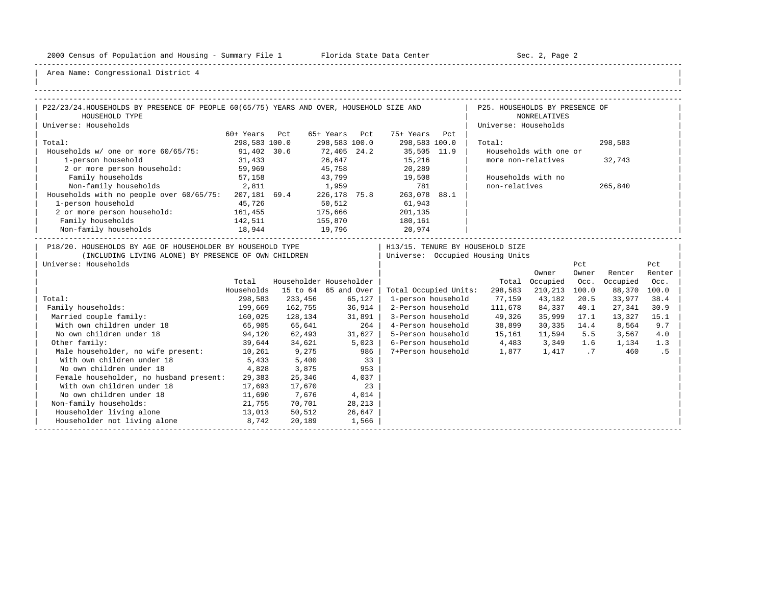-----------------------------------------------------------------------------------------------------------------------------------------------------

| |

| P22/23/24.HOUSEHOLDS BY PRESENCE OF PEOPLE 60(65/75) YEARS AND OVER, HOUSEHOLD SIZE AND                                                    |               |                              |        |             |                                              | P25. HOUSEHOLDS BY PRESENCE OF                                         |                              |              |                   |                |
|--------------------------------------------------------------------------------------------------------------------------------------------|---------------|------------------------------|--------|-------------|----------------------------------------------|------------------------------------------------------------------------|------------------------------|--------------|-------------------|----------------|
| HOUSEHOLD TYPE                                                                                                                             |               |                              |        |             |                                              |                                                                        | <b>NONRELATIVES</b>          |              |                   |                |
| Universe: Households                                                                                                                       |               |                              |        |             |                                              | Universe: Households                                                   |                              |              |                   |                |
|                                                                                                                                            | 60+ Years Pct |                              |        |             | 65+ Years Pct 75+ Years Pct                  |                                                                        |                              |              |                   |                |
| Total:                                                                                                                                     | 298,583 100.0 |                              |        |             | 298,583 100.0 298,583 100.0                  | Total:                                                                 |                              |              | 298,583           |                |
| Households w/ one or more 60/65/75:                                                                                                        | 91,402 30.6   |                              |        |             | 72,405  24.2  35,505  11.9<br>26,647  15,216 |                                                                        | Households with one or       |              |                   |                |
| 1-person household                                                                                                                         | 31,433        |                              |        |             | 15, 216                                      | more non-relatives                                                     |                              |              | 32,743            |                |
| 2 or more person household: 59,969                                                                                                         |               |                              |        |             | 45,758 20,289                                |                                                                        |                              |              |                   |                |
| Family households                                                                                                                          | 57,158        |                              |        |             | 43,799 19,508                                |                                                                        | Households with no           |              |                   |                |
| Non-family households 2,811 1,959 781<br>Households with no people over 60/65/75: 207,181 69.4 226,178 75.8 263,078 88.1                   |               |                              |        |             |                                              | non-relatives                                                          |                              |              | 265,840           |                |
|                                                                                                                                            |               |                              |        |             |                                              |                                                                        |                              |              |                   |                |
| 1-person household                                                                                                                         | 45,726        | 50, 512                      |        |             | 61,943                                       |                                                                        |                              |              |                   |                |
| 2 or more person household: 161,455                                                                                                        |               | 175,666<br>155,870<br>19,796 |        |             | 201,135                                      |                                                                        |                              |              |                   |                |
| Family households                                                                                                                          | 142,511       |                              |        |             | 180,161<br>20,974                            |                                                                        |                              |              |                   |                |
| Non-family households                                                                                                                      | 18,944        |                              |        |             |                                              |                                                                        |                              |              |                   |                |
| P18/20. HOUSEHOLDS BY AGE OF HOUSEHOLDER BY HOUSEHOLD TYPE<br>(INCLUDING LIVING ALONE) BY PRESENCE OF OWN CHILDREN<br>Universe: Households |               |                              |        |             |                                              | H13/15. TENURE BY HOUSEHOLD SIZE<br>  Universe: Occupied Housing Units |                              |              |                   |                |
|                                                                                                                                            |               |                              |        |             |                                              |                                                                        |                              | Pct<br>Owner | Renter            | Pct            |
|                                                                                                                                            | Total         | Householder Householder      |        |             |                                              |                                                                        | Owner<br>Total Occupied Occ. |              | Occupied          | Renter<br>Occ. |
|                                                                                                                                            | Households    | 15 to 64 65 and Over         |        |             | Total Occupied Units:                        | 298,583                                                                | 210,213 100.0                |              | 88,370            | 100.0          |
| Total:                                                                                                                                     | 298,583       | 233,456                      | 65,127 |             | 1-person household                           | 77,159 43,182                                                          |                              | 20.5         | 33,977            | 38.4           |
| Family households:                                                                                                                         | 199,669       | $162, 755$ 36,914            |        |             | 2-Person household                           | 111,678                                                                | 84,337                       | 40.1         | 27,341            | 30.9           |
| Married couple family:                                                                                                                     | 160,025       | 128,134                      | 31,891 |             |                                              | 3-Person household 49,326                                              | 35,999                       | 17.1         | 13,327            | 15.1           |
| With own children under 18                                                                                                                 | 65,905        | 65,641                       |        | 264         |                                              | 4-Person household 38,899                                              |                              |              | 30,335 14.4 8,564 | 9.7            |
| No own children under 18                                                                                                                   | 94,120        | 62,493                       | 31,627 |             |                                              | 5-Person household 15,161                                              | 11,594 5.5                   |              | 3,567             | 4.0            |
| Other family:                                                                                                                              |               | 39,644 34,621                | 5,023  |             |                                              | 6-Person household 4,483 3,349 1.6                                     |                              |              | 1,134             | 1.3            |
| Male householder, no wife present: 10,261                                                                                                  |               | 9,275                        |        | $986$       |                                              | 7+Person household 1,877 1,417 .7                                      |                              |              | 460               | .5             |
| With own children under 18                                                                                                                 | 5,433         | 5,400                        |        |             |                                              |                                                                        |                              |              |                   |                |
| No own children under 18                                                                                                                   | 4,828         | 3,875                        |        | $33$<br>953 |                                              |                                                                        |                              |              |                   |                |
| Female householder, no husband present:                                                                                                    | 29,383        | 25,346                       |        | 4,037       |                                              |                                                                        |                              |              |                   |                |
| With own children under 18                                                                                                                 | 17,693        | 17,670                       |        | 23          |                                              |                                                                        |                              |              |                   |                |
| No own children under 18                                                                                                                   | 11,690        | 7,676                        | 4,014  |             |                                              |                                                                        |                              |              |                   |                |
| Non-family households:                                                                                                                     | 21,755        | 70,701                       |        | 28,213      |                                              |                                                                        |                              |              |                   |                |
| Householder living alone<br>$13,013$ 50,512                                                                                                |               |                              |        | 26,647      |                                              |                                                                        |                              |              |                   |                |
| Householder not living alone 8,742                                                                                                         |               | 20,189                       | 1,566  |             |                                              |                                                                        |                              |              |                   |                |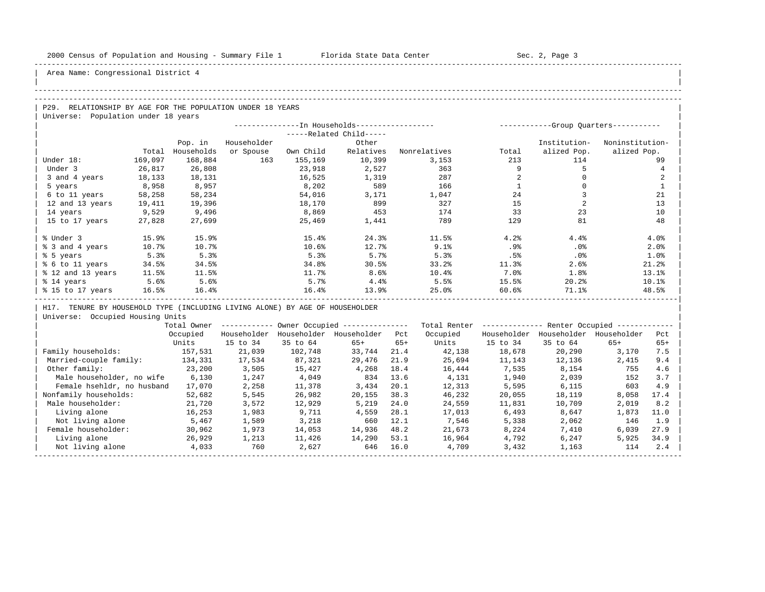| |

## Area Name: Congressional District 4

#### -----------------------------------------------------------------------------------------------------------------------------------------------------

### -----------------------------------------------------------------------------------------------------------------------------------------------------

P29. RELATIONSHIP BY AGE FOR THE POPULATION UNDER 18 YEARS | Universe: Population under 18 years

|                   |         |            |             |           | --In Households------------------ |              | ----------- |              | -Group Quarters----------- |
|-------------------|---------|------------|-------------|-----------|-----------------------------------|--------------|-------------|--------------|----------------------------|
|                   |         |            |             |           | -----Related Child-----           |              |             |              |                            |
|                   |         | Pop. in    | Householder |           | Other                             |              |             | Institution- | Noninstitution-            |
|                   | Total   | Households | or Spouse   | Own Child | Relatives                         | Nonrelatives | Total       | alized Pop.  | alized Pop.                |
| Under 18:         | 169,097 | 168,884    | 163         | 155,169   | 10,399                            | 3,153        | 213         | 114          | 99                         |
| Under 3           | 26,817  | 26,808     |             | 23,918    | 2,527                             | 363          |             |              |                            |
| 3 and 4 years     | 18,133  | 18,131     |             | 16,525    | 1,319                             | 287          |             |              |                            |
| 5 years           | 8,958   | 8,957      |             | 8,202     | 589                               | 166          |             |              |                            |
| 6 to 11 years     | 58,258  | 58,234     |             | 54,016    | 3,171                             | 1,047        | 24          |              | 21                         |
| 12 and 13 years   | 19,411  | 19,396     |             | 18,170    | 899                               | 327          | 15          |              | 13                         |
| 14 years          | 9,529   | 9,496      |             | 8,869     | 453                               | 174          | 33          | 23           | 10                         |
| 15 to 17 years    | 27,828  | 27,699     |             | 25,469    | 1,441                             | 789          | 129         | 81           | 48                         |
|                   |         |            |             |           |                                   |              |             |              |                            |
| % Under 3         | 15.9%   | 15.9%      |             | 15.4%     | 24.3%                             | 11.5%        | 4.2%        | 4.4%         | 4.0%                       |
| % 3 and 4 years   | 10.7%   | 10.7%      |             | 10.6%     | 12.7%                             | 9.1%         | .9%         | .0%          | 2.0%                       |
| % 5 years         | 5.3%    | 5.3%       |             | 5.3%      | 5.7%                              | 5.3%         | .5%         | $.0\%$       | 1.0%                       |
| % 6 to 11 years   | 34.5%   | 34.5%      |             | 34.8%     | 30.5%                             | 33.2%        | 11.3%       | 2.6%         | 21.2%                      |
| % 12 and 13 years | 11.5%   | 11.5%      |             | 11.7%     | 8.6%                              | 10.4%        | $7.0\%$     | 1.8%         | 13.1%                      |
| % 14 years        | 5.6%    | 5.6%       |             | 5.7%      | 4.4%                              | 5.5%         | 15.5%       | 20.2%        | 10.1%                      |
| % 15 to 17 years  | 16.5%   | 16.4%      |             | 16.4%     | 13.9%                             | 25.0%        | 60.6%       | 71.1%        | 48.5%                      |
|                   |         |            |             |           |                                   |              |             |              |                            |

H17. TENURE BY HOUSEHOLD TYPE (INCLUDING LIVING ALONE) BY AGE OF HOUSEHOLDER

|                            | Total Owner |             |             | Owner Occupied --------------- |       | Total Renter |             | Renter Occupied -- |             |       |  |
|----------------------------|-------------|-------------|-------------|--------------------------------|-------|--------------|-------------|--------------------|-------------|-------|--|
|                            | Occupied    | Householder | Householder | Householder                    | Pct   | Occupied     | Householder | Householder        | Householder | Pct   |  |
|                            | Units       | 15 to 34    | 35 to 64    | $65+$                          | $65+$ | Units        | 15 to 34    | 35 to 64           | $65+$       | $65+$ |  |
| Family households:         | 157,531     | 21,039      | 102,748     | 33,744                         | 21.4  | 42,138       | 18,678      | 20,290             | 3,170       | 7.5   |  |
| Married-couple family:     | 134,331     | 17,534      | 87,321      | 29,476                         | 21.9  | 25,694       | 11,143      | 12,136             | 2,415       | 9.4   |  |
| Other family:              | 23,200      | 3,505       | 15,427      | 4,268                          | 18.4  | 16,444       | 7,535       | 8,154              | 755         | 4.6   |  |
| Male householder, no wife  | 6,130       | 1,247       | 4,049       | 834                            | 13.6  | 4,131        | 1,940       | 2,039              | 152         | 3.7   |  |
| Female hsehldr, no husband | 17,070      | 2,258       | 11,378      | 3,434                          | 20.1  | 12,313       | 5,595       | 6,115              | 603         | 4.9   |  |
| Nonfamily households:      | 52,682      | 5,545       | 26,982      | 20,155                         | 38.3  | 46,232       | 20,055      | 18,119             | 8,058       | 17.4  |  |
| Male householder:          | 21,720      | 3,572       | 12,929      | 5,219                          | 24.0  | 24,559       | 11,831      | 10,709             | 2,019       | 8.2   |  |
| Living alone               | 16,253      | 1,983       | 9,711       | 4,559                          | 28.1  | 17,013       | 6,493       | 8,647              | 1,873       | 11.0  |  |
| Not living alone           | 5,467       | 1,589       | 3,218       | 660                            | 12.1  | 7,546        | 5,338       | 2,062              | 146         | 1.9   |  |
| Female householder:        | 30,962      | 1,973       | 14,053      | 14,936                         | 48.2  | 21,673       | 8,224       | 7,410              | 6,039       | 27.9  |  |
| Living alone               | 26,929      | 1,213       | 11,426      | 14,290                         | 53.1  | 16,964       | 4,792       | 6,247              | 5,925       | 34.9  |  |
| Not living alone           | 4,033       | 760         | 2,627       | 646                            | 16.0  | 4,709        | 3,432       | 1,163              | 114         | 2.4   |  |
|                            |             |             |             |                                |       |              |             |                    |             |       |  |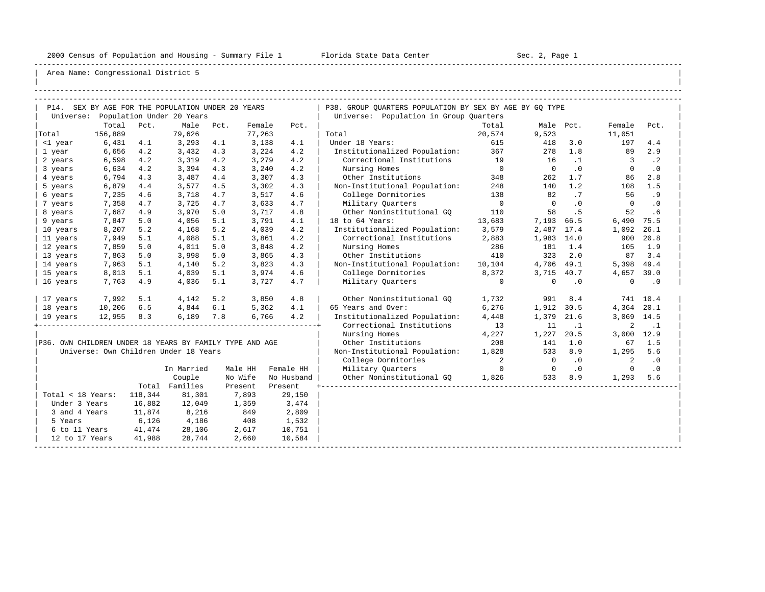-----------------------------------------------------------------------------------------------------------------------------------------------------

| |

|                                                         |                      |            | P14. SEX BY AGE FOR THE POPULATION UNDER 20 YEARS |     |                  |            | P38. GROUP QUARTERS POPULATION BY SEX BY AGE BY GQ TYPE    |                          |                  |           |                      |                  |
|---------------------------------------------------------|----------------------|------------|---------------------------------------------------|-----|------------------|------------|------------------------------------------------------------|--------------------------|------------------|-----------|----------------------|------------------|
|                                                         | Total                |            | Universe: Population Under 20 Years               |     |                  |            | Universe: Population in Group Quarters                     |                          |                  |           |                      |                  |
|                                                         | 156,889              | Pct.       | Male Pct.<br>79,626                               |     | Female<br>77,263 | Pct.       |                                                            | Total<br>20,574          | 9,523            | Male Pct. | Female<br>11,051     | Pct.             |
| Total                                                   |                      |            |                                                   |     |                  | 4.1        | Total<br>Under 18 Years:                                   |                          |                  | 3.0       |                      | 4.4              |
| <1 year                                                 | 6,431                | 4.1        | $3,293$ 4.1<br>3,432                              | 4.3 | 3,138            | 4.2        |                                                            | 615<br>367               | 418<br>278       | 1.8       | 197<br>89            | 2.9              |
| 1 year                                                  | 6,656                | 4.2<br>4.2 | 3,319                                             | 4.2 | 3,224            | 4.2        | Institutionalized Population:<br>Correctional Institutions | 19                       | 16               | $\cdot$ 1 | $\overline{3}$       | $\cdot$ 2        |
| 2 years                                                 | 6,598                |            |                                                   |     | 3,279            |            |                                                            | $\overline{0}$           | $\overline{0}$   | $\cdot$ 0 | $\Omega$             |                  |
| 3 years                                                 | 6,634<br>6,794       | 4.2<br>4.3 | 3,394                                             | 4.3 | 3,240            | 4.2<br>4.3 | Nursing Homes<br>Other Institutions                        | 348                      | 262              | 1.7       | 86                   | $\cdot$ 0<br>2.8 |
| 4 years<br>5 years                                      | 6,879                |            | 3,487<br>3,577                                    | 4.4 | 3,307            |            |                                                            |                          |                  | 1.2       |                      | 1.5              |
|                                                         |                      | 4.4        |                                                   | 4.5 | 3,302            | 4.3        | Non-Institutional Population:                              | 248                      | 140              |           | 108                  |                  |
| 6 years                                                 | 7,235                | 4.6        | 3,718                                             | 4.7 | 3,517            | 4.6        | College Dormitories                                        | 138<br>$\overline{0}$    | 82<br>$\bigcirc$ | .7<br>.0  | 56<br>$\overline{0}$ | .9<br>$\cdot$ 0  |
| 7 years                                                 | 7,358                | 4.7        | 3,725                                             | 4.7 | 3,633            | 4.7        | Military Quarters                                          |                          |                  |           |                      |                  |
| 8 years                                                 | 7,687                | 4.9        | 3,970                                             | 5.0 | 3,717            | 4.8        | Other Noninstitutional GO                                  | 110                      | 58               | .5        | 52                   | .6               |
| 9 years                                                 | 7,847                | 5.0        | 4,056                                             | 5.1 | 3,791            | 4.1        | 18 to 64 Years:                                            | 13,683                   | 7,193 66.5       |           | 6,490 75.5           |                  |
| 10 years                                                | 8,207                | 5.2        | 4,168                                             | 5.2 | 4,039            | 4.2        | Institutionalized Population:                              | 3,579                    | 2,487 17.4       |           | 1,092                | 26.1             |
| 11 years                                                | 7,949                | 5.1        | 4,088                                             | 5.1 | 3,861            | 4.2        | Correctional Institutions                                  | 2,883                    | 1,983 14.0       |           | 900                  | 20.8             |
| 12 years                                                | 7,859                | 5.0        | 4,011                                             | 5.0 | 3,848            | 4.2        | Nursing Homes                                              | 286                      | 181              | 1.4       | 105                  | 1.9              |
| 13 years                                                | 7,863                | 5.0        | 3,998                                             | 5.0 | 3,865            | 4.3        | Other Institutions                                         | 410                      | 323              | 2.0       |                      | 87 3.4           |
| 14 years                                                | 7,963                | 5.1        | 4,140                                             | 5.2 | 3,823            | 4.3        | Non-Institutional Population:                              | 10,104                   | 4,706            | 49.1      | 5,398 49.4           |                  |
| 15 years                                                | 8,013                | 5.1        | 4,039                                             | 5.1 | 3,974            | 4.6        | College Dormitories                                        | 8,372                    | 3,715 40.7       |           | 4,657 39.0           |                  |
| 16 years                                                | 7,763                | 4.9        | 4,036                                             | 5.1 | 3,727            | 4.7        | Military Quarters                                          | $\circ$                  | $\mathbf 0$      | $\cdot$ 0 | $\mathbf 0$          | $\cdot$ 0        |
| 17 years                                                | 7,992                | 5.1        | $4,142$ 5.2                                       |     | 3,850            | 4.8        | Other Noninstitutional GQ                                  | 1,732                    | 991              | 8.4       |                      | 741 10.4         |
| 18 years                                                | 10,206               | 6.5        | 4,844 6.1                                         |     | 5,362            | 4.1        | 65 Years and Over:                                         | 6,276                    | 1,912            | 30.5      | 4,364 20.1           |                  |
| 19 years                                                |                      |            | 12,955 8.3 6,189 7.8                              |     | 6,766            | 4.2        | Institutionalized Population:                              | 4,448                    | 1,379 21.6       |           | 3,069 14.5           |                  |
|                                                         |                      |            |                                                   |     |                  |            | Correctional Institutions                                  | 13                       | 11               | $\cdot$ 1 | 2                    | $\cdot$ 1        |
|                                                         |                      |            |                                                   |     |                  |            | Nursing Homes                                              | 4,227                    | 1,227            | 20.5      | 3,000 12.9           |                  |
| P36. OWN CHILDREN UNDER 18 YEARS BY FAMILY TYPE AND AGE |                      |            |                                                   |     |                  |            | Other Institutions                                         | 208                      | 141              | 1.0       | 67                   | 1.5              |
|                                                         |                      |            | Universe: Own Children Under 18 Years             |     |                  |            | Non-Institutional Population:                              | 1,828                    | 533              | 8.9       | 1,295                | 5.6              |
|                                                         |                      |            |                                                   |     |                  |            | College Dormitories                                        | $\overline{\phantom{a}}$ | $\overline{0}$   | $\cdot$ 0 | 2                    | $\cdot$ 0        |
|                                                         |                      |            | In Married                                        |     | Male HH          | Female HH  | Military Quarters                                          | $\overline{0}$           | $\overline{0}$   | .0        | $\overline{0}$       | $\cdot$ 0        |
|                                                         |                      |            | Couple                                            |     | No Wife          | No Husband | Other Noninstitutional GQ 1,826                            |                          |                  | 533 8.9   | 1,293 5.6            |                  |
|                                                         |                      |            | Total Families                                    |     | Present          | Present    |                                                            |                          |                  |           |                      |                  |
| Total < 18 Years: 118,344                               |                      |            | 81,301                                            |     | 7,893            | 29,150     |                                                            |                          |                  |           |                      |                  |
| Under 3 Years                                           |                      | 16,882     | 12,049                                            |     | 1,359            | 3,474      |                                                            |                          |                  |           |                      |                  |
| 3 and 4 Years                                           |                      | 11,874     | 8,216                                             |     | 849              | 2,809      |                                                            |                          |                  |           |                      |                  |
| 5 Years                                                 |                      | 6,126      | 4,186                                             |     | 408              | 1,532      |                                                            |                          |                  |           |                      |                  |
|                                                         | 6 to 11 Years 41,474 |            | 28,106                                            |     | 2,617            | 10,751     |                                                            |                          |                  |           |                      |                  |
| 12 to 17 Years                                          |                      | 41,988     | 28,744                                            |     | 2,660            | 10,584     |                                                            |                          |                  |           |                      |                  |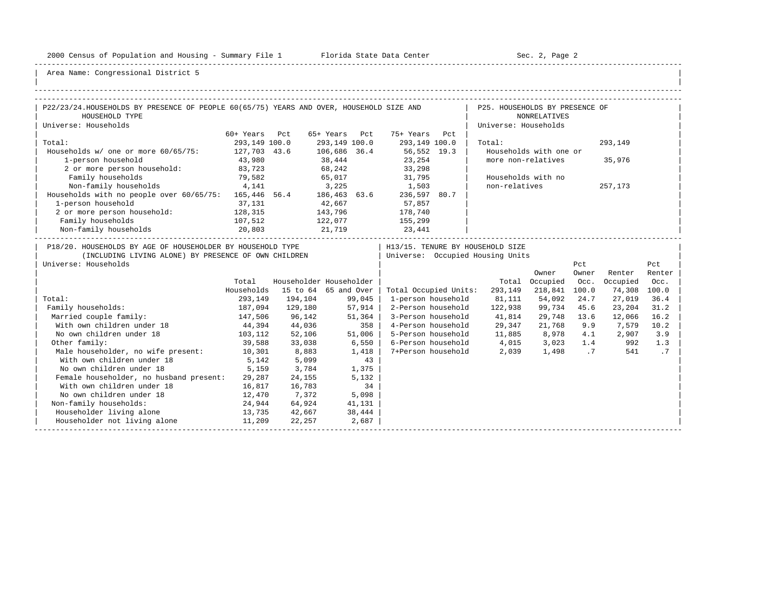-----------------------------------------------------------------------------------------------------------------------------------------------------

| |

| P22/23/24.HOUSEHOLDS BY PRESENCE OF PEOPLE 60(65/75) YEARS AND OVER, HOUSEHOLD SIZE AND                                                    |               |                              |         |        |                                                                        | P25. HOUSEHOLDS BY PRESENCE OF    |                        |              |            |               |
|--------------------------------------------------------------------------------------------------------------------------------------------|---------------|------------------------------|---------|--------|------------------------------------------------------------------------|-----------------------------------|------------------------|--------------|------------|---------------|
| HOUSEHOLD TYPE                                                                                                                             |               |                              |         |        |                                                                        |                                   | <b>NONRELATIVES</b>    |              |            |               |
| Universe: Households                                                                                                                       |               |                              |         |        |                                                                        | Universe: Households              |                        |              |            |               |
|                                                                                                                                            | 60+ Years Pct |                              |         |        | 65+ Years Pct 75+ Years Pct                                            |                                   |                        |              |            |               |
| Total:                                                                                                                                     | 293,149 100.0 |                              |         |        | 293,149 100.0 293,149 100.0                                            | Total:                            |                        |              | 293,149    |               |
| Households w/ one or more 60/65/75: 127,703 43.6                                                                                           |               |                              |         |        | 106,686 36.4 56,552 19.3                                               |                                   | Households with one or |              |            |               |
| 1-person household                                                                                                                         | 43,980        |                              | 38,444  |        | 23,254                                                                 | more non-relatives                |                        |              | 35,976     |               |
| 2 or more person household: 83,723                                                                                                         |               |                              |         |        | 68, 242 33, 298                                                        |                                   |                        |              |            |               |
| Family households                                                                                                                          | 79,582        |                              |         |        | 65,017 31,795                                                          |                                   | Households with no     |              |            |               |
| Non-family households 4,141                                                                                                                |               |                              |         |        | 3,225 1,503                                                            | non-relatives                     |                        |              | 257,173    |               |
| Households with no people over 60/65/75: 165,446 56.4 186,463 63.6 236,597 80.7                                                            |               |                              |         |        |                                                                        |                                   |                        |              |            |               |
| 1-person household                                                                                                                         | 37,131        | 42,667                       |         |        | 57,857                                                                 |                                   |                        |              |            |               |
| 2 or more person household: 128,315                                                                                                        |               | 143,796<br>122,077<br>21,719 |         |        | 178,740                                                                |                                   |                        |              |            |               |
| Family households<br>$107,512$<br>$20,803$                                                                                                 |               |                              |         |        | 155,299                                                                |                                   |                        |              |            |               |
| Non-family households                                                                                                                      |               |                              |         |        | 23,441                                                                 |                                   |                        |              |            |               |
| P18/20. HOUSEHOLDS BY AGE OF HOUSEHOLDER BY HOUSEHOLD TYPE<br>(INCLUDING LIVING ALONE) BY PRESENCE OF OWN CHILDREN<br>Universe: Households |               |                              |         |        | H13/15. TENURE BY HOUSEHOLD SIZE<br>  Universe: Occupied Housing Units |                                   | Owner                  | Pct<br>Owner | Renter     | Pct<br>Renter |
|                                                                                                                                            | Total         | Householder Householder      |         |        |                                                                        |                                   | Total Occupied Occ.    |              | Occupied   | Occ.          |
|                                                                                                                                            | Households    | 15 to 64 65 and Over         |         |        |                                                                        | Total Occupied Units: 293,149     | 218,841 100.0          |              | 74,308     | 100.0         |
| Total:                                                                                                                                     | 293,149       | 194,104 99,045               |         |        | 1-person household                                                     | 81,111 54,092                     |                        | 24.7         | 27,019     | 36.4          |
| Family households:                                                                                                                         |               | 187,094 129,180              | 57,914  |        | 2-Person household                                                     | 122,938                           | 99,734                 | 45.6         | 23,204     | 31.2          |
| Married couple family:                                                                                                                     | 147,506       | 96,142                       | 51,364  |        |                                                                        | 3-Person household 41,814         | 29,748 13.6            |              | 12,066     | 16.2          |
| With own children under 18 			 44,394 		 44,036                                                                                            |               |                              |         | 358    |                                                                        | 4-Person household 29,347         | 21,768                 |              | 9.9 7,579  | 10.2          |
| No own children under 18                                                                                                                   |               | 103,112 52,106               |         | 51,006 |                                                                        | 5-Person household 11,885 8,978   |                        | 4.1          | 2,907      | 3.9           |
| Other family:                                                                                                                              |               | 39,588 33,038                | $6,550$ |        |                                                                        | 6-Person household 4,015 3,023    |                        |              | 1.4<br>992 | 1.3           |
| Male householder, no wife present: 10,301                                                                                                  |               | 8,883                        | 1,418   |        |                                                                        | 7+Person household 2,039 1,498 .7 |                        |              | 541        | $\cdot$ 7     |
| With own children under 18                                                                                                                 | 5,142         | 5,099                        |         | 43     |                                                                        |                                   |                        |              |            |               |
| No own children under 18                                                                                                                   | 5,159         | 3,784                        |         | 1,375  |                                                                        |                                   |                        |              |            |               |
| Female householder, no husband present: 29,287                                                                                             |               | 24,155                       |         | 5,132  |                                                                        |                                   |                        |              |            |               |
| With own children under 18                                                                                                                 | 16,817        | 16,783                       |         | 34     |                                                                        |                                   |                        |              |            |               |
| No own children under 18                                                                                                                   | 12,470        | 7,372                        | 5,098   |        |                                                                        |                                   |                        |              |            |               |
| Non-family households:                                                                                                                     | 24,944        | 64,924                       | 41,131  |        |                                                                        |                                   |                        |              |            |               |
| Householder living alone                                                                                                                   | 13,735        | 42,667                       | 38,444  |        |                                                                        |                                   |                        |              |            |               |
| Householder not living alone                                                                                                               | 11,209        | 22,257                       | 2,687   |        |                                                                        |                                   |                        |              |            |               |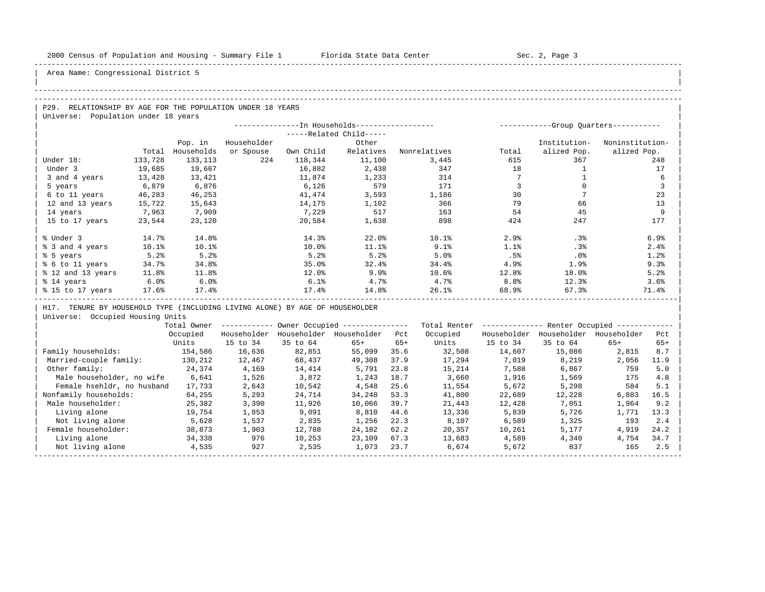| |

## Area Name: Congressional District 5

#### -----------------------------------------------------------------------------------------------------------------------------------------------------

#### -----------------------------------------------------------------------------------------------------------------------------------------------------

| $\overline{P29}$ .<br>RELATIONSHIP BY AGE FOR THE POPULATION UNDER 18 YEARS |  |
|-----------------------------------------------------------------------------|--|
| Universe: Population under 18 years                                         |  |

|                   |         |            |             |           | --In Households----------------- |              |       | -----------Group Ouarters----------- |                 |
|-------------------|---------|------------|-------------|-----------|----------------------------------|--------------|-------|--------------------------------------|-----------------|
|                   |         |            |             |           | -----Related Child-----          |              |       |                                      |                 |
|                   |         | Pop. in    | Householder |           | Other                            |              |       | Institution-                         | Noninstitution- |
|                   | Total   | Households | or Spouse   | Own Child | Relatives                        | Nonrelatives | Total | alized Pop.                          | alized Pop.     |
| Under 18:         | 133,728 | 133,113    | 224         | 118,344   | 11,100                           | 3,445        | 615   | 367                                  | 248             |
| Under 3           | 19,685  | 19,667     |             | 16,882    | 2,438                            | 347          | 18    |                                      | 17              |
| 3 and 4 years     | 13,428  | 13,421     |             | 11,874    | 1,233                            | 314          |       |                                      | 6               |
| 5 years           | 6,879   | 6,876      |             | 6,126     | 579                              | 171          |       |                                      | 3               |
| 6 to 11 years     | 46,283  | 46,253     |             | 41,474    | 3,593                            | 1,186        | 30    |                                      | 23              |
| 12 and 13 years   | 15,722  | 15,643     |             | 14,175    | 1,102                            | 366          | 79    | 66                                   | 13              |
| 14 years          | 7,963   | 7,909      |             | 7,229     | 517                              | 163          | 54    | 45                                   | 9               |
| 15 to 17 years    | 23,544  | 23,120     |             | 20,584    | 1,638                            | 898          | 424   | 247                                  | 177             |
|                   |         |            |             |           |                                  |              |       |                                      |                 |
| % Under 3         | 14.7%   | 14.8%      |             | 14.3%     | 22.0%                            | 10.1%        | 2.9%  | .3%                                  | 6.9%            |
| % 3 and 4 years   | 10.1%   | $10.1$ $8$ |             | 10.0%     | 11.1%                            | 9.1%         | 1.1%  | .3%                                  | 2.4%            |
| % 5 years         | 5.2%    | 5.2%       |             | 5.2%      | 5.2%                             | 5.0%         | .5%   | .0%                                  | 1.2%            |
| % 6 to 11 years   | 34.7%   | 34.8%      |             | 35.0%     | 32.4%                            | 34.4%        | 4.9%  | 1.9%                                 | 9.3%            |
| % 12 and 13 years | 11.8%   | 11.8%      |             | 12.0%     | 9.9%                             | 10.6%        | 12.8% | 18.0%                                | 5.2%            |
| % 14 years        | 6.0%    | 6.0%       |             | 6.1%      | 4.7%                             | 4.7%         | 8.8%  | 12.3%                                | 3.6%            |
| % 15 to 17 years  | 17.6%   | 17.4%      |             | 17.4%     | 14.8%                            | 26.1%        | 68.9% | 67.3%                                | 71.4%           |
|                   |         |            |             |           |                                  |              |       |                                      |                 |

| H17. TENURE BY HOUSEHOLD TYPE (INCLUDING LIVING ALONE) BY AGE OF HOUSEHOLDER |

|                            | Total Owner |             |             | Owner Occupied --------------- |       | Total Renter |             | Renter Occupied - |             |       |  |
|----------------------------|-------------|-------------|-------------|--------------------------------|-------|--------------|-------------|-------------------|-------------|-------|--|
|                            | Occupied    | Householder | Householder | Householder                    | Pct   | Occupied     | Householder | Householder       | Householder | Pct   |  |
|                            | Units       | 15 to 34    | 35 to 64    | $65+$                          | $65+$ | Units        | 15 to 34    | 35 to 64          | $65+$       | $65+$ |  |
| Family households:         | 154,586     | 16,636      | 82,851      | 55,099                         | 35.6  | 32,508       | 14,607      | 15,086            | 2,815       | 8.7   |  |
| Married-couple family:     | 130,212     | 12,467      | 68,437      | 49,308                         | 37.9  | 17,294       | 7,019       | 8,219             | 2,056       | 11.9  |  |
| Other family:              | 24,374      | 4,169       | 14,414      | 5,791                          | 23.8  | 15,214       | 7,588       | 6,867             | 759         | 5.0   |  |
| Male householder, no wife  | 6,641       | 1,526       | 3,872       | 1,243                          | 18.7  | 3,660        | 1,916       | 1,569             | 175         | 4.8   |  |
| Female hsehldr, no husband | 17,733      | 2,643       | 10,542      | 4,548                          | 25.6  | 11,554       | 5,672       | 5,298             | 584         | 5.1   |  |
| Nonfamily households:      | 64,255      | 5,293       | 24,714      | 34,248                         | 53.3  | 41,800       | 22,689      | 12,228            | 6,883       | 16.5  |  |
| Male householder:          | 25,382      | 3,390       | 11,926      | 10,066                         | 39.7  | 21,443       | 12,428      | 7,051             | 1,964       | 9.2   |  |
| Living alone               | 19,754      | 1,853       | 9,091       | 8,810                          | 44.6  | 13,336       | 5,839       | 5,726             | 1,771       | 13.3  |  |
| Not living alone           | 5,628       | 1,537       | 2,835       | 1,256                          | 22.3  | 8,107        | 6,589       | 1,325             | 193         | 2.4   |  |
| Female householder:        | 38,873      | 1,903       | 12,788      | 24,182                         | 62.2  | 20,357       | 10,261      | 5,177             | 4,919       | 24.2  |  |
| Living alone               | 34,338      | 976         | 10,253      | 23,109                         | 67.3  | 13,683       | 4,589       | 4,340             | 4,754       | 34.7  |  |
| Not living alone           | 4,535       | 927         | 2,535       | 1,073                          | 23.7  | 6,674        | 5,672       | 837               | 165         | 2.5   |  |
|                            |             |             |             |                                |       |              |             |                   |             |       |  |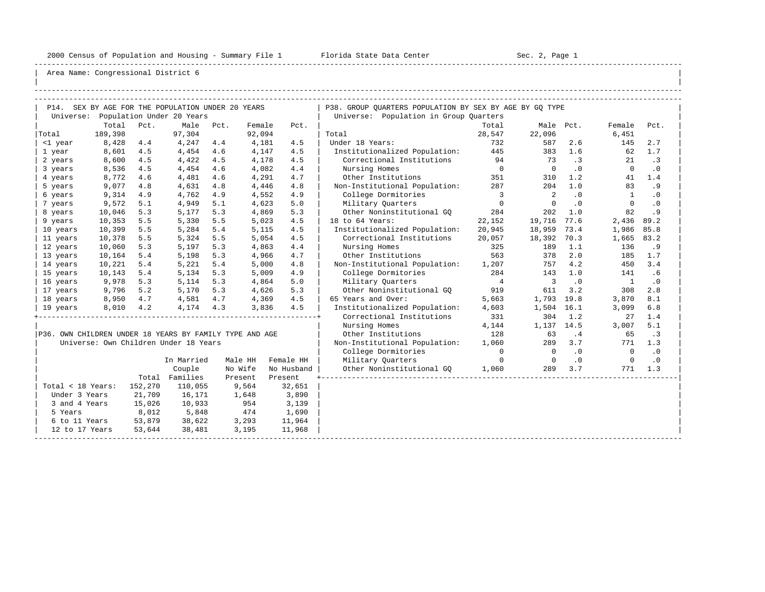-----------------------------------------------------------------------------------------------------------------------------------------------------

| |

|                                                         |         |         | P14. SEX BY AGE FOR THE POPULATION UNDER 20 YEARS |      |         |            | P38. GROUP QUARTERS POPULATION BY SEX BY AGE BY GQ TYPE |                          |                            |           |                |                        |
|---------------------------------------------------------|---------|---------|---------------------------------------------------|------|---------|------------|---------------------------------------------------------|--------------------------|----------------------------|-----------|----------------|------------------------|
|                                                         |         |         | Universe: Population Under 20 Years               |      |         |            | Universe: Population in Group Quarters                  |                          |                            |           |                |                        |
|                                                         | Total   | Pct.    | Male                                              | Pct. | Female  | Pct.       |                                                         | Total                    | Male Pct.                  |           | Female         | Pct.                   |
| Total                                                   | 189,398 |         | 97,304                                            |      | 92,094  |            | Total                                                   | 28,547                   | 22,096                     |           | 6,451          |                        |
| <1 year                                                 | 8,428   | 4.4     | 4,247                                             | 4.4  | 4,181   | 4.5        | Under 18 Years:                                         | 732                      | 587                        | 2.6       | 145            | 2.7                    |
| 1 year                                                  | 8,601   | 4.5     | 4,454                                             | 4.6  | 4,147   | 4.5        | Institutionalized Population: 445                       |                          | 383                        | 1.6       | 62             | 1.7                    |
| 2 years                                                 | 8,600   | 4.5     | 4,422                                             | 4.5  | 4,178   | 4.5        | Correctional Institutions                               | 94                       | 73                         | .3        | 21             | .3                     |
| 3 years                                                 | 8,536   | 4.5     | 4,454                                             | 4.6  | 4,082   | 4.4        | Nursing Homes                                           | $\overline{0}$           | $\overline{\phantom{0}}$   | $\cdot$ 0 | $\overline{0}$ | $\cdot$ 0              |
| 4 years                                                 | 8,772   | 4.6     | 4,481                                             | 4.6  | 4,291   | 4.7        | Other Institutions                                      | 351                      | 310                        | 1.2       | 41             | 1.4                    |
| 5 years                                                 | 9,077   | 4.8     | 4,631                                             | 4.8  | 4,446   | 4.8        | Non-Institutional Population:                           | 287                      | 204                        | 1.0       | 83             | .9                     |
| 6 years                                                 | 9,314   | 4.9     | 4,762                                             | 4.9  | 4,552   | 4.9        | College Dormitories                                     | $\overline{\phantom{a}}$ | $\overline{\phantom{0}}^2$ | $\cdot$ 0 | $\mathbf{1}$   | $\cdot$ 0              |
| 7 years                                                 | 9,572   | 5.1     | 4,949                                             | 5.1  | 4,623   | 5.0        | Military Ouarters                                       | $\overline{0}$           | $\Omega$                   | $\cdot$ 0 | $\mathbf 0$    | $\boldsymbol{\cdot}$ 0 |
| 8 years                                                 | 10,046  | 5.3     | 5,177                                             | 5.3  | 4,869   | 5.3        | Other Noninstitutional GO                               | 284                      | 202                        | 1.0       | 82             | .9                     |
| 9 years                                                 | 10,353  | 5.5     | 5,330                                             | 5.5  | 5,023   | 4.5        | 18 to 64 Years:                                         | 22,152                   | 19,716                     | 77.6      | 2,436          | 89.2                   |
| 10 years                                                | 10,399  | 5.5     | 5,284                                             | 5.4  | 5,115   | 4.5        | Institutionalized Population:                           | 20,945                   | 18,959                     | 73.4      | 1,986          | 85.8                   |
| 11 years                                                | 10,378  | 5.5     | 5,324                                             | 5.5  | 5,054   | 4.5        | Correctional Institutions                               | 20,057                   | 18,392                     | 70.3      | 1,665          | 83.2                   |
| 12 years                                                | 10,060  | 5.3     | 5,197                                             | 5.3  | 4,863   | 4.4        | Nursing Homes                                           | 325                      | 189                        | 1.1       | 136            | . 9                    |
| 13 years                                                | 10,164  | 5.4     | 5,198                                             | 5.3  | 4,966   | 4.7        | Other Institutions                                      | 563                      | 378                        | 2.0       | 185            | 1.7                    |
| 14 years                                                | 10,221  | 5.4     | 5,221                                             | 5.4  | 5,000   | 4.8        | Non-Institutional Population:                           | 1,207                    | 757                        | 4.2       | 450            | 3.4                    |
| 15 years                                                | 10,143  | 5.4     | 5,134                                             | 5.3  | 5,009   | 4.9        | College Dormitories                                     | 284                      | 143                        | 1.0       | 141            | .6                     |
| 16 years                                                | 9,978   | 5.3     | 5,114                                             | 5.3  | 4,864   | 5.0        | Military Ouarters                                       | $\overline{4}$           | $\overline{\mathbf{3}}$    | $\cdot$ 0 | $\overline{1}$ | $\cdot$ 0              |
| 17 years                                                | 9,796   | 5.2     | 5,170                                             | 5.3  | 4,626   | 5.3        | Other Noninstitutional GQ                               | 919                      | 611                        | 3.2       | 308            | 2.8                    |
| 18 years                                                | 8,950   | 4.7     | 4,581                                             | 4.7  | 4,369   | 4.5        | 65 Years and Over:                                      | 5,663                    | 1,793                      | 19.8      | 3,870          | 8.1                    |
| 19 years                                                | 8,010   | 4.2     | 4,174                                             | 4.3  | 3,836   | 4.5        | Institutionalized Population:                           | 4,603                    | 1,504                      | 16.1      | 3,099          | 6.8                    |
|                                                         |         |         |                                                   |      |         |            | Correctional Institutions                               | 331                      | 304                        | 1.2       | 27             | 1.4                    |
|                                                         |         |         |                                                   |      |         |            | Nursing Homes                                           | 4,144                    | 1,137 14.5                 |           | 3,007          | 5.1                    |
| P36. OWN CHILDREN UNDER 18 YEARS BY FAMILY TYPE AND AGE |         |         |                                                   |      |         |            | Other Institutions                                      | 128                      | 63                         | .4        | 65             | $\cdot$ 3              |
|                                                         |         |         | Universe: Own Children Under 18 Years             |      |         |            | Non-Institutional Population:                           | 1,060                    | 289                        | 3.7       | 771            | 1.3                    |
|                                                         |         |         |                                                   |      |         |            | College Dormitories                                     | $\circ$                  | $\overline{0}$             | .0        | $\Omega$       | $\cdot$ 0              |
|                                                         |         |         | In Married                                        |      | Male HH | Female HH  | Military Quarters                                       | $\circ$                  | $\overline{0}$             | $\cdot$ 0 | $\overline{0}$ | $\cdot$ 0              |
|                                                         |         |         | Couple                                            |      | No Wife | No Husband | Other Noninstitutional GO                               | 1,060                    | 289                        | 3.7       | 771            | 1.3                    |
|                                                         |         |         | Total Families                                    |      | Present | Present    |                                                         |                          |                            |           |                |                        |
| Total < 18 Years:                                       |         | 152,270 | 110,055                                           |      | 9,564   | 32,651     |                                                         |                          |                            |           |                |                        |
| Under 3 Years                                           |         | 21,709  | 16,171                                            |      | 1,648   | 3,890      |                                                         |                          |                            |           |                |                        |
| 3 and 4 Years                                           |         | 15,026  | 10,933                                            |      | 954     | 3,139      |                                                         |                          |                            |           |                |                        |
| 5 Years                                                 |         | 8,012   | 5,848                                             |      | 474     | 1,690      |                                                         |                          |                            |           |                |                        |
| 6 to 11 Years                                           |         | 53,879  | 38,622                                            |      | 3,293   | 11,964     |                                                         |                          |                            |           |                |                        |
| 12 to 17 Years                                          |         | 53,644  | 38,481                                            |      | 3,195   | 11,968     |                                                         |                          |                            |           |                |                        |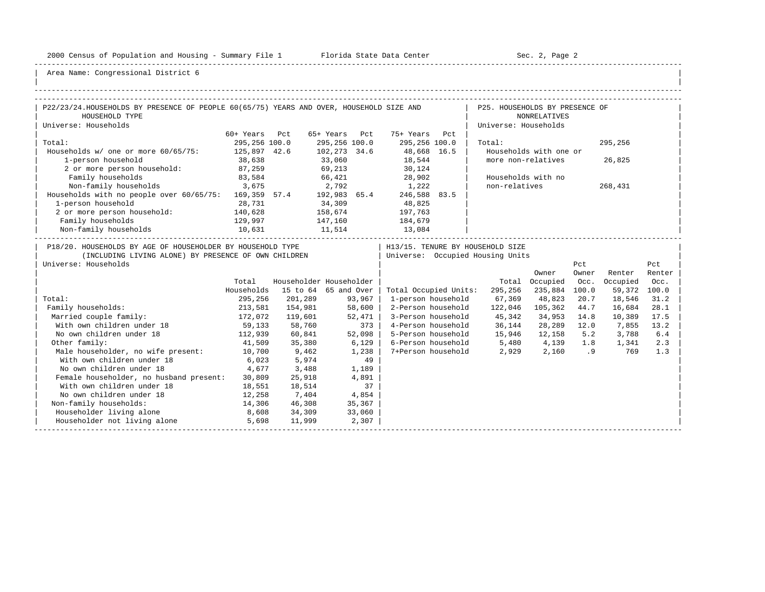-----------------------------------------------------------------------------------------------------------------------------------------------------

| |

| P22/23/24.HOUSEHOLDS BY PRESENCE OF PEOPLE 60(65/75) YEARS AND OVER, HOUSEHOLD SIZE AND                                                    |               |                              |        |        |                                                                        | P25. HOUSEHOLDS BY PRESENCE OF              |                        |              |          |               |
|--------------------------------------------------------------------------------------------------------------------------------------------|---------------|------------------------------|--------|--------|------------------------------------------------------------------------|---------------------------------------------|------------------------|--------------|----------|---------------|
| HOUSEHOLD TYPE                                                                                                                             |               |                              |        |        |                                                                        |                                             | <b>NONRELATIVES</b>    |              |          |               |
| Universe: Households                                                                                                                       |               |                              |        |        |                                                                        | Universe: Households                        |                        |              |          |               |
|                                                                                                                                            | 60+ Years Pct |                              |        |        | 65+ Years Pct 75+ Years Pct                                            |                                             |                        |              |          |               |
| Total:                                                                                                                                     | 295,256 100.0 |                              |        |        | 295,256 100.0 295,256 100.0                                            | Total:                                      |                        |              | 295,256  |               |
| Households w/ one or more 60/65/75: 125,897 42.6                                                                                           |               |                              |        |        | 102,273 34.6 48,668 16.5                                               |                                             | Households with one or |              |          |               |
| 1-person household                                                                                                                         | 38,638        |                              | 33,060 |        | 18,544                                                                 | more non-relatives                          |                        |              | 26,825   |               |
| 2 or more person household: 87,259                                                                                                         |               |                              |        |        | 69, 213 30, 124                                                        |                                             |                        |              |          |               |
| Family households                                                                                                                          | 83,584        |                              |        |        | 66,421 28,902                                                          |                                             | Households with no     |              |          |               |
| Non-family households 3,675                                                                                                                |               |                              |        |        | 2,792 1,222                                                            | non-relatives                               |                        |              | 268,431  |               |
| Households with no people over 60/65/75: 169,359 57.4 192,983 65.4 246,588 83.5                                                            |               |                              |        |        |                                                                        |                                             |                        |              |          |               |
| 1-person household                                                                                                                         | 28,731        |                              | 34,309 |        | 48,825                                                                 |                                             |                        |              |          |               |
| 2 or more person household: 140,628                                                                                                        |               |                              |        |        | 197,763                                                                |                                             |                        |              |          |               |
| Family households<br>129,997<br>10,631                                                                                                     |               | 158,674<br>147,160<br>11,514 |        |        | 184,679<br>13,084                                                      |                                             |                        |              |          |               |
| Non-family households                                                                                                                      |               |                              |        |        |                                                                        |                                             |                        |              |          |               |
| P18/20. HOUSEHOLDS BY AGE OF HOUSEHOLDER BY HOUSEHOLD TYPE<br>(INCLUDING LIVING ALONE) BY PRESENCE OF OWN CHILDREN<br>Universe: Households |               |                              |        |        | H13/15. TENURE BY HOUSEHOLD SIZE<br>  Universe: Occupied Housing Units |                                             | Owner                  | Pct<br>Owner | Renter   | Pct<br>Renter |
|                                                                                                                                            | Total         | Householder Householder      |        |        |                                                                        |                                             | Total Occupied Occ.    |              | Occupied | Occ.          |
|                                                                                                                                            | Households    | 15 to 64 65 and Over         |        |        |                                                                        | Total Occupied Units: 295,256 235,884 100.0 |                        |              | 59,372   | 100.0         |
| Total:                                                                                                                                     | 295,256       | 201,289                      | 93,967 |        | 1-person household                                                     | 67,369 48,823                               |                        | 20.7         | 18,546   | 31.2          |
| Family households:                                                                                                                         |               | 213,581 154,981              | 58,600 |        | 2-Person household                                                     | 122,046 105,362                             |                        | 44.7         | 16,684   | 28.1          |
| Married couple family:                                                                                                                     |               | 172,072 119,601              | 52,471 |        |                                                                        | 3-Person household 45,342                   | 34,953 14.8            |              | 10,389   | 17.5          |
| With own children under 18 59,133                                                                                                          |               | 58,760                       |        | 373    |                                                                        | 4-Person household 36,144                   | 28,289 12.0            |              | 7,855    | 13.2          |
| No own children under 18                                                                                                                   |               | 112,939 60,841               |        | 52,098 |                                                                        | 5-Person household 15,946                   | 12,158                 | 5.2          | 3,788    | 6.4           |
| Other family:                                                                                                                              | 41,509        | 35,380                       | 6,129  |        |                                                                        | 6-Person household 5,480 4,139              |                        | 1.8          | 1,341    | 2.3           |
| Male householder, no wife present: 10,700                                                                                                  |               | 9,462                        |        | 1,238  |                                                                        | 7+Person household 2,929 2,160 .9 769       |                        |              |          | 1.3           |
| With own children under 18                                                                                                                 | 6,023         | 5,974                        |        | 49     |                                                                        |                                             |                        |              |          |               |
| No own children under 18                                                                                                                   | 4,677         | 3,488                        |        | 1,189  |                                                                        |                                             |                        |              |          |               |
| Female householder, no husband present:                                                                                                    | 30,809        | 25,918                       |        | 4,891  |                                                                        |                                             |                        |              |          |               |
| With own children under 18                                                                                                                 | 18,551        | 18,514                       |        | 37     |                                                                        |                                             |                        |              |          |               |
| No own children under 18                                                                                                                   | 12,258        | 7,404                        | 4,854  |        |                                                                        |                                             |                        |              |          |               |
| Non-family households:                                                                                                                     | 14,306        | 46,308                       | 35,367 |        |                                                                        |                                             |                        |              |          |               |
| Householder living alone<br>8,608                                                                                                          |               | 34,309                       | 33,060 |        |                                                                        |                                             |                        |              |          |               |
| Householder not living alone 5,698                                                                                                         |               | 11,999                       | 2,307  |        |                                                                        |                                             |                        |              |          |               |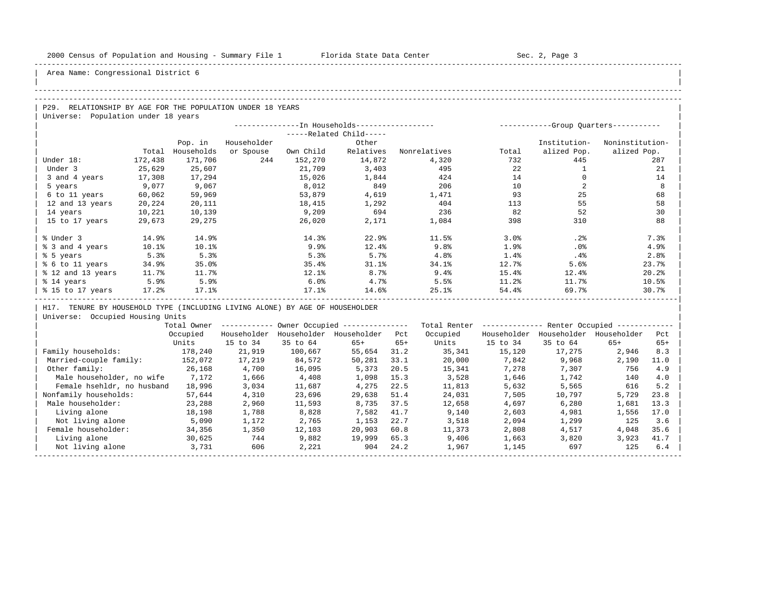| |

## Area Name: Congressional District 6

#### -----------------------------------------------------------------------------------------------------------------------------------------------------

#### -----------------------------------------------------------------------------------------------------------------------------------------------------

| $\overline{P29}$ .<br>RELATIONSHIP BY AGE FOR THE POPULATION UNDER 18 YEARS |  |
|-----------------------------------------------------------------------------|--|
| Universe: Population under 18 years                                         |  |

|                   |         | --In Households----------------- |             | -----------Group Ouarters----------- |                       |                  |       |              |                 |
|-------------------|---------|----------------------------------|-------------|--------------------------------------|-----------------------|------------------|-------|--------------|-----------------|
|                   |         |                                  |             |                                      | $---Related Child---$ |                  |       |              |                 |
|                   |         | Pop. in                          | Householder |                                      | Other                 |                  |       | Institution- | Noninstitution- |
|                   | Total   | Households                       | or Spouse   | Own Child                            | Relatives             | Nonrelatives     | Total | alized Pop.  | alized Pop.     |
| Under 18:         | 172,438 | 171,706                          | 244         | 152,270                              | 14,872                | 4,320            | 732   | 445          | 287             |
| Under 3           | 25,629  | 25,607                           |             | 21,709                               | 3,403                 | 495              | 22    |              | 21              |
| 3 and 4 years     | 17,308  | 17,294                           |             | 15,026                               | 1,844                 | 424              | 14    |              | 14              |
| 5 years           | 9,077   | 9,067                            |             | 8,012                                | 849                   | 206              | 10    |              | 8               |
| 6 to 11 years     | 60,062  | 59,969                           |             | 53,879                               | 4,619                 | 1,471            | 93    | 25           | 68              |
| 12 and 13 years   | 20,224  | 20,111                           |             | 18,415                               | 1,292                 | 404              | 113   | 55           | 58              |
| 14 years          | 10,221  | 10,139                           |             | 9,209                                | 694                   | 236              | 82    | 52           | 30              |
| 15 to 17 years    | 29,673  | 29,275                           |             | 26,020                               | 2,171                 | 1,084            | 398   | 310          | 88              |
|                   |         |                                  |             |                                      |                       |                  |       |              |                 |
| % Under 3         | 14.9%   | 14.9%                            |             | 14.3%                                | 22.9%                 | 11.5%            | 3.0%  | .2%          | 7.3%            |
| % 3 and 4 years   | 10.1%   | 10.1%                            |             | 9.9%                                 | 12.4%                 | 9.8 <sub>8</sub> | 1.9%  | $.0\%$       | 4.9%            |
| % 5 years         | 5.3%    | 5.3%                             |             | 5.3%                                 | 5.7%                  | 4.8%             | 1.4%  | $.4\%$       | 2.8%            |
| % 6 to 11 years   | 34.9%   | 35.0%                            |             | 35.4%                                | 31.1%                 | 34.1%            | 12.7% | 5.6%         | 23.7%           |
| % 12 and 13 years | 11.7%   | 11.7%                            |             | 12.1%                                | 8.7%                  | 9.4%             | 15.4% | 12.4%        | 20.2%           |
| % 14 years        | 5.9%    | 5.9%                             |             | 6.0%                                 | 4.7%                  | 5.5%             | 11.2% | 11.7%        | 10.5%           |
| % 15 to 17 years  | 17.2%   | 17.1%                            |             | 17.1%                                | 14.6%                 | 25.1%            | 54.4% | 69.7%        | 30.7%           |
|                   |         |                                  |             |                                      |                       |                  |       |              |                 |

| H17. TENURE BY HOUSEHOLD TYPE (INCLUDING LIVING ALONE) BY AGE OF HOUSEHOLDER |

|                            | Total Owner |             |             | Owner Occupied --------------- |       | Total Renter |             | Renter Occupied - |             |       |  |
|----------------------------|-------------|-------------|-------------|--------------------------------|-------|--------------|-------------|-------------------|-------------|-------|--|
|                            | Occupied    | Householder | Householder | Householder                    | Pct   | Occupied     | Householder | Householder       | Householder | Pct   |  |
|                            | Units       | 15 to 34    | 35 to 64    | $65+$                          | $65+$ | Units        | 15 to 34    | 35 to 64          | $65+$       | $65+$ |  |
| Family households:         | 178,240     | 21,919      | 100,667     | 55,654                         | 31.2  | 35,341       | 15,120      | 17,275            | 2,946       | 8.3   |  |
| Married-couple family:     | 152,072     | 17,219      | 84,572      | 50,281                         | 33.1  | 20,000       | 7,842       | 9,968             | 2,190       | 11.0  |  |
| Other family:              | 26,168      | 4,700       | 16,095      | 5,373                          | 20.5  | 15,341       | 7,278       | 7,307             | 756         | 4.9   |  |
| Male householder, no wife  | 7,172       | 1,666       | 4,408       | 1,098                          | 15.3  | 3,528        | 1,646       | 1,742             | 140         | 4.0   |  |
| Female hsehldr, no husband | 18,996      | 3,034       | 11,687      | 4,275                          | 22.5  | 11,813       | 5,632       | 5,565             | 616         | 5.2   |  |
| Nonfamily households:      | 57,644      | 4,310       | 23,696      | 29,638                         | 51.4  | 24,031       | 7,505       | 10,797            | 5,729       | 23.8  |  |
| Male householder:          | 23,288      | 2,960       | 11,593      | 8,735                          | 37.5  | 12,658       | 4,697       | 6.280             | 1,681       | 13.3  |  |
| Living alone               | 18,198      | 1,788       | 8,828       | 7,582                          | 41.7  | 9,140        | 2,603       | 4,981             | 1,556       | 17.0  |  |
| Not living alone           | 5,090       | 1,172       | 2,765       | 1,153                          | 22.7  | 3,518        | 2,094       | 1,299             | 125         | 3.6   |  |
| Female householder:        | 34,356      | 1,350       | 12,103      | 20,903                         | 60.8  | 11,373       | 2,808       | 4,517             | 4,048       | 35.6  |  |
| Living alone               | 30,625      | 744         | 9,882       | 19,999                         | 65.3  | 9,406        | 1,663       | 3,820             | 3,923       | 41.7  |  |
| Not living alone           | 3,731       | 606         | 2,221       | 904                            | 24.2  | 1,967        | 1,145       | 697               | 125         | 6.4   |  |
|                            |             |             |             |                                |       |              |             |                   |             |       |  |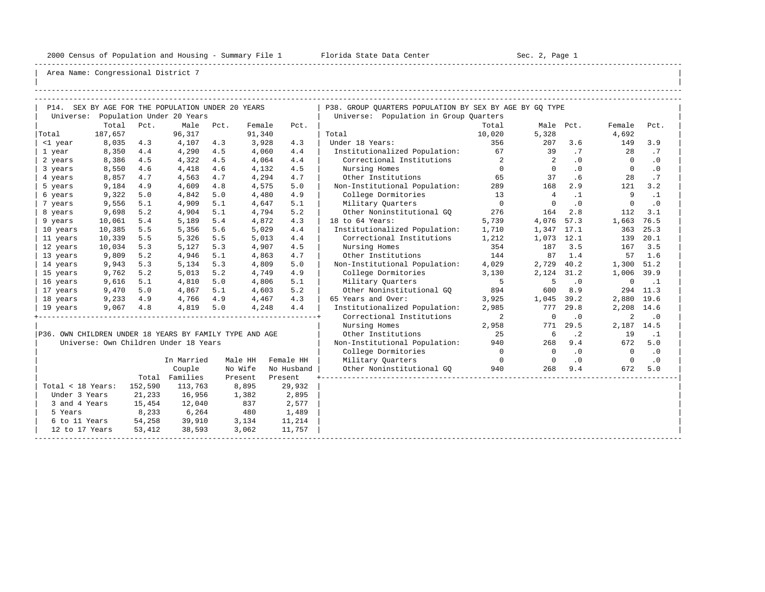-----------------------------------------------------------------------------------------------------------------------------------------------------

| |

|                                                         |         |         | P14. SEX BY AGE FOR THE POPULATION UNDER 20 YEARS |      |         |            | P38. GROUP QUARTERS POPULATION BY SEX BY AGE BY GQ TYPE |                |                |           |                |           |
|---------------------------------------------------------|---------|---------|---------------------------------------------------|------|---------|------------|---------------------------------------------------------|----------------|----------------|-----------|----------------|-----------|
|                                                         |         |         | Universe: Population Under 20 Years               |      |         |            | Universe: Population in Group Quarters                  |                |                |           |                |           |
|                                                         | Total   | Pct.    | Male                                              | Pct. | Female  | Pct.       |                                                         | Total          | Male Pct.      |           | Female         | Pct.      |
| Total                                                   | 187,657 |         | 96,317                                            |      | 91,340  |            | Total                                                   | 10,020         | 5,328          |           | 4,692          |           |
| <1 year                                                 | 8,035   | 4.3     | 4,107                                             | 4.3  | 3,928   | 4.3        | Under 18 Years:                                         | 356            | 207            | 3.6       | 149            | 3.9       |
| 1 year                                                  | 8,350   | 4.4     | 4,290                                             | 4.5  | 4,060   | 4.4        | Institutionalized Population:                           | 67             | 39             | .7        | 28             | .7        |
| 2 years                                                 | 8,386   | 4.5     | 4,322                                             | 4.5  | 4,064   | 4.4        | Correctional Institutions                               | $\overline{2}$ | 2              | $\cdot$ 0 | $\Omega$       | $\cdot$ 0 |
| 3 years                                                 | 8,550   | 4.6     | 4,418                                             | 4.6  | 4,132   | 4.5        | Nursing Homes                                           | $\circ$        | $\overline{0}$ | $\cdot$ 0 | $\mathbf{0}$   | $\cdot$ 0 |
| 4 years                                                 | 8,857   | 4.7     | 4,563                                             | 4.7  | 4,294   | 4.7        | Other Institutions                                      | 65             | 37             | .6        | 28             | .7        |
| 5 years                                                 | 9,184   | 4.9     | 4,609                                             | 4.8  | 4,575   | 5.0        | Non-Institutional Population:                           | 289            | 168            | 2.9       | 121            | 3.2       |
| 6 years                                                 | 9,322   | 5.0     | 4,842                                             | 5.0  | 4,480   | 4.9        | College Dormitories                                     | 13             | $\overline{4}$ | $\cdot$ 1 | 9              | $\cdot$ 1 |
| 7 years                                                 | 9,556   | 5.1     | 4,909                                             | 5.1  | 4,647   | 5.1        | Military Ouarters                                       | $\mathbf 0$    | $\Omega$       | $\cdot$ 0 | $\mathbf 0$    | $\cdot$ 0 |
| 8 years                                                 | 9,698   | 5.2     | 4,904                                             | 5.1  | 4,794   | 5.2        | Other Noninstitutional GO                               | 276            | 164            | 2.8       | 112            | 3.1       |
| 9 years                                                 | 10,061  | 5.4     | 5,189                                             | 5.4  | 4,872   | 4.3        | 18 to 64 Years:                                         | 5,739          | 4,076          | 57.3      | 1,663          | 76.5      |
| 10 years                                                | 10,385  | 5.5     | 5,356                                             | 5.6  | 5,029   | 4.4        | Institutionalized Population:                           | 1,710          | 1,347          | 17.1      | 363            | 25.3      |
| 11 years                                                | 10,339  | 5.5     | 5,326                                             | 5.5  | 5,013   | 4.4        | Correctional Institutions                               | 1,212          | 1,073          | 12.1      | 139            | 20.1      |
| 12 years                                                | 10,034  | 5.3     | 5,127                                             | 5.3  | 4,907   | 4.5        | Nursing Homes                                           | 354            | 187            | 3.5       | 167            | 3.5       |
| 13 years                                                | 9,809   | 5.2     | 4,946                                             | 5.1  | 4,863   | 4.7        | Other Institutions                                      | 144            | 87             | 1.4       | 57             | 1.6       |
| 14 years                                                | 9,943   | 5.3     | 5,134                                             | 5.3  | 4,809   | 5.0        | Non-Institutional Population:                           | 4,029          | 2,729          | 40.2      | 1,300          | 51.2      |
| 15 years                                                | 9,762   | 5.2     | 5,013                                             | 5.2  | 4,749   | 4.9        | College Dormitories                                     | 3,130          | 2,124          | 31.2      | 1,006 39.9     |           |
| 16 years                                                | 9,616   | 5.1     | 4,810                                             | 5.0  | 4,806   | 5.1        | Military Quarters                                       | 5              | 5              | $\cdot$ 0 | $\mathbf 0$    | $\cdot$ 1 |
| 17 years                                                | 9,470   | 5.0     | 4,867                                             | 5.1  | 4,603   | 5.2        | Other Noninstitutional GQ                               | 894            | 600            | 8.9       | 294            | 11.3      |
| 18 years                                                | 9,233   | 4.9     | 4,766                                             | 4.9  | 4,467   | 4.3        | 65 Years and Over:                                      | 3,925          | 1,045          | 39.2      | 2,880          | 19.6      |
| 19 years                                                | 9,067   | 4.8     | 4,819                                             | 5.0  | 4,248   | 4.4        | Institutionalized Population:                           | 2,985          | 777            | 29.8      | 2,208          | 14.6      |
|                                                         |         |         |                                                   |      |         |            | Correctional Institutions                               | 2              | $\mathbf 0$    | $\cdot$ 0 | 2              | $\cdot$ 0 |
|                                                         |         |         |                                                   |      |         |            | Nursing Homes                                           | 2,958          | 771            | 29.5      | 2,187          | 14.5      |
| P36. OWN CHILDREN UNDER 18 YEARS BY FAMILY TYPE AND AGE |         |         |                                                   |      |         |            | Other Institutions                                      | 25             | 6              | $\cdot$ 2 | 19             | $\cdot$ 1 |
|                                                         |         |         | Universe: Own Children Under 18 Years             |      |         |            | Non-Institutional Population:                           | 940            | 268            | 9.4       | 672            | 5.0       |
|                                                         |         |         |                                                   |      |         |            | College Dormitories                                     | $\overline{0}$ | $\Omega$       | $\cdot$ 0 | $\Omega$       | $\cdot$ 0 |
|                                                         |         |         | In Married                                        |      | Male HH | Female HH  | Military Quarters                                       | $\overline{0}$ | $\overline{0}$ | $\cdot$ 0 | $\overline{0}$ | $\cdot$ 0 |
|                                                         |         |         | Couple                                            |      | No Wife | No Husband | Other Noninstitutional GQ                               | 940            | 268            | 9.4       | 672            | 5.0       |
|                                                         |         |         | Total Families                                    |      | Present | Present    |                                                         |                |                |           |                |           |
| Total < 18 Years:                                       |         | 152,590 | 113,763                                           |      | 8,895   | 29,932     |                                                         |                |                |           |                |           |
| Under 3 Years                                           |         | 21,233  | 16,956                                            |      | 1,382   | 2,895      |                                                         |                |                |           |                |           |
| 3 and 4 Years                                           |         | 15,454  | 12,040                                            |      | 837     | 2,577      |                                                         |                |                |           |                |           |
| 5 Years                                                 |         | 8,233   | 6,264                                             |      | 480     | 1,489      |                                                         |                |                |           |                |           |
| 6 to 11 Years                                           |         | 54,258  | 39,910                                            |      | 3,134   | 11,214     |                                                         |                |                |           |                |           |
| 12 to 17 Years                                          |         | 53,412  | 38,593                                            |      | 3,062   | 11,757     |                                                         |                |                |           |                |           |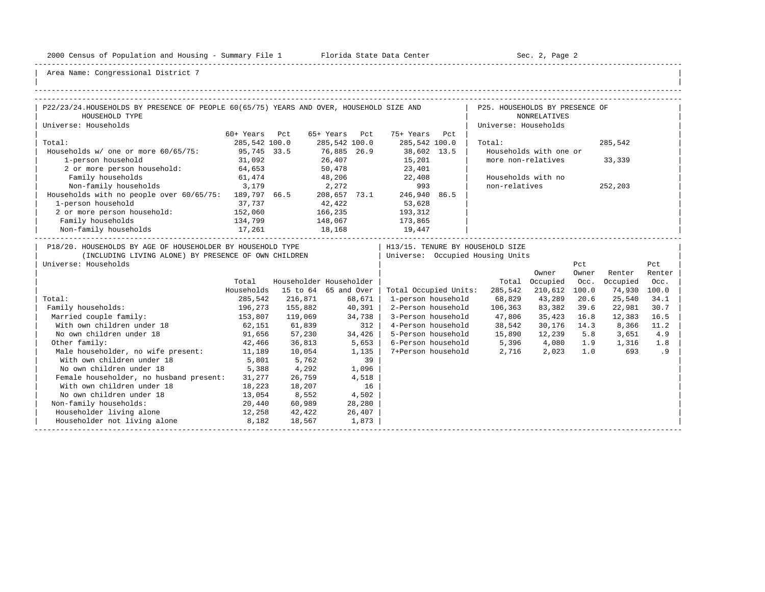-----------------------------------------------------------------------------------------------------------------------------------------------------

| |

| P22/23/24. HOUSEHOLDS BY PRESENCE OF PEOPLE 60(65/75) YEARS AND OVER, HOUSEHOLD SIZE AND                                                                                      |               |                         |                       |        |                                 | the contract of the contract of | P25. HOUSEHOLDS BY PRESENCE OF           |                        |              |            |               |
|-------------------------------------------------------------------------------------------------------------------------------------------------------------------------------|---------------|-------------------------|-----------------------|--------|---------------------------------|---------------------------------|------------------------------------------|------------------------|--------------|------------|---------------|
| HOUSEHOLD TYPE                                                                                                                                                                |               |                         |                       |        |                                 |                                 |                                          | <b>NONRELATIVES</b>    |              |            |               |
| Universe: Households                                                                                                                                                          |               |                         |                       |        |                                 |                                 | Universe: Households                     |                        |              |            |               |
|                                                                                                                                                                               | 60+ Years Pct |                         | 65+ Years Pct         |        | 75+ Years Pct                   |                                 |                                          |                        |              |            |               |
| Total:                                                                                                                                                                        | 285,542 100.0 |                         | 285,542 100.0         |        | 285,542 100.0                   |                                 | Total:                                   |                        |              | 285,542    |               |
| Households w/ one or more 60/65/75:                                                                                                                                           | 95,745 33.5   |                         |                       |        |                                 |                                 |                                          | Households with one or |              |            |               |
| 1-person household 31,092<br>2 or more person household: 64,653                                                                                                               |               |                         | 76,885 26.9<br>26,407 |        |                                 |                                 | more non-relatives                       |                        |              | 33,339     |               |
|                                                                                                                                                                               |               |                         | 50,478                |        | 38,602 13.5<br>15,201<br>23,401 |                                 |                                          |                        |              |            |               |
| Family households                                                                                                                                                             | 61,474        |                         |                       |        | 48,206 22,408                   |                                 |                                          | Households with no     |              |            |               |
| Non-family households 3,179                                                                                                                                                   |               |                         |                       |        | 2,272 993                       |                                 | non-relatives                            |                        |              | 252,203    |               |
| Households with no people over 60/65/75: 189,797 66.5 208,657 73.1 246,940 86.5                                                                                               |               |                         |                       |        |                                 |                                 |                                          |                        |              |            |               |
| 1-person household                                                                                                                                                            | 37,737        | 42,422                  |                       |        | 53,628                          |                                 |                                          |                        |              |            |               |
| 2 or more person household: 152,060                                                                                                                                           |               | 166,235                 |                       |        | 193, 312                        |                                 |                                          |                        |              |            |               |
|                                                                                                                                                                               |               | 148,067                 |                       |        | 173,865                         |                                 |                                          |                        |              |            |               |
| Family households 134,799<br>Non-family households 17,261                                                                                                                     |               | 18,168                  |                       |        | 19,447                          |                                 |                                          |                        |              |            |               |
| P18/20. HOUSEHOLDS BY AGE OF HOUSEHOLDER BY HOUSEHOLD TYPE<br>(INCLUDING LIVING ALONE) BY PRESENCE OF OWN CHILDREN   Universe: Occupied Housing Units<br>Universe: Households |               |                         |                       |        |                                 |                                 | H13/15. TENURE BY HOUSEHOLD SIZE         | Owner                  | Pct<br>Owner | Renter     | Pct<br>Renter |
|                                                                                                                                                                               | Total         | Householder Householder |                       |        |                                 |                                 | Total                                    | Occupied               | Occ.         | Occupied   | Occ.          |
|                                                                                                                                                                               | Households    | 15 to 64 65 and Over    |                       |        | Total Occupied Units:           |                                 | 285,542                                  | 210,612 100.0          |              | 74,930     | 100.0         |
| Total:                                                                                                                                                                        | 285,542       | 216,871                 |                       | 68,671 | 1-person household              |                                 | 68,829                                   | 43,289                 | 20.6         | 25,540     | 34.1          |
| Family households:                                                                                                                                                            | 196,273       | 155,882                 | 40,391                |        | 2-Person household              |                                 | 106,363                                  | 83,382                 | 39.6         | 22,981     | 30.7          |
| Married couple family:                                                                                                                                                        | 153,807       | 119,069                 | 34,738                |        |                                 |                                 | 3-Person household 47,806                | 35,423 16.8            |              | 12,383     | 16.5          |
| With own children under 18                                                                                                                                                    | 62,151        | 61,839                  |                       | $312$  |                                 |                                 | 4-Person household 38,542                | 30,176 14.3            |              | 8,366      | 11.2          |
| No own children under 18                                                                                                                                                      | 91,656        | 57,230                  | 34,426                |        |                                 |                                 | 5-Person household 15,890                | 12,239                 | 5.8          | 3,651      | 4.9           |
| Other family:                                                                                                                                                                 | 42,466        | 36,813                  | 5,653                 |        |                                 |                                 | 6-Person household 5,396 4,080 1.9 1,316 |                        |              |            | 1.8           |
| Male householder, no wife present: 11,189                                                                                                                                     |               | 10,054                  | 1,135                 |        |                                 |                                 | 7+Person household 2,716 2,023           |                        |              | 1.0<br>693 | .9            |
| With own children under 18                                                                                                                                                    | 5,801         | 5,762                   |                       | 39     |                                 |                                 |                                          |                        |              |            |               |
| No own children under 18                                                                                                                                                      | 5,388         | 4,292                   | 1,096                 |        |                                 |                                 |                                          |                        |              |            |               |
| Female householder, no husband present: 31,277                                                                                                                                |               | 26,759                  |                       | 4,518  |                                 |                                 |                                          |                        |              |            |               |
| With own children under 18                                                                                                                                                    | 18,223        | 18,207                  |                       | 16     |                                 |                                 |                                          |                        |              |            |               |
| No own children under 18                                                                                                                                                      | 13,054        | 8,552                   | 4,502                 |        |                                 |                                 |                                          |                        |              |            |               |
| Non-family households:                                                                                                                                                        | 20,440        | 60,989                  |                       | 28,280 |                                 |                                 |                                          |                        |              |            |               |
| Householder living alone<br>12,258                                                                                                                                            |               | 42,422                  |                       | 26,407 |                                 |                                 |                                          |                        |              |            |               |
| Householder not living alone 8,182                                                                                                                                            |               | 18,567                  | 1,873                 |        |                                 |                                 |                                          |                        |              |            |               |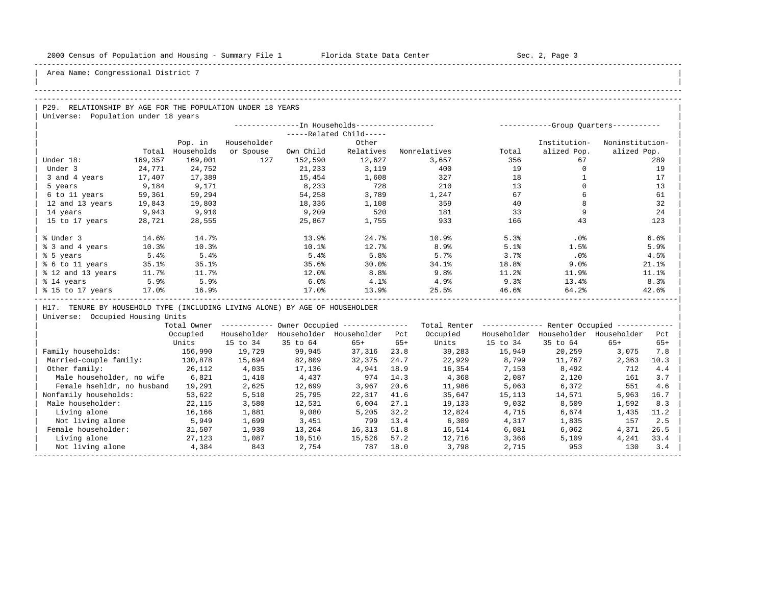| |

Area Name: Congressional District 7

#### -----------------------------------------------------------------------------------------------------------------------------------------------------

## -----------------------------------------------------------------------------------------------------------------------------------------------------

P29. RELATIONSHIP BY AGE FOR THE POPULATION UNDER 18 YEARS | Universe: Population under 18 years

|                   |         | --------------In Households----------------- | ----------- |           | -Group Quarters----------- |              |       |              |                 |
|-------------------|---------|----------------------------------------------|-------------|-----------|----------------------------|--------------|-------|--------------|-----------------|
|                   |         |                                              |             |           | -----Related Child-----    |              |       |              |                 |
|                   |         | Pop. in                                      | Householder |           | Other                      |              |       | Institution- | Noninstitution- |
|                   | Total   | Households                                   | or Spouse   | Own Child | Relatives                  | Nonrelatives | Total | alized Pop.  | alized Pop.     |
| Under 18:         | 169,357 | 169,001                                      | 127         | 152,590   | 12,627                     | 3,657        | 356   | 67           | 289             |
| Under 3           | 24,771  | 24,752                                       |             | 21,233    | 3,119                      | 400          | 19    |              | 19              |
| 3 and 4 years     | 17,407  | 17,389                                       |             | 15,454    | 1,608                      | 327          | 18    |              | 17              |
| 5 years           | 9,184   | 9,171                                        |             | 8,233     | 728                        | 210          | 13    |              | 13              |
| 6 to 11 years     | 59,361  | 59,294                                       |             | 54,258    | 3,789                      | 1,247        | 67    |              | 61              |
| 12 and 13 years   | 19,843  | 19,803                                       |             | 18,336    | 1,108                      | 359          | 40    |              | 32              |
| 14 years          | 9,943   | 9,910                                        |             | 9,209     | 520                        | 181          | 33    |              | 24              |
| 15 to 17 years    | 28,721  | 28,555                                       |             | 25,867    | 1,755                      | 933          | 166   | 43           | 123             |
|                   |         |                                              |             |           |                            |              |       |              |                 |
| % Under 3         | 14.6%   | 14.7%                                        |             | 13.9%     | 24.7%                      | 10.9%        | 5.3%  | $.0\%$       | 6.6%            |
| % 3 and 4 years   | 10.3%   | 10.3%                                        |             | 10.1%     | 12.7%                      | 8.9%         | 5.1%  | 1.5%         | 5.9%            |
| % 5 years         | 5.4%    | 5.4%                                         |             | 5.4%      | 5.8%                       | 5.7%         | 3.7%  | $.0\%$       | 4.5%            |
| % 6 to 11 years   | 35.1%   | 35.1%                                        |             | 35.6%     | 30.0%                      | 34.1%        | 18.8% | 9.0%         | 21.1%           |
| % 12 and 13 years | 11.7%   | 11.7%                                        |             | 12.0%     | 8.8%                       | 9.8%         | 11.2% | 11.9%        | 11.1%           |
| % 14 years        | 5.9%    | 5.9%                                         |             | 6.0%      | 4.1%                       | 4.9%         | 9.3%  | 13.4%        | 8.3%            |
| % 15 to 17 years  | 17.0%   | 16.9%                                        |             | 17.0%     | 13.9%                      | 25.5%        | 46.6% | 64.2%        | 42.6%           |
|                   |         |                                              |             |           |                            |              |       |              |                 |

H17. TENURE BY HOUSEHOLD TYPE (INCLUDING LIVING ALONE) BY AGE OF HOUSEHOLDER

|                            | Total Owner |             |             | Owner Occupied --------------- |       | Total Renter |             | Renter Occupied -- |             |       |  |
|----------------------------|-------------|-------------|-------------|--------------------------------|-------|--------------|-------------|--------------------|-------------|-------|--|
|                            | Occupied    | Householder | Householder | Householder                    | Pct   | Occupied     | Householder | Householder        | Householder | Pct   |  |
|                            | Units       | 15 to 34    | 35 to 64    | $65+$                          | $65+$ | Units        | 15 to 34    | 35 to 64           | $65+$       | $65+$ |  |
| Family households:         | 156,990     | 19,729      | 99,945      | 37,316                         | 23.8  | 39,283       | 15,949      | 20,259             | 3,075       | 7.8   |  |
| Married-couple family:     | 130,878     | 15,694      | 82,809      | 32,375                         | 24.7  | 22,929       | 8,799       | 11,767             | 2,363       | 10.3  |  |
| Other family:              | 26,112      | 4,035       | 17,136      | 4,941                          | 18.9  | 16,354       | 7,150       | 8,492              | 712         | 4.4   |  |
| Male householder, no wife  | 6,821       | 1,410       | 4,437       | 974                            | 14.3  | 4,368        | 2,087       | 2,120              | 161         | 3.7   |  |
| Female hsehldr, no husband | 19,291      | 2,625       | 12,699      | 3,967                          | 20.6  | 11,986       | 5,063       | 6,372              | 551         | 4.6   |  |
| Nonfamily households:      | 53,622      | 5,510       | 25,795      | 22,317                         | 41.6  | 35,647       | 15,113      | 14,571             | 5,963       | 16.7  |  |
| Male householder:          | 22,115      | 3,580       | 12,531      | 6.004                          | 27.1  | 19,133       | 9,032       | 8,509              | 1,592       | 8.3   |  |
| Living alone               | 16,166      | 1,881       | 9,080       | 5,205                          | 32.2  | 12,824       | 4,715       | 6,674              | 1,435       | 11.2  |  |
| Not living alone           | 5,949       | 1,699       | 3,451       | 799                            | 13.4  | 6,309        | 4,317       | 1,835              | 157         | 2.5   |  |
| Female householder:        | 31,507      | 1,930       | 13,264      | 16,313                         | 51.8  | 16,514       | 6,081       | 6,062              | 4,371       | 26.5  |  |
| Living alone               | 27,123      | 1,087       | 10,510      | 15,526                         | 57.2  | 12,716       | 3,366       | 5,109              | 4,241       | 33.4  |  |
| Not living alone           | 4,384       | 843         | 2,754       | 787                            | 18.0  | 3,798        | 2,715       | 953                | 130         | 3.4   |  |
|                            |             |             |             |                                |       |              |             |                    |             |       |  |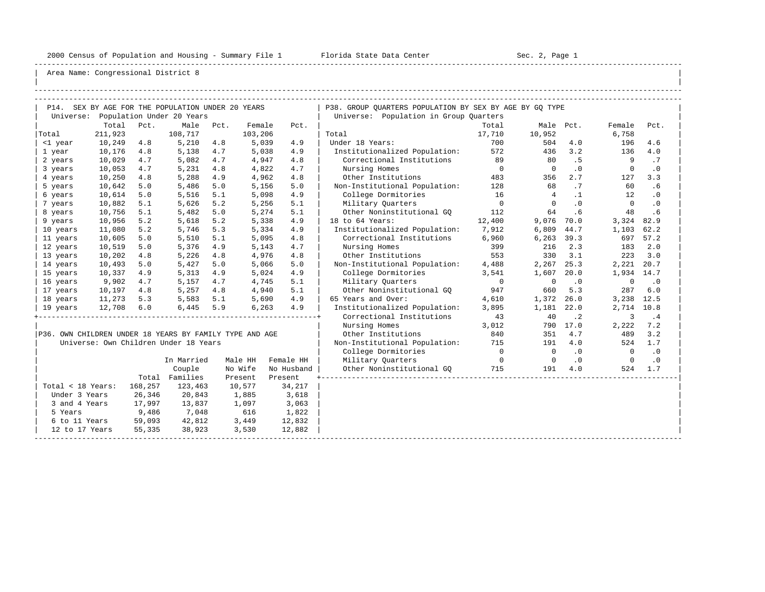-----------------------------------------------------------------------------------------------------------------------------------------------------

| |

|                                                         |         |         | P14. SEX BY AGE FOR THE POPULATION UNDER 20 YEARS |      |         |            | P38. GROUP QUARTERS POPULATION BY SEX BY AGE BY GQ TYPE |                |                          |           |                |           |
|---------------------------------------------------------|---------|---------|---------------------------------------------------|------|---------|------------|---------------------------------------------------------|----------------|--------------------------|-----------|----------------|-----------|
|                                                         |         |         | Universe: Population Under 20 Years               |      |         |            | Universe: Population in Group Quarters                  |                |                          |           |                |           |
|                                                         | Total   | Pct.    | Male                                              | Pct. | Female  | Pct.       |                                                         | Total          | Male Pct.                |           | Female         | Pct.      |
| Total                                                   | 211,923 |         | 108,717                                           |      | 103,206 |            | Total                                                   | 17,710         | 10,952                   |           | 6,758          |           |
| <1 year                                                 | 10,249  | 4.8     | 5,210                                             | 4.8  | 5,039   | 4.9        | Under 18 Years:                                         | 700            | 504                      | 4.0       | 196            | 4.6       |
| 1 year                                                  | 10,176  | 4.8     | 5,138                                             | 4.7  | 5,038   | 4.9        | Institutionalized Population:                           | 572            | 436                      | 3.2       | 136            | 4.0       |
| 2 years                                                 | 10,029  | 4.7     | 5,082                                             | 4.7  | 4,947   | 4.8        | Correctional Institutions                               | 89             | 80                       | . 5       | 9              | .7        |
| 3 years                                                 | 10,053  | 4.7     | 5,231                                             | 4.8  | 4,822   | 4.7        | Nursing Homes                                           | $\overline{0}$ | $\overline{0}$           | .0        | $\mathbf 0$    | $\cdot$ 0 |
| 4 years                                                 | 10,250  | 4.8     | 5,288                                             | 4.9  | 4,962   | 4.8        | Other Institutions                                      | 483            | 356                      | 2.7       | 127            | 3.3       |
| 5 years                                                 | 10,642  | 5.0     | 5,486                                             | 5.0  | 5,156   | 5.0        | Non-Institutional Population:                           | 128            | 68                       | .7        | 60             | .6        |
| 6 years                                                 | 10,614  | 5.0     | 5,516                                             | 5.1  | 5,098   | 4.9        | College Dormitories                                     | 16             | $\overline{4}$           | $\cdot$ 1 | 12.            | $\cdot$ 0 |
| 7 years                                                 | 10,882  | 5.1     | 5,626                                             | 5.2  | 5,256   | 5.1        | Military Quarters                                       | $\overline{0}$ | $\Omega$                 | $\cdot$ 0 | $\overline{0}$ | $\cdot$ 0 |
| 8 years                                                 | 10,756  | 5.1     | 5,482                                             | 5.0  | 5,274   | 5.1        | Other Noninstitutional GO                               | 112            | 64                       | .6        | 48             | .6        |
| 9 years                                                 | 10,956  | 5.2     | 5,618                                             | 5.2  | 5,338   | 4.9        | 18 to 64 Years:                                         | 12,400         | 9,076                    | 70.0      | 3,324          | 82.9      |
| 10 years                                                | 11,080  | 5.2     | 5,746                                             | 5.3  | 5,334   | 4.9        | Institutionalized Population:                           | 7,912          | 6,809                    | 44.7      | 1,103          | 62.2      |
| 11 years                                                | 10,605  | 5.0     | 5,510                                             | 5.1  | 5,095   | 4.8        | Correctional Institutions                               | 6,960          | 6,263                    | 39.3      | 697            | 57.2      |
| 12 years                                                | 10,519  | 5.0     | 5,376                                             | 4.9  | 5,143   | 4.7        | Nursing Homes                                           | 399            | 216                      | 2.3       | 183            | 2.0       |
| 13 years                                                | 10,202  | 4.8     | 5,226                                             | 4.8  | 4,976   | 4.8        | Other Institutions                                      | 553            | 330                      | 3.1       | 223            | 3.0       |
| 14 years                                                | 10,493  | 5.0     | 5,427                                             | 5.0  | 5,066   | 5.0        | Non-Institutional Population:                           | 4,488          | 2,267                    | 25.3      | 2,221 20.7     |           |
| 15 years                                                | 10,337  | 4.9     | 5,313                                             | 4.9  | 5,024   | 4.9        | College Dormitories                                     | 3,541          | 1,607                    | 20.0      | 1,934 14.7     |           |
| 16 years                                                | 9,902   | 4.7     | 5,157                                             | 4.7  | 4,745   | 5.1        | Military Quarters                                       | $\overline{0}$ | $\mathbf{0}$             | $\cdot$ 0 | $\mathbf 0$    | $\cdot$ 0 |
| 17 years                                                | 10,197  | 4.8     | 5,257                                             | 4.8  | 4,940   | 5.1        | Other Noninstitutional GO                               | 947            | 660                      | 5.3       | 287            | 6.0       |
| 18 years                                                | 11,273  | 5.3     | 5,583                                             | 5.1  | 5,690   | 4.9        | 65 Years and Over:                                      | 4,610          | 1,372                    | 26.0      | 3,238          | 12.5      |
| 19 years                                                | 12,708  | 6.0     | 6,445                                             | 5.9  | 6,263   | 4.9        | Institutionalized Population:                           | 3,895          | 1,181                    | 22.0      | 2,714          | 10.8      |
|                                                         |         |         |                                                   |      |         |            | Correctional Institutions                               | 43             | 40                       | $\cdot$ 2 | 3              | .4        |
|                                                         |         |         |                                                   |      |         |            | Nursing Homes                                           | 3,012          | 790                      | 17.0      | 2,222          | 7.2       |
| P36. OWN CHILDREN UNDER 18 YEARS BY FAMILY TYPE AND AGE |         |         |                                                   |      |         |            | Other Institutions                                      | 840            | 351                      | 4.7       | 489            | 3.2       |
|                                                         |         |         | Universe: Own Children Under 18 Years             |      |         |            | Non-Institutional Population:                           | 715            | 191                      | 4.0       | 524            | 1.7       |
|                                                         |         |         |                                                   |      |         |            | College Dormitories                                     | $\overline{0}$ | $\overline{0}$           | .0        | $\overline{0}$ | .0        |
|                                                         |         |         | In Married                                        |      | Male HH | Female HH  | Military Quarters                                       | $\overline{0}$ | $\overline{\phantom{0}}$ | $\cdot$ 0 | $\overline{0}$ | $\cdot$ 0 |
|                                                         |         |         | Couple                                            |      | No Wife | No Husband | Other Noninstitutional GO                               | 715            | 191                      | 4.0       | 524            | 1.7       |
|                                                         |         |         | Total Families                                    |      | Present | Present    |                                                         |                |                          |           |                |           |
| Total < 18 Years:                                       |         | 168,257 | 123,463                                           |      | 10,577  | 34,217     |                                                         |                |                          |           |                |           |
| Under 3 Years                                           |         | 26,346  | 20,843                                            |      | 1,885   | 3,618      |                                                         |                |                          |           |                |           |
| 3 and 4 Years                                           |         | 17,997  | 13,837                                            |      | 1,097   | 3,063      |                                                         |                |                          |           |                |           |
| 5 Years                                                 |         | 9,486   | 7,048                                             |      | 616     | 1,822      |                                                         |                |                          |           |                |           |
| 6 to 11 Years                                           |         | 59,093  | 42,812                                            |      | 3,449   | 12,832     |                                                         |                |                          |           |                |           |
| 12 to 17 Years                                          |         | 55,335  | 38,923                                            |      | 3,530   | 12,882     |                                                         |                |                          |           |                |           |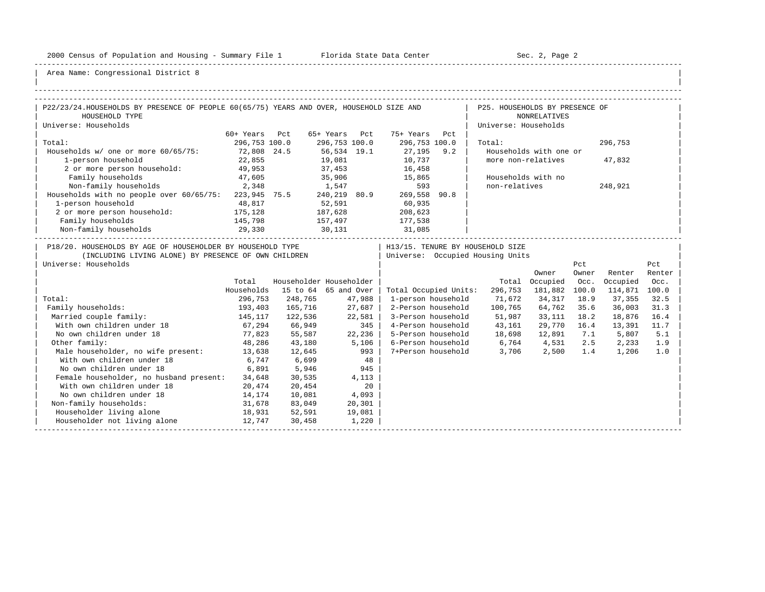-----------------------------------------------------------------------------------------------------------------------------------------------------

| |

| P22/23/24.HOUSEHOLDS BY PRESENCE OF PEOPLE 60(65/75) YEARS AND OVER, HOUSEHOLD SIZE AND                                                    |                       |                         |               |             |                             |      | P25. HOUSEHOLDS BY PRESENCE OF                                       |                        |              |                  |               |
|--------------------------------------------------------------------------------------------------------------------------------------------|-----------------------|-------------------------|---------------|-------------|-----------------------------|------|----------------------------------------------------------------------|------------------------|--------------|------------------|---------------|
| HOUSEHOLD TYPE                                                                                                                             |                       |                         |               |             |                             |      |                                                                      | <b>NONRELATIVES</b>    |              |                  |               |
| Universe: Households                                                                                                                       |                       |                         |               |             |                             |      | Universe: Households                                                 |                        |              |                  |               |
|                                                                                                                                            | 60+ Years Pct         |                         |               |             | 65+ Years Pct 75+ Years Pct |      |                                                                      |                        |              |                  |               |
| Total:                                                                                                                                     | 296,753 100.0         |                         | 296,753 100.0 |             | 296,753 100.0               |      | Total:                                                               |                        |              | 296,753          |               |
| Households w/ one or more 60/65/75:                                                                                                        | 72,808 24.5<br>22,855 |                         |               |             |                             |      |                                                                      | Households with one or |              |                  |               |
| 1-person household                                                                                                                         |                       |                         |               |             | 10,737                      |      | more non-relatives                                                   |                        |              | 47,832           |               |
| 2 or more person household: 49,953                                                                                                         |                       |                         |               |             | 37,453 16,458               |      |                                                                      |                        |              |                  |               |
| Family households                                                                                                                          | 47,605                |                         |               |             | 35,906 15,865               |      | Households with no                                                   |                        |              |                  |               |
| Non-family households 2,348 1,547 593<br>Households with no people over 60/65/75: 223,945 75.5 240,219 80.9 269,558                        |                       |                         |               |             |                             |      | non-relatives                                                        |                        |              | 248,921          |               |
|                                                                                                                                            |                       |                         |               |             |                             | 90.8 |                                                                      |                        |              |                  |               |
| 1-person household                                                                                                                         | 48,817                |                         | 52,591        |             | 60,935                      |      |                                                                      |                        |              |                  |               |
| 2 or more person household:                                                                                                                | 175, 128              |                         | 187,628       |             | 208,623                     |      |                                                                      |                        |              |                  |               |
| Family households                                                                                                                          | 145,798<br>29,330     | 157,497<br>30,131       |               |             | 177,538<br>31,085           |      |                                                                      |                        |              |                  |               |
| Non-family households                                                                                                                      |                       |                         |               |             |                             |      |                                                                      |                        |              |                  |               |
| P18/20. HOUSEHOLDS BY AGE OF HOUSEHOLDER BY HOUSEHOLD TYPE<br>(INCLUDING LIVING ALONE) BY PRESENCE OF OWN CHILDREN<br>Universe: Households |                       |                         |               |             |                             |      | H13/15. TENURE BY HOUSEHOLD SIZE<br>Universe: Occupied Housing Units | Owner                  | Pct<br>Owner | Renter           | Pct<br>Renter |
|                                                                                                                                            | Total                 | Householder Householder |               |             |                             |      |                                                                      | Total Occupied         | Occ.         | Occupied         | Occ.          |
|                                                                                                                                            | Households            | 15 to 64 65 and Over    |               |             | Total Occupied Units:       |      |                                                                      | 296,753 181,882 100.0  |              | 114,871          | 100.0         |
| Total:                                                                                                                                     | 296,753               | 248,765                 |               | 47,988      | 1-person household          |      | 71,672                                                               | 34,317 18.9            |              | 37,355           | 32.5          |
| Family households:                                                                                                                         | 193,403 165,716       |                         | 27,687        |             | 2-Person household          |      | 100,765                                                              | 64,762 35.6            |              | 36,003           | 31.3          |
| Married couple family:                                                                                                                     | 145,117               | 122,536                 | 22,581        |             |                             |      | 3-Person household 51,987                                            | 33,111 18.2            |              | 18,876           | 16.4          |
| With own children under 18                                                                                                                 | $67,294$ 66,949       |                         |               | 345         |                             |      | 4-Person household 43,161                                            | 29,770 16.4            |              | 13,391           | 11.7          |
| No own children under 18                                                                                                                   | 77,823 55,587         |                         |               | 22,236      |                             |      | 5-Person household 18,698                                            |                        |              | 12,891 7.1 5,807 | 5.1           |
| Other family:                                                                                                                              | 48,286                | 43,180                  |               | 5,106       |                             |      | 6-Person household 6,764 4,531                                       |                        | 2.5          | 2,233            | 1.9           |
| Male householder, no wife present: 13,638                                                                                                  |                       | 12,645                  |               | 993         |                             |      | 7+Person household 3,706 2,500                                       |                        | 1.4          | 1,206            | 1.0           |
| With own children under 18                                                                                                                 | 6,747                 | 6,699                   |               |             |                             |      |                                                                      |                        |              |                  |               |
| No own children under 18                                                                                                                   | 6,891                 | 5,946                   |               | $48$<br>945 |                             |      |                                                                      |                        |              |                  |               |
| Female householder, no husband present: 34,648                                                                                             |                       | 30,535                  |               | 4,113       |                             |      |                                                                      |                        |              |                  |               |
| With own children under 18                                                                                                                 | 20,474                | 20,454                  |               | 20          |                             |      |                                                                      |                        |              |                  |               |
| No own children under 18                                                                                                                   | 14,174                | 10,081                  | 4,093         |             |                             |      |                                                                      |                        |              |                  |               |
| Non-family households:                                                                                                                     | 31,678                | 83,049                  |               | 20,301      |                             |      |                                                                      |                        |              |                  |               |
| Householder living alone                                                                                                                   | 18,931                | 52,591                  |               | 19,081      |                             |      |                                                                      |                        |              |                  |               |
| Householder not living alone                                                                                                               | 12,747                | 30,458                  |               | 1,220       |                             |      |                                                                      |                        |              |                  |               |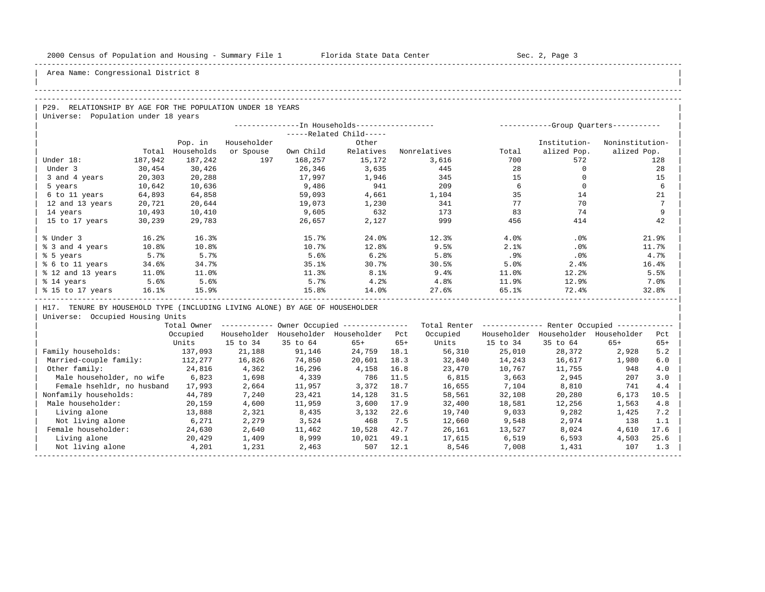| |

## Area Name: Congressional District 8

#### -----------------------------------------------------------------------------------------------------------------------------------------------------

#### -----------------------------------------------------------------------------------------------------------------------------------------------------

| $\overline{P29}$ .<br>RELATIONSHIP BY AGE FOR THE POPULATION UNDER 18 YEARS |  |
|-----------------------------------------------------------------------------|--|
| Universe: Population under 18 years                                         |  |

|                   |         |            | ----------- |           | -Group Quarters----------- |              |       |              |                 |
|-------------------|---------|------------|-------------|-----------|----------------------------|--------------|-------|--------------|-----------------|
|                   |         |            |             |           | -----Related Child-----    |              |       |              |                 |
|                   |         | Pop. in    | Householder |           | Other                      |              |       | Institution- | Noninstitution- |
|                   | Total   | Households | or Spouse   | Own Child | Relatives                  | Nonrelatives | Total | alized Pop.  | alized Pop.     |
| Under 18:         | 187,942 | 187,242    | 197         | 168,257   | 15,172                     | 3,616        | 700   | 572          | 128             |
| Under 3           | 30,454  | 30,426     |             | 26,346    | 3,635                      | 445          | 28    |              | 28              |
| 3 and 4 years     | 20,303  | 20,288     |             | 17,997    | 1,946                      | 345          | 15    |              | 15              |
| 5 years           | 10,642  | 10,636     |             | 9,486     | 941                        | 209          | 6     |              | 6               |
| 6 to 11 years     | 64,893  | 64,858     |             | 59,093    | 4,661                      | 1,104        | 35    | 14           | 21              |
| 12 and 13 years   | 20,721  | 20,644     |             | 19,073    | 1,230                      | 341          | 77    | 70           | 7               |
| 14 years          | 10,493  | 10,410     |             | 9,605     | 632                        | 173          | 83    | 74           | 9               |
| 15 to 17 years    | 30,239  | 29,783     |             | 26,657    | 2,127                      | 999          | 456   | 414          | 42              |
|                   |         |            |             |           |                            |              |       |              |                 |
| % Under 3         | 16.2%   | 16.3%      |             | 15.7%     | 24.0%                      | 12.3%        | 4.0%  | .0%          | 21.9%           |
| % 3 and 4 years   | 10.8%   | 10.8%      |             | 10.7%     | 12.8%                      | 9.5%         | 2.1%  | .0%          | 11.7%           |
| % 5 years         | 5.7%    | 5.7%       |             | 5.6%      | 6.2%                       | 5.8%         | .9%   | .0%          | 4.7%            |
| % 6 to 11 years   | 34.6%   | 34.7%      |             | 35.1%     | 30.7%                      | 30.5%        | 5.0%  | 2.4%         | 16.4%           |
| % 12 and 13 years | 11.0%   | 11.0%      |             | 11.3%     | 8.1%                       | 9.4%         | 11.0% | 12.2%        | 5.5%            |
| % 14 years        | 5.6%    | 5.6%       |             | 5.7%      | 4.2%                       | 4.8%         | 11.9% | 12.9%        | 7.0%            |
| % 15 to 17 years  | 16.1%   | 15.9%      |             | 15.8%     | 14.0%                      | 27.6%        | 65.1% | 72.4%        | 32.8%           |
|                   |         |            |             |           |                            |              |       |              |                 |

| H17. TENURE BY HOUSEHOLD TYPE (INCLUDING LIVING ALONE) BY AGE OF HOUSEHOLDER |

|                            | Total Owner |             |             | Owner Occupied --------------- |       | Total Renter |             | Renter Occupied - |             |       |
|----------------------------|-------------|-------------|-------------|--------------------------------|-------|--------------|-------------|-------------------|-------------|-------|
|                            | Occupied    | Householder | Householder | Householder                    | Pct   | Occupied     | Householder | Householder       | Householder | Pct   |
|                            | Units       | 15 to 34    | 35 to 64    | $65+$                          | $65+$ | Units        | 15 to 34    | 35 to 64          | $65+$       | $65+$ |
| Family households:         | 137,093     | 21,188      | 91,146      | 24,759                         | 18.1  | 56,310       | 25,010      | 28,372            | 2,928       | 5.2   |
| Married-couple family:     | 112,277     | 16,826      | 74,850      | 20,601                         | 18.3  | 32,840       | 14,243      | 16,617            | 1,980       | 6.0   |
| Other family:              | 24,816      | 4,362       | 16,296      | 4,158                          | 16.8  | 23,470       | 10,767      | 11,755            | 948         | 4.0   |
| Male householder, no wife  | 6,823       | 1,698       | 4,339       | 786                            | 11.5  | 6,815        | 3,663       | 2,945             | 207         | 3.0   |
| Female hsehldr, no husband | 17,993      | 2,664       | 11,957      | 3,372                          | 18.7  | 16,655       | 7,104       | 8,810             | 741         | 4.4   |
| Nonfamily households:      | 44,789      | 7,240       | 23,421      | 14,128                         | 31.5  | 58,561       | 32,108      | 20,280            | 6,173       | 10.5  |
| Male householder:          | 20,159      | 4,600       | 11,959      | 3,600                          | 17.9  | 32,400       | 18,581      | 12,256            | 1,563       | 4.8   |
| Living alone               | 13,888      | 2,321       | 8,435       | 3,132                          | 22.6  | 19,740       | 9,033       | 9,282             | 1,425       | 7.2   |
| Not living alone           | 6,271       | 2,279       | 3,524       | 468                            | 7.5   | 12,660       | 9,548       | 2,974             | 138         | 1.1   |
| Female householder:        | 24,630      | 2,640       | 11,462      | 10,528                         | 42.7  | 26,161       | 13,527      | 8,024             | 4,610       | 17.6  |
| Living alone               | 20,429      | 1,409       | 8,999       | 10,021                         | 49.1  | 17,615       | 6,519       | 6,593             | 4,503       | 25.6  |
| Not living alone           | 4,201       | 1,231       | 2,463       | 507                            | 12.1  | 8,546        | 7,008       | 1,431             | 107         | 1.3   |
|                            |             |             |             |                                |       |              |             |                   |             |       |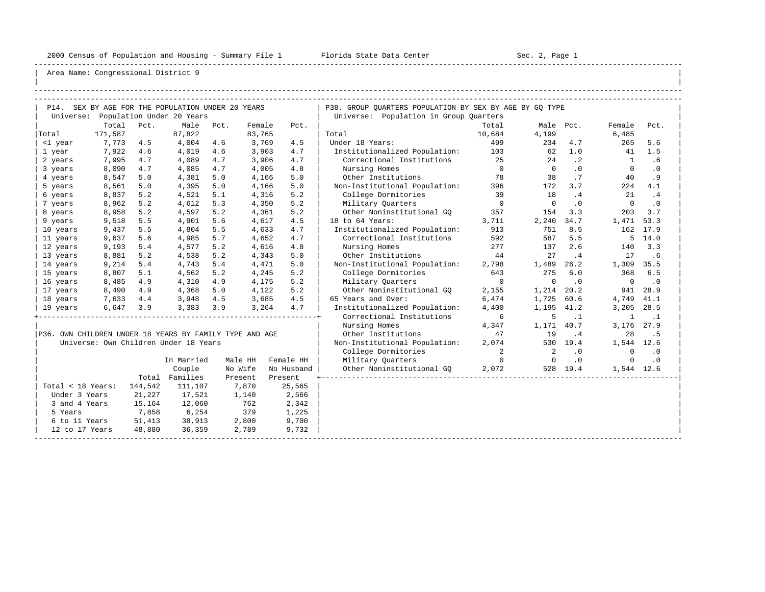-----------------------------------------------------------------------------------------------------------------------------------------------------

| |

|                                                         |         |         | P14. SEX BY AGE FOR THE POPULATION UNDER 20 YEARS |      |         |            | P38. GROUP QUARTERS POPULATION BY SEX BY AGE BY GQ TYPE |                |                          |           |              |           |
|---------------------------------------------------------|---------|---------|---------------------------------------------------|------|---------|------------|---------------------------------------------------------|----------------|--------------------------|-----------|--------------|-----------|
|                                                         |         |         | Universe: Population Under 20 Years               |      |         |            | Universe: Population in Group Quarters                  |                |                          |           |              |           |
|                                                         | Total   | Pct.    | Male                                              | Pct. | Female  | Pct.       |                                                         | Total          | Male Pct.                |           | Female       | Pct.      |
| Total                                                   | 171,587 |         | 87,822                                            |      | 83,765  |            | Total                                                   | 10,684         | 4,199                    |           | 6,485        |           |
| <1 year                                                 | 7,773   | 4.5     | 4,004                                             | 4.6  | 3,769   | 4.5        | Under 18 Years:                                         | 499            | 234                      | 4.7       | 265          | 5.6       |
| 1 year                                                  | 7,922   | 4.6     | 4,019                                             | 4.6  | 3,903   | 4.7        | Institutionalized Population:                           | 103            | 62                       | 1.0       | 41           | 1.5       |
| 2 years                                                 | 7,995   | 4.7     | 4,089                                             | 4.7  | 3,906   | 4.7        | Correctional Institutions                               | 25             | 24                       | $\cdot$ 2 | <sup>1</sup> | .6        |
| 3 years                                                 | 8,090   | 4.7     | 4,085                                             | 4.7  | 4,005   | 4.8        | Nursing Homes                                           | $\overline{0}$ | $\overline{0}$           | .0        | $\circ$      | $\cdot$ 0 |
| 4 years                                                 | 8,547   | 5.0     | 4,381                                             | 5.0  | 4,166   | 5.0        | Other Institutions                                      | 78             | 38                       | .7        | 40           | .9        |
| 5 years                                                 | 8,561   | 5.0     | 4,395                                             | 5.0  | 4,166   | 5.0        | Non-Institutional Population:                           | 396            | 172                      | 3.7       | 224          | 4.1       |
| 6 years                                                 | 8,837   | 5.2     | 4,521                                             | 5.1  | 4,316   | 5.2        | College Dormitories                                     | 39             | 18                       | .4        | 21           | .4        |
| 7 years                                                 | 8,962   | 5.2     | 4,612                                             | 5.3  | 4,350   | 5.2        | Military Quarters                                       | $\overline{0}$ | $\mathbf 0$              | $\cdot$ 0 | $\mathbf 0$  | $\cdot$ 0 |
| 8 years                                                 | 8,958   | 5.2     | 4,597                                             | 5.2  | 4,361   | 5.2        | Other Noninstitutional GQ                               | 357            | 154                      | 3.3       | 203          | 3.7       |
| 9 years                                                 | 9,518   | 5.5     | 4,901                                             | 5.6  | 4,617   | 4.5        | 18 to 64 Years:                                         | 3,711          | 2,240                    | 34.7      | 1,471        | 53.3      |
| 10 years                                                | 9,437   | 5.5     | 4,804                                             | 5.5  | 4,633   | 4.7        | Institutionalized Population:                           | 913            | 751                      | 8.5       | 162          | 17.9      |
| 11 years                                                | 9,637   | 5.6     | 4,985                                             | 5.7  | 4,652   | 4.7        | Correctional Institutions                               | 592            | 587                      | 5.5       | 5            | 14.0      |
| 12 years                                                | 9,193   | 5.4     | 4,577                                             | 5.2  | 4,616   | 4.8        | Nursing Homes                                           | 277            | 137                      | 2.6       | 140          | 3.3       |
| 13 years                                                | 8,881   | 5.2     | 4,538                                             | 5.2  | 4,343   | 5.0        | Other Institutions                                      | 44             | 27                       | .4        | 17           | .6        |
| 14 years                                                | 9,214   | 5.4     | 4,743                                             | 5.4  | 4,471   | 5.0        | Non-Institutional Population:                           | 2,798          | 1,489                    | 26.2      | 1,309 35.5   |           |
| 15 years                                                | 8,807   | 5.1     | 4,562                                             | 5.2  | 4,245   | 5.2        | College Dormitories                                     | 643            | 275                      | 6.0       | 368          | 6.5       |
| 16 years                                                | 8,485   | 4.9     | 4,310                                             | 4.9  | 4,175   | 5.2        | Military Quarters                                       | $\overline{0}$ | $\mathbf 0$              | $\cdot$ 0 | $\mathbf 0$  | $\cdot$ 0 |
| 17 years                                                | 8,490   | 4.9     | 4,368                                             | 5.0  | 4,122   | 5.2        | Other Noninstitutional GO                               | 2,155          | 1,214                    | 20.2      | 941          | 28.9      |
| 18 years                                                | 7,633   | 4.4     | 3,948                                             | 4.5  | 3,685   | 4.5        | 65 Years and Over:                                      | 6,474          | 1,725                    | 60.6      | 4,749        | 41.1      |
| 19 years                                                | 6,647   | 3.9     | 3,383                                             | 3.9  | 3,264   | 4.7        | Institutionalized Population:                           | 4,400          | 1,195                    | 41.2      | 3,205        | 28.5      |
|                                                         |         |         |                                                   |      |         |            | Correctional Institutions                               | 6              | 5                        | $\cdot$ 1 | 1            | $\cdot$ 1 |
|                                                         |         |         |                                                   |      |         |            | Nursing Homes                                           | 4,347          | 1,171                    | 40.7      | 3,176        | 27.9      |
| P36. OWN CHILDREN UNDER 18 YEARS BY FAMILY TYPE AND AGE |         |         |                                                   |      |         |            | Other Institutions                                      | 47             | 19                       | .4        | 28           | . 5       |
|                                                         |         |         | Universe: Own Children Under 18 Years             |      |         |            | Non-Institutional Population:                           | 2,074          |                          | 530 19.4  | 1,544 12.6   |           |
|                                                         |         |         |                                                   |      |         |            | College Dormitories                                     | 2              | 2                        | $\cdot$ 0 | $\Omega$     | $\cdot$ 0 |
|                                                         |         |         | In Married                                        |      | Male HH | Female HH  | Military Quarters                                       | $\overline{0}$ | $\overline{\phantom{0}}$ | $\cdot$ 0 | 0            | $\cdot$ 0 |
|                                                         |         |         | Couple                                            |      | No Wife | No Husband | Other Noninstitutional GQ                               | 2,072          |                          | 528 19.4  | 1,544 12.6   |           |
|                                                         |         |         | Total Families                                    |      | Present | Present    |                                                         |                |                          |           |              |           |
| Total < 18 Years:                                       |         | 144,542 | 111,107                                           |      | 7,870   | 25,565     |                                                         |                |                          |           |              |           |
| Under 3 Years                                           |         | 21,227  | 17,521                                            |      | 1,140   | 2,566      |                                                         |                |                          |           |              |           |
| 3 and 4 Years                                           |         | 15,164  | 12,060                                            |      | 762     | 2,342      |                                                         |                |                          |           |              |           |
| 5 Years                                                 |         | 7,858   | 6,254                                             |      | 379     | 1,225      |                                                         |                |                          |           |              |           |
| 6 to 11 Years                                           |         | 51,413  | 38,913                                            |      | 2,800   | 9,700      |                                                         |                |                          |           |              |           |
| 12 to 17 Years                                          |         | 48,880  | 36,359                                            |      | 2,789   | 9,732      |                                                         |                |                          |           |              |           |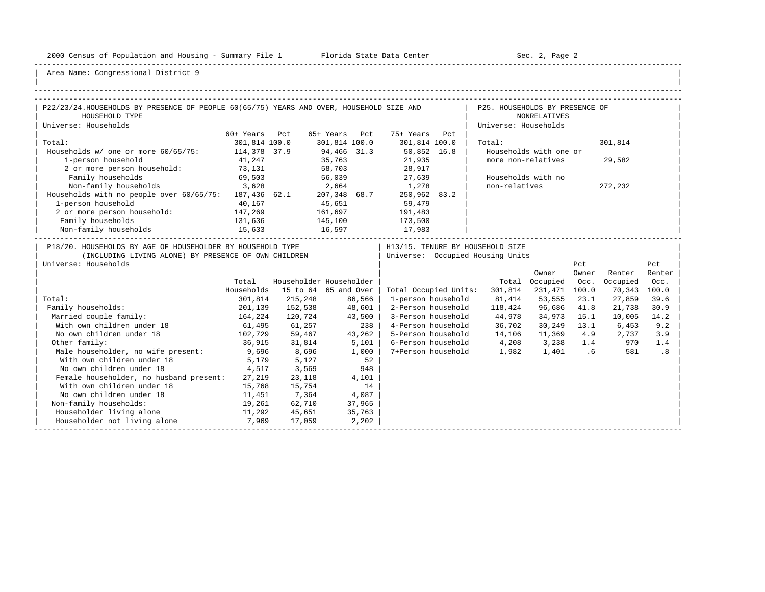-----------------------------------------------------------------------------------------------------------------------------------------------------

| |

| P22/23/24.HOUSEHOLDS BY PRESENCE OF PEOPLE 60(65/75) YEARS AND OVER, HOUSEHOLD SIZE AND<br>P25. HOUSEHOLDS BY PRESENCE OF<br>HOUSEHOLD TYPE<br><b>NONRELATIVES</b><br>Universe: Households<br>Universe: Households<br>60+ Years<br>65+ Years Pct<br>75+ Years Pct<br>Pct<br>Total:<br>301,814 100.0<br>301,814 100.0<br>301,814 100.0<br>301,814<br>Total:<br>Households w/ one or more 60/65/75: 114,378 37.9<br>94,466 31.3<br>35,763<br>50,852 16.8<br>Households with one or<br>21,935<br>1-person household<br>41,247<br>more non-relatives<br>29,582<br>2 or more person household: 73,131<br>28,917<br>58,703<br>27,639<br>Family households<br>69,503<br>56,039<br>Households with no<br>3,628<br>non-relatives<br>Non-family households<br>2,664<br>1,278<br>272,232<br>Households with no people over 60/65/75: 187,436 62.1 207,348 68.7<br>250,962 83.2<br>1-person household<br>45,651<br>59,479<br>40,167<br>2 or more person household:<br>147,269<br>161,697<br>191,483<br>Family households<br>131,636<br>15,633<br>145,100<br>16,597<br>173,500<br>17,983<br>Non-family households<br>P18/20. HOUSEHOLDS BY AGE OF HOUSEHOLDER BY HOUSEHOLD TYPE<br>  H13/15. TENURE BY HOUSEHOLD SIZE<br>(INCLUDING LIVING ALONE) BY PRESENCE OF OWN CHILDREN<br>  Universe: Occupied Housing Units<br>Universe: Households<br>Pct<br>Pct<br>Owner<br>Renter<br>Owner<br>Renter<br>Householder Householder<br>Total<br>Total Occupied<br>Occ.<br>Occupied<br>Occ.<br>Households<br>15 to 64 65 and Over<br>Total Occupied Units:<br>231,471 100.0<br>100.0<br>301,814<br>70,343<br>215,248<br>81,414<br>53,555<br>27,859<br>Total:<br>301,814<br>86,566<br>1-person household<br>23.1<br>39.6<br>48,601<br>201,139<br>Family households:<br>152,538<br>2-Person household<br>96,686<br>118,424<br>41.8<br>21,738<br>30.9<br>43,500<br>164,224<br>Married couple family:<br>3-Person household<br>120,724<br>34,973<br>15.1<br>10,005<br>14.2 |  |  |  |        |  |  |
|-------------------------------------------------------------------------------------------------------------------------------------------------------------------------------------------------------------------------------------------------------------------------------------------------------------------------------------------------------------------------------------------------------------------------------------------------------------------------------------------------------------------------------------------------------------------------------------------------------------------------------------------------------------------------------------------------------------------------------------------------------------------------------------------------------------------------------------------------------------------------------------------------------------------------------------------------------------------------------------------------------------------------------------------------------------------------------------------------------------------------------------------------------------------------------------------------------------------------------------------------------------------------------------------------------------------------------------------------------------------------------------------------------------------------------------------------------------------------------------------------------------------------------------------------------------------------------------------------------------------------------------------------------------------------------------------------------------------------------------------------------------------------------------------------------------------------------------------------------------------------------------------------------------------------------------------------|--|--|--|--------|--|--|
|                                                                                                                                                                                                                                                                                                                                                                                                                                                                                                                                                                                                                                                                                                                                                                                                                                                                                                                                                                                                                                                                                                                                                                                                                                                                                                                                                                                                                                                                                                                                                                                                                                                                                                                                                                                                                                                                                                                                                 |  |  |  |        |  |  |
|                                                                                                                                                                                                                                                                                                                                                                                                                                                                                                                                                                                                                                                                                                                                                                                                                                                                                                                                                                                                                                                                                                                                                                                                                                                                                                                                                                                                                                                                                                                                                                                                                                                                                                                                                                                                                                                                                                                                                 |  |  |  |        |  |  |
|                                                                                                                                                                                                                                                                                                                                                                                                                                                                                                                                                                                                                                                                                                                                                                                                                                                                                                                                                                                                                                                                                                                                                                                                                                                                                                                                                                                                                                                                                                                                                                                                                                                                                                                                                                                                                                                                                                                                                 |  |  |  |        |  |  |
|                                                                                                                                                                                                                                                                                                                                                                                                                                                                                                                                                                                                                                                                                                                                                                                                                                                                                                                                                                                                                                                                                                                                                                                                                                                                                                                                                                                                                                                                                                                                                                                                                                                                                                                                                                                                                                                                                                                                                 |  |  |  |        |  |  |
|                                                                                                                                                                                                                                                                                                                                                                                                                                                                                                                                                                                                                                                                                                                                                                                                                                                                                                                                                                                                                                                                                                                                                                                                                                                                                                                                                                                                                                                                                                                                                                                                                                                                                                                                                                                                                                                                                                                                                 |  |  |  |        |  |  |
|                                                                                                                                                                                                                                                                                                                                                                                                                                                                                                                                                                                                                                                                                                                                                                                                                                                                                                                                                                                                                                                                                                                                                                                                                                                                                                                                                                                                                                                                                                                                                                                                                                                                                                                                                                                                                                                                                                                                                 |  |  |  |        |  |  |
|                                                                                                                                                                                                                                                                                                                                                                                                                                                                                                                                                                                                                                                                                                                                                                                                                                                                                                                                                                                                                                                                                                                                                                                                                                                                                                                                                                                                                                                                                                                                                                                                                                                                                                                                                                                                                                                                                                                                                 |  |  |  |        |  |  |
|                                                                                                                                                                                                                                                                                                                                                                                                                                                                                                                                                                                                                                                                                                                                                                                                                                                                                                                                                                                                                                                                                                                                                                                                                                                                                                                                                                                                                                                                                                                                                                                                                                                                                                                                                                                                                                                                                                                                                 |  |  |  |        |  |  |
|                                                                                                                                                                                                                                                                                                                                                                                                                                                                                                                                                                                                                                                                                                                                                                                                                                                                                                                                                                                                                                                                                                                                                                                                                                                                                                                                                                                                                                                                                                                                                                                                                                                                                                                                                                                                                                                                                                                                                 |  |  |  |        |  |  |
|                                                                                                                                                                                                                                                                                                                                                                                                                                                                                                                                                                                                                                                                                                                                                                                                                                                                                                                                                                                                                                                                                                                                                                                                                                                                                                                                                                                                                                                                                                                                                                                                                                                                                                                                                                                                                                                                                                                                                 |  |  |  |        |  |  |
|                                                                                                                                                                                                                                                                                                                                                                                                                                                                                                                                                                                                                                                                                                                                                                                                                                                                                                                                                                                                                                                                                                                                                                                                                                                                                                                                                                                                                                                                                                                                                                                                                                                                                                                                                                                                                                                                                                                                                 |  |  |  |        |  |  |
|                                                                                                                                                                                                                                                                                                                                                                                                                                                                                                                                                                                                                                                                                                                                                                                                                                                                                                                                                                                                                                                                                                                                                                                                                                                                                                                                                                                                                                                                                                                                                                                                                                                                                                                                                                                                                                                                                                                                                 |  |  |  |        |  |  |
|                                                                                                                                                                                                                                                                                                                                                                                                                                                                                                                                                                                                                                                                                                                                                                                                                                                                                                                                                                                                                                                                                                                                                                                                                                                                                                                                                                                                                                                                                                                                                                                                                                                                                                                                                                                                                                                                                                                                                 |  |  |  |        |  |  |
|                                                                                                                                                                                                                                                                                                                                                                                                                                                                                                                                                                                                                                                                                                                                                                                                                                                                                                                                                                                                                                                                                                                                                                                                                                                                                                                                                                                                                                                                                                                                                                                                                                                                                                                                                                                                                                                                                                                                                 |  |  |  |        |  |  |
|                                                                                                                                                                                                                                                                                                                                                                                                                                                                                                                                                                                                                                                                                                                                                                                                                                                                                                                                                                                                                                                                                                                                                                                                                                                                                                                                                                                                                                                                                                                                                                                                                                                                                                                                                                                                                                                                                                                                                 |  |  |  |        |  |  |
|                                                                                                                                                                                                                                                                                                                                                                                                                                                                                                                                                                                                                                                                                                                                                                                                                                                                                                                                                                                                                                                                                                                                                                                                                                                                                                                                                                                                                                                                                                                                                                                                                                                                                                                                                                                                                                                                                                                                                 |  |  |  |        |  |  |
|                                                                                                                                                                                                                                                                                                                                                                                                                                                                                                                                                                                                                                                                                                                                                                                                                                                                                                                                                                                                                                                                                                                                                                                                                                                                                                                                                                                                                                                                                                                                                                                                                                                                                                                                                                                                                                                                                                                                                 |  |  |  |        |  |  |
|                                                                                                                                                                                                                                                                                                                                                                                                                                                                                                                                                                                                                                                                                                                                                                                                                                                                                                                                                                                                                                                                                                                                                                                                                                                                                                                                                                                                                                                                                                                                                                                                                                                                                                                                                                                                                                                                                                                                                 |  |  |  |        |  |  |
|                                                                                                                                                                                                                                                                                                                                                                                                                                                                                                                                                                                                                                                                                                                                                                                                                                                                                                                                                                                                                                                                                                                                                                                                                                                                                                                                                                                                                                                                                                                                                                                                                                                                                                                                                                                                                                                                                                                                                 |  |  |  |        |  |  |
|                                                                                                                                                                                                                                                                                                                                                                                                                                                                                                                                                                                                                                                                                                                                                                                                                                                                                                                                                                                                                                                                                                                                                                                                                                                                                                                                                                                                                                                                                                                                                                                                                                                                                                                                                                                                                                                                                                                                                 |  |  |  |        |  |  |
|                                                                                                                                                                                                                                                                                                                                                                                                                                                                                                                                                                                                                                                                                                                                                                                                                                                                                                                                                                                                                                                                                                                                                                                                                                                                                                                                                                                                                                                                                                                                                                                                                                                                                                                                                                                                                                                                                                                                                 |  |  |  | 44,978 |  |  |
| 4-Person household 36,702<br>With own children under 18<br>61,495<br>61,257<br>238<br>30,249 13.1<br>6,453<br>9.2                                                                                                                                                                                                                                                                                                                                                                                                                                                                                                                                                                                                                                                                                                                                                                                                                                                                                                                                                                                                                                                                                                                                                                                                                                                                                                                                                                                                                                                                                                                                                                                                                                                                                                                                                                                                                               |  |  |  |        |  |  |
| No own children under 18<br>5-Person household 14,106<br>102,729<br>59,467<br>43,262<br>11,369<br>4.9<br>2,737<br>3.9                                                                                                                                                                                                                                                                                                                                                                                                                                                                                                                                                                                                                                                                                                                                                                                                                                                                                                                                                                                                                                                                                                                                                                                                                                                                                                                                                                                                                                                                                                                                                                                                                                                                                                                                                                                                                           |  |  |  |        |  |  |
| 6-Person household<br>4,208<br>Other family:<br>3,238<br>36,915<br>31,814<br>5,101<br>1.4<br>970<br>1.4                                                                                                                                                                                                                                                                                                                                                                                                                                                                                                                                                                                                                                                                                                                                                                                                                                                                                                                                                                                                                                                                                                                                                                                                                                                                                                                                                                                                                                                                                                                                                                                                                                                                                                                                                                                                                                         |  |  |  |        |  |  |
| Male householder, no wife present:<br>9,696<br>8,696<br>1,000<br>7+Person household<br>1,982<br>1,401<br>.6<br>581<br>.8                                                                                                                                                                                                                                                                                                                                                                                                                                                                                                                                                                                                                                                                                                                                                                                                                                                                                                                                                                                                                                                                                                                                                                                                                                                                                                                                                                                                                                                                                                                                                                                                                                                                                                                                                                                                                        |  |  |  |        |  |  |
| With own children under 18<br>5,179<br>5,127<br>52                                                                                                                                                                                                                                                                                                                                                                                                                                                                                                                                                                                                                                                                                                                                                                                                                                                                                                                                                                                                                                                                                                                                                                                                                                                                                                                                                                                                                                                                                                                                                                                                                                                                                                                                                                                                                                                                                              |  |  |  |        |  |  |
| No own children under 18<br>4,517<br>3,569<br>948                                                                                                                                                                                                                                                                                                                                                                                                                                                                                                                                                                                                                                                                                                                                                                                                                                                                                                                                                                                                                                                                                                                                                                                                                                                                                                                                                                                                                                                                                                                                                                                                                                                                                                                                                                                                                                                                                               |  |  |  |        |  |  |
| Female householder, no husband present: 27,219<br>23,118<br>4,101                                                                                                                                                                                                                                                                                                                                                                                                                                                                                                                                                                                                                                                                                                                                                                                                                                                                                                                                                                                                                                                                                                                                                                                                                                                                                                                                                                                                                                                                                                                                                                                                                                                                                                                                                                                                                                                                               |  |  |  |        |  |  |
| With own children under 18<br>15,768<br>15,754<br>14                                                                                                                                                                                                                                                                                                                                                                                                                                                                                                                                                                                                                                                                                                                                                                                                                                                                                                                                                                                                                                                                                                                                                                                                                                                                                                                                                                                                                                                                                                                                                                                                                                                                                                                                                                                                                                                                                            |  |  |  |        |  |  |
| No own children under 18<br>11,451<br>7,364<br>4,087                                                                                                                                                                                                                                                                                                                                                                                                                                                                                                                                                                                                                                                                                                                                                                                                                                                                                                                                                                                                                                                                                                                                                                                                                                                                                                                                                                                                                                                                                                                                                                                                                                                                                                                                                                                                                                                                                            |  |  |  |        |  |  |
| Non-family households:<br>19,261<br>62,710<br>37,965                                                                                                                                                                                                                                                                                                                                                                                                                                                                                                                                                                                                                                                                                                                                                                                                                                                                                                                                                                                                                                                                                                                                                                                                                                                                                                                                                                                                                                                                                                                                                                                                                                                                                                                                                                                                                                                                                            |  |  |  |        |  |  |
| Householder living alone<br>45,651<br>11,292<br>35,763                                                                                                                                                                                                                                                                                                                                                                                                                                                                                                                                                                                                                                                                                                                                                                                                                                                                                                                                                                                                                                                                                                                                                                                                                                                                                                                                                                                                                                                                                                                                                                                                                                                                                                                                                                                                                                                                                          |  |  |  |        |  |  |
| Householder not living alone<br>7,969<br>17,059<br>2,202                                                                                                                                                                                                                                                                                                                                                                                                                                                                                                                                                                                                                                                                                                                                                                                                                                                                                                                                                                                                                                                                                                                                                                                                                                                                                                                                                                                                                                                                                                                                                                                                                                                                                                                                                                                                                                                                                        |  |  |  |        |  |  |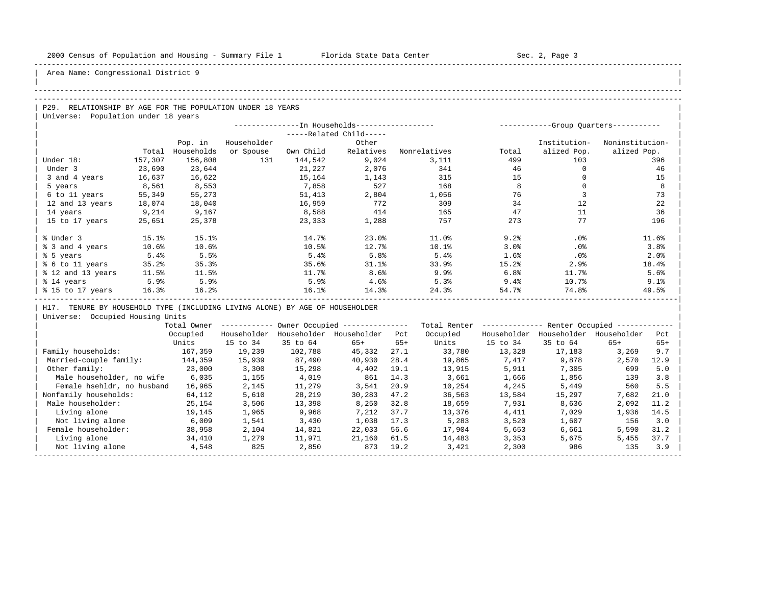| |

## Area Name: Congressional District 9

#### -----------------------------------------------------------------------------------------------------------------------------------------------------

### -----------------------------------------------------------------------------------------------------------------------------------------------------

P29. RELATIONSHIP BY AGE FOR THE POPULATION UNDER 18 YEARS | Universe: Population under 18 years

|                   |         |            | --In Households------------------ |           | -----------Group Quarters----------- |              |       |              |                 |
|-------------------|---------|------------|-----------------------------------|-----------|--------------------------------------|--------------|-------|--------------|-----------------|
|                   |         |            |                                   |           | -----Related Child-----              |              |       |              |                 |
|                   |         | Pop. in    | Householder                       |           | Other                                |              |       | Institution- | Noninstitution- |
|                   | Total   | Households | or Spouse                         | Own Child | Relatives                            | Nonrelatives | Total | alized Pop.  | alized Pop.     |
| Under 18:         | 157,307 | 156,808    | 131                               | 144,542   | 9,024                                | 3,111        | 499   | 103          | 396             |
| Under 3           | 23,690  | 23,644     |                                   | 21,227    | 2,076                                | 341          | 46    |              | 46              |
| 3 and 4 years     | 16,637  | 16,622     |                                   | 15,164    | 1,143                                | 315          | 15    |              | 15              |
| 5 years           | 8,561   | 8,553      |                                   | 7,858     | 527                                  | 168          | 8     |              | 8               |
| 6 to 11 years     | 55,349  | 55,273     |                                   | 51,413    | 2,804                                | 1,056        | 76    |              | 73              |
| 12 and 13 years   | 18,074  | 18,040     |                                   | 16,959    | 772                                  | 309          | 34    | 12           | 22              |
| 14 years          | 9,214   | 9,167      |                                   | 8,588     | 414                                  | 165          | 47    | 11           | 36              |
| 15 to 17 years    | 25,651  | 25,378     |                                   | 23,333    | 1,288                                | 757          | 273   | 77           | 196             |
|                   |         |            |                                   |           |                                      |              |       |              |                 |
| % Under 3         | 15.1%   | 15.1%      |                                   | 14.7%     | 23.0%                                | 11.0%        | 9.2%  | .0%          | 11.6%           |
| % 3 and 4 years   | 10.6%   | 10.6%      |                                   | 10.5%     | 12.7%                                | 10.1%        | 3.0%  | $.0\%$       | 3.8%            |
| % 5 years         | 5.4%    | 5.5%       |                                   | 5.4%      | 5.8%                                 | 5.4%         | 1.6%  | .0%          | 2.0%            |
| % 6 to 11 years   | 35.2%   | 35.3%      |                                   | 35.6%     | 31.1%                                | 33.9%        | 15.2% | 2.9%         | 18.4%           |
| % 12 and 13 years | 11.5%   | 11.5%      |                                   | 11.7%     | 8.6%                                 | 9.9%         | 6.8%  | 11.7%        | 5.6%            |
| % 14 years        | 5.9%    | 5.9%       |                                   | 5.9%      | 4.6%                                 | 5.3%         | 9.4%  | 10.7%        | 9.1%            |
| % 15 to 17 years  | 16.3%   | 16.2%      |                                   | 16.1%     | 14.3%                                | 24.3%        | 54.7% | 74.8%        | 49.5%           |
|                   |         |            |                                   |           |                                      |              |       |              |                 |

H17. TENURE BY HOUSEHOLD TYPE (INCLUDING LIVING ALONE) BY AGE OF HOUSEHOLDER

|                            | Total Owner |             |             | Owner Occupied --------------- |       | Total Renter |             | Renter Occupied -- |             |       |  |
|----------------------------|-------------|-------------|-------------|--------------------------------|-------|--------------|-------------|--------------------|-------------|-------|--|
|                            | Occupied    | Householder | Householder | Householder                    | Pct   | Occupied     | Householder | Householder        | Householder | Pct   |  |
|                            | Units       | 15 to 34    | 35 to 64    | $65+$                          | $65+$ | Units        | 15 to 34    | 35 to 64           | $65+$       | $65+$ |  |
| Family households:         | 167,359     | 19,239      | 102,788     | 45,332                         | 27.1  | 33,780       | 13,328      | 17,183             | 3,269       | 9.7   |  |
| Married-couple family:     | 144,359     | 15,939      | 87,490      | 40,930                         | 28.4  | 19,865       | 7,417       | 9,878              | 2,570       | 12.9  |  |
| Other family:              | 23,000      | 3,300       | 15,298      | 4,402                          | 19.1  | 13,915       | 5,911       | 7,305              | 699         | 5.0   |  |
| Male householder, no wife  | 6,035       | 1,155       | 4,019       | 861                            | 14.3  | 3,661        | 1,666       | 1,856              | 139         | 3.8   |  |
| Female hsehldr, no husband | 16,965      | 2,145       | 11,279      | 3,541                          | 20.9  | 10,254       | 4,245       | 5,449              | 560         | 5.5   |  |
| Nonfamily households:      | 64,112      | 5,610       | 28,219      | 30,283                         | 47.2  | 36,563       | 13,584      | 15,297             | 7,682       | 21.0  |  |
| Male householder:          | 25,154      | 3,506       | 13,398      | 8,250                          | 32.8  | 18,659       | 7,931       | 8,636              | 2,092       | 11.2  |  |
| Living alone               | 19,145      | 1,965       | 9,968       | 7,212                          | 37.7  | 13,376       | 4,411       | 7,029              | 1,936       | 14.5  |  |
| Not living alone           | 6,009       | 1,541       | 3,430       | 1,038                          | 17.3  | 5,283        | 3,520       | 1,607              | 156         | 3.0   |  |
| Female householder:        | 38,958      | 2,104       | 14,821      | 22,033                         | 56.6  | 17,904       | 5,653       | 6,661              | 5,590       | 31.2  |  |
| Living alone               | 34,410      | 1,279       | 11,971      | 21,160                         | 61.5  | 14,483       | 3,353       | 5,675              | 5,455       | 37.7  |  |
| Not living alone           | 4,548       | 825         | 2,850       | 873                            | 19.2  | 3,421        | 2,300       | 986                | 135         | 3.9   |  |
|                            |             |             |             |                                |       |              |             |                    |             |       |  |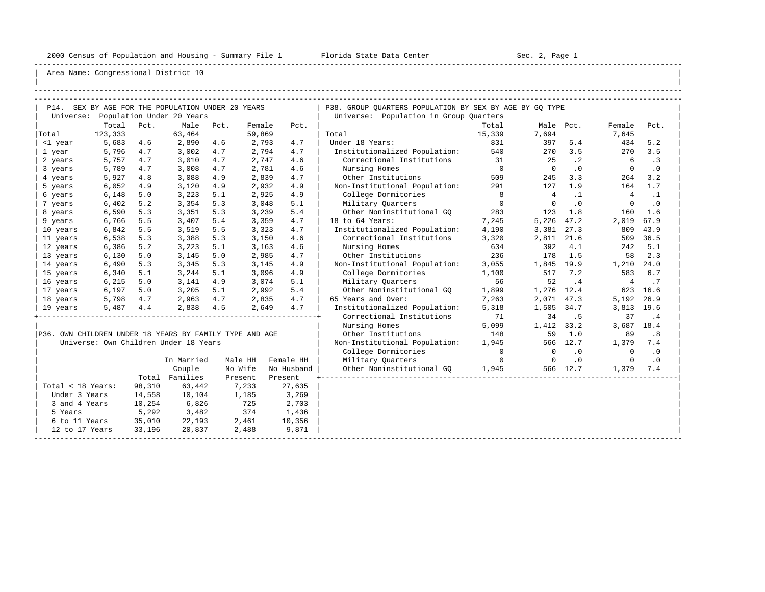-----------------------------------------------------------------------------------------------------------------------------------------------------

| |

|                   |                      |        | P14. SEX BY AGE FOR THE POPULATION UNDER 20 YEARS       |      |         |            | P38. GROUP OUARTERS POPULATION BY SEX BY AGE BY GO TYPE |                |                |           |                |           |
|-------------------|----------------------|--------|---------------------------------------------------------|------|---------|------------|---------------------------------------------------------|----------------|----------------|-----------|----------------|-----------|
|                   |                      |        | Universe: Population Under 20 Years                     |      |         |            | Universe: Population in Group Quarters                  |                |                |           |                |           |
|                   | Total                | Pct.   | Male                                                    | Pct. | Female  | Pct.       |                                                         | Total          | Male Pct.      |           | Female         | Pct.      |
| Total             | 123,333              |        | 63,464                                                  |      | 59,869  |            | Total                                                   | 15,339         | 7,694          |           | 7,645          |           |
| <1 year           | 5,683                | 4.6    | 2,890                                                   | 4.6  | 2,793   | 4.7        | Under 18 Years:                                         | 831            | 397            | 5.4       | 434            | 5.2       |
| 1 year            | 5,796                | 4.7    | 3,002                                                   | 4.7  | 2,794   | 4.7        | Institutionalized Population: 540                       |                | 270            | 3.5       | 270            | 3.5       |
| 2 years           | 5,757                | 4.7    | 3,010                                                   | 4.7  | 2,747   | 4.6        | Correctional Institutions 31                            |                | 25             | $\cdot$ 2 | 6              | .3        |
| 3 years           | 5,789                | 4.7    | 3,008                                                   | 4.7  | 2,781   | 4.6        | Nursing Homes                                           | $\overline{0}$ | $\overline{0}$ | $\cdot$ 0 | $\overline{0}$ | $\cdot$ 0 |
| 4 years           | 5,927                | 4.8    | 3,088                                                   | 4.9  | 2,839   | 4.7        | Other Institutions                                      | 509            | 245            | 3.3       | 264            | 3.2       |
| 5 years           | 6,052                | 4.9    | 3,120                                                   | 4.9  | 2,932   | 4.9        | Non-Institutional Population:                           | 291            | 127            | 1.9       | 164            | 1.7       |
| 6 years           | 6,148                | 5.0    | 3,223                                                   | 5.1  | 2,925   | 4.9        | College Dormitories                                     | 8              | $\frac{4}{3}$  | $\cdot$ 1 | $\overline{4}$ | $\cdot$ 1 |
| 7 years           | 6,402                | 5.2    | 3,354                                                   | 5.3  | 3,048   | 5.1        | Military Quarters                                       | $\overline{0}$ | $\overline{0}$ | $\cdot$ 0 | $\mathbf{0}$   | $\cdot$ 0 |
| 8 years           | 6,590                | 5.3    | 3,351                                                   | 5.3  | 3,239   | 5.4        | Other Noninstitutional GO                               | 283            | 123            | 1.8       | 160            | 1.6       |
| 9 years           | 6,766                | 5.5    | 3,407                                                   | 5.4  | 3,359   | 4.7        | 18 to 64 Years:                                         | 7,245          | 5,226          | 47.2      | 2,019          | 67.9      |
| 10 years          | 6,842                | 5.5    | 3,519                                                   | 5.5  | 3,323   | 4.7        | Institutionalized Population:                           | 4,190          | 3,381          | 27.3      | 809            | 43.9      |
| 11 years          | 6,538                | 5.3    | 3,388                                                   | 5.3  | 3,150   | 4.6        | Correctional Institutions                               | 3,320          | 2,811 21.6     |           |                | 509 36.5  |
| 12 years          | 6,386                | 5.2    | 3,223                                                   | 5.1  | 3,163   | 4.6        | Nursing Homes                                           | 634            | 392            | 4.1       | 242            | 5.1       |
| 13 years          | 6,130                | 5.0    | 3,145                                                   | 5.0  | 2,985   | 4.7        | Other Institutions                                      | 236            | 178            | 1.5       | 58             | 2.3       |
| 14 years          | 6,490                | 5.3    | 3,345                                                   | 5.3  | 3,145   | 4.9        | Non-Institutional Population:                           | 3,055          | 1,845 19.9     |           | 1,210 24.0     |           |
| 15 years          | 6,340                | 5.1    | 3,244                                                   | 5.1  | 3,096   | 4.9        | College Dormitories                                     | 1,100          | 517            | 7.2       | 583            | 6.7       |
| 16 years          | 6,215                | 5.0    | 3,141                                                   | 4.9  | 3,074   | 5.1        | Military Ouarters                                       | 56             | 52             | $\cdot$ 4 | $\overline{4}$ | .7        |
| 17 years          | 6,197                | 5.0    | $3,205$ 5.1                                             |      | 2,992   | 5.4        | Other Noninstitutional GO                               | 1,899          | 1,276 12.4     |           |                | 623 16.6  |
| 18 years          | 5,798                | 4.7    | 2,963                                                   | 4.7  | 2,835   | 4.7        | 65 Years and Over:                                      | 7,263          | 2,071 47.3     |           | 5,192          | 26.9      |
| 19 years          | 5,487                | 4.4    | 2,838                                                   | 4.5  | 2,649   | 4.7        | Institutionalized Population:                           | 5,318          | 1,505 34.7     |           | 3,813 19.6     |           |
|                   |                      |        |                                                         |      |         |            | Correctional Institutions                               | 71             | 34             | . 5       | 37             | .4        |
|                   |                      |        |                                                         |      |         |            | Nursing Homes                                           | 5,099          | 1,412 33.2     |           | 3,687 18.4     |           |
|                   |                      |        | P36. OWN CHILDREN UNDER 18 YEARS BY FAMILY TYPE AND AGE |      |         |            | Other Institutions                                      | 148            | 59             | 1.0       | 89             | .8        |
|                   |                      |        | Universe: Own Children Under 18 Years                   |      |         |            | Non-Institutional Population:                           | 1,945          |                | 566 12.7  | 1,379          | 7.4       |
|                   |                      |        |                                                         |      |         |            | College Dormitories                                     | $\overline{0}$ | $\circ$        | $\cdot$ 0 | $\circ$        | $\cdot$ 0 |
|                   |                      |        | In Married                                              |      | Male HH | Female HH  | Military Ouarters                                       | $\overline{0}$ | $\overline{0}$ | .0        | $\Omega$       | $\cdot$ 0 |
|                   |                      |        | Couple                                                  |      | No Wife | No Husband | Other Noninstitutional GQ                               | 1,945          |                | 566 12.7  | 1,379          | 7.4       |
|                   |                      |        | Total Families                                          |      | Present | Present    |                                                         |                |                |           |                |           |
| Total < 18 Years: |                      | 98,310 | 63,442                                                  |      | 7,233   | 27,635     |                                                         |                |                |           |                |           |
| Under 3 Years     |                      | 14,558 | 10,104                                                  |      | 1,185   | 3,269      |                                                         |                |                |           |                |           |
| 3 and 4 Years     |                      | 10,254 | 6,826                                                   |      | 725     | 2,703      |                                                         |                |                |           |                |           |
| 5 Years           |                      | 5,292  | 3,482                                                   |      | 374     | 1,436      |                                                         |                |                |           |                |           |
|                   | 6 to 11 Years 35,010 |        | 22,193                                                  |      | 2,461   | 10,356     |                                                         |                |                |           |                |           |
| 12 to 17 Years    |                      | 33,196 | 20,837                                                  |      | 2,488   | 9,871      |                                                         |                |                |           |                |           |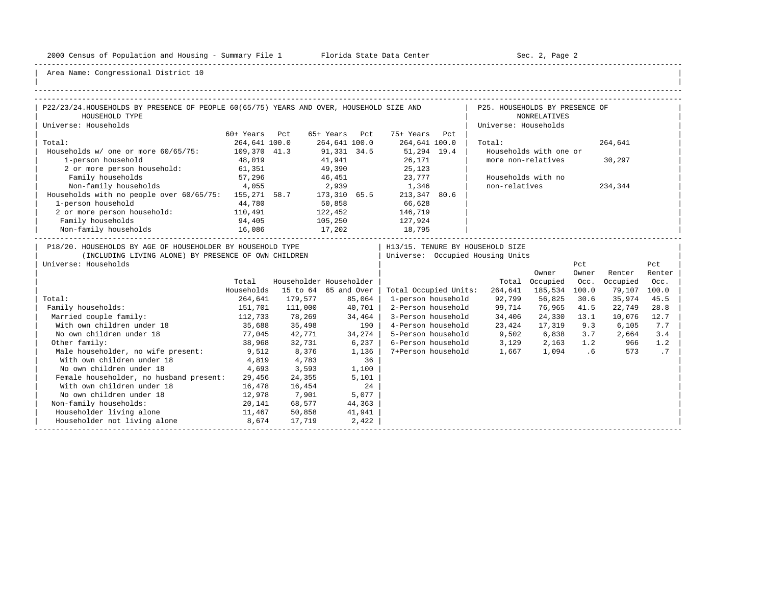-----------------------------------------------------------------------------------------------------------------------------------------------------

| |

| P22/23/24. HOUSEHOLDS BY PRESENCE OF PEOPLE 60(65/75) YEARS AND OVER, HOUSEHOLD SIZE AND<br>  P25. HOUSEHOLDS BY PRESENCE OF<br>HOUSEHOLD TYPE<br><b>NONRELATIVES</b><br>Universe: Households<br>Universe: Households<br>60+ Years Pct<br>65+ Years Pct 75+ Years Pct<br>264,641 100.0<br>264,641 100.0 264,641 100.0<br>Total:<br>264,641<br>Total:<br>Households w/ one or more 60/65/75: 109,370 41.3<br>91,331 34.5 51,294 19.4<br>41,941 26,171<br>Households with one or<br>more non-relatives<br>1-person household<br>48,019<br>26,171<br>25,123<br>30,297<br>2 or more person household: 61,351<br>49,390<br>$46,451$ 23,777<br>57,296<br>Family households<br>Households with no<br>Non-family households 4,055<br>2,939 1,346<br>non-relatives<br>234,344<br>Households with no people over 60/65/75: 155,271 58.7 173,310 65.5 213,347 80.6<br>1-person household<br>50,858<br>44,780<br>66,628<br>2 or more person household: 110,491<br>122,452 146,719<br>Family households<br>105,250<br>94,405<br>16,086<br>127,924<br>Non-family households<br>17,202<br>18,795<br>P18/20. HOUSEHOLDS BY AGE OF HOUSEHOLDER BY HOUSEHOLD TYPE<br>H13/15. TENURE BY HOUSEHOLD SIZE<br>  Universe: Occupied Housing Units<br>(INCLUDING LIVING ALONE) BY PRESENCE OF OWN CHILDREN<br>Universe: Households<br>Pct<br>Pct<br>Owner<br>Owner<br>Renter<br>Renter<br>Householder Householder<br>Total Occupied Occ.<br>Total<br>Occupied<br>Occ.<br>Households<br>15 to 64 65 and Over<br>264,641 185,534 100.0<br>Total Occupied Units:<br>79,107 100.0<br>Total:<br>264,641 179,577<br>85,064<br>1-person household 92,799 56,825<br>30.6<br>35,974<br>45.5<br>151,701 111,000<br>40,701<br>2-Person household 99,714<br>76,965 41.5<br>Family households:<br>22,749<br>28.8<br>112,733<br>34,464<br>3-Person household 34,406<br>Married couple family:<br>78,269<br>24,330 13.1<br>10,076<br>12.7<br>4-Person household 23,424<br>35,688 35,498<br>With own children under 18<br>190<br>17,319 9.3<br>6,105<br>7.7<br>34,274<br>No own children under 18<br>$77,045$ 42,771<br>5-Person household 9,502 6,838 3.7<br>2,664<br>3.4<br>6-Person household 3,129 2,163 1.2<br>Other family:<br>38,968 32,731<br>6,237<br>966<br>1.2<br>8,376<br>7+Person household 1,667 1,094 .6<br>573<br>$\cdot$ 7<br>Male householder, no wife present: 9,512<br>1,136<br>With own children under 18<br>4,783<br>36<br>4,819<br>1,100<br>No own children under 18<br>3,593<br>4,693<br>Female householder, no husband present:<br>29,456<br>24,355<br>5,101<br>24<br>With own children under 18<br>16,478<br>16,454<br>No own children under 18<br>12,978<br>7,901<br>5,077<br>20,141 68,577<br>Non-family households:<br>44,363<br>Householder living alone<br>$11,467$ 50,858<br>41,941<br>Householder not living alone 8,674 17,719<br>2,422 |  |  |  |  |  |  |
|----------------------------------------------------------------------------------------------------------------------------------------------------------------------------------------------------------------------------------------------------------------------------------------------------------------------------------------------------------------------------------------------------------------------------------------------------------------------------------------------------------------------------------------------------------------------------------------------------------------------------------------------------------------------------------------------------------------------------------------------------------------------------------------------------------------------------------------------------------------------------------------------------------------------------------------------------------------------------------------------------------------------------------------------------------------------------------------------------------------------------------------------------------------------------------------------------------------------------------------------------------------------------------------------------------------------------------------------------------------------------------------------------------------------------------------------------------------------------------------------------------------------------------------------------------------------------------------------------------------------------------------------------------------------------------------------------------------------------------------------------------------------------------------------------------------------------------------------------------------------------------------------------------------------------------------------------------------------------------------------------------------------------------------------------------------------------------------------------------------------------------------------------------------------------------------------------------------------------------------------------------------------------------------------------------------------------------------------------------------------------------------------------------------------------------------------------------------------------------------------------------------------------------------------------------------------------------------------------------------------------------------------------------------------------------------------------------------------------------------------------------------------------------------------------------------------------------|--|--|--|--|--|--|
|                                                                                                                                                                                                                                                                                                                                                                                                                                                                                                                                                                                                                                                                                                                                                                                                                                                                                                                                                                                                                                                                                                                                                                                                                                                                                                                                                                                                                                                                                                                                                                                                                                                                                                                                                                                                                                                                                                                                                                                                                                                                                                                                                                                                                                                                                                                                                                                                                                                                                                                                                                                                                                                                                                                                                                                                                                  |  |  |  |  |  |  |
|                                                                                                                                                                                                                                                                                                                                                                                                                                                                                                                                                                                                                                                                                                                                                                                                                                                                                                                                                                                                                                                                                                                                                                                                                                                                                                                                                                                                                                                                                                                                                                                                                                                                                                                                                                                                                                                                                                                                                                                                                                                                                                                                                                                                                                                                                                                                                                                                                                                                                                                                                                                                                                                                                                                                                                                                                                  |  |  |  |  |  |  |
|                                                                                                                                                                                                                                                                                                                                                                                                                                                                                                                                                                                                                                                                                                                                                                                                                                                                                                                                                                                                                                                                                                                                                                                                                                                                                                                                                                                                                                                                                                                                                                                                                                                                                                                                                                                                                                                                                                                                                                                                                                                                                                                                                                                                                                                                                                                                                                                                                                                                                                                                                                                                                                                                                                                                                                                                                                  |  |  |  |  |  |  |
|                                                                                                                                                                                                                                                                                                                                                                                                                                                                                                                                                                                                                                                                                                                                                                                                                                                                                                                                                                                                                                                                                                                                                                                                                                                                                                                                                                                                                                                                                                                                                                                                                                                                                                                                                                                                                                                                                                                                                                                                                                                                                                                                                                                                                                                                                                                                                                                                                                                                                                                                                                                                                                                                                                                                                                                                                                  |  |  |  |  |  |  |
|                                                                                                                                                                                                                                                                                                                                                                                                                                                                                                                                                                                                                                                                                                                                                                                                                                                                                                                                                                                                                                                                                                                                                                                                                                                                                                                                                                                                                                                                                                                                                                                                                                                                                                                                                                                                                                                                                                                                                                                                                                                                                                                                                                                                                                                                                                                                                                                                                                                                                                                                                                                                                                                                                                                                                                                                                                  |  |  |  |  |  |  |
|                                                                                                                                                                                                                                                                                                                                                                                                                                                                                                                                                                                                                                                                                                                                                                                                                                                                                                                                                                                                                                                                                                                                                                                                                                                                                                                                                                                                                                                                                                                                                                                                                                                                                                                                                                                                                                                                                                                                                                                                                                                                                                                                                                                                                                                                                                                                                                                                                                                                                                                                                                                                                                                                                                                                                                                                                                  |  |  |  |  |  |  |
|                                                                                                                                                                                                                                                                                                                                                                                                                                                                                                                                                                                                                                                                                                                                                                                                                                                                                                                                                                                                                                                                                                                                                                                                                                                                                                                                                                                                                                                                                                                                                                                                                                                                                                                                                                                                                                                                                                                                                                                                                                                                                                                                                                                                                                                                                                                                                                                                                                                                                                                                                                                                                                                                                                                                                                                                                                  |  |  |  |  |  |  |
|                                                                                                                                                                                                                                                                                                                                                                                                                                                                                                                                                                                                                                                                                                                                                                                                                                                                                                                                                                                                                                                                                                                                                                                                                                                                                                                                                                                                                                                                                                                                                                                                                                                                                                                                                                                                                                                                                                                                                                                                                                                                                                                                                                                                                                                                                                                                                                                                                                                                                                                                                                                                                                                                                                                                                                                                                                  |  |  |  |  |  |  |
|                                                                                                                                                                                                                                                                                                                                                                                                                                                                                                                                                                                                                                                                                                                                                                                                                                                                                                                                                                                                                                                                                                                                                                                                                                                                                                                                                                                                                                                                                                                                                                                                                                                                                                                                                                                                                                                                                                                                                                                                                                                                                                                                                                                                                                                                                                                                                                                                                                                                                                                                                                                                                                                                                                                                                                                                                                  |  |  |  |  |  |  |
|                                                                                                                                                                                                                                                                                                                                                                                                                                                                                                                                                                                                                                                                                                                                                                                                                                                                                                                                                                                                                                                                                                                                                                                                                                                                                                                                                                                                                                                                                                                                                                                                                                                                                                                                                                                                                                                                                                                                                                                                                                                                                                                                                                                                                                                                                                                                                                                                                                                                                                                                                                                                                                                                                                                                                                                                                                  |  |  |  |  |  |  |
|                                                                                                                                                                                                                                                                                                                                                                                                                                                                                                                                                                                                                                                                                                                                                                                                                                                                                                                                                                                                                                                                                                                                                                                                                                                                                                                                                                                                                                                                                                                                                                                                                                                                                                                                                                                                                                                                                                                                                                                                                                                                                                                                                                                                                                                                                                                                                                                                                                                                                                                                                                                                                                                                                                                                                                                                                                  |  |  |  |  |  |  |
|                                                                                                                                                                                                                                                                                                                                                                                                                                                                                                                                                                                                                                                                                                                                                                                                                                                                                                                                                                                                                                                                                                                                                                                                                                                                                                                                                                                                                                                                                                                                                                                                                                                                                                                                                                                                                                                                                                                                                                                                                                                                                                                                                                                                                                                                                                                                                                                                                                                                                                                                                                                                                                                                                                                                                                                                                                  |  |  |  |  |  |  |
|                                                                                                                                                                                                                                                                                                                                                                                                                                                                                                                                                                                                                                                                                                                                                                                                                                                                                                                                                                                                                                                                                                                                                                                                                                                                                                                                                                                                                                                                                                                                                                                                                                                                                                                                                                                                                                                                                                                                                                                                                                                                                                                                                                                                                                                                                                                                                                                                                                                                                                                                                                                                                                                                                                                                                                                                                                  |  |  |  |  |  |  |
|                                                                                                                                                                                                                                                                                                                                                                                                                                                                                                                                                                                                                                                                                                                                                                                                                                                                                                                                                                                                                                                                                                                                                                                                                                                                                                                                                                                                                                                                                                                                                                                                                                                                                                                                                                                                                                                                                                                                                                                                                                                                                                                                                                                                                                                                                                                                                                                                                                                                                                                                                                                                                                                                                                                                                                                                                                  |  |  |  |  |  |  |
|                                                                                                                                                                                                                                                                                                                                                                                                                                                                                                                                                                                                                                                                                                                                                                                                                                                                                                                                                                                                                                                                                                                                                                                                                                                                                                                                                                                                                                                                                                                                                                                                                                                                                                                                                                                                                                                                                                                                                                                                                                                                                                                                                                                                                                                                                                                                                                                                                                                                                                                                                                                                                                                                                                                                                                                                                                  |  |  |  |  |  |  |
|                                                                                                                                                                                                                                                                                                                                                                                                                                                                                                                                                                                                                                                                                                                                                                                                                                                                                                                                                                                                                                                                                                                                                                                                                                                                                                                                                                                                                                                                                                                                                                                                                                                                                                                                                                                                                                                                                                                                                                                                                                                                                                                                                                                                                                                                                                                                                                                                                                                                                                                                                                                                                                                                                                                                                                                                                                  |  |  |  |  |  |  |
|                                                                                                                                                                                                                                                                                                                                                                                                                                                                                                                                                                                                                                                                                                                                                                                                                                                                                                                                                                                                                                                                                                                                                                                                                                                                                                                                                                                                                                                                                                                                                                                                                                                                                                                                                                                                                                                                                                                                                                                                                                                                                                                                                                                                                                                                                                                                                                                                                                                                                                                                                                                                                                                                                                                                                                                                                                  |  |  |  |  |  |  |
|                                                                                                                                                                                                                                                                                                                                                                                                                                                                                                                                                                                                                                                                                                                                                                                                                                                                                                                                                                                                                                                                                                                                                                                                                                                                                                                                                                                                                                                                                                                                                                                                                                                                                                                                                                                                                                                                                                                                                                                                                                                                                                                                                                                                                                                                                                                                                                                                                                                                                                                                                                                                                                                                                                                                                                                                                                  |  |  |  |  |  |  |
|                                                                                                                                                                                                                                                                                                                                                                                                                                                                                                                                                                                                                                                                                                                                                                                                                                                                                                                                                                                                                                                                                                                                                                                                                                                                                                                                                                                                                                                                                                                                                                                                                                                                                                                                                                                                                                                                                                                                                                                                                                                                                                                                                                                                                                                                                                                                                                                                                                                                                                                                                                                                                                                                                                                                                                                                                                  |  |  |  |  |  |  |
|                                                                                                                                                                                                                                                                                                                                                                                                                                                                                                                                                                                                                                                                                                                                                                                                                                                                                                                                                                                                                                                                                                                                                                                                                                                                                                                                                                                                                                                                                                                                                                                                                                                                                                                                                                                                                                                                                                                                                                                                                                                                                                                                                                                                                                                                                                                                                                                                                                                                                                                                                                                                                                                                                                                                                                                                                                  |  |  |  |  |  |  |
|                                                                                                                                                                                                                                                                                                                                                                                                                                                                                                                                                                                                                                                                                                                                                                                                                                                                                                                                                                                                                                                                                                                                                                                                                                                                                                                                                                                                                                                                                                                                                                                                                                                                                                                                                                                                                                                                                                                                                                                                                                                                                                                                                                                                                                                                                                                                                                                                                                                                                                                                                                                                                                                                                                                                                                                                                                  |  |  |  |  |  |  |
|                                                                                                                                                                                                                                                                                                                                                                                                                                                                                                                                                                                                                                                                                                                                                                                                                                                                                                                                                                                                                                                                                                                                                                                                                                                                                                                                                                                                                                                                                                                                                                                                                                                                                                                                                                                                                                                                                                                                                                                                                                                                                                                                                                                                                                                                                                                                                                                                                                                                                                                                                                                                                                                                                                                                                                                                                                  |  |  |  |  |  |  |
|                                                                                                                                                                                                                                                                                                                                                                                                                                                                                                                                                                                                                                                                                                                                                                                                                                                                                                                                                                                                                                                                                                                                                                                                                                                                                                                                                                                                                                                                                                                                                                                                                                                                                                                                                                                                                                                                                                                                                                                                                                                                                                                                                                                                                                                                                                                                                                                                                                                                                                                                                                                                                                                                                                                                                                                                                                  |  |  |  |  |  |  |
|                                                                                                                                                                                                                                                                                                                                                                                                                                                                                                                                                                                                                                                                                                                                                                                                                                                                                                                                                                                                                                                                                                                                                                                                                                                                                                                                                                                                                                                                                                                                                                                                                                                                                                                                                                                                                                                                                                                                                                                                                                                                                                                                                                                                                                                                                                                                                                                                                                                                                                                                                                                                                                                                                                                                                                                                                                  |  |  |  |  |  |  |
|                                                                                                                                                                                                                                                                                                                                                                                                                                                                                                                                                                                                                                                                                                                                                                                                                                                                                                                                                                                                                                                                                                                                                                                                                                                                                                                                                                                                                                                                                                                                                                                                                                                                                                                                                                                                                                                                                                                                                                                                                                                                                                                                                                                                                                                                                                                                                                                                                                                                                                                                                                                                                                                                                                                                                                                                                                  |  |  |  |  |  |  |
|                                                                                                                                                                                                                                                                                                                                                                                                                                                                                                                                                                                                                                                                                                                                                                                                                                                                                                                                                                                                                                                                                                                                                                                                                                                                                                                                                                                                                                                                                                                                                                                                                                                                                                                                                                                                                                                                                                                                                                                                                                                                                                                                                                                                                                                                                                                                                                                                                                                                                                                                                                                                                                                                                                                                                                                                                                  |  |  |  |  |  |  |
|                                                                                                                                                                                                                                                                                                                                                                                                                                                                                                                                                                                                                                                                                                                                                                                                                                                                                                                                                                                                                                                                                                                                                                                                                                                                                                                                                                                                                                                                                                                                                                                                                                                                                                                                                                                                                                                                                                                                                                                                                                                                                                                                                                                                                                                                                                                                                                                                                                                                                                                                                                                                                                                                                                                                                                                                                                  |  |  |  |  |  |  |
|                                                                                                                                                                                                                                                                                                                                                                                                                                                                                                                                                                                                                                                                                                                                                                                                                                                                                                                                                                                                                                                                                                                                                                                                                                                                                                                                                                                                                                                                                                                                                                                                                                                                                                                                                                                                                                                                                                                                                                                                                                                                                                                                                                                                                                                                                                                                                                                                                                                                                                                                                                                                                                                                                                                                                                                                                                  |  |  |  |  |  |  |
|                                                                                                                                                                                                                                                                                                                                                                                                                                                                                                                                                                                                                                                                                                                                                                                                                                                                                                                                                                                                                                                                                                                                                                                                                                                                                                                                                                                                                                                                                                                                                                                                                                                                                                                                                                                                                                                                                                                                                                                                                                                                                                                                                                                                                                                                                                                                                                                                                                                                                                                                                                                                                                                                                                                                                                                                                                  |  |  |  |  |  |  |
|                                                                                                                                                                                                                                                                                                                                                                                                                                                                                                                                                                                                                                                                                                                                                                                                                                                                                                                                                                                                                                                                                                                                                                                                                                                                                                                                                                                                                                                                                                                                                                                                                                                                                                                                                                                                                                                                                                                                                                                                                                                                                                                                                                                                                                                                                                                                                                                                                                                                                                                                                                                                                                                                                                                                                                                                                                  |  |  |  |  |  |  |
|                                                                                                                                                                                                                                                                                                                                                                                                                                                                                                                                                                                                                                                                                                                                                                                                                                                                                                                                                                                                                                                                                                                                                                                                                                                                                                                                                                                                                                                                                                                                                                                                                                                                                                                                                                                                                                                                                                                                                                                                                                                                                                                                                                                                                                                                                                                                                                                                                                                                                                                                                                                                                                                                                                                                                                                                                                  |  |  |  |  |  |  |
|                                                                                                                                                                                                                                                                                                                                                                                                                                                                                                                                                                                                                                                                                                                                                                                                                                                                                                                                                                                                                                                                                                                                                                                                                                                                                                                                                                                                                                                                                                                                                                                                                                                                                                                                                                                                                                                                                                                                                                                                                                                                                                                                                                                                                                                                                                                                                                                                                                                                                                                                                                                                                                                                                                                                                                                                                                  |  |  |  |  |  |  |
|                                                                                                                                                                                                                                                                                                                                                                                                                                                                                                                                                                                                                                                                                                                                                                                                                                                                                                                                                                                                                                                                                                                                                                                                                                                                                                                                                                                                                                                                                                                                                                                                                                                                                                                                                                                                                                                                                                                                                                                                                                                                                                                                                                                                                                                                                                                                                                                                                                                                                                                                                                                                                                                                                                                                                                                                                                  |  |  |  |  |  |  |
|                                                                                                                                                                                                                                                                                                                                                                                                                                                                                                                                                                                                                                                                                                                                                                                                                                                                                                                                                                                                                                                                                                                                                                                                                                                                                                                                                                                                                                                                                                                                                                                                                                                                                                                                                                                                                                                                                                                                                                                                                                                                                                                                                                                                                                                                                                                                                                                                                                                                                                                                                                                                                                                                                                                                                                                                                                  |  |  |  |  |  |  |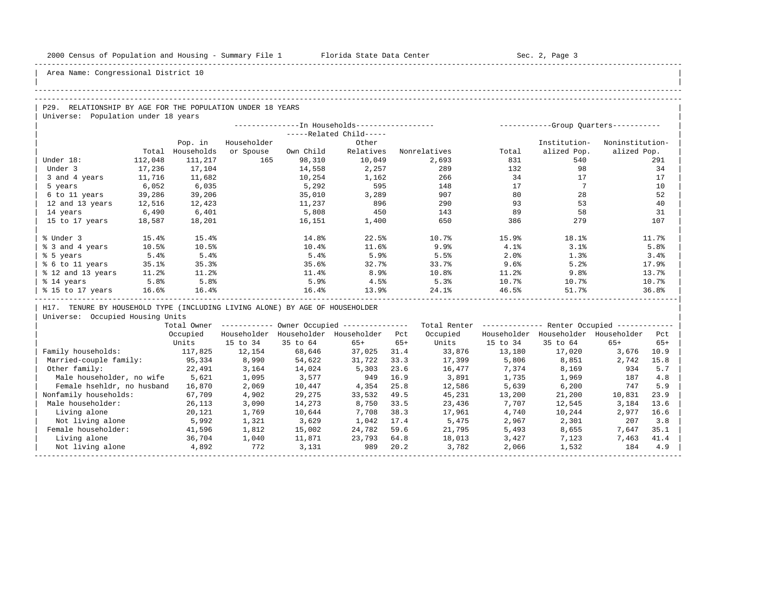| |

Area Name: Congressional District 10

#### -----------------------------------------------------------------------------------------------------------------------------------------------------

### -----------------------------------------------------------------------------------------------------------------------------------------------------

P29. RELATIONSHIP BY AGE FOR THE POPULATION UNDER 18 YEARS | Universe: Population under 18 years

|                   |         |            |             |           |                         |              | ----------- |              | -Group Quarters----------- |
|-------------------|---------|------------|-------------|-----------|-------------------------|--------------|-------------|--------------|----------------------------|
|                   |         |            |             |           | -----Related Child----- |              |             |              |                            |
|                   |         | Pop. in    | Householder |           | Other                   |              |             | Institution- | Noninstitution-            |
|                   | Total   | Households | or Spouse   | Own Child | Relatives               | Nonrelatives | Total       | alized Pop.  | alized Pop.                |
| Under 18:         | 112,048 | 111,217    | 165         | 98,310    | 10,049                  | 2,693        | 831         | 540          | 291                        |
| Under 3           | 17,236  | 17,104     |             | 14,558    | 2,257                   | 289          | 132         | 98           | 34                         |
| 3 and 4 years     | 11,716  | 11,682     |             | 10,254    | 1,162                   | 266          | 34          | 17           | 17                         |
| 5 years           | 6,052   | 6,035      |             | 5,292     | 595                     | 148          | 17          |              | 10                         |
| 6 to 11 years     | 39,286  | 39,206     |             | 35,010    | 3,289                   | 907          | 80          | 28           | 52                         |
| 12 and 13 years   | 12,516  | 12,423     |             | 11,237    | 896                     | 290          | 93          | 53           | 40                         |
| 14 years          | 6,490   | 6,401      |             | 5,808     | 450                     | 143          | 89          | 58           | 31                         |
| 15 to 17 years    | 18,587  | 18,201     |             | 16,151    | 1,400                   | 650          | 386         | 279          | 107                        |
|                   |         |            |             |           |                         |              |             |              |                            |
| % Under 3         | 15.4%   | 15.4%      |             | 14.8%     | 22.5%                   | 10.7%        | 15.9%       | 18.1%        | 11.7%                      |
| % 3 and 4 years   | 10.5%   | 10.5%      |             | 10.4%     | 11.6%                   | 9.9%         | 4.1%        | 3.1%         | 5.8%                       |
| % 5 years         | 5.4%    | 5.4%       |             | 5.4%      | 5.9%                    | 5.5%         | 2.0%        | 1.3%         | 3.4%                       |
| % 6 to 11 years   | 35.1%   | 35.3%      |             | 35.6%     | 32.7%                   | 33.7%        | 9.6%        | 5.2%         | 17.9%                      |
| % 12 and 13 years | 11.2%   | 11.2%      |             | 11.4%     | 8.9%                    | 10.8%        | 11.2%       | 9.8%         | 13.7%                      |
| % 14 years        | 5.8%    | 5.8%       |             | 5.9%      | 4.5%                    | 5.3%         | 10.7%       | 10.7%        | 10.7%                      |
| % 15 to 17 years  | 16.6%   | 16.4%      |             | 16.4%     | 13.9%                   | 24.1%        | 46.5%       | 51.7%        | 36.8%                      |
|                   |         |            |             |           |                         |              |             |              |                            |

H17. TENURE BY HOUSEHOLD TYPE (INCLUDING LIVING ALONE) BY AGE OF HOUSEHOLDER

|                            | Total Owner |             |             | Owner Occupied --------------- |       | Total Renter |             | Renter Occupied -- |             |       |  |
|----------------------------|-------------|-------------|-------------|--------------------------------|-------|--------------|-------------|--------------------|-------------|-------|--|
|                            | Occupied    | Householder | Householder | Householder                    | Pct   | Occupied     | Householder | Householder        | Householder | Pct   |  |
|                            | Units       | 15 to 34    | 35 to 64    | $65+$                          | $65+$ | Units        | 15 to 34    | 35 to 64           | $65+$       | $65+$ |  |
| Family households:         | 117,825     | 12,154      | 68,646      | 37,025                         | 31.4  | 33,876       | 13,180      | 17,020             | 3,676       | 10.9  |  |
| Married-couple family:     | 95,334      | 8,990       | 54,622      | 31,722                         | 33.3  | 17,399       | 5,806       | 8,851              | 2,742       | 15.8  |  |
| Other family:              | 22,491      | 3,164       | 14,024      | 5,303                          | 23.6  | 16,477       | 7,374       | 8,169              | 934         | 5.7   |  |
| Male householder, no wife  | 5,621       | 1,095       | 3,577       | 949                            | 16.9  | 3,891        | 1,735       | 1,969              | 187         | 4.8   |  |
| Female hsehldr, no husband | 16,870      | 2,069       | 10,447      | 4,354                          | 25.8  | 12,586       | 5,639       | 6,200              | 747         | 5.9   |  |
| Nonfamily households:      | 67,709      | 4,902       | 29,275      | 33,532                         | 49.5  | 45,231       | 13,200      | 21,200             | 10,831      | 23.9  |  |
| Male householder:          | 26,113      | 3,090       | 14,273      | 8,750                          | 33.5  | 23,436       | 7,707       | 12,545             | 3,184       | 13.6  |  |
| Living alone               | 20,121      | 1,769       | 10,644      | 7,708                          | 38.3  | 17,961       | 4,740       | 10,244             | 2,977       | 16.6  |  |
| Not living alone           | 5,992       | 1,321       | 3,629       | 1,042                          | 17.4  | 5,475        | 2,967       | 2,301              | 207         | 3.8   |  |
| Female householder:        | 41,596      | 1,812       | 15,002      | 24,782                         | 59.6  | 21,795       | 5,493       | 8,655              | 7,647       | 35.1  |  |
| Living alone               | 36,704      | 1,040       | 11,871      | 23,793                         | 64.8  | 18,013       | 3,427       | 7,123              | 7,463       | 41.4  |  |
| Not living alone           | 4,892       | 772         | 3,131       | 989                            | 20.2  | 3,782        | 2,066       | 1,532              | 184         | 4.9   |  |
|                            |             |             |             |                                |       |              |             |                    |             |       |  |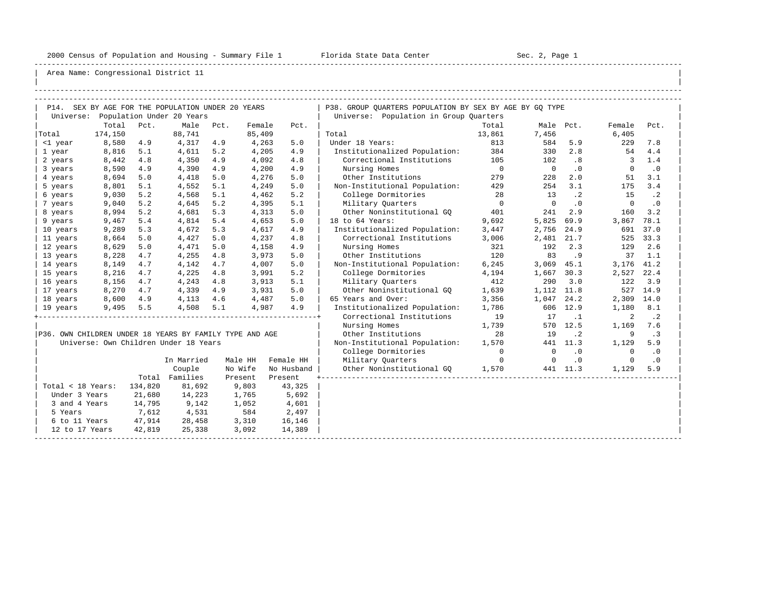-----------------------------------------------------------------------------------------------------------------------------------------------------

| |

|                   |                      |         | P14. SEX BY AGE FOR THE POPULATION UNDER 20 YEARS       |      |         |            | P38. GROUP OUARTERS POPULATION BY SEX BY AGE BY GO TYPE |                |                |           |                          |                |
|-------------------|----------------------|---------|---------------------------------------------------------|------|---------|------------|---------------------------------------------------------|----------------|----------------|-----------|--------------------------|----------------|
|                   |                      |         | Universe: Population Under 20 Years                     |      |         |            | Universe: Population in Group Quarters                  |                |                |           |                          |                |
|                   | Total                | Pct.    | Male                                                    | Pct. | Female  | Pct.       |                                                         | Total          | Male Pct.      |           | Female                   | Pct.           |
| Total             | 174,150              |         | 88,741                                                  |      | 85,409  |            | Total                                                   | 13,861         | 7,456          |           | 6,405                    |                |
| <1 year           | 8,580                | 4.9     | 4,317                                                   | 4.9  | 4,263   | 5.0        | Under 18 Years:                                         | 813            | 584            | 5.9       | 229                      | 7.8            |
| 1 year            | 8,816                | 5.1     | 4,611                                                   | 5.2  | 4,205   | 4.9        | Institutionalized Population: 384                       |                | 330            | 2.8       | 54                       | 4.4            |
| 2 years           | 8,442                | 4.8     | 4,350                                                   | 4.9  | 4,092   | 4.8        | Correctional Institutions 105                           |                | 102            | .8        | $\overline{\phantom{a}}$ | 1.4            |
| 3 years           | 8,590                | 4.9     | 4,390                                                   | 4.9  | 4,200   | 4.9        | Nursing Homes                                           | $\overline{0}$ | $\overline{0}$ | $\cdot$ 0 | $\overline{0}$           | .0             |
| 4 years           | 8,694                | 5.0     | 4,418                                                   | 5.0  | 4,276   | 5.0        | Other Institutions                                      | 279            | 228            | 2.0       | 51                       | 3.1            |
| 5 years           | 8,801                | 5.1     | 4,552                                                   | 5.1  | 4,249   | 5.0        | Non-Institutional Population:                           | 429            | 254            | 3.1       | 175                      | 3.4            |
| 6 years           | 9,030                | 5.2     | 4,568                                                   | 5.1  | 4,462   | 5.2        | College Dormitories                                     | 28             | 13             | $\cdot$ 2 | 15                       | $\cdot$ 2      |
| 7 years           | 9,040                | 5.2     | 4,645                                                   | 5.2  | 4,395   | 5.1        | Military Quarters                                       | $\overline{0}$ | $\overline{0}$ | $\cdot$ 0 | $\Omega$                 | $\cdot$ 0      |
| 8 years           | 8,994                | 5.2     | 4,681                                                   | 5.3  | 4,313   | 5.0        | Other Noninstitutional GO                               | 401            | 241            | 2.9       | 160                      | 3.2            |
| 9 years           | 9,467                | 5.4     | 4,814                                                   | 5.4  | 4,653   | 5.0        | 18 to 64 Years:                                         | 9,692          | 5,825          | 69.9      | 3,867                    | 78.1           |
| 10 years          | 9,289                | 5.3     | 4,672                                                   | 5.3  | 4,617   | 4.9        | Institutionalized Population:                           | 3,447          | 2,756          | 24.9      |                          | 691 37.0       |
| 11 years          | 8,664                | 5.0     | 4,427                                                   | 5.0  | 4,237   | 4.8        | Correctional Institutions                               | 3,006          | 2,481 21.7     |           |                          | 525 33.3       |
| 12 years          | 8,629                | 5.0     | 4,471                                                   | 5.0  | 4,158   | 4.9        | Nursing Homes                                           | 321            | 192            | 2.3       | 129                      | 2.6            |
| 13 years          | 8,228                | 4.7     | 4,255                                                   | 4.8  | 3,973   | 5.0        | Other Institutions                                      | 120            | 83             | . 9       |                          | $37 \quad 1.1$ |
| 14 years          | 8,149                | 4.7     | 4,142                                                   | 4.7  | 4,007   | 5.0        | Non-Institutional Population:                           | 6,245          | $3,069$ 45.1   |           | 3,176 41.2               |                |
| 15 years          | 8,216                | 4.7     | 4,225                                                   | 4.8  | 3,991   | 5.2        | College Dormitories                                     | 4,194          | 1,667 30.3     |           | 2,527 22.4               |                |
| 16 years          | 8,156                | 4.7     | 4,243                                                   | 4.8  | 3,913   | 5.1        | Military Ouarters                                       | 412            | 290            | 3.0       | 122                      | 3.9            |
| 17 years          | 8,270                | 4.7     | 4,339                                                   | 4.9  | 3,931   | 5.0        | Other Noninstitutional GO                               | 1,639          | 1,112 11.8     |           |                          | 527 14.9       |
| 18 years          | 8,600                | 4.9     | 4,113                                                   | 4.6  | 4,487   | 5.0        | 65 Years and Over:                                      | 3,356          | 1,047          | 24.2      | 2,309 14.0               |                |
| 19 years          | 9,495                | 5.5     | 4,508                                                   | 5.1  | 4,987   | 4.9        | Institutionalized Population:                           | 1,786          |                | 606 12.9  | 1,180                    | 8.1            |
|                   |                      |         |                                                         |      |         |            | Correctional Institutions                               | 19             | 17             | $\cdot$ 1 | 2                        | $\cdot$ 2      |
|                   |                      |         |                                                         |      |         |            | Nursing Homes                                           | 1,739          |                | 570 12.5  | 1,169                    | 7.6            |
|                   |                      |         | P36. OWN CHILDREN UNDER 18 YEARS BY FAMILY TYPE AND AGE |      |         |            | Other Institutions                                      | 28             | 19             | $\cdot$ 2 | 9                        | $\cdot$ 3      |
|                   |                      |         | Universe: Own Children Under 18 Years                   |      |         |            | Non-Institutional Population:                           | 1,570          |                | 441 11.3  | 1,129                    | 5.9            |
|                   |                      |         |                                                         |      |         |            | College Dormitories                                     | $\overline{0}$ | $\mathbf 0$    | $\cdot$ 0 | $\mathbf 0$              | $\cdot$ 0      |
|                   |                      |         | In Married                                              |      | Male HH | Female HH  | Military Ouarters                                       | $\overline{0}$ | $\mathbf 0$    | .0        | $\mathbf 0$              | $\cdot$ 0      |
|                   |                      |         | Couple                                                  |      | No Wife | No Husband | Other Noninstitutional GO 1,570                         |                |                | 441 11.3  | 1,129                    | 5.9            |
|                   |                      |         | Total Families                                          |      | Present | Present    |                                                         |                |                |           |                          |                |
| Total < 18 Years: |                      | 134,820 | 81,692                                                  |      | 9,803   | 43,325     |                                                         |                |                |           |                          |                |
| Under 3 Years     |                      | 21,680  | 14,223                                                  |      | 1,765   | 5,692      |                                                         |                |                |           |                          |                |
| 3 and 4 Years     |                      | 14,795  | 9,142                                                   |      | 1,052   | 4,601      |                                                         |                |                |           |                          |                |
| 5 Years           |                      | 7,612   | 4,531                                                   |      | 584     | 2,497      |                                                         |                |                |           |                          |                |
|                   | 6 to 11 Years 47,914 |         | 28,458                                                  |      | 3,310   | 16,146     |                                                         |                |                |           |                          |                |
| 12 to 17 Years    |                      | 42,819  | 25,338                                                  |      | 3,092   | 14,389     |                                                         |                |                |           |                          |                |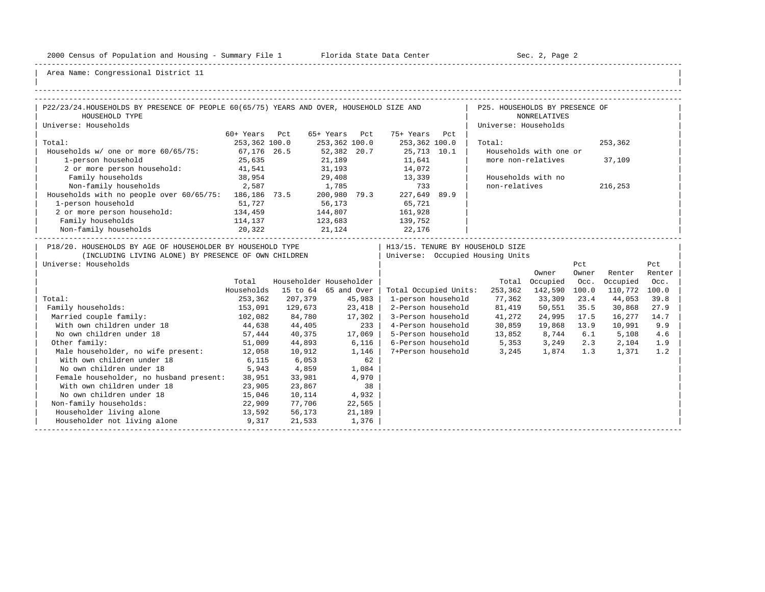-----------------------------------------------------------------------------------------------------------------------------------------------------

| |

| P22/23/24.HOUSEHOLDS BY PRESENCE OF PEOPLE 60(65/75) YEARS AND OVER, HOUSEHOLD SIZE AND                                                    |               |                         |               |        |                                          | P25. HOUSEHOLDS BY PRESENCE OF                                         |                        |              |               |               |
|--------------------------------------------------------------------------------------------------------------------------------------------|---------------|-------------------------|---------------|--------|------------------------------------------|------------------------------------------------------------------------|------------------------|--------------|---------------|---------------|
| HOUSEHOLD TYPE                                                                                                                             |               |                         |               |        |                                          |                                                                        | <b>NONRELATIVES</b>    |              |               |               |
| Universe: Households                                                                                                                       |               |                         |               |        |                                          | Universe: Households                                                   |                        |              |               |               |
|                                                                                                                                            | 60+ Years Pct |                         | 65+ Years Pct |        | 75+ Years Pct                            |                                                                        |                        |              |               |               |
| Total:                                                                                                                                     | 253,362 100.0 |                         | 253,362 100.0 |        | 253,362 100.0                            | Total:                                                                 |                        |              | 253,362       |               |
| Households w/ one or more 60/65/75:                                                                                                        | 67,176 26.5   |                         |               |        | 52,382 20.7 25,713 10.1<br>21,189 11,641 |                                                                        | Households with one or |              |               |               |
| 1-person household                                                                                                                         | 25,635        |                         |               |        | 11,641<br>14,072                         |                                                                        | more non-relatives     |              | 37,109        |               |
| 2 or more person household:                                                                                                                | 41,541        |                         | 31,193        |        |                                          |                                                                        |                        |              |               |               |
| Family households                                                                                                                          | 38,954        |                         |               |        | 29,408 13,339                            |                                                                        | Households with no     |              |               |               |
| Non-family households 2,587                                                                                                                |               | 1,785                   |               |        | 733                                      | non-relatives                                                          |                        |              | 216,253       |               |
| Households with no people over 60/65/75: 186,186 73.5                                                                                      |               |                         | 200,980 79.3  |        | 227,649 89.9                             |                                                                        |                        |              |               |               |
| 1-person household                                                                                                                         | 51,727        |                         | 56,173        |        | 65,721                                   |                                                                        |                        |              |               |               |
| 2 or more person household: 134,459                                                                                                        |               | 144,807                 |               |        | 161,928                                  |                                                                        |                        |              |               |               |
| Family households                                                                                                                          | 114,137       | 123,683                 |               |        | 139,752                                  |                                                                        |                        |              |               |               |
| Non-family households                                                                                                                      | 20,322        |                         | 21, 124       |        | 22,176                                   |                                                                        |                        |              |               |               |
| P18/20. HOUSEHOLDS BY AGE OF HOUSEHOLDER BY HOUSEHOLD TYPE<br>(INCLUDING LIVING ALONE) BY PRESENCE OF OWN CHILDREN<br>Universe: Households |               |                         |               |        |                                          | H13/15. TENURE BY HOUSEHOLD SIZE<br>  Universe: Occupied Housing Units | Owner                  | Pct<br>Owner | Renter        | Pct<br>Renter |
|                                                                                                                                            | Total         | Householder Householder |               |        |                                          |                                                                        | Total Occupied         | Occ.         | Occupied      | Occ.          |
|                                                                                                                                            | Households    | 15 to 64 65 and Over    |               |        | Total Occupied Units:                    |                                                                        | 253,362 142,590 100.0  |              | 110,772 100.0 |               |
| Total:                                                                                                                                     | 253,362       | 207,379                 |               | 45,983 | 1-person household                       | 77,362                                                                 | 33,309                 | 23.4         | 44,053        | 39.8          |
| Family households:                                                                                                                         | 153,091       | 129,673                 |               | 23,418 | 2-Person household                       | 81,419                                                                 | 50,551                 | 35.5         | 30,868        | 27.9          |
| Married couple family:                                                                                                                     | 102,082       | 84,780                  |               | 17,302 |                                          | 3-Person household 41,272                                              | 24,995 17.5            |              | 16,277        | 14.7          |
| With own children under 18                                                                                                                 | 44,638        | 44,405                  |               | $233$  | 4-Person household                       | 30,859                                                                 | 19,868 13.9            |              | 10,991        | 9.9           |
| No own children under 18                                                                                                                   |               | 57,444 40,375           |               | 17,069 |                                          | 5-Person household 13,852 8,744 6.1 5,108                              |                        |              |               | 4.6           |
| Other family:                                                                                                                              | 51,009        | 44,893                  |               | 6,116  |                                          | 6-Person household 5,353 3,249                                         |                        | 2.3          | 2,104         | 1.9           |
| Male householder, no wife present: 12,058                                                                                                  |               | 10,912                  |               | 1,146  |                                          | 7+Person household 3,245                                               | 1,874 1.3              |              | 1,371         | 1.2           |
| With own children under 18                                                                                                                 | 6,115         | 6,053                   |               | 62     |                                          |                                                                        |                        |              |               |               |
| No own children under 18                                                                                                                   | 5,943         | 4,859                   |               | 1,084  |                                          |                                                                        |                        |              |               |               |
| Female householder, no husband present:                                                                                                    | 38,951        | 33,981                  |               | 4,970  |                                          |                                                                        |                        |              |               |               |
| With own children under 18                                                                                                                 | 23,905        | 23,867                  |               | 38     |                                          |                                                                        |                        |              |               |               |
| No own children under 18                                                                                                                   | 15,046        | 10,114                  |               | 4,932  |                                          |                                                                        |                        |              |               |               |
| Non-family households:                                                                                                                     | 22,909        | 77,706                  |               | 22,565 |                                          |                                                                        |                        |              |               |               |
| Householder living alone<br>13,592                                                                                                         |               | 56,173                  |               | 21,189 |                                          |                                                                        |                        |              |               |               |
| Householder not living alone 5,317                                                                                                         |               | 21,533                  |               | 1,376  |                                          |                                                                        |                        |              |               |               |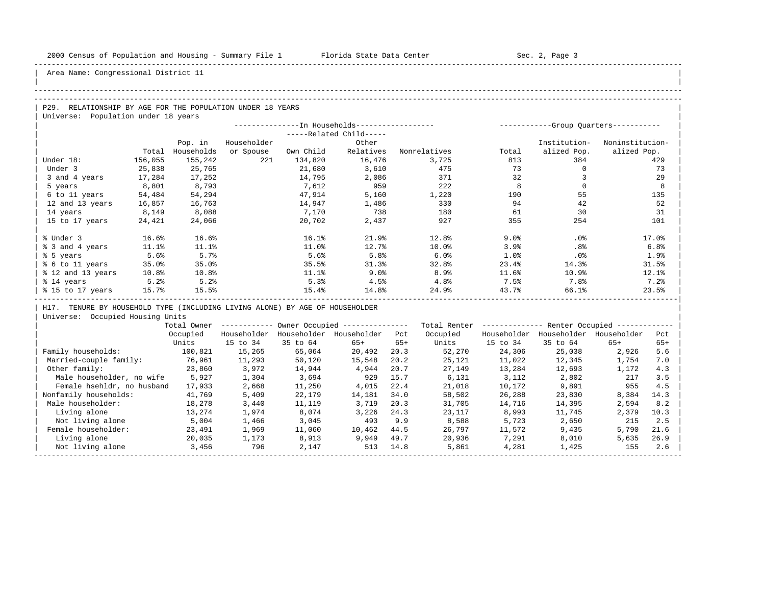| |

Area Name: Congressional District 11

## -----------------------------------------------------------------------------------------------------------------------------------------------------

## ----------------------------------------------------------------------------------------------------------------------------------------------------- P29. RELATIONSHIP BY AGE FOR THE POPULATION UNDER 18 YEARS

Universe: Population under 18 years

|                   |         | --In Households----------------- |             |           | -Group Ouarters----------- |              |       |                 |                 |
|-------------------|---------|----------------------------------|-------------|-----------|----------------------------|--------------|-------|-----------------|-----------------|
|                   |         |                                  |             |           | -----Related Child-----    |              |       |                 |                 |
|                   |         | Pop. in                          | Householder |           | Other                      |              |       | Institution-    | Noninstitution- |
|                   | Total   | Households                       | or Spouse   | Own Child | Relatives                  | Nonrelatives | Total | alized Pop.     | alized Pop.     |
| Under 18:         | 156,055 | 155,242                          | 221         | 134,820   | 16,476                     | 3,725        | 813   | 384             | 429             |
| Under 3           | 25,838  | 25,765                           |             | 21,680    | 3,610                      | 475          | 73    |                 | 73              |
| 3 and 4 years     | 17,284  | 17,252                           |             | 14,795    | 2,086                      | 371          | 32    |                 | 29              |
| 5 years           | 8,801   | 8,793                            |             | 7,612     | 959                        | 222          | 8     |                 | 8               |
| 6 to 11 years     | 54,484  | 54,294                           |             | 47,914    | 5,160                      | 1,220        | 190   | 55              | 135             |
| 12 and 13 years   | 16,857  | 16,763                           |             | 14,947    | 1,486                      | 330          | 94    | 42              | 52              |
| 14 years          | 8,149   | 8,088                            |             | 7,170     | 738                        | 180          | 61    | 30              | 31              |
| 15 to 17 years    | 24,421  | 24,066                           |             | 20,702    | 2,437                      | 927          | 355   | 254             | 101             |
|                   |         |                                  |             |           |                            |              |       |                 |                 |
| % Under 3         | 16.6%   | 16.6%                            |             | 16.1%     | 21.9%                      | 12.8%        | 9.0%  | .0%             | 17.0%           |
| % 3 and 4 years   | 11.1%   | 11.1%                            |             | 11.0%     | 12.7%                      | 10.0%        | 3.9%  | .8 <sup>°</sup> | 6.8%            |
| % 5 years         | 5.6%    | 5.7%                             |             | 5.6%      | 5.8%                       | 6.0%         | 1.0%  | .0%             | 1.9%            |
| % 6 to 11 years   | 35.0%   | 35.0%                            |             | 35.5%     | 31.3%                      | 32.8%        | 23.4% | 14.3%           | 31.5%           |
| % 12 and 13 years | 10.8%   | 10.8%                            |             | 11.1%     | 9.0%                       | 8.9%         | 11.6% | 10.9%           | 12.1%           |
| % 14 years        | 5.2%    | 5.2%                             |             | 5.3%      | 4.5%                       | 4.8%         | 7.5%  | 7.8%            | 7.2%            |
| % 15 to 17 years  | 15.7%   | 15.5%                            |             | 15.4%     | 14.8%                      | 24.9%        | 43.7% | 66.1%           | 23.5%           |
|                   |         |                                  |             |           |                            |              |       |                 |                 |

H17. TENURE BY HOUSEHOLD TYPE (INCLUDING LIVING ALONE) BY AGE OF HOUSEHOLDER

|                            | Total Owner |             |             | Owner Occupied --------------- |       | Total Renter |             | Renter Occupied -- |             |       |  |
|----------------------------|-------------|-------------|-------------|--------------------------------|-------|--------------|-------------|--------------------|-------------|-------|--|
|                            | Occupied    | Householder | Householder | Householder                    | Pct   | Occupied     | Householder | Householder        | Householder | Pct   |  |
|                            | Units       | 15 to 34    | 35 to 64    | $65+$                          | $65+$ | Units        | 15 to 34    | 35 to 64           | $65+$       | $65+$ |  |
| Family households:         | 100,821     | 15,265      | 65,064      | 20,492                         | 20.3  | 52,270       | 24,306      | 25,038             | 2,926       | 5.6   |  |
| Married-couple family:     | 76,961      | 11,293      | 50,120      | 15,548                         | 20.2  | 25,121       | 11,022      | 12,345             | 1,754       | 7.0   |  |
| Other family:              | 23,860      | 3,972       | 14,944      | 4,944                          | 20.7  | 27,149       | 13,284      | 12,693             | 1,172       | 4.3   |  |
| Male householder, no wife  | 5,927       | 1,304       | 3,694       | 929                            | 15.7  | 6,131        | 3,112       | 2,802              | 217         | 3.5   |  |
| Female hsehldr, no husband | 17,933      | 2,668       | 11,250      | 4,015                          | 22.4  | 21,018       | 10,172      | 9,891              | 955         | 4.5   |  |
| Nonfamily households:      | 41,769      | 5,409       | 22,179      | 14,181                         | 34.0  | 58,502       | 26,288      | 23,830             | 8,384       | 14.3  |  |
| Male householder:          | 18,278      | 3,440       | 11,119      | 3,719                          | 20.3  | 31,705       | 14,716      | 14,395             | 2,594       | 8.2   |  |
| Living alone               | 13,274      | 1,974       | 8,074       | 3,226                          | 24.3  | 23,117       | 8,993       | 11,745             | 2,379       | 10.3  |  |
| Not living alone           | 5,004       | 1,466       | 3,045       | 493                            | 9.9   | 8,588        | 5,723       | 2,650              | 215         | 2.5   |  |
| Female householder:        | 23,491      | 1,969       | 11,060      | 10,462                         | 44.5  | 26,797       | 11,572      | 9,435              | 5,790       | 21.6  |  |
| Living alone               | 20,035      | 1,173       | 8,913       | 9,949                          | 49.7  | 20,936       | 7,291       | 8,010              | 5,635       | 26.9  |  |
| Not living alone           | 3,456       | 796         | 2,147       | 513                            | 14.8  | 5,861        | 4,281       | 1,425              | 155         | 2.6   |  |
|                            |             |             |             |                                |       |              |             |                    |             |       |  |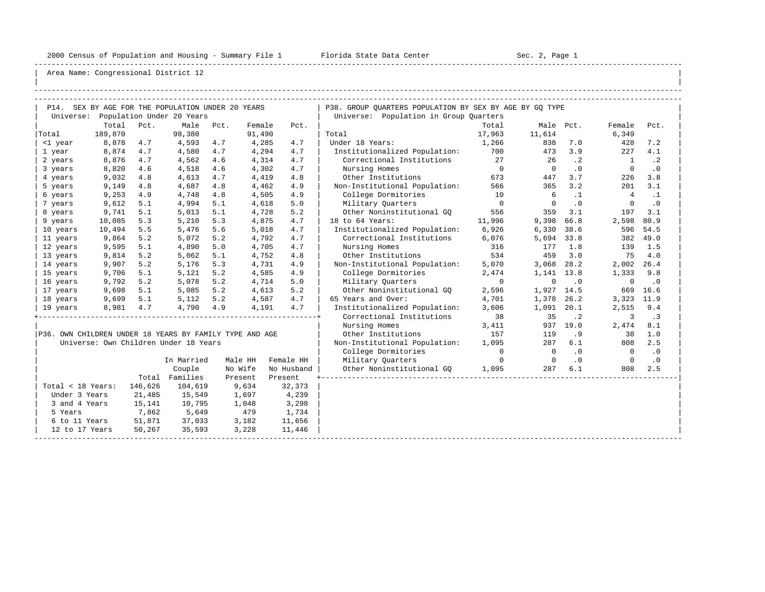-----------------------------------------------------------------------------------------------------------------------------------------------------

| |

|                                                         |         |         | P14. SEX BY AGE FOR THE POPULATION UNDER 20 YEARS |      |         |            | P38. GROUP OUARTERS POPULATION BY SEX BY AGE BY GO TYPE |                |                          |           |                |           |
|---------------------------------------------------------|---------|---------|---------------------------------------------------|------|---------|------------|---------------------------------------------------------|----------------|--------------------------|-----------|----------------|-----------|
|                                                         |         |         | Universe: Population Under 20 Years               |      |         |            | Universe: Population in Group Quarters                  |                |                          |           |                |           |
|                                                         | Total   | Pct.    | Male                                              | Pct. | Female  | Pct.       |                                                         | Total          | Male Pct.                |           | Female         | Pct.      |
| Total                                                   | 189,870 |         | 98,380                                            |      | 91,490  |            | Total                                                   | 17,963         | 11,614                   |           | 6,349          |           |
| <1 year                                                 | 8,878   | 4.7     | 4,593                                             | 4.7  | 4,285   | 4.7        | Under 18 Years:                                         | 1,266          | 838                      | 7.0       | 428            | 7.2       |
| 1 year                                                  | 8,874   | 4.7     | 4,580                                             | 4.7  | 4,294   | 4.7        | Institutionalized Population: 700                       |                | 473                      | 3.9       | 227            | 4.1       |
| 2 years                                                 | 8,876   | 4.7     | 4,562                                             | 4.6  | 4,314   | 4.7        | Correctional Institutions 27                            |                | 26                       | $\cdot$ 2 | $\overline{1}$ | $\cdot$ 2 |
| 3 years                                                 | 8,820   | 4.6     | 4,518                                             | 4.6  | 4,302   | 4.7        | Nursing Homes                                           | $\overline{0}$ | $\bigcirc$               | .0        | $\Omega$       | $\cdot$ 0 |
| 4 years                                                 | 9,032   | 4.8     | 4,613                                             | 4.7  | 4,419   | 4.8        | Other Institutions                                      | 673            | 447                      | 3.7       | 226            | 3.8       |
| 5 years                                                 | 9,149   | 4.8     | 4,687                                             | 4.8  | 4,462   | 4.9        | Non-Institutional Population:                           | 566            | 365                      | 3.2       | 201            | 3.1       |
| 6 years                                                 | 9,253   | 4.9     | 4,748                                             | 4.8  | 4,505   | 4.9        | College Dormitories                                     | 10             | 6                        | $\cdot$ 1 | $\overline{4}$ | $\cdot$ 1 |
| 7 years                                                 | 9,612   | 5.1     | 4,994                                             | 5.1  | 4,618   | 5.0        | Military Quarters                                       | $\overline{0}$ | $\Omega$                 | $\cdot$ 0 | $\Omega$       | .0        |
| 8 years                                                 | 9,741   | 5.1     | 5,013                                             | 5.1  | 4,728   | 5.2        | Other Noninstitutional GO                               | 556            | 359                      | 3.1       | 197            | 3.1       |
| 9 years                                                 | 10,085  | 5.3     | 5,210                                             | 5.3  | 4,875   | 4.7        | 18 to 64 Years:                                         | 11,996         | 9,398                    | 66.8      | 2,598          | 80.9      |
| 10 years                                                | 10,494  | 5.5     | 5,476                                             | 5.6  | 5,018   | 4.7        | Institutionalized Population: 6,926                     |                | 6,330                    | 38.6      | 596            | 54.5      |
| 11 years                                                | 9,864   | 5.2     | 5,072                                             | 5.2  | 4,792   | 4.7        | Correctional Institutions                               | 6,076          | 5,694 33.8               |           | 382            | 49.0      |
| 12 years                                                | 9,595   | 5.1     | 4,890                                             | 5.0  | 4,705   | 4.7        | Nursing Homes                                           | 316            | 177                      | 1.8       | 139            | 1.5       |
| 13 years                                                | 9,814   | 5.2     | 5,062                                             | 5.1  | 4,752   | 4.8        | Other Institutions                                      | 534            | 459                      | 3.0       | 75             | 4.0       |
| 14 years                                                | 9,907   | 5.2     | 5,176                                             | 5.3  | 4,731   | 4.9        | Non-Institutional Population:                           | 5,070          | 3,068                    | 28.2      | 2,002 26.4     |           |
| 15 years                                                | 9,706   | 5.1     | 5,121                                             | 5.2  | 4,585   | 4.9        | College Dormitories                                     | 2,474          | 1,141 13.8               |           | 1,333          | 9.8       |
| 16 years                                                | 9,792   | 5.2     | 5,078                                             | 5.2  | 4,714   | 5.0        | Military Ouarters                                       | $\overline{0}$ | 0                        | $\cdot$ 0 | $\overline{0}$ | $\cdot$ 0 |
| 17 years                                                | 9,698   | 5.1     | 5,085                                             | 5.2  | 4,613   | 5.2        | Other Noninstitutional GO                               | 2,596          | 1,927 14.5               |           | 669            | 16.6      |
| 18 years                                                | 9,699   | 5.1     | 5,112                                             | 5.2  | 4,587   | 4.7        | 65 Years and Over:                                      | 4,701          | 1,378                    | 26.2      | 3,323          | 11.9      |
| 19 years                                                | 8,981   | 4.7     | 4,790                                             | 4.9  | 4,191   | 4.7        | Institutionalized Population:                           | 3,606          | 1,091 20.1               |           | 2,515          | 9.4       |
|                                                         |         |         |                                                   |      |         |            | Correctional Institutions                               | 38             | 35                       | $\cdot$ 2 | 3              | $\cdot$ 3 |
|                                                         |         |         |                                                   |      |         |            | Nursing Homes                                           | 3,411          |                          | 937 19.0  | 2,474          | 8.1       |
| P36. OWN CHILDREN UNDER 18 YEARS BY FAMILY TYPE AND AGE |         |         |                                                   |      |         |            | Other Institutions                                      | 157            | 119                      | .9        | 38             | 1.0       |
|                                                         |         |         | Universe: Own Children Under 18 Years             |      |         |            | Non-Institutional Population:                           | 1,095          | 287                      | 6.1       | 808            | 2.5       |
|                                                         |         |         |                                                   |      |         |            | College Dormitories                                     | $\overline{0}$ | $\overline{0}$           | $\cdot$ 0 | $\overline{0}$ | $\cdot$ 0 |
|                                                         |         |         | In Married                                        |      | Male HH | Female HH  | Military Ouarters                                       | $\overline{0}$ | $\overline{\phantom{0}}$ | $\cdot$ 0 | $\overline{0}$ | $\cdot$ 0 |
|                                                         |         |         | Couple                                            |      | No Wife | No Husband | Other Noninstitutional GO                               | 1,095          | 287                      | 6.1       | 808            | 2.5       |
|                                                         |         |         | Total Families                                    |      | Present | Present    |                                                         |                |                          |           |                |           |
| Total < 18 Years:                                       |         | 146,626 | 104,619                                           |      | 9,634   | 32,373     |                                                         |                |                          |           |                |           |
| Under 3 Years                                           |         | 21,485  | 15,549                                            |      | 1,697   | 4,239      |                                                         |                |                          |           |                |           |
| 3 and 4 Years                                           |         | 15,141  | 10,795                                            |      | 1,048   | 3,298      |                                                         |                |                          |           |                |           |
| 5 Years                                                 |         | 7,862   | 5,649                                             |      | 479     | 1,734      |                                                         |                |                          |           |                |           |
| 6 to 11 Years                                           |         | 51,871  | 37,033                                            |      | 3,182   | 11,656     |                                                         |                |                          |           |                |           |
| 12 to 17 Years                                          |         | 50,267  | 35,593                                            |      | 3,228   | 11,446     |                                                         |                |                          |           |                |           |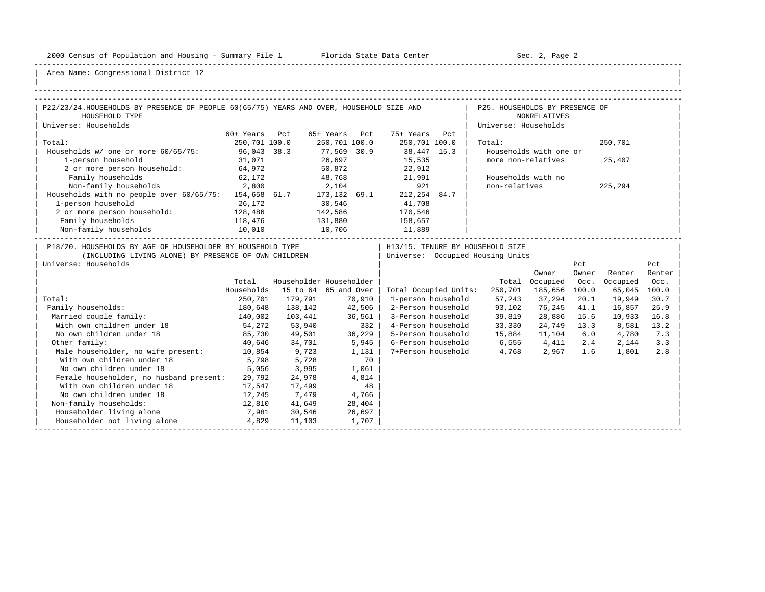-----------------------------------------------------------------------------------------------------------------------------------------------------

| |

| P22/23/24.HOUSEHOLDS BY PRESENCE OF PEOPLE 60(65/75) YEARS AND OVER, HOUSEHOLD SIZE AND                                                    |               |                         |                       |         |                                  |                                  | P25. HOUSEHOLDS BY PRESENCE OF |              |              |               |
|--------------------------------------------------------------------------------------------------------------------------------------------|---------------|-------------------------|-----------------------|---------|----------------------------------|----------------------------------|--------------------------------|--------------|--------------|---------------|
| HOUSEHOLD TYPE                                                                                                                             |               |                         |                       |         |                                  |                                  | <b>NONRELATIVES</b>            |              |              |               |
| Universe: Households                                                                                                                       |               |                         |                       |         |                                  |                                  | Universe: Households           |              |              |               |
|                                                                                                                                            | 60+ Years Pct |                         | 65+ Years Pct         |         | 75+ Years Pct                    |                                  |                                |              |              |               |
| Total:                                                                                                                                     | 250,701 100.0 |                         | 250,701 100.0         |         | 250,701 100.0                    | Total:                           |                                |              | 250,701      |               |
| Households w/ one or more 60/65/75:                                                                                                        | 96,043 38.3   |                         | 77,569 30.9<br>26,697 |         | $38,447$ 15.3                    |                                  | Households with one or         |              |              |               |
| 1-person household                                                                                                                         | 31,071        |                         |                       |         | 15,535<br>22,912                 |                                  | more non-relatives             |              | 25,407       |               |
| 2 or more person household:                                                                                                                | 64,972        |                         | 50,872                |         |                                  |                                  |                                |              |              |               |
| Family households                                                                                                                          | 62,172        |                         |                       |         | 48,768 21,991                    |                                  | Households with no             |              |              |               |
| Non-family households 2,800                                                                                                                |               | 2,104                   |                       |         | 921                              | non-relatives                    |                                |              | 225,294      |               |
| Households with no people over 60/65/75: 154,658 61.7 173,132 69.1                                                                         |               |                         |                       |         | 212,254 84.7                     |                                  |                                |              |              |               |
| 1-person household                                                                                                                         | 26,172        | 30,546                  |                       |         | 41,708                           |                                  |                                |              |              |               |
| 2 or more person household:                                                                                                                | 128,486       | 142,586                 |                       |         | 170,546                          |                                  |                                |              |              |               |
| Family households                                                                                                                          | 118,476       | 131,880                 |                       |         | 158,657                          |                                  |                                |              |              |               |
| Non-family households                                                                                                                      | 10,010        |                         | 10,706                |         | 11,889                           |                                  |                                |              |              |               |
| P18/20. HOUSEHOLDS BY AGE OF HOUSEHOLDER BY HOUSEHOLD TYPE<br>(INCLUDING LIVING ALONE) BY PRESENCE OF OWN CHILDREN<br>Universe: Households |               |                         |                       |         | Universe: Occupied Housing Units | H13/15. TENURE BY HOUSEHOLD SIZE | Owner                          | Pct<br>Owner | Renter       | Pct<br>Renter |
|                                                                                                                                            | Total         | Householder Householder |                       |         |                                  |                                  | Total Occupied                 | Occ.         | Occupied     | Occ.          |
|                                                                                                                                            | Households    | 15 to 64 65 and Over    |                       |         | Total Occupied Units:            |                                  | 250,701 185,656 100.0          |              | 65,045 100.0 |               |
| Total:                                                                                                                                     | 250,701       | 179,791                 |                       | 70,910  | 1-person household               | 57,243                           | 37,294                         | 20.1         | 19,949       | 30.7          |
| Family households:                                                                                                                         | 180,648       | 138,142                 |                       | 42,506  | 2-Person household               | 93,102                           | 76,245 41.1                    |              | 16,857       | 25.9          |
| Married couple family:                                                                                                                     | 140,002       | 103,441                 |                       | 36,561  |                                  | 3-Person household 39,819        | 28,886                         | 15.6         | 10,933       | 16.8          |
| With own children under 18                                                                                                                 | 54,272        | 53,940                  |                       | 332     |                                  | 4-Person household 33,330        | 24,749 13.3                    |              | 8,581        | 13.2          |
| No own children under 18                                                                                                                   | 85,730        | 49,501                  |                       | 36, 229 |                                  | 5-Person household 15,884        | 11,104                         | 6.0          | 4,780        | 7.3           |
| Other family:                                                                                                                              | 40,646        | 34,701                  |                       | 5,945   |                                  | 6-Person household 6,555 4,411   |                                | 2.4          | 2,144        | 3.3           |
| Male householder, no wife present: 10,854                                                                                                  |               | 9,723                   |                       | 1,131   | 7+Person household               |                                  | 4,768 2,967 1.6                |              | 1,801        | 2.8           |
| With own children under 18                                                                                                                 | 5,798         | 5,728                   |                       | 70      |                                  |                                  |                                |              |              |               |
| No own children under 18                                                                                                                   | 5,056         | 3,995                   |                       | 1,061   |                                  |                                  |                                |              |              |               |
| Female householder, no husband present:                                                                                                    | 29,792        | 24,978                  |                       | 4,814   |                                  |                                  |                                |              |              |               |
| With own children under 18                                                                                                                 | 17,547        | 17,499                  |                       | 48      |                                  |                                  |                                |              |              |               |
| No own children under 18                                                                                                                   | 12,245        | 7,479                   |                       | 4,766   |                                  |                                  |                                |              |              |               |
| Non-family households:                                                                                                                     | 12,810        | 41,649                  |                       | 28,404  |                                  |                                  |                                |              |              |               |
| Householder living alone                                                                                                                   | 7,981         | 30,546                  |                       | 26,697  |                                  |                                  |                                |              |              |               |
| Householder not living alone                                                                                                               | 4,829         | 11,103                  |                       | 1,707   |                                  |                                  |                                |              |              |               |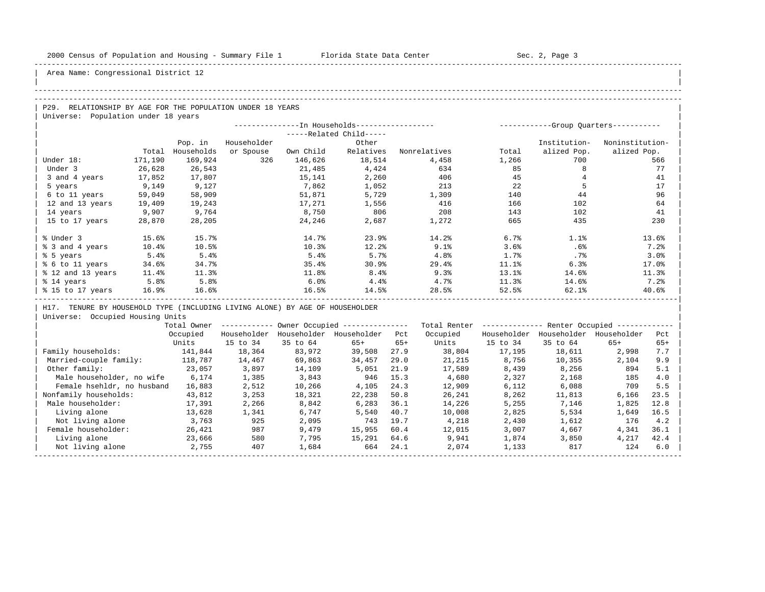| |

Area Name: Congressional District 12

### -----------------------------------------------------------------------------------------------------------------------------------------------------

## -----------------------------------------------------------------------------------------------------------------------------------------------------

P29. RELATIONSHIP BY AGE FOR THE POPULATION UNDER 18 YEARS | Universe: Population under 18 years

|                   |          |            |             |           | --In Households------------------ |              | ----------- |              | -Group Quarters----------- |
|-------------------|----------|------------|-------------|-----------|-----------------------------------|--------------|-------------|--------------|----------------------------|
|                   |          |            |             |           | -----Related Child-----           |              |             |              |                            |
|                   |          | Pop. in    | Householder |           | Other                             |              |             | Institution- | Noninstitution-            |
|                   | Total    | Households | or Spouse   | Own Child | Relatives                         | Nonrelatives | Total       | alized Pop.  | alized Pop.                |
| Under 18:         | 171,190  | 169,924    | 326         | 146,626   | 18,514                            | 4,458        | 1,266       | 700          | 566                        |
| Under 3           | 26,628   | 26,543     |             | 21,485    | 4,424                             | 634          | 85          |              | 77                         |
| 3 and 4 years     | 17,852   | 17,807     |             | 15,141    | 2,260                             | 406          | 45          |              | 41                         |
| 5 years           | 9,149    | 9,127      |             | 7,862     | 1,052                             | 213          | 22          |              | 17                         |
| 6 to 11 years     | 59,049   | 58,909     |             | 51,871    | 5,729                             | 1,309        | 140         | 44           | 96                         |
| 12 and 13 years   | 19,409   | 19,243     |             | 17,271    | 1,556                             | 416          | 166         | 102          | 64                         |
| 14 years          | 9,907    | 9,764      |             | 8,750     | 806                               | 208          | 143         | 102          | 41                         |
| 15 to 17 years    | 28,870   | 28,205     |             | 24,246    | 2,687                             | 1,272        | 665         | 435          | 230                        |
|                   |          |            |             |           |                                   |              |             |              |                            |
| % Under 3         | 15.6%    | 15.7%      |             | 14.7%     | 23.9%                             | 14.2%        | 6.7%        | 1.1%         | 13.6%                      |
| % 3 and 4 years   | $10.4\%$ | 10.5%      |             | 10.3%     | 12.2%                             | 9.1%         | 3.6%        | .6%          | 7.2%                       |
| % 5 years         | 5.4%     | 5.4%       |             | 5.4%      | 5.7%                              | 4.8%         | 1.7%        | $.7\%$       | 3.0%                       |
| % 6 to 11 years   | 34.6%    | 34.7%      |             | 35.4%     | 30.9%                             | 29.4%        | 11.1%       | 6.3%         | 17.0%                      |
| % 12 and 13 years | 11.4%    | 11.3%      |             | 11.8%     | 8.4%                              | 9.3%         | 13.1%       | 14.6%        | 11.3%                      |
| % 14 years        | 5.8%     | 5.8%       |             | 6.0%      | 4.4%                              | 4.7%         | 11.3%       | 14.6%        | 7.2%                       |
| % 15 to 17 years  | 16.9%    | 16.6%      |             | 16.5%     | 14.5%                             | 28.5%        | 52.5%       | 62.1%        | 40.6%                      |
|                   |          |            |             |           |                                   |              |             |              |                            |

H17. TENURE BY HOUSEHOLD TYPE (INCLUDING LIVING ALONE) BY AGE OF HOUSEHOLDER

|                            | Total Owner |             |             | Owner Occupied --------------- |       | Total Renter |             | Renter Occupied -- |             |       |  |
|----------------------------|-------------|-------------|-------------|--------------------------------|-------|--------------|-------------|--------------------|-------------|-------|--|
|                            | Occupied    | Householder | Householder | Householder                    | Pct   | Occupied     | Householder | Householder        | Householder | Pct   |  |
|                            | Units       | 15 to 34    | 35 to 64    | $65+$                          | $65+$ | Units        | 15 to 34    | 35 to 64           | $65+$       | $65+$ |  |
| Family households:         | 141,844     | 18,364      | 83,972      | 39,508                         | 27.9  | 38,804       | 17,195      | 18,611             | 2,998       | 7.7   |  |
| Married-couple family:     | 118,787     | 14,467      | 69,863      | 34,457                         | 29.0  | 21,215       | 8,756       | 10,355             | 2,104       | 9.9   |  |
| Other family:              | 23,057      | 3,897       | 14,109      | 5,051                          | 21.9  | 17,589       | 8,439       | 8,256              | 894         | 5.1   |  |
| Male householder, no wife  | 6,174       | 1,385       | 3,843       | 946                            | 15.3  | 4,680        | 2,327       | 2,168              | 185         | 4.0   |  |
| Female hsehldr, no husband | 16,883      | 2,512       | 10,266      | 4,105                          | 24.3  | 12,909       | 6,112       | 6,088              | 709         | 5.5   |  |
| Nonfamily households:      | 43,812      | 3,253       | 18,321      | 22,238                         | 50.8  | 26,241       | 8,262       | 11,813             | 6,166       | 23.5  |  |
| Male householder:          | 17,391      | 2,266       | 8,842       | 6,283                          | 36.1  | 14,226       | 5,255       | 7,146              | 1,825       | 12.8  |  |
| Living alone               | 13,628      | 1,341       | 6,747       | 5,540                          | 40.7  | 10,008       | 2,825       | 5,534              | 1,649       | 16.5  |  |
| Not living alone           | 3,763       | 925         | 2,095       | 743                            | 19.7  | 4,218        | 2,430       | 1,612              | 176         | 4.2   |  |
| Female householder:        | 26,421      | 987         | 9,479       | 15,955                         | 60.4  | 12,015       | 3,007       | 4,667              | 4,341       | 36.1  |  |
| Living alone               | 23,666      | 580         | 7,795       | 15,291                         | 64.6  | 9,941        | 1,874       | 3,850              | 4,217       | 42.4  |  |
| Not living alone           | 2,755       | 407         | 1,684       | 664                            | 24.1  | 2,074        | 1,133       | 817                | 124         | 6.0   |  |
|                            |             |             |             |                                |       |              |             |                    |             |       |  |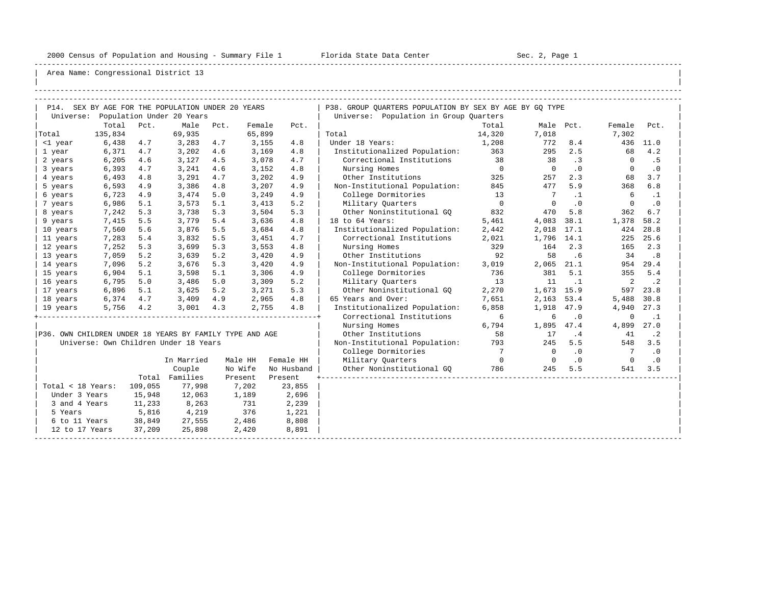-----------------------------------------------------------------------------------------------------------------------------------------------------

| |

|                                                         |         |         | P14. SEX BY AGE FOR THE POPULATION UNDER 20 YEARS |      |         |            | P38. GROUP QUARTERS POPULATION BY SEX BY AGE BY GQ TYPE |                 |                |            |                |           |
|---------------------------------------------------------|---------|---------|---------------------------------------------------|------|---------|------------|---------------------------------------------------------|-----------------|----------------|------------|----------------|-----------|
|                                                         |         |         | Universe: Population Under 20 Years               |      |         |            | Universe: Population in Group Quarters                  |                 |                |            |                |           |
|                                                         | Total   | Pct.    | Male                                              | Pct. | Female  | Pct.       |                                                         | Total           | Male Pct.      |            | Female         | Pct.      |
| Total                                                   | 135,834 |         | 69,935                                            |      | 65,899  |            | Total                                                   | 14,320          | 7,018          |            | 7,302          |           |
| <1 year                                                 | 6,438   | 4.7     | 3,283                                             | 4.7  | 3,155   | 4.8        | Under 18 Years:                                         | 1,208           | 772            | 8.4        |                | 436 11.0  |
| 1 year                                                  | 6,371   | 4.7     | 3,202                                             | 4.6  | 3,169   | 4.8        | Institutionalized Population:                           | 363             | 295            | 2.5        | 68             | 4.2       |
| 2 years                                                 | 6,205   | 4.6     | 3,127                                             | 4.5  | 3,078   | 4.7        | Correctional Institutions                               | 38              | 38             | .3         | $\bigcirc$     | . 5       |
| 3 years                                                 | 6,393   | 4.7     | 3,241                                             | 4.6  | 3,152   | 4.8        | Nursing Homes                                           | $\overline{0}$  | $\overline{0}$ | .0         | $\circ$        | $\cdot$ 0 |
| 4 years                                                 | 6,493   | 4.8     | 3,291                                             | 4.7  | 3,202   | 4.9        | Other Institutions                                      | 325             | 257            | 2.3        | 68             | 3.7       |
| 5 years                                                 | 6,593   | 4.9     | 3,386                                             | 4.8  | 3,207   | 4.9        | Non-Institutional Population:                           | 845             | 477            | 5.9        | 368            | 6.8       |
| 6 years                                                 | 6,723   | 4.9     | 3,474                                             | 5.0  | 3,249   | 4.9        | College Dormitories                                     | 13              | $\overline{7}$ | $\cdot$ 1  | 6              | $\cdot$ 1 |
| 7 years                                                 | 6,986   | 5.1     | 3,573                                             | 5.1  | 3,413   | 5.2        | Military Quarters                                       | $\overline{0}$  | $\overline{0}$ | $\cdot$ 0  | $\mathbf{0}$   | $\cdot$ 0 |
| 8 years                                                 | 7,242   | 5.3     | 3,738                                             | 5.3  | 3,504   | 5.3        | Other Noninstitutional GQ                               | 832             | 470            | 5.8        | 362            | 6.7       |
| 9 years                                                 | 7,415   | 5.5     | 3,779                                             | 5.4  | 3,636   | 4.8        | 18 to 64 Years:                                         | 5,461           | 4,083          | 38.1       | 1,378          | 58.2      |
| 10 years                                                | 7,560   | 5.6     | 3,876                                             | 5.5  | 3,684   | 4.8        | Institutionalized Population:                           | 2,442           | 2,018          | 17.1       | 424            | 28.8      |
| 11 years                                                | 7,283   | 5.4     | 3,832                                             | 5.5  | 3,451   | 4.7        | Correctional Institutions                               | 2,021           | 1,796 14.1     |            | 225            | 25.6      |
| 12 years                                                | 7,252   | 5.3     | 3,699                                             | 5.3  | 3,553   | 4.8        | Nursing Homes                                           | 329             | 164            | 2.3        | 165            | 2.3       |
| 13 years                                                | 7,059   | 5.2     | 3,639                                             | 5.2  | 3,420   | 4.9        | Other Institutions                                      | 92              | 58             | .6         | 34             | .8        |
| 14 years                                                | 7,096   | 5.2     | 3,676                                             | 5.3  | 3,420   | 4.9        | Non-Institutional Population:                           | 3,019           | 2,065          | 21.1       |                | 954 29.4  |
| 15 years                                                | 6,904   | 5.1     | 3,598                                             | 5.1  | 3,306   | 4.9        | College Dormitories                                     | 736             | 381            | 5.1        | 355            | 5.4       |
| 16 years                                                | 6,795   | 5.0     | 3,486                                             | 5.0  | 3,309   | 5.2        | Military Ouarters                                       | 13              | 11             | $\ldots$ 1 | 2              | $\cdot$ 2 |
| 17 years                                                | 6,896   | 5.1     | 3,625                                             | 5.2  | 3,271   | 5.3        | Other Noninstitutional GO                               | 2,270           | 1,673 15.9     |            | 597            | 23.8      |
| 18 years                                                | 6,374   | 4.7     | 3,409                                             | 4.9  | 2,965   | 4.8        | 65 Years and Over:                                      | 7,651           | 2,163          | 53.4       | 5,488          | 30.8      |
| 19 years                                                | 5,756   | 4.2     | 3,001                                             | 4.3  | 2,755   | 4.8        | Institutionalized Population:                           | 6,858           | 1,918          | 47.9       | 4,940          | 27.3      |
|                                                         |         |         |                                                   |      |         |            | Correctional Institutions                               | $6\overline{6}$ | 6              | $\cdot$ 0  | 0              | $\cdot$ 1 |
|                                                         |         |         |                                                   |      |         |            | Nursing Homes                                           | 6,794           | 1,895          | 47.4       | 4,899          | 27.0      |
| P36. OWN CHILDREN UNDER 18 YEARS BY FAMILY TYPE AND AGE |         |         |                                                   |      |         |            | Other Institutions                                      | 58              | 17             | . 4        | 41             | $\cdot$ 2 |
|                                                         |         |         | Universe: Own Children Under 18 Years             |      |         |            | Non-Institutional Population:                           | 793             | 245            | 5.5        | 548            | 3.5       |
|                                                         |         |         |                                                   |      |         |            | College Dormitories                                     | $7\phantom{0}$  | $\circ$        | $\cdot$ 0  | $\overline{7}$ | $\cdot$ 0 |
|                                                         |         |         | In Married                                        |      | Male HH | Female HH  | Military Quarters                                       | $\overline{0}$  | $\Omega$       | $\cdot$ 0  | $\Omega$       | $\cdot$ 0 |
|                                                         |         |         | Couple                                            |      | No Wife | No Husband | Other Noninstitutional GQ                               | 786             | 245            | 5.5        | 541            | 3.5       |
|                                                         |         |         | Total Families                                    |      | Present | Present    |                                                         |                 |                |            |                |           |
| Total < 18 Years:                                       |         | 109,055 | 77,998                                            |      | 7,202   | 23,855     |                                                         |                 |                |            |                |           |
| Under 3 Years                                           |         | 15,948  | 12,063                                            |      | 1,189   | 2,696      |                                                         |                 |                |            |                |           |
| 3 and 4 Years                                           |         | 11,233  | 8,263                                             |      | 731     | 2,239      |                                                         |                 |                |            |                |           |
| 5 Years                                                 |         | 5,816   | 4,219                                             |      | 376     | 1,221      |                                                         |                 |                |            |                |           |
| 6 to 11 Years                                           |         | 38,849  | 27,555                                            |      | 2,486   | 8,808      |                                                         |                 |                |            |                |           |
| 12 to 17 Years                                          |         | 37,209  | 25,898                                            |      | 2,420   | 8,891      |                                                         |                 |                |            |                |           |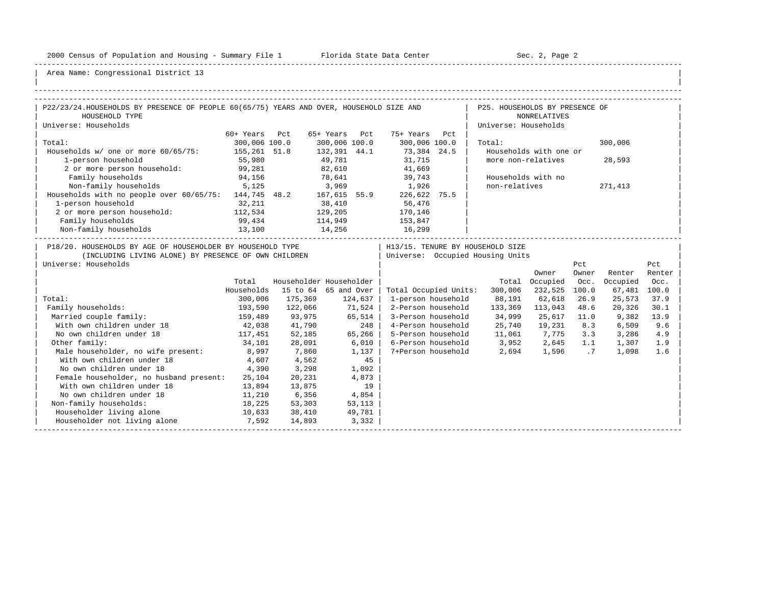-----------------------------------------------------------------------------------------------------------------------------------------------------

| |

| P22/23/24.HOUSEHOLDS BY PRESENCE OF PEOPLE 60(65/75) YEARS AND OVER, HOUSEHOLD SIZE AND                                                    |                  |                              |               |        |                              | P25. HOUSEHOLDS BY PRESENCE OF                                         |                        |       |              |        |
|--------------------------------------------------------------------------------------------------------------------------------------------|------------------|------------------------------|---------------|--------|------------------------------|------------------------------------------------------------------------|------------------------|-------|--------------|--------|
| HOUSEHOLD TYPE                                                                                                                             |                  |                              |               |        |                              |                                                                        | <b>NONRELATIVES</b>    |       |              |        |
| Universe: Households                                                                                                                       |                  |                              |               |        |                              | Universe: Households                                                   |                        |       |              |        |
|                                                                                                                                            | 60+ Years Pct    |                              |               |        | 65+ Years Pct 75+ Years Pct  |                                                                        |                        |       |              |        |
| Total:                                                                                                                                     | 300,006 100.0    |                              | 300,006 100.0 |        | 300,006 100.0                | Total:                                                                 |                        |       | 300,006      |        |
| Households w/ one or more 60/65/75: 155,261 51.8                                                                                           |                  |                              |               |        | $132,391$ 44.1 $73,384$ 24.5 |                                                                        | Households with one or |       |              |        |
| 1-person household                                                                                                                         | 55,980           |                              | 49,781        |        |                              |                                                                        | more non-relatives     |       | 28,593       |        |
| 2 or more person household:                                                                                                                | 99,281           |                              | 82,610        |        | 31,715<br>41,669             |                                                                        |                        |       |              |        |
| Family households                                                                                                                          | 94,156           |                              |               |        | 78,641 39,743                |                                                                        | Households with no     |       |              |        |
| Non-family households 5,125                                                                                                                |                  |                              |               |        | 3,969 1,926                  | non-relatives                                                          |                        |       | 271,413      |        |
| Households with no people over 60/65/75: 144,745 48.2 167,615 55.9 226,622 75.5                                                            |                  |                              |               |        |                              |                                                                        |                        |       |              |        |
| 1-person household                                                                                                                         | 32,211           |                              |               |        | 38,410 56,476                |                                                                        |                        |       |              |        |
| 2 or more person household: 112,534                                                                                                        |                  | 129,205                      |               |        | 170,146                      |                                                                        |                        |       |              |        |
| Family households                                                                                                                          |                  |                              | 114,949       |        | 153,847                      |                                                                        |                        |       |              |        |
| Non-family households                                                                                                                      | 99,434<br>13,100 |                              | 14,256        |        | 16,299                       |                                                                        |                        |       |              |        |
| P18/20. HOUSEHOLDS BY AGE OF HOUSEHOLDER BY HOUSEHOLD TYPE<br>(INCLUDING LIVING ALONE) BY PRESENCE OF OWN CHILDREN<br>Universe: Households |                  |                              |               |        |                              | H13/15. TENURE BY HOUSEHOLD SIZE<br>  Universe: Occupied Housing Units |                        | Pct   |              | Pct    |
|                                                                                                                                            |                  |                              |               |        |                              |                                                                        | Owner                  | Owner | Renter       | Renter |
|                                                                                                                                            | Total            | Householder Householder      |               |        |                              |                                                                        | Total Occupied Occ.    |       | Occupied     | Occ.   |
|                                                                                                                                            | Households       | 15 to 64 65 and Over $\vert$ |               |        | Total Occupied Units:        | 300,006                                                                | 232,525 100.0          |       | 67,481 100.0 |        |
| Total:                                                                                                                                     | 300,006          | 175,369 124,637              |               |        | 1-person household           |                                                                        | 88,191 62,618          | 26.9  | 25,573       | 37.9   |
| Family households:                                                                                                                         | 193,590          | 122,066                      | 71,524        |        | 2-Person household           |                                                                        | 133,369 113,043 48.6   |       | 20,326       | 30.1   |
| Married couple family:                                                                                                                     | 159,489          | 93,975                       | 65,514        |        |                              | 3-Person household 34,999                                              | 25,617 11.0            |       | 9,382        | 13.9   |
| With own children under 18                                                                                                                 |                  | 42,038 41,790                |               | 248    |                              | 4-Person household 25,740                                              | 19,231                 | 8.3   | 6,509        | 9.6    |
| No own children under 18                                                                                                                   |                  | 117,451 52,185               | 65, 266       |        |                              | 5-Person household 11,061 7,775 3.3                                    |                        |       | 3,286        | 4.9    |
| Other family:                                                                                                                              | 34,101           | 28,091                       | $6,010$       |        |                              | 6-Person household 3,952 2,645 1.1                                     |                        |       | 1,307        | 1.9    |
| Male householder, no wife present: 8,997 7,860                                                                                             |                  |                              |               | 1,137  |                              | 7+Person household 2,694 1,596 .7                                      |                        |       | 1,098        | 1.6    |
| With own children under 18                                                                                                                 | 4,607            | 4,562                        |               | 45     |                              |                                                                        |                        |       |              |        |
| No own children under 18                                                                                                                   | 4,390            | 3,298                        |               | 1,092  |                              |                                                                        |                        |       |              |        |
| Female householder, no husband present:                                                                                                    | 25,104           | 20,231                       |               | 4,873  |                              |                                                                        |                        |       |              |        |
| With own children under 18                                                                                                                 | 13,894           | 13,875                       |               | 19     |                              |                                                                        |                        |       |              |        |
| No own children under 18                                                                                                                   | 11,210           | 6,356                        | 4,854         |        |                              |                                                                        |                        |       |              |        |
| Non-family households:                                                                                                                     | 18,225           | 53,303                       |               | 53,113 |                              |                                                                        |                        |       |              |        |
| Householder living alone<br>10,633 38,410                                                                                                  |                  |                              |               | 49,781 |                              |                                                                        |                        |       |              |        |
| Householder not living alone 57,592                                                                                                        |                  | 14,893                       |               | 3,332  |                              |                                                                        |                        |       |              |        |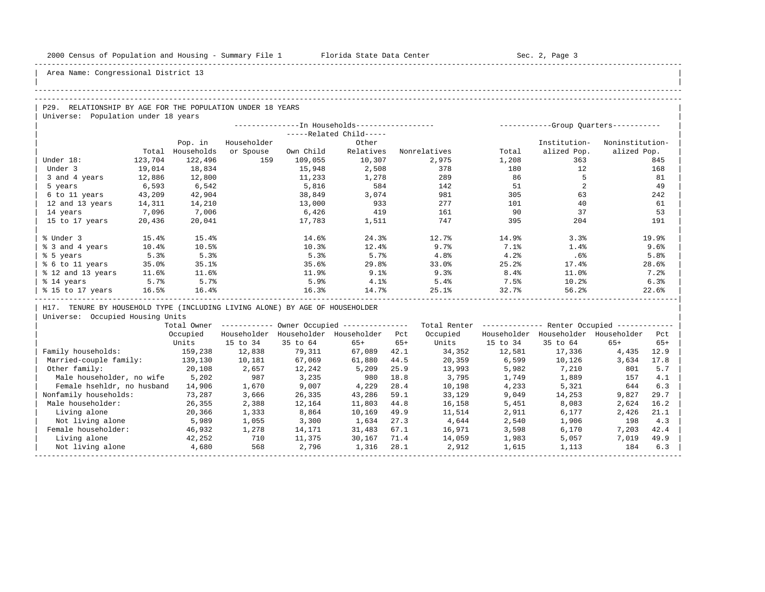-----------------------------------------------------------------------------------------------------------------------------------------------------

| |

Area Name: Congressional District 13

## -----------------------------------------------------------------------------------------------------------------------------------------------------

# -----------------------------------------------------------------------------------------------------------------------------------------------------

P29. RELATIONSHIP BY AGE FOR THE POPULATION UNDER 18 YEARS Universe: Population under 18 years

|                   |         |            |             |           | --In Households----------------- |              |       |              | -Group Ouarters----------- |
|-------------------|---------|------------|-------------|-----------|----------------------------------|--------------|-------|--------------|----------------------------|
|                   |         |            |             |           | -----Related Child-----          |              |       |              |                            |
|                   |         | Pop. in    | Householder |           | Other                            |              |       | Institution- | Noninstitution-            |
|                   | Total   | Households | or Spouse   | Own Child | Relatives                        | Nonrelatives | Total | alized Pop.  | alized Pop.                |
| Under 18:         | 123,704 | 122,496    | 159         | 109,055   | 10,307                           | 2,975        | 1,208 | 363          | 845                        |
| Under 3           | 19,014  | 18,834     |             | 15,948    | 2,508                            | 378          | 180   | 12           | 168                        |
| 3 and 4 years     | 12,886  | 12,800     |             | 11,233    | 1,278                            | 289          | 86    |              | 81                         |
| 5 years           | 6,593   | 6,542      |             | 5,816     | 584                              | 142          | 51    |              | 49                         |
| 6 to 11 years     | 43,209  | 42,904     |             | 38,849    | 3,074                            | 981          | 305   | 63           | 242                        |
| 12 and 13 years   | 14,311  | 14,210     |             | 13,000    | 933                              | 277          | 101   | 40           | 61                         |
| 14 years          | 7,096   | 7,006      |             | 6,426     | 419                              | 161          | 90    | 37           | 53                         |
| 15 to 17 years    | 20,436  | 20,041     |             | 17,783    | 1,511                            | 747          | 395   | 204          | 191                        |
|                   |         |            |             |           |                                  |              |       |              |                            |
| % Under 3         | 15.4%   | 15.4%      |             | 14.6%     | 24.3%                            | 12.7%        | 14.9% | 3.3%         | 19.9%                      |
| % 3 and 4 years   | 10.4%   | 10.5%      |             | 10.3%     | 12.4%                            | 9.7%         | 7.1%  | 1.4%         | 9.6%                       |
| % 5 years         | 5.3%    | 5.3%       |             | 5.3%      | 5.7%                             | 4.8%         | 4.2%  | .6%          | 5.8%                       |
| % 6 to 11 years   | 35.0%   | 35.1%      |             | 35.6%     | 29.8%                            | 33.0%        | 25.2% | 17.4%        | 28.6%                      |
| % 12 and 13 years | 11.6%   | 11.6%      |             | 11.9%     | 9.1%                             | 9.3%         | 8.4%  | 11.0%        | 7.2%                       |
| % 14 years        | 5.7%    | 5.7%       |             | 5.9%      | 4.1%                             | 5.4%         | 7.5%  | 10.2%        | 6.3%                       |
| % 15 to 17 years  | 16.5%   | 16.4%      |             | 16.3%     | 14.7%                            | 25.1%        | 32.7% | 56.2%        | 22.6%                      |
|                   |         |            |             |           |                                  |              |       |              |                            |

H17. TENURE BY HOUSEHOLD TYPE (INCLUDING LIVING ALONE) BY AGE OF HOUSEHOLDER

|                            | Total Owner |             |             | Owner Occupied --------------- |       | Total Renter |             | Renter Occupied - |             |       |
|----------------------------|-------------|-------------|-------------|--------------------------------|-------|--------------|-------------|-------------------|-------------|-------|
|                            | Occupied    | Householder | Householder | Householder                    | Pct   | Occupied     | Householder | Householder       | Householder | Pct   |
|                            | Units       | 15 to 34    | 35 to 64    | $65+$                          | $65+$ | Units        | 15 to 34    | 35 to 64          | $65+$       | $65+$ |
| Family households:         | 159,238     | 12,838      | 79,311      | 67,089                         | 42.1  | 34,352       | 12,581      | 17,336            | 4,435       | 12.9  |
| Married-couple family:     | 139,130     | 10,181      | 67,069      | 61,880                         | 44.5  | 20,359       | 6,599       | 10,126            | 3,634       | 17.8  |
| Other family:              | 20,108      | 2,657       | 12,242      | 5,209                          | 25.9  | 13,993       | 5,982       | 7,210             | 801         | 5.7   |
| Male householder, no wife  | 5,202       | 987         | 3,235       | 980                            | 18.8  | 3,795        | 1,749       | 1,889             | 157         | 4.1   |
| Female hsehldr, no husband | 14,906      | 1,670       | 9,007       | 4,229                          | 28.4  | 10,198       | 4,233       | 5,321             | 644         | 6.3   |
| Nonfamily households:      | 73,287      | 3,666       | 26,335      | 43,286                         | 59.1  | 33,129       | 9,049       | 14,253            | 9,827       | 29.7  |
| Male householder:          | 26,355      | 2,388       | 12,164      | 11,803                         | 44.8  | 16,158       | 5,451       | 8,083             | 2,624       | 16.2  |
| Living alone               | 20,366      | 1,333       | 8,864       | 10,169                         | 49.9  | 11,514       | 2,911       | 6,177             | 2,426       | 21.1  |
| Not living alone           | 5,989       | 1,055       | 3,300       | 1,634                          | 27.3  | 4,644        | 2,540       | 1,906             | 198         | 4.3   |
| Female householder:        | 46,932      | 1,278       | 14,171      | 31,483                         | 67.1  | 16,971       | 3,598       | 6,170             | 7,203       | 42.4  |
| Living alone               | 42,252      | 710         | 11,375      | 30,167                         | 71.4  | 14,059       | 1,983       | 5,057             | 7,019       | 49.9  |
| Not living alone           | 4,680       | 568         | 2,796       | 1,316                          | 28.1  | 2,912        | 1,615       | 1,113             | 184         | 6.3   |
|                            |             |             |             |                                |       |              |             |                   |             |       |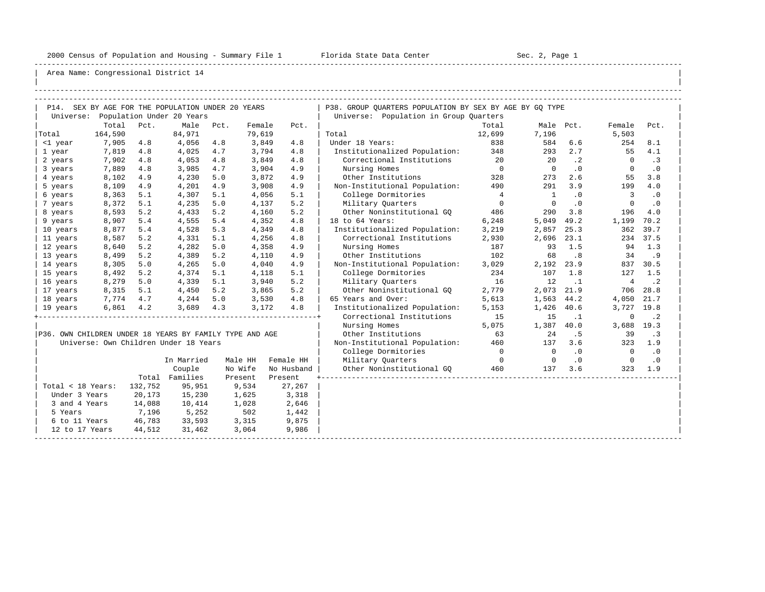-----------------------------------------------------------------------------------------------------------------------------------------------------

| |

|                   |         |         | P14. SEX BY AGE FOR THE POPULATION UNDER 20 YEARS       |      |         |            | P38. GROUP OUARTERS POPULATION BY SEX BY AGE BY GO TYPE |                |                          |           |                         |             |
|-------------------|---------|---------|---------------------------------------------------------|------|---------|------------|---------------------------------------------------------|----------------|--------------------------|-----------|-------------------------|-------------|
|                   |         |         | Universe: Population Under 20 Years                     |      |         |            | Universe: Population in Group Quarters                  |                |                          |           |                         |             |
|                   | Total   | Pct.    | Male                                                    | Pct. | Female  | Pct.       |                                                         | Total          |                          | Male Pct. | Female                  | Pct.        |
| Total             | 164,590 |         | 84,971                                                  |      | 79,619  |            | Total                                                   | 12,699         | 7,196                    |           | 5,503                   |             |
| <1 year           | 7,905   | 4.8     | 4,056                                                   | 4.8  | 3,849   | 4.8        | Under 18 Years:                                         | 838            | 584                      | 6.6       | 254                     | 8.1         |
| 1 year            | 7,819   | 4.8     | 4,025                                                   | 4.7  | 3,794   | 4.8        | Institutionalized Population: 348                       |                | 293                      | 2.7       | 55                      | 4.1         |
| 2 years           | 7,902   | 4.8     | 4,053                                                   | 4.8  | 3,849   | 4.8        | Correctional Institutions                               | 20             | 20                       | $\cdot$ 2 | $\overline{0}$          | .3          |
| 3 years           | 7,889   | 4.8     | 3,985                                                   | 4.7  | 3,904   | 4.9        | Nursing Homes                                           | $\overline{0}$ | $\bigcirc$               | .0        | $\Omega$                | $\cdot$ 0   |
| 4 years           | 8,102   | 4.9     | 4,230                                                   | 5.0  | 3,872   | 4.9        | Other Institutions                                      | 328            | 273                      | 2.6       | 55                      | 3.8         |
| 5 years           | 8,109   | 4.9     | 4,201                                                   | 4.9  | 3,908   | 4.9        | Non-Institutional Population:                           | 490            | 291                      | 3.9       | 199                     | 4.0         |
| 6 years           | 8,363   | 5.1     | 4,307                                                   | 5.1  | 4,056   | 5.1        | College Dormitories                                     | $\overline{4}$ | $\mathbf{1}$             | $\cdot$ 0 | $\overline{\mathbf{3}}$ | .0          |
| 7 years           | 8,372   | 5.1     | 4,235                                                   | 5.0  | 4,137   | 5.2        | Military Quarters                                       | $\overline{0}$ | $\bigcirc$               | $\cdot$ 0 | $\Omega$                | .0          |
| 8 years           | 8,593   | 5.2     | 4,433                                                   | 5.2  | 4,160   | 5.2        | Other Noninstitutional GO                               | 486            | 290                      | 3.8       | 196                     | 4.0         |
| 9 years           | 8,907   | 5.4     | 4,555                                                   | 5.4  | 4,352   | 4.8        | 18 to 64 Years:                                         | 6,248          | 5,049                    | 49.2      | 1,199                   | 70.2        |
| 10 years          | 8,877   | 5.4     | 4,528                                                   | 5.3  | 4,349   | 4.8        | Institutionalized Population:                           | 3,219          | 2,857                    | 25.3      | 362                     | 39.7        |
| 11 years          | 8,587   | 5.2     | 4,331                                                   | 5.1  | 4,256   | 4.8        | Correctional Institutions                               | 2,930          | 2,696                    | 23.1      |                         | 234 37.5    |
| 12 years          | 8,640   | 5.2     | 4,282                                                   | 5.0  | 4,358   | 4.9        | Nursing Homes                                           | 187            | 93                       | 1.5       |                         | 94 1.3      |
| 13 years          | 8,499   | 5.2     | 4,389                                                   | 5.2  | 4,110   | 4.9        | Other Institutions                                      | 102            | 68                       | .8        | 34                      | .9          |
| 14 years          | 8,305   | 5.0     | 4,265                                                   | 5.0  | 4,040   | 4.9        | Non-Institutional Population:                           | 3,029          | 2,192                    | 23.9      |                         | 837 30.5    |
| 15 years          | 8,492   | 5.2     | 4,374                                                   | 5.1  | 4,118   | 5.1        | College Dormitories                                     | 234            | 107                      | 1.8       | 127                     | 1.5         |
| 16 years          | 8,279   | 5.0     | 4,339                                                   | 5.1  | 3,940   | 5.2        | Military Ouarters                                       | 16             | 12                       | $\ldots$  | 4                       | $\cdot$ . 2 |
| 17 years          | 8,315   | 5.1     | 4,450                                                   | 5.2  | 3,865   | 5.2        | Other Noninstitutional GQ                               | 2,779          | 2,073                    | 21.9      |                         | 706 28.8    |
| 18 years          | 7,774   | 4.7     | $4,244$ 5.0                                             |      | 3,530   | 4.8        | 65 Years and Over:                                      | 5,613          | 1,563                    | 44.2      | 4,050                   | 21.7        |
| 19 years          | 6,861   | 4.2     | 3,689                                                   | 4.3  | 3,172   | 4.8        | Institutionalized Population:                           | 5,153          | 1,426 40.6               |           | 3,727 19.8              |             |
|                   |         |         |                                                         |      |         |            | Correctional Institutions                               | 15             | 15                       | $\cdot$ 1 | 0                       | $\cdot$ 2   |
|                   |         |         |                                                         |      |         |            | Nursing Homes                                           | 5,075          | 1,387 40.0               |           | 3,688 19.3              |             |
|                   |         |         | P36. OWN CHILDREN UNDER 18 YEARS BY FAMILY TYPE AND AGE |      |         |            | Other Institutions                                      | 63             | 24                       | .5        | 39                      | . 3         |
|                   |         |         | Universe: Own Children Under 18 Years                   |      |         |            | Non-Institutional Population: 460                       |                | 137                      | 3.6       | 323                     | 1.9         |
|                   |         |         |                                                         |      |         |            | College Dormitories                                     | $\overline{0}$ | $\overline{0}$           | .0        | $\overline{0}$          | $\cdot$ 0   |
|                   |         |         | In Married                                              |      | Male HH | Female HH  | Military Ouarters                                       | $\overline{0}$ | $\overline{\phantom{0}}$ | $\cdot$ 0 | $\overline{0}$          | $\cdot$ 0   |
|                   |         |         | Couple                                                  |      | No Wife | No Husband | Other Noninstitutional GO 460                           |                | 137                      | 3.6       | 323                     | 1.9         |
|                   |         |         | Total Families                                          |      | Present | Present    |                                                         |                |                          |           |                         |             |
| Total < 18 Years: |         | 132,752 | 95,951                                                  |      | 9,534   | 27,267     |                                                         |                |                          |           |                         |             |
| Under 3 Years     |         | 20,173  | 15,230                                                  |      | 1,625   | 3,318      |                                                         |                |                          |           |                         |             |
| 3 and 4 Years     |         | 14,088  | 10,414                                                  |      | 1,028   | 2,646      |                                                         |                |                          |           |                         |             |
| 5 Years           |         | 7,196   | 5,252                                                   |      | 502     | 1,442      |                                                         |                |                          |           |                         |             |
| 6 to 11 Years     |         | 46,783  | 33,593                                                  |      | 3,315   | 9,875      |                                                         |                |                          |           |                         |             |
| 12 to 17 Years    |         | 44,512  | 31,462                                                  |      | 3,064   | 9,986      |                                                         |                |                          |           |                         |             |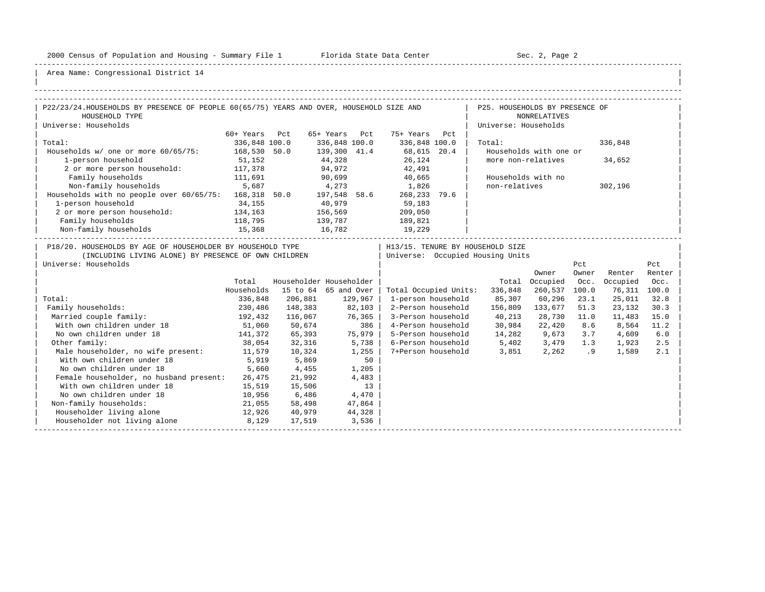-----------------------------------------------------------------------------------------------------------------------------------------------------

| |

| P22/23/24.HOUSEHOLDS BY PRESENCE OF PEOPLE 60(65/75) YEARS AND OVER, HOUSEHOLD SIZE AND                                                    |                     |                         |               |         |                                                              | the contract of the contract | P25. HOUSEHOLDS BY PRESENCE OF                                         |                                 |         |                          |        |
|--------------------------------------------------------------------------------------------------------------------------------------------|---------------------|-------------------------|---------------|---------|--------------------------------------------------------------|------------------------------|------------------------------------------------------------------------|---------------------------------|---------|--------------------------|--------|
| HOUSEHOLD TYPE                                                                                                                             |                     |                         |               |         |                                                              |                              |                                                                        | <b>NONRELATIVES</b>             |         |                          |        |
| Universe: Households                                                                                                                       |                     |                         |               |         |                                                              |                              | Universe: Households                                                   |                                 |         |                          |        |
|                                                                                                                                            | 60+ Years Pct       |                         | 65+ Years Pct |         | 75+ Years Pct                                                |                              |                                                                        |                                 |         |                          |        |
| Total:                                                                                                                                     | 336,848 100.0       |                         | 336,848 100.0 |         | 336,848 100.0                                                |                              | Total:                                                                 |                                 |         | 336,848                  |        |
| Households w/ one or more 60/65/75: 168,530 50.0                                                                                           |                     |                         |               |         |                                                              |                              |                                                                        | Households with one or          |         |                          |        |
| 1-person household                                                                                                                         | 51,152              |                         |               |         | $139,300$ 41.4 68,615 20.4<br>44,328 26,124<br>94,972 42,491 |                              | more non-relatives                                                     |                                 |         | 34,652                   |        |
| 2 or more person household: 117,378                                                                                                        |                     |                         | 94,972        |         |                                                              |                              |                                                                        |                                 |         |                          |        |
| Family households                                                                                                                          | 111,691             |                         |               |         | 90,699 40,665                                                |                              |                                                                        | Households with no              |         |                          |        |
| Non-family households 5,687                                                                                                                |                     |                         |               |         | 4,273 1,826                                                  |                              | non-relatives                                                          |                                 |         | 302,196                  |        |
| Households with no people over 60/65/75: 168,318 50.0 197,548 58.6                                                                         |                     |                         |               |         | 268,233 79.6                                                 |                              |                                                                        |                                 |         |                          |        |
| 1-person household                                                                                                                         | 34,155              | 40,979                  |               |         | 59,183                                                       |                              |                                                                        |                                 |         |                          |        |
| 2 or more person household: 134,163                                                                                                        |                     | 156,569                 |               |         | 209,050                                                      |                              |                                                                        |                                 |         |                          |        |
| Family households                                                                                                                          | 118,795             | 139,787                 |               |         | 189,821                                                      |                              |                                                                        |                                 |         |                          |        |
| Non-family households                                                                                                                      | 15,368              | 16,782                  |               |         | 19,229                                                       |                              |                                                                        |                                 |         |                          |        |
| P18/20. HOUSEHOLDS BY AGE OF HOUSEHOLDER BY HOUSEHOLD TYPE<br>(INCLUDING LIVING ALONE) BY PRESENCE OF OWN CHILDREN<br>Universe: Households |                     |                         |               |         |                                                              |                              | H13/15. TENURE BY HOUSEHOLD SIZE<br>  Universe: Occupied Housing Units |                                 | Pct     |                          | Pct    |
|                                                                                                                                            |                     | Householder Householder |               |         |                                                              |                              |                                                                        | Owner                           | Owner   | Renter                   | Renter |
|                                                                                                                                            | Total<br>Households | 15 to 64 65 and Over    |               |         |                                                              |                              |                                                                        | Total Occupied<br>260,537 100.0 | Occ.    | Occupied<br>76,311 100.0 | Occ.   |
| Total:                                                                                                                                     | 336,848             | 206,881                 | 129,967       |         | Total Occupied Units:<br>1-person household                  |                              | 336,848<br>85,307 60,296                                               |                                 | 23.1    | 25,011                   | 32.8   |
| Family households:                                                                                                                         | 230,486             | 148,383                 | 82,103        |         | 2-Person household                                           |                              | 156,809 133,677                                                        |                                 | 51.3    | 23,132                   | 30.3   |
| Married couple family:                                                                                                                     | 192,432             | 116,067                 | 76, 365       |         |                                                              |                              | 3-Person household 40,213                                              | 28,730 11.0                     |         | 11,483                   | 15.0   |
| 51,060<br>With own children under 18                                                                                                       |                     | 50,674                  |               | 386     |                                                              |                              | 4-Person household 30,984                                              | 22,420                          | 8.6     | 8,564                    | 11.2   |
| No own children under 18                                                                                                                   |                     | 141,372 65,393          | 75,979        |         |                                                              |                              | 5-Person household 14,282 9,673                                        |                                 | 3.7     | 4,609                    | 6.0    |
| Other family:                                                                                                                              |                     | 38,054 32,316           |               | 5,738   |                                                              |                              | 6-Person household 5,402 3,479 1.3                                     |                                 |         | 1,923                    | 2.5    |
| Male householder, no wife present: 11,579                                                                                                  |                     | 10,324                  |               | $1,255$ |                                                              |                              | 7+Person household 3,851                                               |                                 | 2,262.9 | 1,589                    | 2.1    |
| With own children under 18                                                                                                                 | 5,919               | 5,869                   |               | 50      |                                                              |                              |                                                                        |                                 |         |                          |        |
| No own children under 18                                                                                                                   | 5,660               | 4,455                   |               | 1,205   |                                                              |                              |                                                                        |                                 |         |                          |        |
| Female householder, no husband present: 26,475                                                                                             |                     | 21,992                  |               | 4,483   |                                                              |                              |                                                                        |                                 |         |                          |        |
| With own children under 18                                                                                                                 | 15,519              | 15,506                  |               | 13      |                                                              |                              |                                                                        |                                 |         |                          |        |
| No own children under 18                                                                                                                   | 10,956              | 6,486                   | 4,470         |         |                                                              |                              |                                                                        |                                 |         |                          |        |
| Non-family households:                                                                                                                     | 21,055              | 58,498                  |               | 47,864  |                                                              |                              |                                                                        |                                 |         |                          |        |
| Householder living alone<br>12,926                                                                                                         |                     | 40,979                  | 44,328        |         |                                                              |                              |                                                                        |                                 |         |                          |        |
| Householder not living alone 8,129 17,519                                                                                                  |                     |                         |               | 3,536   |                                                              |                              |                                                                        |                                 |         |                          |        |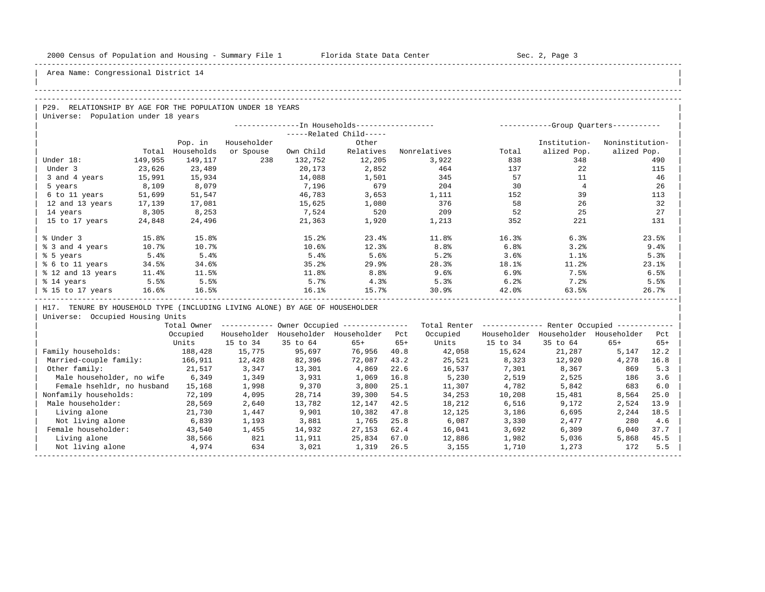| |

Area Name: Congressional District 14

### -----------------------------------------------------------------------------------------------------------------------------------------------------

#### -----------------------------------------------------------------------------------------------------------------------------------------------------

| $\overline{P29}$ .<br>RELATIONSHIP BY AGE FOR THE POPULATION UNDER 18 YEARS |  |
|-----------------------------------------------------------------------------|--|
| Universe: Population under 18 years                                         |  |

|                   |         |            |             |           | --In Households------------------ |              | ----------- |              | -Group Quarters----------- |
|-------------------|---------|------------|-------------|-----------|-----------------------------------|--------------|-------------|--------------|----------------------------|
|                   |         |            |             |           | $---Related Child---$             |              |             |              |                            |
|                   |         | Pop. in    | Householder |           | Other                             |              |             | Institution- | Noninstitution-            |
|                   | Total   | Households | or Spouse   | Own Child | Relatives                         | Nonrelatives | Total       | alized Pop.  | alized Pop.                |
| Under 18:         | 149,955 | 149,117    | 238         | 132,752   | 12,205                            | 3,922        | 838         | 348          | 490                        |
| Under 3           | 23,626  | 23,489     |             | 20,173    | 2,852                             | 464          | 137         | 22           | 115                        |
| 3 and 4 years     | 15,991  | 15,934     |             | 14,088    | 1,501                             | 345          | 57          | 11           | 46                         |
| 5 years           | 8,109   | 8,079      |             | 7,196     | 679                               | 204          | 30          |              | 26                         |
| 6 to 11 years     | 51,699  | 51,547     |             | 46,783    | 3,653                             | 1,111        | 152         | 39           | 113                        |
| 12 and 13 years   | 17,139  | 17,081     |             | 15,625    | 1,080                             | 376          | 58          | 26           | 32                         |
| 14 years          | 8,305   | 8,253      |             | 7,524     | 520                               | 209          | 52          | 25           | 27                         |
| 15 to 17 years    | 24,848  | 24,496     |             | 21,363    | 1,920                             | 1,213        | 352         | 221          | 131                        |
|                   |         |            |             |           |                                   |              |             |              |                            |
| % Under 3         | 15.8%   | 15.8%      |             | 15.2%     | 23.4%                             | 11.8%        | 16.3%       | 6.3%         | 23.5%                      |
| % 3 and 4 years   | 10.7%   | 10.7%      |             | 10.6%     | 12.3%                             | 8.8%         | 6.8%        | 3.2%         | 9.4%                       |
| % 5 years         | 5.4%    | 5.4%       |             | 5.4%      | 5.6%                              | 5.2%         | 3.6%        | 1.1%         | 5.3%                       |
| % 6 to 11 years   | 34.5%   | 34.6%      |             | 35.2%     | 29.9                              | 28.3%        | 18.1%       | 11.2%        | 23.1%                      |
| % 12 and 13 years | 11.4%   | 11.5%      |             | 11.8%     | 8.8 <sup>°</sup>                  | 9.6%         | 6.9%        | 7.5%         | 6.5%                       |
| % 14 years        | 5.5%    | 5.5%       |             | 5.7%      | 4.3%                              | 5.3%         | 6.2%        | 7.2%         | 5.5%                       |
| % 15 to 17 years  | 16.6%   | 16.5%      |             | 16.1%     | 15.7%                             | 30.9%        | 42.0%       | 63.5%        | 26.7%                      |
|                   |         |            |             |           |                                   |              |             |              |                            |

| H17. TENURE BY HOUSEHOLD TYPE (INCLUDING LIVING ALONE) BY AGE OF HOUSEHOLDER |

|                            | Total Owner |             |             | Owner Occupied --------------- |       | Total Renter |             | Renter Occupied -- |             |       |  |
|----------------------------|-------------|-------------|-------------|--------------------------------|-------|--------------|-------------|--------------------|-------------|-------|--|
|                            | Occupied    | Householder | Householder | Householder                    | Pct   | Occupied     | Householder | Householder        | Householder | Pct   |  |
|                            | Units       | 15 to 34    | 35 to 64    | $65+$                          | $65+$ | Units        | 15 to 34    | 35 to 64           | $65+$       | $65+$ |  |
| Family households:         | 188,428     | 15,775      | 95,697      | 76,956                         | 40.8  | 42,058       | 15,624      | 21,287             | 5,147       | 12.2  |  |
| Married-couple family:     | 166,911     | 12,428      | 82,396      | 72,087                         | 43.2  | 25,521       | 8,323       | 12,920             | 4,278       | 16.8  |  |
| Other family:              | 21,517      | 3,347       | 13,301      | 4,869                          | 22.6  | 16,537       | 7,301       | 8,367              | 869         | 5.3   |  |
| Male householder, no wife  | 6,349       | 1,349       | 3,931       | 1,069                          | 16.8  | 5,230        | 2,519       | 2,525              | 186         | 3.6   |  |
| Female hsehldr, no husband | 15,168      | 1,998       | 9,370       | 3,800                          | 25.1  | 11,307       | 4,782       | 5,842              | 683         | 6.0   |  |
| Nonfamily households:      | 72,109      | 4,095       | 28,714      | 39,300                         | 54.5  | 34,253       | 10,208      | 15,481             | 8,564       | 25.0  |  |
| Male householder:          | 28,569      | 2,640       | 13,782      | 12,147                         | 42.5  | 18,212       | 6,516       | 9,172              | 2,524       | 13.9  |  |
| Living alone               | 21,730      | 1,447       | 9,901       | 10,382                         | 47.8  | 12,125       | 3,186       | 6,695              | 2,244       | 18.5  |  |
| Not living alone           | 6,839       | 1,193       | 3,881       | 1,765                          | 25.8  | 6,087        | 3,330       | 2,477              | 280         | 4.6   |  |
| Female householder:        | 43,540      | 1,455       | 14,932      | 27,153                         | 62.4  | 16,041       | 3,692       | 6,309              | 6.040       | 37.7  |  |
| Living alone               | 38,566      | 821         | 11,911      | 25,834                         | 67.0  | 12,886       | 1,982       | 5,036              | 5,868       | 45.5  |  |
| Not living alone           | 4,974       | 634         | 3,021       | 1,319                          | 26.5  | 3,155        | 1,710       | 1,273              | 172         | 5.5   |  |
|                            |             |             |             |                                |       |              |             |                    |             |       |  |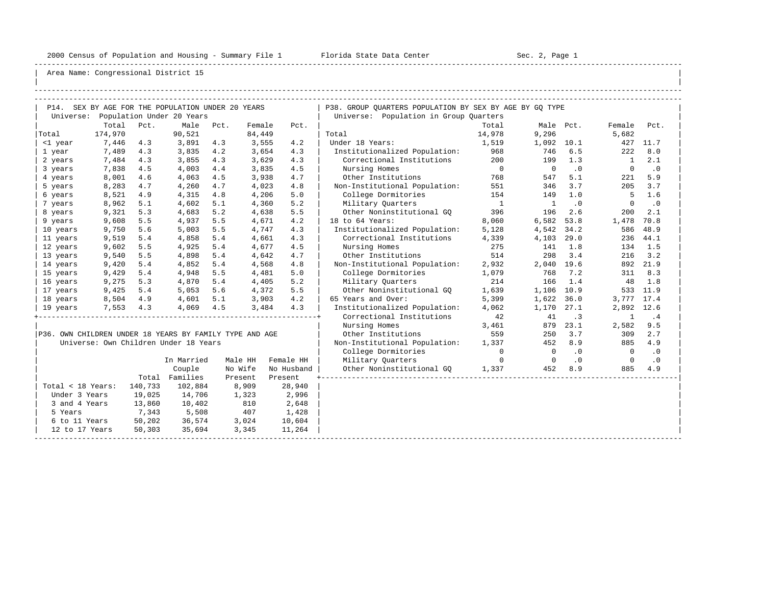-----------------------------------------------------------------------------------------------------------------------------------------------------

| |

|                   |         |         | P14. SEX BY AGE FOR THE POPULATION UNDER 20 YEARS       |      |         |            | P38. GROUP OUARTERS POPULATION BY SEX BY AGE BY GO TYPE |                          |                          |           |                |           |
|-------------------|---------|---------|---------------------------------------------------------|------|---------|------------|---------------------------------------------------------|--------------------------|--------------------------|-----------|----------------|-----------|
|                   |         |         | Universe: Population Under 20 Years                     |      |         |            | Universe: Population in Group Quarters                  |                          |                          |           |                |           |
|                   | Total   | Pct.    | Male                                                    | Pct. | Female  | Pct.       |                                                         | Total                    | Male Pct.                |           | Female         | Pct.      |
| Total             | 174,970 |         | 90,521                                                  |      | 84,449  |            | Total                                                   | 14,978                   | 9,296                    |           | 5,682          |           |
| <1 year           | 7,446   | 4.3     | 3,891                                                   | 4.3  | 3,555   | 4.2        | Under 18 Years:                                         | 1,519                    | 1,092 10.1               |           |                | 427 11.7  |
| 1 year            | 7,489   | 4.3     | 3,835                                                   | 4.2  | 3,654   | 4.3        | Institutionalized Population: 968                       |                          | 746                      | 6.5       | 222            | 8.0       |
| 2 years           | 7,484   | 4.3     | 3,855                                                   | 4.3  | 3,629   | 4.3        | Correctional Institutions                               | 200                      | 199                      | 1.3       | $\overline{1}$ | 2.1       |
| 3 years           | 7,838   | 4.5     | 4,003                                                   | 4.4  | 3,835   | 4.5        | Nursing Homes                                           | $\overline{0}$           | $\overline{0}$           | $\cdot$ 0 | $\mathbf{0}$   | $\cdot$ 0 |
| 4 years           | 8,001   | 4.6     | 4,063                                                   | 4.5  | 3,938   | 4.7        | Other Institutions                                      | 768                      | 547                      | 5.1       | 221            | 5.9       |
| 5 years           | 8,283   | 4.7     | 4,260                                                   | 4.7  | 4,023   | 4.8        | Non-Institutional Population:                           | 551                      | 346                      | 3.7       | 205            | 3.7       |
| 6 years           | 8,521   | 4.9     | 4,315                                                   | 4.8  | 4,206   | 5.0        | College Dormitories                                     | 154                      | 149                      | 1.0       | - 5            | 1.6       |
| 7 years           | 8,962   | 5.1     | 4,602                                                   | 5.1  | 4,360   | 5.2        | Military Ouarters                                       | $\overline{\phantom{a}}$ | $\overline{1}$           | $\cdot$ 0 | $\mathbf{0}$   | $\cdot$ 0 |
| 8 years           | 9,321   | 5.3     | 4,683                                                   | 5.2  | 4,638   | 5.5        | Other Noninstitutional GO                               | 396                      | 196                      | 2.6       | 200            | 2.1       |
| 9 years           | 9,608   | 5.5     | 4,937                                                   | 5.5  | 4,671   | 4.2        | 18 to 64 Years:                                         | 8,060                    | 6,582                    | 53.8      | 1,478          | 70.8      |
| 10 years          | 9,750   | 5.6     | 5,003                                                   | 5.5  | 4,747   | 4.3        | Institutionalized Population:                           | 5,128                    | 4,542                    | 34.2      | 586            | 48.9      |
| 11 years          | 9,519   | 5.4     | 4,858                                                   | 5.4  | 4,661   | 4.3        | Correctional Institutions                               | 4,339                    | 4,103                    | 29.0      | 236            | 44.1      |
| 12 years          | 9,602   | 5.5     | 4,925                                                   | 5.4  | 4,677   | 4.5        | Nursing Homes                                           | 275                      | 141                      | 1.8       | 134            | 1.5       |
| 13 years          | 9,540   | 5.5     | 4,898                                                   | 5.4  | 4,642   | 4.7        | Other Institutions                                      | 514                      | 298                      | 3.4       | 216            | 3.2       |
| 14 years          | 9,420   | 5.4     | 4,852                                                   | 5.4  | 4,568   | 4.8        | Non-Institutional Population:                           | 2,932                    | 2,040 19.6               |           |                | 892 21.9  |
| 15 years          | 9,429   | 5.4     | 4,948                                                   | 5.5  | 4,481   | 5.0        | College Dormitories                                     | 1,079                    | 768                      | 7.2       | 311            | 8.3       |
| 16 years          | 9,275   | 5.3     | 4,870                                                   | 5.4  | 4,405   | 5.2        | Military Ouarters                                       | 214                      | 166                      | 1.4       | 48             | 1.8       |
| 17 years          | 9,425   | 5.4     | 5,053                                                   | 5.6  | 4,372   | 5.5        | Other Noninstitutional GO                               | 1,639                    | 1,106 10.9               |           |                | 533 11.9  |
| 18 years          | 8,504   | 4.9     | 4,601                                                   | 5.1  | 3,903   | 4.2        | 65 Years and Over:                                      | 5,399                    | 1,622                    | 36.0      | 3,777 17.4     |           |
| 19 years          | 7,553   | 4.3     | 4,069                                                   | 4.5  | 3,484   | 4.3        | Institutionalized Population:                           | 4,062                    | 1,170                    | 27.1      | 2,892          | 12.6      |
|                   |         |         |                                                         |      |         |            | Correctional Institutions                               | 42                       | 41                       | $\cdot$ 3 | $\mathbf{1}$   | .4        |
|                   |         |         |                                                         |      |         |            | Nursing Homes                                           | 3,461                    | 879                      | 23.1      | 2,582          | 9.5       |
|                   |         |         | P36. OWN CHILDREN UNDER 18 YEARS BY FAMILY TYPE AND AGE |      |         |            | Other Institutions                                      | 559                      | 250                      | 3.7       | 309            | 2.7       |
|                   |         |         | Universe: Own Children Under 18 Years                   |      |         |            | Non-Institutional Population:                           | 1,337                    | 452                      | 8.9       | 885            | 4.9       |
|                   |         |         |                                                         |      |         |            | College Dormitories                                     | $\overline{0}$           | $\overline{\phantom{0}}$ | .0        | $\overline{0}$ | $\cdot$ 0 |
|                   |         |         | In Married                                              |      | Male HH | Female HH  | Military Ouarters                                       | $\overline{0}$           | $\overline{0}$           | $\cdot$ 0 | $\mathbf{0}$   | $\cdot$ 0 |
|                   |         |         | Couple                                                  |      | No Wife | No Husband | Other Noninstitutional GO                               | 1,337                    | 452                      | 8.9       | 885            | 4.9       |
|                   |         |         | Total Families                                          |      | Present | Present    |                                                         |                          |                          |           |                |           |
| Total < 18 Years: |         | 140,733 | 102,884                                                 |      | 8,909   | 28,940     |                                                         |                          |                          |           |                |           |
| Under 3 Years     |         | 19,025  | 14,706                                                  |      | 1,323   | 2,996      |                                                         |                          |                          |           |                |           |
| 3 and 4 Years     |         | 13,860  | 10,402                                                  |      | 810     | 2,648      |                                                         |                          |                          |           |                |           |
| 5 Years           |         | 7,343   | 5,508                                                   |      | 407     | 1,428      |                                                         |                          |                          |           |                |           |
| 6 to 11 Years     |         | 50,202  | 36,574                                                  |      | 3,024   | 10,604     |                                                         |                          |                          |           |                |           |
| 12 to 17 Years    |         | 50,303  | 35,694                                                  |      | 3,345   | 11,264     |                                                         |                          |                          |           |                |           |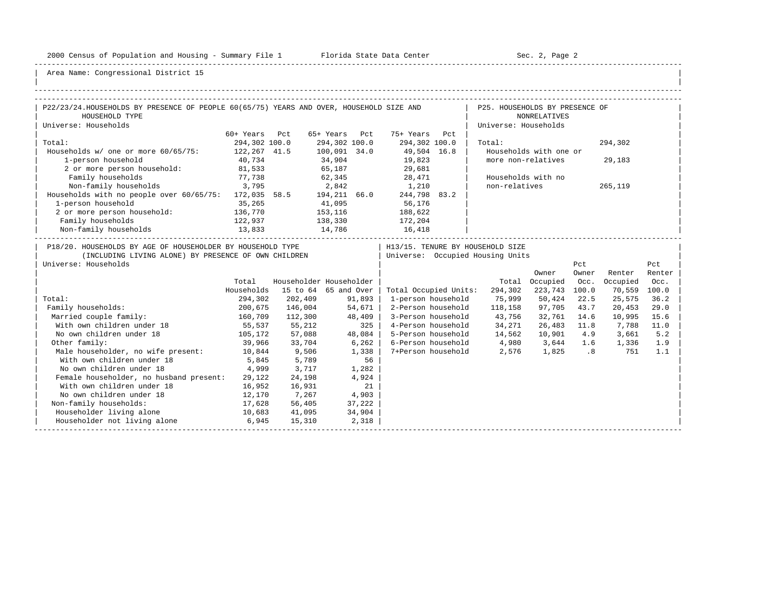-----------------------------------------------------------------------------------------------------------------------------------------------------

| |

| P22/23/24.HOUSEHOLDS BY PRESENCE OF PEOPLE 60(65/75) YEARS AND OVER, HOUSEHOLD SIZE AND                                                    |               |                              |               |        |                       | P25. HOUSEHOLDS BY PRESENCE OF                                       |                        |              |              |               |
|--------------------------------------------------------------------------------------------------------------------------------------------|---------------|------------------------------|---------------|--------|-----------------------|----------------------------------------------------------------------|------------------------|--------------|--------------|---------------|
| HOUSEHOLD TYPE                                                                                                                             |               |                              |               |        |                       |                                                                      | <b>NONRELATIVES</b>    |              |              |               |
| Universe: Households                                                                                                                       |               |                              |               |        |                       | Universe: Households                                                 |                        |              |              |               |
|                                                                                                                                            | 60+ Years Pct |                              | 65+ Years Pct |        | 75+ Years Pct         |                                                                      |                        |              |              |               |
| Total:                                                                                                                                     | 294,302 100.0 |                              | 294,302 100.0 |        | 294,302 100.0         | Total:                                                               |                        |              | 294,302      |               |
| Households w/ one or more 60/65/75: 122,267 41.5                                                                                           |               |                              | 100,091 34.0  |        | 49,504 16.8           |                                                                      | Households with one or |              |              |               |
| 1-person household                                                                                                                         | 40,734        |                              | 34,904        |        | 19,823                | more non-relatives                                                   |                        |              | 29,183       |               |
| 2 or more person household: 81,533                                                                                                         |               |                              |               |        | 65, 187 29, 681       |                                                                      |                        |              |              |               |
| Family households                                                                                                                          | 77,738        |                              |               |        | 62,345 28,471         | Households with no                                                   |                        |              |              |               |
| 3,795<br>Non-family households                                                                                                             |               |                              |               |        | 2,842 1,210           | non-relatives                                                        |                        |              | 265,119      |               |
| Households with no people over 60/65/75: 172,035 58.5 194,211 66.0                                                                         |               |                              |               |        | 244,798 83.2          |                                                                      |                        |              |              |               |
| 1-person household                                                                                                                         | 35,265        |                              | 41,095        |        | 56,176                |                                                                      |                        |              |              |               |
| 2 or more person household:                                                                                                                | 136,770       |                              |               |        | 188,622               |                                                                      |                        |              |              |               |
| Family households                                                                                                                          | 122,937       | 153,116<br>138,330<br>14,786 |               |        | 172,204               |                                                                      |                        |              |              |               |
| Non-family households                                                                                                                      | 13,833        |                              |               |        | 16,418                |                                                                      |                        |              |              |               |
| P18/20. HOUSEHOLDS BY AGE OF HOUSEHOLDER BY HOUSEHOLD TYPE<br>(INCLUDING LIVING ALONE) BY PRESENCE OF OWN CHILDREN<br>Universe: Households |               |                              |               |        |                       | H13/15. TENURE BY HOUSEHOLD SIZE<br>Universe: Occupied Housing Units | Owner                  | Pct<br>Owner | Renter       | Pct<br>Renter |
|                                                                                                                                            | Total         | Householder Householder      |               |        |                       |                                                                      | Total Occupied         | Occ.         | Occupied     | Occ.          |
|                                                                                                                                            | Households    | 15 to 64 65 and Over         |               |        | Total Occupied Units: | 294,302                                                              | 223,743 100.0          |              | 70,559 100.0 |               |
| Total:                                                                                                                                     | 294,302       | 202,409                      |               | 91,893 | 1-person household    | 75,999                                                               | 50,424 22.5            |              | 25,575       | 36.2          |
| Family households:                                                                                                                         | 200,675       | 146,004                      |               | 54,671 | 2-Person household    | 118,158                                                              | 97,705 43.7            |              | 20,453       | 29.0          |
| Married couple family:                                                                                                                     | 160,709       | 112,300                      | 48,409        |        |                       | 3-Person household 43,756                                            | 32,761 14.6            |              | 10,995       | 15.6          |
| With own children under 18                                                                                                                 |               | $55,537$ $55,212$            |               | 325    |                       | 4-Person household 34,271                                            | 26,483 11.8            |              | 7,788        | 11.0          |
| 105, 172<br>No own children under 18                                                                                                       |               | 57,088                       |               | 48,084 |                       | 5-Person household 14,562                                            | 10,901 4.9             |              | 3,661        | 5.2           |
| Other family:                                                                                                                              | 39,966        | 33,704                       |               | 6, 262 |                       | 6-Person household 4,980 3,644 1.6 1,336                             |                        |              |              | 1.9           |
| Male householder, no wife present: 10,844                                                                                                  |               | 9,506                        |               | 1,338  | 7+Person household    | 2,576                                                                |                        |              | 1,825 .8 751 | 1.1           |
| With own children under 18                                                                                                                 | 5,845         | 5,789                        |               | 56     |                       |                                                                      |                        |              |              |               |
| No own children under 18                                                                                                                   | 4,999         | 3,717                        |               | 1,282  |                       |                                                                      |                        |              |              |               |
| Female householder, no husband present:                                                                                                    | 29,122        | 24,198                       |               | 4,924  |                       |                                                                      |                        |              |              |               |
| With own children under 18                                                                                                                 | 16,952        | 16,931                       |               | 21     |                       |                                                                      |                        |              |              |               |
| No own children under 18                                                                                                                   | 12,170        | 7,267                        | 4,903         |        |                       |                                                                      |                        |              |              |               |
| Non-family households:                                                                                                                     | 17,628        | 56,405                       |               | 37,222 |                       |                                                                      |                        |              |              |               |
| Householder living alone                                                                                                                   | 10,683        | 41,095                       |               | 34,904 |                       |                                                                      |                        |              |              |               |
| Householder not living alone                                                                                                               | 6,945         | 15,310                       |               | 2,318  |                       |                                                                      |                        |              |              |               |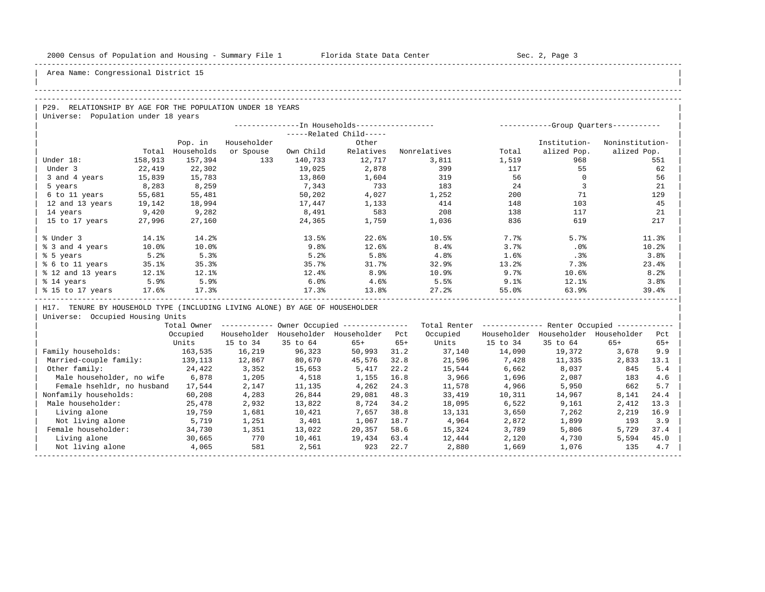| |

Area Name: Congressional District 15

### -----------------------------------------------------------------------------------------------------------------------------------------------------

# -----------------------------------------------------------------------------------------------------------------------------------------------------

P29. RELATIONSHIP BY AGE FOR THE POPULATION UNDER 18 YEARS Universe: Population under 18 years

|                   |         |            |             |           | --In Households----------------- |              |           | -----------Group Ouarters----------- |                 |
|-------------------|---------|------------|-------------|-----------|----------------------------------|--------------|-----------|--------------------------------------|-----------------|
|                   |         |            |             |           | -----Related Child-----          |              |           |                                      |                 |
|                   |         | Pop. in    | Householder |           | Other                            |              |           | Institution-                         | Noninstitution- |
|                   | Total   | Households | or Spouse   | Own Child | Relatives                        | Nonrelatives | Total     | alized Pop.                          | alized Pop.     |
| Under 18:         | 158,913 | 157,394    | 133         | 140,733   | 12,717                           | 3,811        | 1,519     | 968                                  | 551             |
| Under 3           | 22,419  | 22,302     |             | 19,025    | 2,878                            | 399          | 117       | 55                                   | 62              |
| 3 and 4 years     | 15,839  | 15,783     |             | 13,860    | 1,604                            | 319          | 56        | $\Omega$                             | 56              |
| 5 years           | 8,283   | 8,259      |             | 7,343     | 733                              | 183          | 24        |                                      | 21              |
| 6 to 11 years     | 55,681  | 55,481     |             | 50,202    | 4,027                            | 1,252        | 200       | 71                                   | 129             |
| 12 and 13 years   | 19,142  | 18,994     |             | 17,447    | 1,133                            | 414          | 148       | 103                                  | 45              |
| 14 years          | 9,420   | 9,282      |             | 8,491     | 583                              | 208          | 138       | 117                                  | 21              |
| 15 to 17 years    | 27,996  | 27,160     |             | 24,365    | 1,759                            | 1,036        | 836       | 619                                  | 217             |
|                   |         |            |             |           |                                  |              |           |                                      |                 |
| % Under 3         | 14.1%   | 14.2%      |             | 13.5%     | 22.6%                            | 10.5%        | 7.7%      | 5.7%                                 | 11.3%           |
| % 3 and 4 years   | 10.0%   | 10.0%      |             | 9.8%      | 12.6%                            | 8.4%         | 3.7%      | .0%                                  | 10.2%           |
| % 5 years         | 5.2%    | 5.3%       |             | 5.2%      | 5.8%                             | 4.8%         | 1.6%      | .3%                                  | 3.8%            |
| % 6 to 11 years   | 35.1%   | 35.3%      |             | 35.7%     | 31.7%                            | 32.9%        | 13.2%     | 7.3%                                 | 23.4%           |
| % 12 and 13 years | 12.1%   | 12.1%      |             | 12.4%     | 8.9%                             | 10.9%        | 9.7%      | 10.6%                                | 8.2%            |
| % 14 years        | 5.9%    | 5.9%       |             | 6.0%      | 4.6%                             | 5.5%         | $9.1$ $8$ | 12.1%                                | 3.8%            |
| % 15 to 17 years  | 17.6%   | 17.3%      |             | 17.3%     | 13.8%                            | 27.2%        | 55.0%     | 63.9%                                | 39.4%           |
|                   |         |            |             |           |                                  |              |           |                                      |                 |

H17. TENURE BY HOUSEHOLD TYPE (INCLUDING LIVING ALONE) BY AGE OF HOUSEHOLDER

|                            | Total Owner |             |             | Owner Occupied --------------- |       | Total Renter |             | Renter Occupied -- |             |       |  |
|----------------------------|-------------|-------------|-------------|--------------------------------|-------|--------------|-------------|--------------------|-------------|-------|--|
|                            | Occupied    | Householder | Householder | Householder                    | Pct   | Occupied     | Householder | Householder        | Householder | Pct   |  |
|                            | Units       | 15 to 34    | 35 to 64    | $65+$                          | $65+$ | Units        | 15 to 34    | 35 to 64           | $65+$       | $65+$ |  |
| Family households:         | 163,535     | 16,219      | 96,323      | 50,993                         | 31.2  | 37,140       | 14,090      | 19,372             | 3,678       | 9.9   |  |
| Married-couple family:     | 139,113     | 12,867      | 80,670      | 45,576                         | 32.8  | 21,596       | 7,428       | 11,335             | 2,833       | 13.1  |  |
| Other family:              | 24,422      | 3,352       | 15,653      | 5,417                          | 22.2  | 15,544       | 6,662       | 8,037              | 845         | 5.4   |  |
| Male householder, no wife  | 6,878       | 1,205       | 4,518       | 1,155                          | 16.8  | 3,966        | 1,696       | 2,087              | 183         | 4.6   |  |
| Female hsehldr, no husband | 17,544      | 2,147       | 11,135      | 4,262                          | 24.3  | 11,578       | 4,966       | 5,950              | 662         | 5.7   |  |
| Nonfamily households:      | 60,208      | 4,283       | 26,844      | 29,081                         | 48.3  | 33,419       | 10,311      | 14,967             | 8,141       | 24.4  |  |
| Male householder:          | 25,478      | 2,932       | 13,822      | 8,724                          | 34.2  | 18,095       | 6,522       | 9,161              | 2,412       | 13.3  |  |
| Living alone               | 19,759      | 1,681       | 10,421      | 7,657                          | 38.8  | 13,131       | 3,650       | 7,262              | 2,219       | 16.9  |  |
| Not living alone           | 5,719       | 1,251       | 3,401       | 1,067                          | 18.7  | 4,964        | 2,872       | 1,899              | 193         | 3.9   |  |
| Female householder:        | 34,730      | 1,351       | 13,022      | 20,357                         | 58.6  | 15,324       | 3,789       | 5,806              | 5,729       | 37.4  |  |
| Living alone               | 30,665      | 770         | 10,461      | 19,434                         | 63.4  | 12,444       | 2,120       | 4,730              | 5,594       | 45.0  |  |
| Not living alone           | 4,065       | 581         | 2,561       | 923                            | 22.7  | 2,880        | 1,669       | 1,076              | 135         | 4.7   |  |
|                            |             |             |             |                                |       |              |             |                    |             |       |  |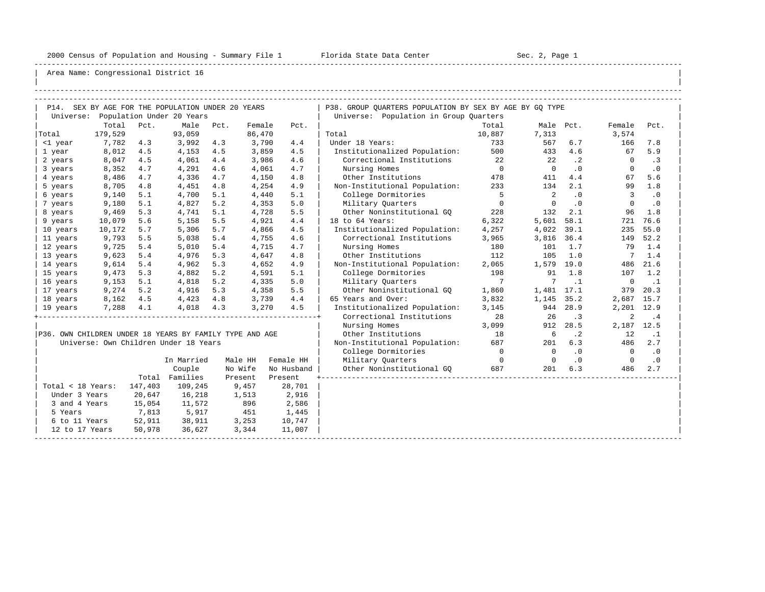-----------------------------------------------------------------------------------------------------------------------------------------------------

| |

|                                                         |         |         | P14. SEX BY AGE FOR THE POPULATION UNDER 20 YEARS |      |         |            | P38. GROUP OUARTERS POPULATION BY SEX BY AGE BY GO TYPE |                |                            |           |                |           |
|---------------------------------------------------------|---------|---------|---------------------------------------------------|------|---------|------------|---------------------------------------------------------|----------------|----------------------------|-----------|----------------|-----------|
|                                                         |         |         | Universe: Population Under 20 Years               |      |         |            | Universe: Population in Group Quarters                  |                |                            |           |                |           |
|                                                         | Total   | Pct.    | Male                                              | Pct. | Female  | Pct.       |                                                         | Total          |                            | Male Pct. | Female         | Pct.      |
| Total                                                   | 179,529 |         | 93,059                                            |      | 86,470  |            | Total                                                   | 10,887         | 7,313                      |           | 3,574          |           |
| <1 year                                                 | 7,782   | 4.3     | 3,992                                             | 4.3  | 3,790   | 4.4        | Under 18 Years:                                         | 733            | 567                        | 6.7       | 166            | 7.8       |
| 1 year                                                  | 8,012   | 4.5     | 4,153                                             | 4.5  | 3,859   | 4.5        | Institutionalized Population: 500                       |                | 433                        | 4.6       | 67             | 5.9       |
| 2 years                                                 | 8,047   | 4.5     | 4,061                                             | 4.4  | 3,986   | 4.6        | Correctional Institutions 22                            |                | 22                         | $\cdot$ 2 | $\bigcirc$     | .3        |
| 3 years                                                 | 8,352   | 4.7     | 4,291                                             | 4.6  | 4,061   | 4.7        | Nursing Homes                                           | $\overline{0}$ | $\bigcirc$                 | .0        | $\Omega$       | $\cdot$ 0 |
| 4 years                                                 | 8,486   | 4.7     | 4,336                                             | 4.7  | 4,150   | 4.8        | Other Institutions                                      | 478            | 411                        | 4.4       | 67             | 5.6       |
| 5 years                                                 | 8,705   | 4.8     | 4,451                                             | 4.8  | 4,254   | 4.9        | Non-Institutional Population:                           | 233            | 134                        | 2.1       | 99             | 1.8       |
| 6 years                                                 | 9,140   | 5.1     | 4,700                                             | 5.1  | 4,440   | 5.1        | College Dormitories                                     | $5^{\circ}$    | $\overline{\phantom{0}}$ 2 | .0        | 3              | .0        |
| 7 years                                                 | 9,180   | 5.1     | 4,827                                             | 5.2  | 4,353   | 5.0        | Military Quarters                                       | $\overline{0}$ | $\Omega$                   | $\cdot$ 0 | $\Omega$       | .0        |
| 8 years                                                 | 9,469   | 5.3     | 4,741                                             | 5.1  | 4,728   | 5.5        | Other Noninstitutional GO                               | 228            | 132                        | 2.1       | 96             | 1.8       |
| 9 years                                                 | 10,079  | 5.6     | 5,158                                             | 5.5  | 4,921   | 4.4        | 18 to 64 Years:                                         | 6,322          | 5,601                      | 58.1      | 721            | 76.6      |
| 10 years                                                | 10,172  | 5.7     | 5,306                                             | 5.7  | 4,866   | 4.5        | Institutionalized Population:                           | 4,257          | 4,022                      | 39.1      | 235            | 55.0      |
| 11 years                                                | 9,793   | 5.5     | 5,038                                             | 5.4  | 4,755   | 4.6        | Correctional Institutions                               | 3,965          | 3,816 36.4                 |           |                | 149 52.2  |
| 12 years                                                | 9,725   | 5.4     | 5,010                                             | 5.4  | 4,715   | 4.7        | Nursing Homes                                           | 180            | 101                        | 1.7       | 79             | 1.4       |
| 13 years                                                | 9,623   | 5.4     | 4,976                                             | 5.3  | 4,647   | 4.8        | Other Institutions                                      | 112            | 105                        | 1.0       | 7              | 1.4       |
| 14 years                                                | 9,614   | 5.4     | 4,962                                             | 5.3  | 4,652   | 4.9        | Non-Institutional Population:                           | 2,065          | 1,579 19.0                 |           |                | 486 21.6  |
| 15 years                                                | 9,473   | 5.3     | 4,882                                             | 5.2  | 4,591   | 5.1        | College Dormitories                                     | 198            | 91                         | 1.8       | 107            | 1.2       |
| 16 years                                                | 9,153   | 5.1     | 4,818                                             | 5.2  | 4,335   | 5.0        | Military Ouarters                                       | $\overline{7}$ | 7                          | $\cdot$ 1 | $\overline{0}$ | $\ldots$  |
| 17 years                                                | 9,274   | 5.2     | 4,916                                             | 5.3  | 4,358   | 5.5        | Other Noninstitutional GO                               | 1,860          | 1,481 17.1                 |           | 379            | 20.3      |
| 18 years                                                | 8,162   | 4.5     | 4,423                                             | 4.8  | 3,739   | 4.4        | 65 Years and Over:                                      | 3,832          | 1,145                      | 35.2      | 2,687 15.7     |           |
| 19 years                                                | 7,288   | 4.1     | 4,018                                             | 4.3  | 3,270   | 4.5        | Institutionalized Population:                           | 3,145          |                            | 944 28.9  | 2,201 12.9     |           |
|                                                         |         |         |                                                   |      |         |            | Correctional Institutions                               | 28             | 26                         | $\cdot$ 3 | 2              | .4        |
|                                                         |         |         |                                                   |      |         |            | Nursing Homes                                           | 3,099          | 912                        | 28.5      | 2,187 12.5     |           |
| P36. OWN CHILDREN UNDER 18 YEARS BY FAMILY TYPE AND AGE |         |         |                                                   |      |         |            | Other Institutions                                      | 18             | $6\overline{6}$            | $\cdot$ 2 | 12             | $\cdot$ 1 |
|                                                         |         |         | Universe: Own Children Under 18 Years             |      |         |            | Non-Institutional Population: 687                       |                | 201                        | 6.3       | 486            | 2.7       |
|                                                         |         |         |                                                   |      |         |            | College Dormitories                                     | $\overline{0}$ | $\overline{0}$             | $\cdot$ 0 | $\overline{0}$ | $\cdot$ 0 |
|                                                         |         |         | In Married                                        |      | Male HH | Female HH  | Military Ouarters                                       | $\overline{0}$ | $\overline{0}$             | $\cdot$ 0 | $\overline{0}$ | $\cdot$ 0 |
|                                                         |         |         | Couple                                            |      | No Wife | No Husband | Other Noninstitutional GO                               | 687            | 201                        | 6.3       | 486            | 2.7       |
|                                                         |         |         | Total Families                                    |      | Present | Present    |                                                         |                |                            |           |                |           |
| Total < 18 Years:                                       |         | 147,403 | 109,245                                           |      | 9,457   | 28,701     |                                                         |                |                            |           |                |           |
| Under 3 Years                                           |         | 20,647  | 16,218                                            |      | 1,513   | 2,916      |                                                         |                |                            |           |                |           |
| 3 and 4 Years                                           |         | 15,054  | 11,572                                            |      | 896     | 2,586      |                                                         |                |                            |           |                |           |
| 5 Years                                                 |         | 7,813   | 5,917                                             |      | 451     | 1,445      |                                                         |                |                            |           |                |           |
| 6 to 11 Years                                           |         | 52,911  | 38,911                                            |      | 3,253   | 10,747     |                                                         |                |                            |           |                |           |
| 12 to 17 Years                                          |         | 50,978  | 36,627                                            |      | 3,344   | 11,007     |                                                         |                |                            |           |                |           |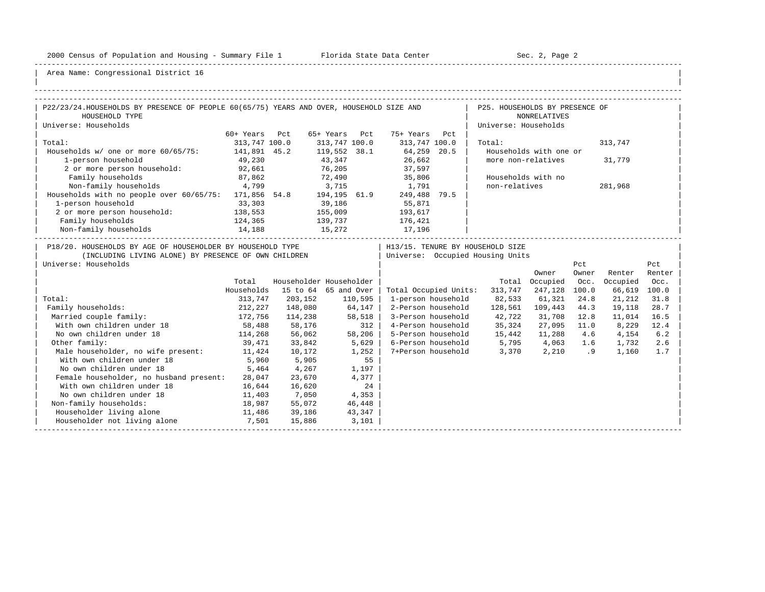-----------------------------------------------------------------------------------------------------------------------------------------------------

| |

| P22/23/24.HOUSEHOLDS BY PRESENCE OF PEOPLE 60(65/75) YEARS AND OVER, HOUSEHOLD SIZE AND<br>P25. HOUSEHOLDS BY PRESENCE OF<br>HOUSEHOLD TYPE<br><b>NONRELATIVES</b><br>Universe: Households<br>Universe: Households<br>60+ Years Pct<br>65+ Years Pct<br>75+ Years Pct<br>Total:<br>313,747 100.0<br>313,747 100.0<br>313,747 100.0<br>Total:<br>313,747<br>Households w/ one or more 60/65/75: 141,891 45.2<br>119,552 38.1 64,259 20.5<br>Households with one or<br>43,347<br>26,662<br>1-person household<br>49,230<br>more non-relatives<br>31,779<br>2 or more person household: 92,661<br>76,205 37,597<br>Family households<br>72,490 35,806<br>87,862<br>Households with no<br>4,799<br>Non-family households<br>non-relatives<br>3,715<br>1,791<br>281,968<br>Households with no people over 60/65/75: 171,856 54.8 194,195 61.9<br>249,488 79.5<br>1-person household<br>33,303<br>39,186<br>55,871<br>2 or more person household:<br>138,553<br>155,009<br>139,737<br>15,272<br>193,617<br>Family households<br>124,365<br>176,421<br>Non-family households 14,188<br>17,196<br>P18/20. HOUSEHOLDS BY AGE OF HOUSEHOLDER BY HOUSEHOLD TYPE<br>H13/15. TENURE BY HOUSEHOLD SIZE<br>Universe: Occupied Housing Units<br>(INCLUDING LIVING ALONE) BY PRESENCE OF OWN CHILDREN<br>Universe: Households<br>Pct<br>Pct<br>Owner<br>Renter<br>Renter<br>Owner<br>Householder Householder<br>Total Occupied<br>Occ.<br>Occupied<br>Total<br>Occ.<br>Households<br>15 to 64 65 and Over<br>Total Occupied Units:<br>313,747<br>247,128 100.0<br>66,619<br>100.0<br>Total:<br>313,747<br>203,152<br>1-person household<br>82,533<br>61,321<br>24.8<br>21,212<br>110,595<br>31.8<br>212,227<br>64,147<br>Family households:<br>148,080<br>2-Person household<br>128,561 109,443<br>44.3<br>19,118<br>28.7<br>58,518<br>172,756<br>Married couple family:<br>3-Person household<br>42,722<br>31,708 12.8<br>114,238<br>11,014<br>16.5<br>4-Person household 35,324<br>With own children under 18<br>58,488<br>58,176<br>312<br>27,095 11.0<br>8,229<br>12.4<br>No own children under 18<br>114,268<br>5-Person household 15,442<br>56,062<br>58,206<br>11,288 4.6<br>4,154<br>6.2<br>Other family:<br>6-Person household 5,795 4,063 1.6<br>2.6<br>39,471<br>33,842<br>5,629<br>1,732<br>7+Person household 3,370 2,210 .9<br>Male householder, no wife present: 11,424<br>10,172<br>1,252<br>1,160<br>1.7<br>With own children under 18<br>5,960<br>5,905<br>55<br>1,197<br>No own children under 18<br>5,464<br>4,267<br>Female householder, no husband present:<br>28,047<br>23,670<br>4,377<br>With own children under 18<br>16,644<br>16,620<br>24<br>No own children under 18<br>7,050<br>11,403<br>4,353<br>18,987<br>55,072<br>Non-family households:<br>46,448<br>Householder living alone<br>11,486<br>39,186<br>43,347<br>Householder not living alone<br>7,501<br>15,886<br>3,101 |  |  |  |  |  |  |
|---------------------------------------------------------------------------------------------------------------------------------------------------------------------------------------------------------------------------------------------------------------------------------------------------------------------------------------------------------------------------------------------------------------------------------------------------------------------------------------------------------------------------------------------------------------------------------------------------------------------------------------------------------------------------------------------------------------------------------------------------------------------------------------------------------------------------------------------------------------------------------------------------------------------------------------------------------------------------------------------------------------------------------------------------------------------------------------------------------------------------------------------------------------------------------------------------------------------------------------------------------------------------------------------------------------------------------------------------------------------------------------------------------------------------------------------------------------------------------------------------------------------------------------------------------------------------------------------------------------------------------------------------------------------------------------------------------------------------------------------------------------------------------------------------------------------------------------------------------------------------------------------------------------------------------------------------------------------------------------------------------------------------------------------------------------------------------------------------------------------------------------------------------------------------------------------------------------------------------------------------------------------------------------------------------------------------------------------------------------------------------------------------------------------------------------------------------------------------------------------------------------------------------------------------------------------------------------------------------------------------------------------------------------------------------------------------------------------------------------------------------------------------------------------------------------------------------------------------------------------------------------------|--|--|--|--|--|--|
|                                                                                                                                                                                                                                                                                                                                                                                                                                                                                                                                                                                                                                                                                                                                                                                                                                                                                                                                                                                                                                                                                                                                                                                                                                                                                                                                                                                                                                                                                                                                                                                                                                                                                                                                                                                                                                                                                                                                                                                                                                                                                                                                                                                                                                                                                                                                                                                                                                                                                                                                                                                                                                                                                                                                                                                                                                                                                             |  |  |  |  |  |  |
|                                                                                                                                                                                                                                                                                                                                                                                                                                                                                                                                                                                                                                                                                                                                                                                                                                                                                                                                                                                                                                                                                                                                                                                                                                                                                                                                                                                                                                                                                                                                                                                                                                                                                                                                                                                                                                                                                                                                                                                                                                                                                                                                                                                                                                                                                                                                                                                                                                                                                                                                                                                                                                                                                                                                                                                                                                                                                             |  |  |  |  |  |  |
|                                                                                                                                                                                                                                                                                                                                                                                                                                                                                                                                                                                                                                                                                                                                                                                                                                                                                                                                                                                                                                                                                                                                                                                                                                                                                                                                                                                                                                                                                                                                                                                                                                                                                                                                                                                                                                                                                                                                                                                                                                                                                                                                                                                                                                                                                                                                                                                                                                                                                                                                                                                                                                                                                                                                                                                                                                                                                             |  |  |  |  |  |  |
|                                                                                                                                                                                                                                                                                                                                                                                                                                                                                                                                                                                                                                                                                                                                                                                                                                                                                                                                                                                                                                                                                                                                                                                                                                                                                                                                                                                                                                                                                                                                                                                                                                                                                                                                                                                                                                                                                                                                                                                                                                                                                                                                                                                                                                                                                                                                                                                                                                                                                                                                                                                                                                                                                                                                                                                                                                                                                             |  |  |  |  |  |  |
|                                                                                                                                                                                                                                                                                                                                                                                                                                                                                                                                                                                                                                                                                                                                                                                                                                                                                                                                                                                                                                                                                                                                                                                                                                                                                                                                                                                                                                                                                                                                                                                                                                                                                                                                                                                                                                                                                                                                                                                                                                                                                                                                                                                                                                                                                                                                                                                                                                                                                                                                                                                                                                                                                                                                                                                                                                                                                             |  |  |  |  |  |  |
|                                                                                                                                                                                                                                                                                                                                                                                                                                                                                                                                                                                                                                                                                                                                                                                                                                                                                                                                                                                                                                                                                                                                                                                                                                                                                                                                                                                                                                                                                                                                                                                                                                                                                                                                                                                                                                                                                                                                                                                                                                                                                                                                                                                                                                                                                                                                                                                                                                                                                                                                                                                                                                                                                                                                                                                                                                                                                             |  |  |  |  |  |  |
|                                                                                                                                                                                                                                                                                                                                                                                                                                                                                                                                                                                                                                                                                                                                                                                                                                                                                                                                                                                                                                                                                                                                                                                                                                                                                                                                                                                                                                                                                                                                                                                                                                                                                                                                                                                                                                                                                                                                                                                                                                                                                                                                                                                                                                                                                                                                                                                                                                                                                                                                                                                                                                                                                                                                                                                                                                                                                             |  |  |  |  |  |  |
|                                                                                                                                                                                                                                                                                                                                                                                                                                                                                                                                                                                                                                                                                                                                                                                                                                                                                                                                                                                                                                                                                                                                                                                                                                                                                                                                                                                                                                                                                                                                                                                                                                                                                                                                                                                                                                                                                                                                                                                                                                                                                                                                                                                                                                                                                                                                                                                                                                                                                                                                                                                                                                                                                                                                                                                                                                                                                             |  |  |  |  |  |  |
|                                                                                                                                                                                                                                                                                                                                                                                                                                                                                                                                                                                                                                                                                                                                                                                                                                                                                                                                                                                                                                                                                                                                                                                                                                                                                                                                                                                                                                                                                                                                                                                                                                                                                                                                                                                                                                                                                                                                                                                                                                                                                                                                                                                                                                                                                                                                                                                                                                                                                                                                                                                                                                                                                                                                                                                                                                                                                             |  |  |  |  |  |  |
|                                                                                                                                                                                                                                                                                                                                                                                                                                                                                                                                                                                                                                                                                                                                                                                                                                                                                                                                                                                                                                                                                                                                                                                                                                                                                                                                                                                                                                                                                                                                                                                                                                                                                                                                                                                                                                                                                                                                                                                                                                                                                                                                                                                                                                                                                                                                                                                                                                                                                                                                                                                                                                                                                                                                                                                                                                                                                             |  |  |  |  |  |  |
|                                                                                                                                                                                                                                                                                                                                                                                                                                                                                                                                                                                                                                                                                                                                                                                                                                                                                                                                                                                                                                                                                                                                                                                                                                                                                                                                                                                                                                                                                                                                                                                                                                                                                                                                                                                                                                                                                                                                                                                                                                                                                                                                                                                                                                                                                                                                                                                                                                                                                                                                                                                                                                                                                                                                                                                                                                                                                             |  |  |  |  |  |  |
|                                                                                                                                                                                                                                                                                                                                                                                                                                                                                                                                                                                                                                                                                                                                                                                                                                                                                                                                                                                                                                                                                                                                                                                                                                                                                                                                                                                                                                                                                                                                                                                                                                                                                                                                                                                                                                                                                                                                                                                                                                                                                                                                                                                                                                                                                                                                                                                                                                                                                                                                                                                                                                                                                                                                                                                                                                                                                             |  |  |  |  |  |  |
|                                                                                                                                                                                                                                                                                                                                                                                                                                                                                                                                                                                                                                                                                                                                                                                                                                                                                                                                                                                                                                                                                                                                                                                                                                                                                                                                                                                                                                                                                                                                                                                                                                                                                                                                                                                                                                                                                                                                                                                                                                                                                                                                                                                                                                                                                                                                                                                                                                                                                                                                                                                                                                                                                                                                                                                                                                                                                             |  |  |  |  |  |  |
|                                                                                                                                                                                                                                                                                                                                                                                                                                                                                                                                                                                                                                                                                                                                                                                                                                                                                                                                                                                                                                                                                                                                                                                                                                                                                                                                                                                                                                                                                                                                                                                                                                                                                                                                                                                                                                                                                                                                                                                                                                                                                                                                                                                                                                                                                                                                                                                                                                                                                                                                                                                                                                                                                                                                                                                                                                                                                             |  |  |  |  |  |  |
|                                                                                                                                                                                                                                                                                                                                                                                                                                                                                                                                                                                                                                                                                                                                                                                                                                                                                                                                                                                                                                                                                                                                                                                                                                                                                                                                                                                                                                                                                                                                                                                                                                                                                                                                                                                                                                                                                                                                                                                                                                                                                                                                                                                                                                                                                                                                                                                                                                                                                                                                                                                                                                                                                                                                                                                                                                                                                             |  |  |  |  |  |  |
|                                                                                                                                                                                                                                                                                                                                                                                                                                                                                                                                                                                                                                                                                                                                                                                                                                                                                                                                                                                                                                                                                                                                                                                                                                                                                                                                                                                                                                                                                                                                                                                                                                                                                                                                                                                                                                                                                                                                                                                                                                                                                                                                                                                                                                                                                                                                                                                                                                                                                                                                                                                                                                                                                                                                                                                                                                                                                             |  |  |  |  |  |  |
|                                                                                                                                                                                                                                                                                                                                                                                                                                                                                                                                                                                                                                                                                                                                                                                                                                                                                                                                                                                                                                                                                                                                                                                                                                                                                                                                                                                                                                                                                                                                                                                                                                                                                                                                                                                                                                                                                                                                                                                                                                                                                                                                                                                                                                                                                                                                                                                                                                                                                                                                                                                                                                                                                                                                                                                                                                                                                             |  |  |  |  |  |  |
|                                                                                                                                                                                                                                                                                                                                                                                                                                                                                                                                                                                                                                                                                                                                                                                                                                                                                                                                                                                                                                                                                                                                                                                                                                                                                                                                                                                                                                                                                                                                                                                                                                                                                                                                                                                                                                                                                                                                                                                                                                                                                                                                                                                                                                                                                                                                                                                                                                                                                                                                                                                                                                                                                                                                                                                                                                                                                             |  |  |  |  |  |  |
|                                                                                                                                                                                                                                                                                                                                                                                                                                                                                                                                                                                                                                                                                                                                                                                                                                                                                                                                                                                                                                                                                                                                                                                                                                                                                                                                                                                                                                                                                                                                                                                                                                                                                                                                                                                                                                                                                                                                                                                                                                                                                                                                                                                                                                                                                                                                                                                                                                                                                                                                                                                                                                                                                                                                                                                                                                                                                             |  |  |  |  |  |  |
|                                                                                                                                                                                                                                                                                                                                                                                                                                                                                                                                                                                                                                                                                                                                                                                                                                                                                                                                                                                                                                                                                                                                                                                                                                                                                                                                                                                                                                                                                                                                                                                                                                                                                                                                                                                                                                                                                                                                                                                                                                                                                                                                                                                                                                                                                                                                                                                                                                                                                                                                                                                                                                                                                                                                                                                                                                                                                             |  |  |  |  |  |  |
|                                                                                                                                                                                                                                                                                                                                                                                                                                                                                                                                                                                                                                                                                                                                                                                                                                                                                                                                                                                                                                                                                                                                                                                                                                                                                                                                                                                                                                                                                                                                                                                                                                                                                                                                                                                                                                                                                                                                                                                                                                                                                                                                                                                                                                                                                                                                                                                                                                                                                                                                                                                                                                                                                                                                                                                                                                                                                             |  |  |  |  |  |  |
|                                                                                                                                                                                                                                                                                                                                                                                                                                                                                                                                                                                                                                                                                                                                                                                                                                                                                                                                                                                                                                                                                                                                                                                                                                                                                                                                                                                                                                                                                                                                                                                                                                                                                                                                                                                                                                                                                                                                                                                                                                                                                                                                                                                                                                                                                                                                                                                                                                                                                                                                                                                                                                                                                                                                                                                                                                                                                             |  |  |  |  |  |  |
|                                                                                                                                                                                                                                                                                                                                                                                                                                                                                                                                                                                                                                                                                                                                                                                                                                                                                                                                                                                                                                                                                                                                                                                                                                                                                                                                                                                                                                                                                                                                                                                                                                                                                                                                                                                                                                                                                                                                                                                                                                                                                                                                                                                                                                                                                                                                                                                                                                                                                                                                                                                                                                                                                                                                                                                                                                                                                             |  |  |  |  |  |  |
|                                                                                                                                                                                                                                                                                                                                                                                                                                                                                                                                                                                                                                                                                                                                                                                                                                                                                                                                                                                                                                                                                                                                                                                                                                                                                                                                                                                                                                                                                                                                                                                                                                                                                                                                                                                                                                                                                                                                                                                                                                                                                                                                                                                                                                                                                                                                                                                                                                                                                                                                                                                                                                                                                                                                                                                                                                                                                             |  |  |  |  |  |  |
|                                                                                                                                                                                                                                                                                                                                                                                                                                                                                                                                                                                                                                                                                                                                                                                                                                                                                                                                                                                                                                                                                                                                                                                                                                                                                                                                                                                                                                                                                                                                                                                                                                                                                                                                                                                                                                                                                                                                                                                                                                                                                                                                                                                                                                                                                                                                                                                                                                                                                                                                                                                                                                                                                                                                                                                                                                                                                             |  |  |  |  |  |  |
|                                                                                                                                                                                                                                                                                                                                                                                                                                                                                                                                                                                                                                                                                                                                                                                                                                                                                                                                                                                                                                                                                                                                                                                                                                                                                                                                                                                                                                                                                                                                                                                                                                                                                                                                                                                                                                                                                                                                                                                                                                                                                                                                                                                                                                                                                                                                                                                                                                                                                                                                                                                                                                                                                                                                                                                                                                                                                             |  |  |  |  |  |  |
|                                                                                                                                                                                                                                                                                                                                                                                                                                                                                                                                                                                                                                                                                                                                                                                                                                                                                                                                                                                                                                                                                                                                                                                                                                                                                                                                                                                                                                                                                                                                                                                                                                                                                                                                                                                                                                                                                                                                                                                                                                                                                                                                                                                                                                                                                                                                                                                                                                                                                                                                                                                                                                                                                                                                                                                                                                                                                             |  |  |  |  |  |  |
|                                                                                                                                                                                                                                                                                                                                                                                                                                                                                                                                                                                                                                                                                                                                                                                                                                                                                                                                                                                                                                                                                                                                                                                                                                                                                                                                                                                                                                                                                                                                                                                                                                                                                                                                                                                                                                                                                                                                                                                                                                                                                                                                                                                                                                                                                                                                                                                                                                                                                                                                                                                                                                                                                                                                                                                                                                                                                             |  |  |  |  |  |  |
|                                                                                                                                                                                                                                                                                                                                                                                                                                                                                                                                                                                                                                                                                                                                                                                                                                                                                                                                                                                                                                                                                                                                                                                                                                                                                                                                                                                                                                                                                                                                                                                                                                                                                                                                                                                                                                                                                                                                                                                                                                                                                                                                                                                                                                                                                                                                                                                                                                                                                                                                                                                                                                                                                                                                                                                                                                                                                             |  |  |  |  |  |  |
|                                                                                                                                                                                                                                                                                                                                                                                                                                                                                                                                                                                                                                                                                                                                                                                                                                                                                                                                                                                                                                                                                                                                                                                                                                                                                                                                                                                                                                                                                                                                                                                                                                                                                                                                                                                                                                                                                                                                                                                                                                                                                                                                                                                                                                                                                                                                                                                                                                                                                                                                                                                                                                                                                                                                                                                                                                                                                             |  |  |  |  |  |  |
|                                                                                                                                                                                                                                                                                                                                                                                                                                                                                                                                                                                                                                                                                                                                                                                                                                                                                                                                                                                                                                                                                                                                                                                                                                                                                                                                                                                                                                                                                                                                                                                                                                                                                                                                                                                                                                                                                                                                                                                                                                                                                                                                                                                                                                                                                                                                                                                                                                                                                                                                                                                                                                                                                                                                                                                                                                                                                             |  |  |  |  |  |  |
|                                                                                                                                                                                                                                                                                                                                                                                                                                                                                                                                                                                                                                                                                                                                                                                                                                                                                                                                                                                                                                                                                                                                                                                                                                                                                                                                                                                                                                                                                                                                                                                                                                                                                                                                                                                                                                                                                                                                                                                                                                                                                                                                                                                                                                                                                                                                                                                                                                                                                                                                                                                                                                                                                                                                                                                                                                                                                             |  |  |  |  |  |  |
|                                                                                                                                                                                                                                                                                                                                                                                                                                                                                                                                                                                                                                                                                                                                                                                                                                                                                                                                                                                                                                                                                                                                                                                                                                                                                                                                                                                                                                                                                                                                                                                                                                                                                                                                                                                                                                                                                                                                                                                                                                                                                                                                                                                                                                                                                                                                                                                                                                                                                                                                                                                                                                                                                                                                                                                                                                                                                             |  |  |  |  |  |  |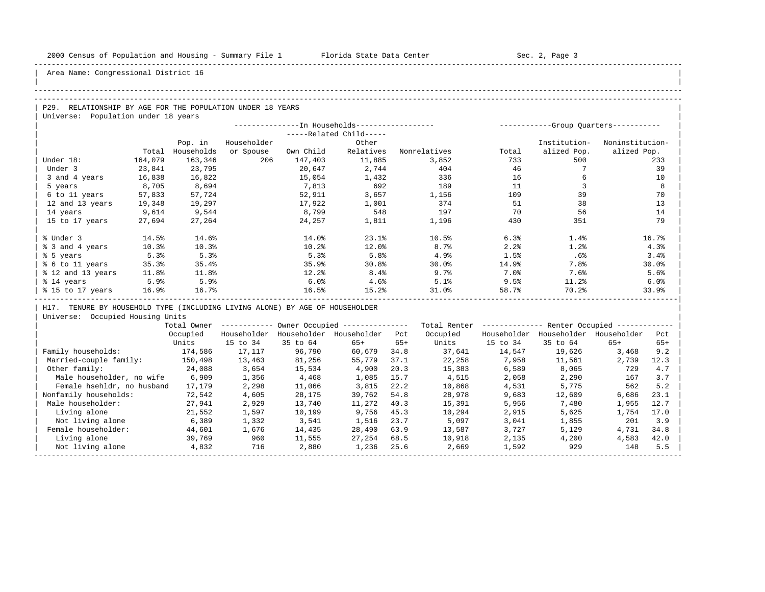| |

Area Name: Congressional District 16

## -----------------------------------------------------------------------------------------------------------------------------------------------------

## -----------------------------------------------------------------------------------------------------------------------------------------------------

P29. RELATIONSHIP BY AGE FOR THE POPULATION UNDER 18 YEARS | Universe: Population under 18 years

|                   |         |            |             |           | --In Households------------------ |              | -Group Quarters-----------<br>----------- |              |                 |  |  |
|-------------------|---------|------------|-------------|-----------|-----------------------------------|--------------|-------------------------------------------|--------------|-----------------|--|--|
|                   |         |            |             |           | -----Related Child-----           |              |                                           |              |                 |  |  |
|                   |         | Pop. in    | Householder |           | Other                             |              |                                           | Institution- | Noninstitution- |  |  |
|                   | Total   | Households | or Spouse   | Own Child | Relatives                         | Nonrelatives | Total                                     | alized Pop.  | alized Pop.     |  |  |
| Under 18:         | 164,079 | 163,346    | 206         | 147,403   | 11,885                            | 3,852        | 733                                       | 500          | 233             |  |  |
| Under 3           | 23,841  | 23,795     |             | 20,647    | 2,744                             | 404          | 46                                        |              | 39              |  |  |
| 3 and 4 years     | 16,838  | 16,822     |             | 15,054    | 1,432                             | 336          | 16                                        |              | 10              |  |  |
| 5 years           | 8,705   | 8,694      |             | 7,813     | 692                               | 189          | 11                                        |              | 8               |  |  |
| 6 to 11 years     | 57,833  | 57,724     |             | 52,911    | 3,657                             | 1,156        | 109                                       | 39           | 70              |  |  |
| 12 and 13 years   | 19,348  | 19,297     |             | 17,922    | 1,001                             | 374          | 51                                        | 38           | 13              |  |  |
| 14 years          | 9,614   | 9,544      |             | 8,799     | 548                               | 197          | 70                                        | 56           | 14              |  |  |
| 15 to 17 years    | 27,694  | 27,264     |             | 24,257    | 1,811                             | 1,196        | 430                                       | 351          | 79              |  |  |
|                   |         |            |             |           |                                   |              |                                           |              |                 |  |  |
| % Under 3         | 14.5%   | 14.6%      |             | 14.0%     | 23.1%                             | 10.5%        | 6.3%                                      | 1.4%         | 16.7%           |  |  |
| % 3 and 4 years   | 10.3%   | 10.3%      |             | 10.2%     | 12.0%                             | 8.7%         | 2.2%                                      | 1.2%         | 4.3%            |  |  |
| % 5 years         | 5.3%    | 5.3%       |             | 5.3%      | 5.8%                              | 4.9%         | 1.5%                                      | .6%          | 3.4%            |  |  |
| % 6 to 11 years   | 35.3%   | 35.4%      |             | 35.9%     | 30.8%                             | 30.0%        | 14.9%                                     | 7.8%         | 30.0%           |  |  |
| % 12 and 13 years | 11.8%   | 11.8%      |             | 12.2%     | 8.4%                              | 9.7%         | 7.0%                                      | 7.6%         | 5.6%            |  |  |
| % 14 years        | 5.9%    | 5.9%       |             | 6.0%      | 4.6%                              | 5.1%         | 9.5%                                      | 11.2%        | 6.0%            |  |  |
| % 15 to 17 years  | 16.9%   | 16.7%      |             | 16.5%     | 15.2%                             | 31.0%        | 58.7%                                     | 70.2%        | 33.9%           |  |  |
|                   |         |            |             |           |                                   |              |                                           |              |                 |  |  |

H17. TENURE BY HOUSEHOLD TYPE (INCLUDING LIVING ALONE) BY AGE OF HOUSEHOLDER

|                            | Total Owner |             |             | Owner Occupied --------------- |       | Total Renter |             | Renter Occupied -- |             |       |  |
|----------------------------|-------------|-------------|-------------|--------------------------------|-------|--------------|-------------|--------------------|-------------|-------|--|
|                            | Occupied    | Householder | Householder | Householder                    | Pct   | Occupied     | Householder | Householder        | Householder | Pct   |  |
|                            | Units       | 15 to 34    | 35 to 64    | $65+$                          | $65+$ | Units        | 15 to 34    | 35 to 64           | $65+$       | $65+$ |  |
| Family households:         | 174,586     | 17,117      | 96,790      | 60,679                         | 34.8  | 37,641       | 14,547      | 19,626             | 3,468       | 9.2   |  |
| Married-couple family:     | 150,498     | 13,463      | 81,256      | 55,779                         | 37.1  | 22,258       | 7,958       | 11,561             | 2,739       | 12.3  |  |
| Other family:              | 24,088      | 3,654       | 15,534      | 4,900                          | 20.3  | 15,383       | 6,589       | 8,065              | 729         | 4.7   |  |
| Male householder, no wife  | 6,909       | 1,356       | 4,468       | 1,085                          | 15.7  | 4,515        | 2,058       | 2,290              | 167         | 3.7   |  |
| Female hsehldr, no husband | 17,179      | 2,298       | 11,066      | 3,815                          | 22.2  | 10,868       | 4,531       | 5,775              | 562         | 5.2   |  |
| Nonfamily households:      | 72,542      | 4,605       | 28,175      | 39,762                         | 54.8  | 28,978       | 9,683       | 12,609             | 6,686       | 23.1  |  |
| Male householder:          | 27,941      | 2,929       | 13,740      | 11,272                         | 40.3  | 15,391       | 5,956       | 7,480              | 1,955       | 12.7  |  |
| Living alone               | 21,552      | 1,597       | 10,199      | 9,756                          | 45.3  | 10,294       | 2,915       | 5,625              | 1,754       | 17.0  |  |
| Not living alone           | 6,389       | 1,332       | 3,541       | 1,516                          | 23.7  | 5,097        | 3,041       | 1,855              | 201         | 3.9   |  |
| Female householder:        | 44,601      | 1,676       | 14,435      | 28,490                         | 63.9  | 13,587       | 3,727       | 5,129              | 4,731       | 34.8  |  |
| Living alone               | 39,769      | 960         | 11,555      | 27,254                         | 68.5  | 10,918       | 2,135       | 4,200              | 4,583       | 42.0  |  |
| Not living alone           | 4,832       | 716         | 2,880       | 1,236                          | 25.6  | 2,669        | 1,592       | 929                | 148         | 5.5   |  |
|                            |             |             |             |                                |       |              |             |                    |             |       |  |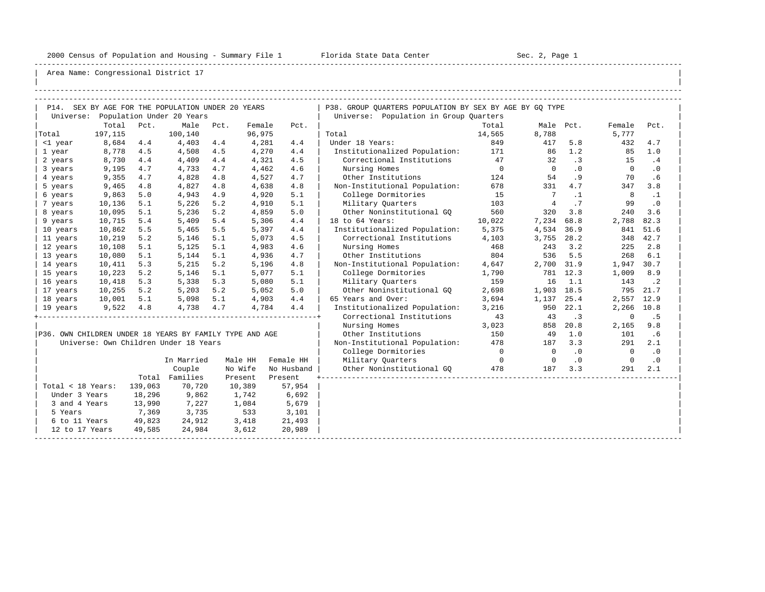-----------------------------------------------------------------------------------------------------------------------------------------------------

| |

|                   |         |         | P14. SEX BY AGE FOR THE POPULATION UNDER 20 YEARS       |      |         |            | P38. GROUP QUARTERS POPULATION BY SEX BY AGE BY GQ TYPE |                |                |           |              |             |
|-------------------|---------|---------|---------------------------------------------------------|------|---------|------------|---------------------------------------------------------|----------------|----------------|-----------|--------------|-------------|
|                   |         |         | Universe: Population Under 20 Years                     |      |         |            | Universe: Population in Group Quarters                  |                |                |           |              |             |
|                   | Total   | Pct.    | Male                                                    | Pct. | Female  | Pct.       |                                                         | Total          | Male Pct.      |           | Female       | Pct.        |
| Total             | 197,115 |         | 100,140                                                 |      | 96,975  |            | Total                                                   | 14,565         | 8,788          |           | 5,777        |             |
| <1 year           | 8,684   | 4.4     | 4,403                                                   | 4.4  | 4,281   | 4.4        | Under 18 Years:                                         | 849            | 417            | 5.8       | 432          | 4.7         |
| 1 year            | 8,778   | 4.5     | 4,508                                                   | 4.5  | 4,270   | 4.4        | Institutionalized Population: 171                       |                | 86             | 1.2       | 85           | 1.0         |
| 2 years           | 8,730   | 4.4     | 4,409                                                   | 4.4  | 4,321   | 4.5        | Correctional Institutions                               | 47             | 32             | .3        | 15           | .4          |
| 3 years           | 9,195   | 4.7     | 4,733                                                   | 4.7  | 4,462   | 4.6        | Nursing Homes                                           | $\overline{0}$ | $\overline{0}$ | .0        | $\mathbf{0}$ | $\cdot$ 0   |
| 4 years           | 9,355   | 4.7     | 4,828                                                   | 4.8  | 4,527   | 4.7        | Other Institutions                                      | 124            | 54             | .9        | 70           | .6          |
| 5 years           | 9,465   | 4.8     | 4,827                                                   | 4.8  | 4,638   | 4.8        | Non-Institutional Population:                           | 678            | 331            | 4.7       | 347          | 3.8         |
| 6 years           | 9,863   | 5.0     | 4,943                                                   | 4.9  | 4,920   | 5.1        | College Dormitories                                     | 15             | $\overline{7}$ | $\cdot$ 1 | 8            | $\cdot$ 1   |
| 7 years           | 10,136  | 5.1     | 5,226                                                   | 5.2  | 4,910   | 5.1        | Military Quarters                                       | 103            | 4              | .7        | 99           | $\cdot$ 0   |
| 8 years           | 10,095  | 5.1     | 5,236                                                   | 5.2  | 4,859   | 5.0        | Other Noninstitutional GO                               | 560            | 320            | 3.8       | 240          | 3.6         |
| 9 years           | 10,715  | 5.4     | 5,409                                                   | 5.4  | 5,306   | 4.4        | 18 to 64 Years:                                         | 10,022         | 7,234          | 68.8      | 2,788        | 82.3        |
| 10 years          | 10,862  | 5.5     | 5,465                                                   | 5.5  | 5,397   | 4.4        | Institutionalized Population:                           | 5,375          | 4,534          | 36.9      | 841          | 51.6        |
| 11 years          | 10,219  | 5.2     | 5,146                                                   | 5.1  | 5,073   | 4.5        | Correctional Institutions                               | 4,103          | 3,755          | 28.2      | 348          | 42.7        |
| 12 years          | 10,108  | 5.1     | 5,125                                                   | 5.1  | 4,983   | 4.6        | Nursing Homes                                           | 468            | 243            | 3.2       | 225          | 2.8         |
| 13 years          | 10,080  | 5.1     | 5,144                                                   | 5.1  | 4,936   | 4.7        | Other Institutions                                      | 804            | 536            | 5.5       | 268          | 6.1         |
| 14 years          | 10,411  | 5.3     | 5,215                                                   | 5.2  | 5,196   | 4.8        | Non-Institutional Population:                           | 4,647          | 2,700          | 31.9      | 1,947 30.7   |             |
| 15 years          | 10,223  | 5.2     | 5,146                                                   | 5.1  | 5,077   | 5.1        | College Dormitories                                     | 1,790          |                | 781 12.3  | 1,009        | 8.9         |
| 16 years          | 10,418  | 5.3     | 5,338                                                   | 5.3  | 5,080   | 5.1        | Military Ouarters                                       | 159            | 16             | 1.1       | 143          | $\cdot$ . 2 |
| 17 years          | 10,255  | 5.2     | 5,203                                                   | 5.2  | 5,052   | 5.0        | Other Noninstitutional GO                               | 2,698          | 1,903 18.5     |           |              | 795 21.7    |
| 18 years          | 10,001  | 5.1     | 5,098                                                   | 5.1  | 4,903   | 4.4        | 65 Years and Over:                                      | 3,694          | 1,137          | 25.4      | 2,557 12.9   |             |
| 19 years          | 9,522   | 4.8     | 4,738                                                   | 4.7  | 4,784   | 4.4        | Institutionalized Population:                           | 3,216          | 950            | 22.1      | 2,266        | 10.8        |
|                   |         |         |                                                         |      |         |            | Correctional Institutions                               | 43             | 43             | $\cdot$ 3 | $\mathbf 0$  | .5          |
|                   |         |         |                                                         |      |         |            | Nursing Homes                                           | 3,023          | 858            | 20.8      | 2,165        | 9.8         |
|                   |         |         | P36. OWN CHILDREN UNDER 18 YEARS BY FAMILY TYPE AND AGE |      |         |            | Other Institutions                                      | 150            | 49             | 1.0       | 101          | .6          |
|                   |         |         | Universe: Own Children Under 18 Years                   |      |         |            | Non-Institutional Population:                           | 478            | 187            | 3.3       | 291          | 2.1         |
|                   |         |         |                                                         |      |         |            | College Dormitories                                     | $\overline{0}$ | $\circ$        | $\cdot$ 0 | $\mathbf{0}$ | $\cdot$ 0   |
|                   |         |         | In Married                                              |      | Male HH | Female HH  | Military Quarters                                       | $\overline{0}$ | $\Omega$       | $\cdot$ 0 | $\Omega$     | $\cdot$ 0   |
|                   |         |         | Couple                                                  |      | No Wife | No Husband | Other Noninstitutional GQ                               | 478            | 187            | 3.3       | 291          | 2.1         |
|                   |         |         | Total Families                                          |      | Present | Present    |                                                         |                |                |           |              |             |
| Total < 18 Years: |         | 139,063 | 70,720                                                  |      | 10,389  | 57,954     |                                                         |                |                |           |              |             |
| Under 3 Years     |         | 18,296  | 9,862                                                   |      | 1,742   | 6,692      |                                                         |                |                |           |              |             |
| 3 and 4 Years     |         | 13,990  | 7,227                                                   |      | 1,084   | 5,679      |                                                         |                |                |           |              |             |
| 5 Years           |         | 7,369   | 3,735                                                   |      | 533     | 3,101      |                                                         |                |                |           |              |             |
| 6 to 11 Years     |         | 49,823  | 24,912                                                  |      | 3,418   | 21,493     |                                                         |                |                |           |              |             |
| 12 to 17 Years    |         | 49,585  | 24,984                                                  |      | 3,612   | 20,989     |                                                         |                |                |           |              |             |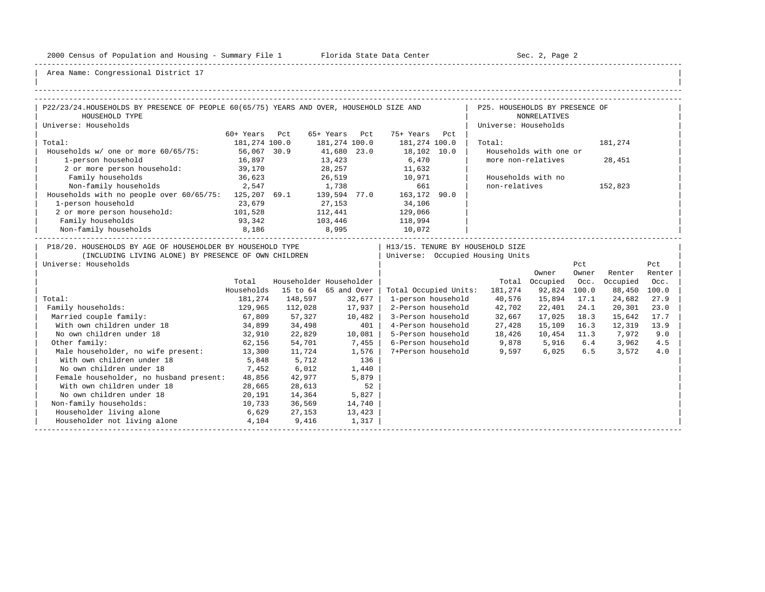-----------------------------------------------------------------------------------------------------------------------------------------------------

| |

| P22/23/24. HOUSEHOLDS BY PRESENCE OF PEOPLE 60(65/75) YEARS AND OVER, HOUSEHOLD SIZE AND                                                   |               |                         |        |          |                                                                                                                 | P25. HOUSEHOLDS BY PRESENCE OF                                         |                        |              |                   |               |
|--------------------------------------------------------------------------------------------------------------------------------------------|---------------|-------------------------|--------|----------|-----------------------------------------------------------------------------------------------------------------|------------------------------------------------------------------------|------------------------|--------------|-------------------|---------------|
| HOUSEHOLD TYPE                                                                                                                             |               |                         |        |          |                                                                                                                 |                                                                        | <b>NONRELATIVES</b>    |              |                   |               |
| Universe: Households                                                                                                                       |               |                         |        |          |                                                                                                                 | Universe: Households                                                   |                        |              |                   |               |
|                                                                                                                                            | 60+ Years Pct |                         |        |          | 65+ Years Pct 75+ Years Pct                                                                                     |                                                                        |                        |              |                   |               |
| Total:                                                                                                                                     | 181,274 100.0 |                         |        |          | 181,274 100.0 181,274 100.0                                                                                     | Total:                                                                 |                        |              | 181,274           |               |
| Households w/ one or more 60/65/75:                                                                                                        | 56,067 30.9   |                         |        |          |                                                                                                                 |                                                                        | Households with one or |              |                   |               |
| 1-person household                                                                                                                         | 16,897        |                         |        |          |                                                                                                                 | more non-relatives                                                     |                        |              | 28,451            |               |
| 2 or more person household: 39,170                                                                                                         |               |                         |        |          | $\begin{array}{lllll} 41,680 & 23.0 & & 18,102 & 10.0 \\ 13,423 & & & 6,470 \\ 28,257 & & & 11,632 \end{array}$ |                                                                        |                        |              |                   |               |
| Family households                                                                                                                          | 36,623        |                         |        |          | 26,519 10,971                                                                                                   |                                                                        | Households with no     |              |                   |               |
| Non-family households 2,547                                                                                                                |               |                         |        |          | 1,738 661                                                                                                       | non-relatives                                                          |                        |              | 152,823           |               |
| Households with no people over 60/65/75: 125,207 69.1 139,594 77.0 163,172 90.0                                                            |               |                         |        |          |                                                                                                                 |                                                                        |                        |              |                   |               |
| 1-person household                                                                                                                         | 23,679        | 27, 153                 |        |          | 34,106                                                                                                          |                                                                        |                        |              |                   |               |
| 2 or more person household: 101,528                                                                                                        |               |                         |        |          | 112,441 129,066                                                                                                 |                                                                        |                        |              |                   |               |
| Family households                                                                                                                          | 93,342        |                         |        |          | 103,446 118,994                                                                                                 |                                                                        |                        |              |                   |               |
| Non-family households                                                                                                                      | 8,186         | 8,995                   |        |          | 10,072                                                                                                          |                                                                        |                        |              |                   |               |
| P18/20. HOUSEHOLDS BY AGE OF HOUSEHOLDER BY HOUSEHOLD TYPE<br>(INCLUDING LIVING ALONE) BY PRESENCE OF OWN CHILDREN<br>Universe: Households |               |                         |        |          |                                                                                                                 | H13/15. TENURE BY HOUSEHOLD SIZE<br>  Universe: Occupied Housing Units | Owner                  | Pct<br>Owner | Renter            | Pct<br>Renter |
|                                                                                                                                            | Total         | Householder Householder |        |          |                                                                                                                 |                                                                        | Total Occupied Occ.    |              | Occupied          | Occ.          |
|                                                                                                                                            | Households    | 15 to 64 65 and Over    |        |          |                                                                                                                 | Total Occupied Units: 181,274                                          | 92,824 100.0           |              | 88,450 100.0      |               |
| Total:                                                                                                                                     |               | 181,274 148,597 32,677  |        |          |                                                                                                                 | 1-person household 40,576                                              | 15,894 17.1            |              | 24,682            | 27.9          |
| Family households:                                                                                                                         | 129,965       | $112,028$ 17,937        |        |          |                                                                                                                 | 2-Person household 42,702                                              | 22,401 24.1            |              | 20,301            | 23.0          |
| Married couple family:                                                                                                                     | 67,809        | 57,327                  | 10,482 |          |                                                                                                                 | 3-Person household 32,667                                              | 17,025 18.3            |              | 15,642            | 17.7          |
| With own children under 18                                                                                                                 |               | 34,899 34,498           |        | 401      |                                                                                                                 | 4-Person household 27,428                                              | 15,109 16.3            |              | 12,319            | 13.9          |
| No own children under 18                                                                                                                   |               | $32,910$ $22,829$       |        | $10,081$ |                                                                                                                 | 5-Person household 18,426                                              |                        |              | 10,454 11.3 7,972 | 9.0           |
| Other family:                                                                                                                              | 62,156        | 54,701                  |        | 7,455    |                                                                                                                 | 6-Person household 9,878 5,916 6.4                                     |                        |              | 3,962             | 4.5           |
| Male householder, no wife present: 13,300                                                                                                  |               | 11,724                  |        | 1,576    |                                                                                                                 | 7+Person household 9,597 6,025                                         |                        | 6.5          | 3,572             | 4.0           |
| With own children under 18                                                                                                                 | 5,848         | 5,712                   |        | 136      |                                                                                                                 |                                                                        |                        |              |                   |               |
| No own children under 18                                                                                                                   | 7,452         | 6,012                   |        | 1,440    |                                                                                                                 |                                                                        |                        |              |                   |               |
| Female householder, no husband present:                                                                                                    | 48,856        | 42,977                  |        | 5,879    |                                                                                                                 |                                                                        |                        |              |                   |               |
| With own children under 18                                                                                                                 | 28,665        | 28,613                  |        | 52       |                                                                                                                 |                                                                        |                        |              |                   |               |
| No own children under 18                                                                                                                   | 20,191        | 14,364                  |        | 5,827    |                                                                                                                 |                                                                        |                        |              |                   |               |
| Non-family households:                                                                                                                     | 10,733        | 36,569                  | 14,740 |          |                                                                                                                 |                                                                        |                        |              |                   |               |
| Householder living alone<br>$6,629$ 27,153                                                                                                 |               |                         | 13,423 |          |                                                                                                                 |                                                                        |                        |              |                   |               |
| Householder not living alone 5 4,104 9,416                                                                                                 |               |                         |        | 1,317    |                                                                                                                 |                                                                        |                        |              |                   |               |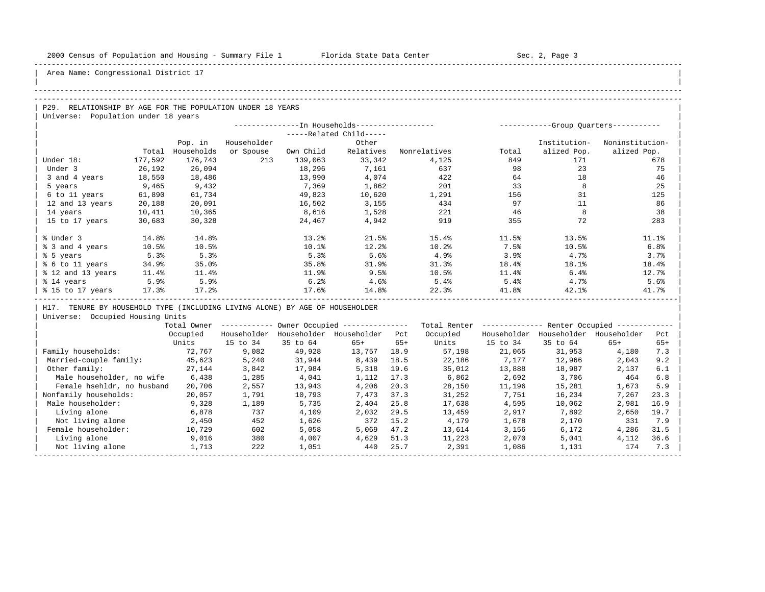-----------------------------------------------------------------------------------------------------------------------------------------------------

| |

Area Name: Congressional District 17

## -----------------------------------------------------------------------------------------------------------------------------------------------------

## -----------------------------------------------------------------------------------------------------------------------------------------------------

P29. RELATIONSHIP BY AGE FOR THE POPULATION UNDER 18 YEARS | Universe: Population under 18 years

|                   |         |            |             |           | --In Households----------------- |              |       |              | -Group Ouarters----------- |
|-------------------|---------|------------|-------------|-----------|----------------------------------|--------------|-------|--------------|----------------------------|
|                   |         |            |             |           | -----Related Child-----          |              |       |              |                            |
|                   |         | Pop. in    | Householder |           | Other                            |              |       | Institution- | Noninstitution-            |
|                   | Total   | Households | or Spouse   | Own Child | Relatives                        | Nonrelatives | Total | alized Pop.  | alized Pop.                |
| Under 18:         | 177,592 | 176,743    | 213         | 139,063   | 33,342                           | 4,125        | 849   | 171          | 678                        |
| Under 3           | 26,192  | 26,094     |             | 18,296    | 7,161                            | 637          | 98    | 23           | 75                         |
| 3 and 4 years     | 18,550  | 18,486     |             | 13,990    | 4,074                            | 422          | 64    | 18           | 46                         |
| 5 years           | 9,465   | 9,432      |             | 7,369     | 1,862                            | 201          | 33    | 8            | 25                         |
| 6 to 11 years     | 61,890  | 61,734     |             | 49,823    | 10,620                           | 1,291        | 156   | 31           | 125                        |
| 12 and 13 years   | 20,188  | 20,091     |             | 16,502    | 3,155                            | 434          | 97    | 11           | 86                         |
| 14 years          | 10,411  | 10,365     |             | 8,616     | 1,528                            | 221          | 46    |              | 38                         |
| 15 to 17 years    | 30,683  | 30,328     |             | 24,467    | 4,942                            | 919          | 355   | 72           | 283                        |
|                   |         |            |             |           |                                  |              |       |              |                            |
| % Under 3         | 14.8%   | 14.8%      |             | 13.2%     | 21.5%                            | 15.4%        | 11.5% | 13.5%        | 11.1%                      |
| % 3 and 4 years   | 10.5%   | 10.5%      |             | 10.1%     | 12.2%                            | 10.2%        | 7.5%  | 10.5%        | 6.8%                       |
| % 5 years         | 5.3%    | 5.3%       |             | 5.3%      | 5.6%                             | 4.9%         | 3.9%  | 4.7%         | 3.7%                       |
| % 6 to 11 years   | 34.9%   | 35.0%      |             | 35.8%     | 31.9%                            | 31.3%        | 18.4% | 18.1%        | 18.4%                      |
| % 12 and 13 years | 11.4%   | 11.4%      |             | 11.9%     | 9.5%                             | 10.5%        | 11.4% | 6.4%         | 12.7%                      |
| % 14 years        | 5.9%    | 5.9%       |             | 6.2%      | 4.6%                             | 5.4%         | 5.4%  | 4.7%         | 5.6%                       |
| % 15 to 17 years  | 17.3%   | 17.2%      |             | 17.6%     | 14.8%                            | 22.3%        | 41.8% | 42.1%        | 41.7%                      |
|                   |         |            |             |           |                                  |              |       |              |                            |

H17. TENURE BY HOUSEHOLD TYPE (INCLUDING LIVING ALONE) BY AGE OF HOUSEHOLDER

|                            | Total Owner |             |             | Owner Occupied --------------- |       | Total Renter |             | Renter Occupied - |             |       |
|----------------------------|-------------|-------------|-------------|--------------------------------|-------|--------------|-------------|-------------------|-------------|-------|
|                            | Occupied    | Householder | Householder | Householder                    | Pct   | Occupied     | Householder | Householder       | Householder | Pct   |
|                            | Units       | 15 to 34    | 35 to 64    | $65+$                          | $65+$ | Units        | 15 to 34    | 35 to 64          | $65+$       | $65+$ |
| Family households:         | 72,767      | 9,082       | 49,928      | 13,757                         | 18.9  | 57,198       | 21,065      | 31,953            | 4,180       | 7.3   |
| Married-couple family:     | 45,623      | 5,240       | 31,944      | 8,439                          | 18.5  | 22,186       | 7,177       | 12,966            | 2,043       | 9.2   |
| Other family:              | 27,144      | 3,842       | 17,984      | 5,318                          | 19.6  | 35,012       | 13,888      | 18,987            | 2,137       | 6.1   |
| Male householder, no wife  | 6,438       | 1,285       | 4,041       | 1,112                          | 17.3  | 6,862        | 2,692       | 3,706             | 464         | 6.8   |
| Female hsehldr, no husband | 20,706      | 2,557       | 13,943      | 4,206                          | 20.3  | 28,150       | 11,196      | 15,281            | 1,673       | 5.9   |
| Nonfamily households:      | 20,057      | 1,791       | 10,793      | 7,473                          | 37.3  | 31,252       | 7,751       | 16,234            | 7.267       | 23.3  |
| Male householder:          | 9,328       | 1,189       | 5,735       | 2,404                          | 25.8  | 17,638       | 4,595       | 10,062            | 2,981       | 16.9  |
| Living alone               | 6,878       | 737         | 4,109       | 2,032                          | 29.5  | 13,459       | 2,917       | 7,892             | 2,650       | 19.7  |
| Not living alone           | 2,450       | 452         | 1,626       | 372                            | 15.2  | 4,179        | 1,678       | 2,170             | 331         | 7.9   |
| Female householder:        | 10,729      | 602         | 5,058       | 5,069                          | 47.2  | 13,614       | 3,156       | 6,172             | 4,286       | 31.5  |
| Living alone               | 9,016       | 380         | 4,007       | 4,629                          | 51.3  | 11,223       | 2,070       | 5,041             | 4,112       | 36.6  |
| Not living alone           | 1,713       | 222         | 1,051       | 440                            | 25.7  | 2,391        | 1,086       | 1,131             | 174         | 7.3   |
|                            |             |             |             |                                |       |              |             |                   |             |       |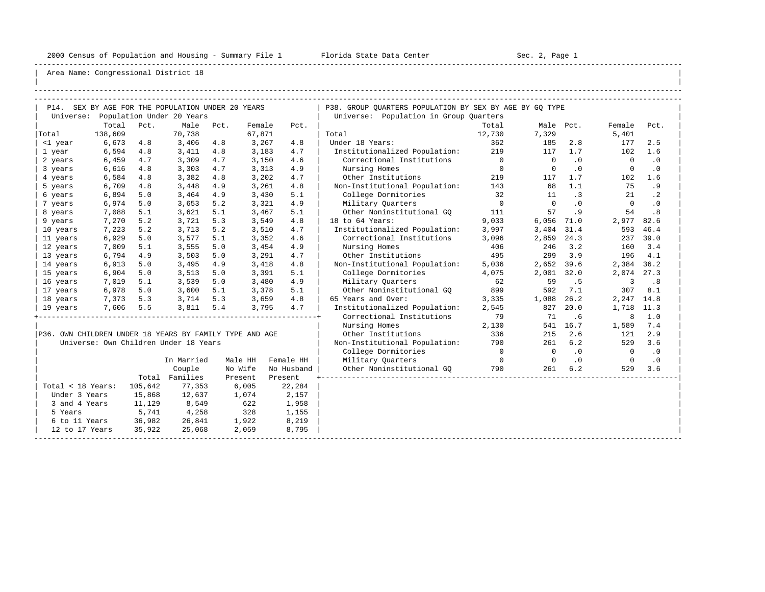-----------------------------------------------------------------------------------------------------------------------------------------------------

| |

|                   |                                           |         | P14. SEX BY AGE FOR THE POPULATION UNDER 20 YEARS       |     |         |            | P38. GROUP QUARTERS POPULATION BY SEX BY AGE BY GQ TYPE |                |                |           |                         |           |
|-------------------|-------------------------------------------|---------|---------------------------------------------------------|-----|---------|------------|---------------------------------------------------------|----------------|----------------|-----------|-------------------------|-----------|
|                   |                                           |         | Universe: Population Under 20 Years                     |     |         |            | Universe: Population in Group Quarters                  |                |                |           |                         |           |
|                   | Total                                     | Pct.    | Male Pct.                                               |     | Female  | Pct.       |                                                         | Total          |                | Male Pct. | Female                  | Pct.      |
| Total             | 138,609                                   |         | 70,738                                                  |     | 67,871  |            | Total                                                   | 12,730         | 7,329          |           | 5,401                   |           |
| <1 year           | 6,673                                     | 4.8     | 3,406 4.8                                               |     | 3,267   | 4.8        | Under 18 Years:                                         | 362            | 185            | 2.8       | 177                     | 2.5       |
| 1 year            | 6,594                                     | 4.8     | 3,411                                                   | 4.8 | 3,183   | 4.7        | Institutionalized Population: 219                       |                | 117            | 1.7       | 102                     | 1.6       |
| 2 years           | 6,459                                     | 4.7     | 3,309                                                   | 4.7 | 3,150   | 4.6        | Correctional Institutions                               | $\overline{0}$ | $\overline{0}$ | $\cdot$ 0 | $\overline{0}$          | $\cdot$ 0 |
| 3 years           | 6,616                                     | 4.8     | 3,303                                                   | 4.7 | 3,313   | 4.9        | Nursing Homes                                           | $\overline{0}$ | $\overline{0}$ | .0        | $\overline{0}$          | $\cdot$ 0 |
| 4 years           | 6,584                                     | 4.8     | 3,382                                                   | 4.8 | 3,202   | 4.7        | Other Institutions                                      | 219            | 117            | 1.7       | 102                     | 1.6       |
| 5 years           | 6,709                                     | 4.8     | 3,448                                                   | 4.9 | 3,261   | 4.8        | Non-Institutional Population: 143                       |                | 68             | 1.1       | 75                      | .9        |
| 6 years           | 6,894                                     | 5.0     | 3,464                                                   | 4.9 | 3,430   | 5.1        | College Dormitories                                     | 32             | 11             | $\cdot$ 3 | 21                      | $\cdot$ 2 |
| 7 years           | 6,974                                     | 5.0     | 3,653                                                   | 5.2 | 3,321   | 4.9        | Military Ouarters                                       | $\overline{0}$ | $\overline{0}$ | .0        | $\overline{0}$          | $\cdot$ 0 |
| 8 years           | 7,088                                     | 5.1     | 3,621                                                   | 5.1 | 3,467   | 5.1        | Other Noninstitutional GQ                               | 111            | 57             | .9        | 54                      | .8        |
| 9 years           | 7,270                                     | 5.2     | 3,721                                                   | 5.3 | 3,549   | 4.8        | 18 to 64 Years:                                         | 9,033          | $6,056$ $71.0$ |           | 2,977 82.6              |           |
| 10 years          | 7,223                                     | 5.2     | 3,713                                                   | 5.2 | 3,510   | 4.7        | Institutionalized Population:                           | 3,997          | 3,404 31.4     |           | 593                     | 46.4      |
| 11 years          | 6,929                                     | 5.0     | 3,577                                                   | 5.1 | 3,352   | 4.6        | Correctional Institutions                               | 3,096          | 2,859          | 24.3      |                         | 237 39.0  |
| 12 years          | 7,009                                     | 5.1     | 3,555                                                   | 5.0 | 3,454   | 4.9        | Nursing Homes                                           | 406            | 246            | 3.2       |                         | 160 3.4   |
| 13 years          | 6,794                                     | 4.9     | 3,503                                                   | 5.0 | 3,291   | 4.7        | Other Institutions                                      | 495            | 299            | 3.9       |                         | 196 4.1   |
| 14 years          | 6,913                                     | 5.0     | 3,495                                                   | 4.9 | 3,418   | 4.8        | Non-Institutional Population:                           | 5,036          | 2,652 39.6     |           | 2,384 36.2              |           |
| 15 years          | 6,904                                     | 5.0     | 3,513                                                   | 5.0 | 3,391   | 5.1        | College Dormitories                                     | 4,075          | 2,001 32.0     |           | 2,074 27.3              |           |
| 16 years          | 7,019                                     | 5.1     | 3,539                                                   | 5.0 | 3,480   | 4.9        | Military Ouarters                                       | 62             | 59             | .5        | $\overline{\mathbf{3}}$ | .8        |
| 17 years          | 6,978                                     | 5.0     | $3,600$ 5.1                                             |     | 3,378   | 5.1        | Other Noninstitutional GO 899                           |                | 592            | 7.1       | 307                     | 8.1       |
|                   |                                           |         | 18 years 7,373 5.3 3,714 5.3                            |     | 3,659   | 4.8        | 65 Years and Over:                                      | 3,335          | 1,088          | 26.2      | 2,247 14.8              |           |
| 19 years          | 7,606                                     | 5.5     | 3,811 5.4                                               |     | 3,795   | 4.7        | Institutionalized Population:                           | 2,545          | 827            | 20.0      | 1,718 11.3              |           |
|                   |                                           |         |                                                         |     |         |            | Correctional Institutions                               | 79             | 71             | .6        | 8                       | 1.0       |
|                   |                                           |         |                                                         |     |         |            | Nursing Homes                                           | 2,130          |                | 541 16.7  | 1,589                   | 7.4       |
|                   |                                           |         | P36. OWN CHILDREN UNDER 18 YEARS BY FAMILY TYPE AND AGE |     |         |            | Other Institutions                                      | 336            | 215            | 2.6       | 121                     | 2.9       |
|                   |                                           |         | Universe: Own Children Under 18 Years                   |     |         |            | Non-Institutional Population: 790                       |                | 261            | 6.2       | 529                     | 3.6       |
|                   |                                           |         |                                                         |     |         |            | College Dormitories                                     | $\overline{0}$ | $\overline{0}$ | $\cdot$ 0 | $\overline{0}$          | $\cdot$ 0 |
|                   |                                           |         | In Married                                              |     | Male HH | Female HH  | Military Quarters                                       | $\overline{0}$ | $\overline{0}$ | $\cdot$ 0 | $\overline{0}$          | $\cdot$ 0 |
|                   |                                           |         | Couple                                                  |     | No Wife | No Husband | Other Noninstitutional GQ 790                           |                |                | 261 6.2   | 529                     | 3.6       |
|                   |                                           |         | Total Families                                          |     | Present | Present    |                                                         |                |                |           |                         |           |
| Total < 18 Years: |                                           | 105,642 | 77,353                                                  |     | 6,005   | 22,284     |                                                         |                |                |           |                         |           |
| Under 3 Years     |                                           | 15,868  | 12,637                                                  |     | 1,074   | 2,157      |                                                         |                |                |           |                         |           |
| 3 and 4 Years     |                                           | 11,129  | 8,549                                                   |     | 622     | 1,958      |                                                         |                |                |           |                         |           |
| 5 Years           |                                           | 5,741   | 4,258                                                   |     | 328     | 1,155      |                                                         |                |                |           |                         |           |
|                   | $6 \text{ to } 11 \text{ Years}$ $36,982$ |         | 26,841                                                  |     | 1,922   | 8,219      |                                                         |                |                |           |                         |           |
| 12 to 17 Years    |                                           | 35,922  | 25,068                                                  |     | 2,059   | 8,795      |                                                         |                |                |           |                         |           |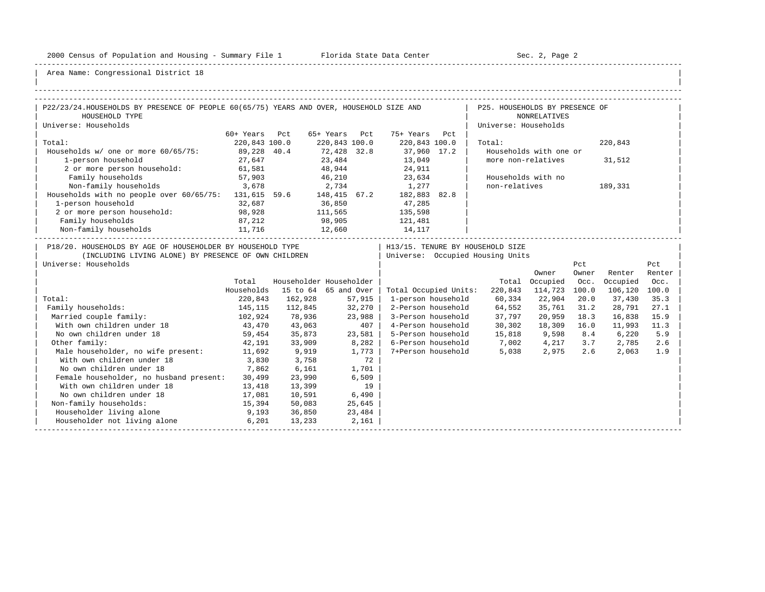-----------------------------------------------------------------------------------------------------------------------------------------------------

| |

| P22/23/24.HOUSEHOLDS BY PRESENCE OF PEOPLE 60(65/75) YEARS AND OVER, HOUSEHOLD SIZE AND<br>P25. HOUSEHOLDS BY PRESENCE OF<br>HOUSEHOLD TYPE<br><b>NONRELATIVES</b><br>Universe: Households<br>Universe: Households<br>60+ Years Pct<br>65+ Years Pct 75+ Years Pct<br>220,843 100.0<br>220,843 100.0 220,843 100.0<br>Total:<br>Total:<br>220,843<br>Households w/ one or more 60/65/75: 89,228 40.4<br>72,428 32.8 37,960 17.2<br>Households with one or<br>23,484<br>13,049<br>27,647<br>1-person household<br>more non-relatives<br>31,512<br>2 or more person household: 61,581<br>48,944 24,911<br>Family households<br>46,210 23,634<br>57,903<br>Households with no<br>3,678<br>Non-family households<br>non-relatives<br>2,734 1,277<br>189,331<br>Households with no people over 60/65/75: 131,615 59.6 148,415 67.2 182,883 82.8<br>1-person household<br>36,850<br>32,687<br>47,285<br>111,565<br>2 or more person household:<br>98,928<br>135,598<br>Family households<br>98,905<br>12,660<br>87,212<br>121,481<br>14,117<br>11,716<br>Non-family households<br>P18/20. HOUSEHOLDS BY AGE OF HOUSEHOLDER BY HOUSEHOLD TYPE<br>  H13/15. TENURE BY HOUSEHOLD SIZE<br>(INCLUDING LIVING ALONE) BY PRESENCE OF OWN CHILDREN<br>  Universe: Occupied Housing Units<br>Universe: Households<br>Pct<br>Pct<br>Owner<br>Renter<br>Renter<br>Owner<br>Householder Householder<br>Total<br>Total Occupied<br>Occ.<br>Occupied<br>Occ.<br>Households<br>15 to 64 65 and Over  <br>Total Occupied Units:<br>220,843 114,723 100.0<br>106,120 100.0<br>Total:<br>220,843 162,928 57,915<br>1-person household<br>60,334 22,904 20.0<br>37,430<br>35.3<br>145, 115<br>32,270<br>2-Person household 64,552<br>Family households:<br>112,845<br>35,761<br>31.2<br>28,791<br>27.1<br>102,924<br>23,988<br>3-Person household 37,797<br>Married couple family:<br>78,936<br>20,959 18.3<br>16,838<br>15.9<br>4-Person household 30,302<br>With own children under 18<br>43,470 43,063<br>$407$  <br>18,309 16.0<br>11,993<br>11.3<br>No own children under 18<br>$23,581$  <br>5-Person household 15,818 9,598 8.4 6,220<br>$59,454$ 35,873<br>5.9<br>6-Person household 7,002 4,217<br>3.7<br>Other family:<br>42,191 33,909<br>8,282<br>2,785<br>2.6<br>7+Person household<br>2.6<br>Male householder, no wife present: 11,692<br>9,919<br>1,773<br>5,038 2,975<br>2,063<br>1.9<br>With own children under 18<br>3,830<br>3,758<br>72<br>1,701<br>No own children under 18<br>7,862<br>6,161<br>Female householder, no husband present:<br>23,990<br>30,499<br>6,509<br>With own children under 18<br>19<br>13,418<br>13,399<br>No own children under 18<br>6,490<br>17,081<br>10,591<br>15,394<br>Non-family households:<br>50,083<br>25,645<br>Householder living alone<br>$9,193$ 36,850<br>23,484<br>Householder not living alone<br>6,201<br>2,161<br>13,233 |  |  |  |  |  |  |
|----------------------------------------------------------------------------------------------------------------------------------------------------------------------------------------------------------------------------------------------------------------------------------------------------------------------------------------------------------------------------------------------------------------------------------------------------------------------------------------------------------------------------------------------------------------------------------------------------------------------------------------------------------------------------------------------------------------------------------------------------------------------------------------------------------------------------------------------------------------------------------------------------------------------------------------------------------------------------------------------------------------------------------------------------------------------------------------------------------------------------------------------------------------------------------------------------------------------------------------------------------------------------------------------------------------------------------------------------------------------------------------------------------------------------------------------------------------------------------------------------------------------------------------------------------------------------------------------------------------------------------------------------------------------------------------------------------------------------------------------------------------------------------------------------------------------------------------------------------------------------------------------------------------------------------------------------------------------------------------------------------------------------------------------------------------------------------------------------------------------------------------------------------------------------------------------------------------------------------------------------------------------------------------------------------------------------------------------------------------------------------------------------------------------------------------------------------------------------------------------------------------------------------------------------------------------------------------------------------------------------------------------------------------------------------------------------------------------------------------------------------------------------------------------------------------------------------------------------------------|--|--|--|--|--|--|
|                                                                                                                                                                                                                                                                                                                                                                                                                                                                                                                                                                                                                                                                                                                                                                                                                                                                                                                                                                                                                                                                                                                                                                                                                                                                                                                                                                                                                                                                                                                                                                                                                                                                                                                                                                                                                                                                                                                                                                                                                                                                                                                                                                                                                                                                                                                                                                                                                                                                                                                                                                                                                                                                                                                                                                                                                                                                |  |  |  |  |  |  |
|                                                                                                                                                                                                                                                                                                                                                                                                                                                                                                                                                                                                                                                                                                                                                                                                                                                                                                                                                                                                                                                                                                                                                                                                                                                                                                                                                                                                                                                                                                                                                                                                                                                                                                                                                                                                                                                                                                                                                                                                                                                                                                                                                                                                                                                                                                                                                                                                                                                                                                                                                                                                                                                                                                                                                                                                                                                                |  |  |  |  |  |  |
|                                                                                                                                                                                                                                                                                                                                                                                                                                                                                                                                                                                                                                                                                                                                                                                                                                                                                                                                                                                                                                                                                                                                                                                                                                                                                                                                                                                                                                                                                                                                                                                                                                                                                                                                                                                                                                                                                                                                                                                                                                                                                                                                                                                                                                                                                                                                                                                                                                                                                                                                                                                                                                                                                                                                                                                                                                                                |  |  |  |  |  |  |
|                                                                                                                                                                                                                                                                                                                                                                                                                                                                                                                                                                                                                                                                                                                                                                                                                                                                                                                                                                                                                                                                                                                                                                                                                                                                                                                                                                                                                                                                                                                                                                                                                                                                                                                                                                                                                                                                                                                                                                                                                                                                                                                                                                                                                                                                                                                                                                                                                                                                                                                                                                                                                                                                                                                                                                                                                                                                |  |  |  |  |  |  |
|                                                                                                                                                                                                                                                                                                                                                                                                                                                                                                                                                                                                                                                                                                                                                                                                                                                                                                                                                                                                                                                                                                                                                                                                                                                                                                                                                                                                                                                                                                                                                                                                                                                                                                                                                                                                                                                                                                                                                                                                                                                                                                                                                                                                                                                                                                                                                                                                                                                                                                                                                                                                                                                                                                                                                                                                                                                                |  |  |  |  |  |  |
|                                                                                                                                                                                                                                                                                                                                                                                                                                                                                                                                                                                                                                                                                                                                                                                                                                                                                                                                                                                                                                                                                                                                                                                                                                                                                                                                                                                                                                                                                                                                                                                                                                                                                                                                                                                                                                                                                                                                                                                                                                                                                                                                                                                                                                                                                                                                                                                                                                                                                                                                                                                                                                                                                                                                                                                                                                                                |  |  |  |  |  |  |
|                                                                                                                                                                                                                                                                                                                                                                                                                                                                                                                                                                                                                                                                                                                                                                                                                                                                                                                                                                                                                                                                                                                                                                                                                                                                                                                                                                                                                                                                                                                                                                                                                                                                                                                                                                                                                                                                                                                                                                                                                                                                                                                                                                                                                                                                                                                                                                                                                                                                                                                                                                                                                                                                                                                                                                                                                                                                |  |  |  |  |  |  |
|                                                                                                                                                                                                                                                                                                                                                                                                                                                                                                                                                                                                                                                                                                                                                                                                                                                                                                                                                                                                                                                                                                                                                                                                                                                                                                                                                                                                                                                                                                                                                                                                                                                                                                                                                                                                                                                                                                                                                                                                                                                                                                                                                                                                                                                                                                                                                                                                                                                                                                                                                                                                                                                                                                                                                                                                                                                                |  |  |  |  |  |  |
|                                                                                                                                                                                                                                                                                                                                                                                                                                                                                                                                                                                                                                                                                                                                                                                                                                                                                                                                                                                                                                                                                                                                                                                                                                                                                                                                                                                                                                                                                                                                                                                                                                                                                                                                                                                                                                                                                                                                                                                                                                                                                                                                                                                                                                                                                                                                                                                                                                                                                                                                                                                                                                                                                                                                                                                                                                                                |  |  |  |  |  |  |
|                                                                                                                                                                                                                                                                                                                                                                                                                                                                                                                                                                                                                                                                                                                                                                                                                                                                                                                                                                                                                                                                                                                                                                                                                                                                                                                                                                                                                                                                                                                                                                                                                                                                                                                                                                                                                                                                                                                                                                                                                                                                                                                                                                                                                                                                                                                                                                                                                                                                                                                                                                                                                                                                                                                                                                                                                                                                |  |  |  |  |  |  |
|                                                                                                                                                                                                                                                                                                                                                                                                                                                                                                                                                                                                                                                                                                                                                                                                                                                                                                                                                                                                                                                                                                                                                                                                                                                                                                                                                                                                                                                                                                                                                                                                                                                                                                                                                                                                                                                                                                                                                                                                                                                                                                                                                                                                                                                                                                                                                                                                                                                                                                                                                                                                                                                                                                                                                                                                                                                                |  |  |  |  |  |  |
|                                                                                                                                                                                                                                                                                                                                                                                                                                                                                                                                                                                                                                                                                                                                                                                                                                                                                                                                                                                                                                                                                                                                                                                                                                                                                                                                                                                                                                                                                                                                                                                                                                                                                                                                                                                                                                                                                                                                                                                                                                                                                                                                                                                                                                                                                                                                                                                                                                                                                                                                                                                                                                                                                                                                                                                                                                                                |  |  |  |  |  |  |
|                                                                                                                                                                                                                                                                                                                                                                                                                                                                                                                                                                                                                                                                                                                                                                                                                                                                                                                                                                                                                                                                                                                                                                                                                                                                                                                                                                                                                                                                                                                                                                                                                                                                                                                                                                                                                                                                                                                                                                                                                                                                                                                                                                                                                                                                                                                                                                                                                                                                                                                                                                                                                                                                                                                                                                                                                                                                |  |  |  |  |  |  |
|                                                                                                                                                                                                                                                                                                                                                                                                                                                                                                                                                                                                                                                                                                                                                                                                                                                                                                                                                                                                                                                                                                                                                                                                                                                                                                                                                                                                                                                                                                                                                                                                                                                                                                                                                                                                                                                                                                                                                                                                                                                                                                                                                                                                                                                                                                                                                                                                                                                                                                                                                                                                                                                                                                                                                                                                                                                                |  |  |  |  |  |  |
|                                                                                                                                                                                                                                                                                                                                                                                                                                                                                                                                                                                                                                                                                                                                                                                                                                                                                                                                                                                                                                                                                                                                                                                                                                                                                                                                                                                                                                                                                                                                                                                                                                                                                                                                                                                                                                                                                                                                                                                                                                                                                                                                                                                                                                                                                                                                                                                                                                                                                                                                                                                                                                                                                                                                                                                                                                                                |  |  |  |  |  |  |
|                                                                                                                                                                                                                                                                                                                                                                                                                                                                                                                                                                                                                                                                                                                                                                                                                                                                                                                                                                                                                                                                                                                                                                                                                                                                                                                                                                                                                                                                                                                                                                                                                                                                                                                                                                                                                                                                                                                                                                                                                                                                                                                                                                                                                                                                                                                                                                                                                                                                                                                                                                                                                                                                                                                                                                                                                                                                |  |  |  |  |  |  |
|                                                                                                                                                                                                                                                                                                                                                                                                                                                                                                                                                                                                                                                                                                                                                                                                                                                                                                                                                                                                                                                                                                                                                                                                                                                                                                                                                                                                                                                                                                                                                                                                                                                                                                                                                                                                                                                                                                                                                                                                                                                                                                                                                                                                                                                                                                                                                                                                                                                                                                                                                                                                                                                                                                                                                                                                                                                                |  |  |  |  |  |  |
|                                                                                                                                                                                                                                                                                                                                                                                                                                                                                                                                                                                                                                                                                                                                                                                                                                                                                                                                                                                                                                                                                                                                                                                                                                                                                                                                                                                                                                                                                                                                                                                                                                                                                                                                                                                                                                                                                                                                                                                                                                                                                                                                                                                                                                                                                                                                                                                                                                                                                                                                                                                                                                                                                                                                                                                                                                                                |  |  |  |  |  |  |
|                                                                                                                                                                                                                                                                                                                                                                                                                                                                                                                                                                                                                                                                                                                                                                                                                                                                                                                                                                                                                                                                                                                                                                                                                                                                                                                                                                                                                                                                                                                                                                                                                                                                                                                                                                                                                                                                                                                                                                                                                                                                                                                                                                                                                                                                                                                                                                                                                                                                                                                                                                                                                                                                                                                                                                                                                                                                |  |  |  |  |  |  |
|                                                                                                                                                                                                                                                                                                                                                                                                                                                                                                                                                                                                                                                                                                                                                                                                                                                                                                                                                                                                                                                                                                                                                                                                                                                                                                                                                                                                                                                                                                                                                                                                                                                                                                                                                                                                                                                                                                                                                                                                                                                                                                                                                                                                                                                                                                                                                                                                                                                                                                                                                                                                                                                                                                                                                                                                                                                                |  |  |  |  |  |  |
|                                                                                                                                                                                                                                                                                                                                                                                                                                                                                                                                                                                                                                                                                                                                                                                                                                                                                                                                                                                                                                                                                                                                                                                                                                                                                                                                                                                                                                                                                                                                                                                                                                                                                                                                                                                                                                                                                                                                                                                                                                                                                                                                                                                                                                                                                                                                                                                                                                                                                                                                                                                                                                                                                                                                                                                                                                                                |  |  |  |  |  |  |
|                                                                                                                                                                                                                                                                                                                                                                                                                                                                                                                                                                                                                                                                                                                                                                                                                                                                                                                                                                                                                                                                                                                                                                                                                                                                                                                                                                                                                                                                                                                                                                                                                                                                                                                                                                                                                                                                                                                                                                                                                                                                                                                                                                                                                                                                                                                                                                                                                                                                                                                                                                                                                                                                                                                                                                                                                                                                |  |  |  |  |  |  |
|                                                                                                                                                                                                                                                                                                                                                                                                                                                                                                                                                                                                                                                                                                                                                                                                                                                                                                                                                                                                                                                                                                                                                                                                                                                                                                                                                                                                                                                                                                                                                                                                                                                                                                                                                                                                                                                                                                                                                                                                                                                                                                                                                                                                                                                                                                                                                                                                                                                                                                                                                                                                                                                                                                                                                                                                                                                                |  |  |  |  |  |  |
|                                                                                                                                                                                                                                                                                                                                                                                                                                                                                                                                                                                                                                                                                                                                                                                                                                                                                                                                                                                                                                                                                                                                                                                                                                                                                                                                                                                                                                                                                                                                                                                                                                                                                                                                                                                                                                                                                                                                                                                                                                                                                                                                                                                                                                                                                                                                                                                                                                                                                                                                                                                                                                                                                                                                                                                                                                                                |  |  |  |  |  |  |
|                                                                                                                                                                                                                                                                                                                                                                                                                                                                                                                                                                                                                                                                                                                                                                                                                                                                                                                                                                                                                                                                                                                                                                                                                                                                                                                                                                                                                                                                                                                                                                                                                                                                                                                                                                                                                                                                                                                                                                                                                                                                                                                                                                                                                                                                                                                                                                                                                                                                                                                                                                                                                                                                                                                                                                                                                                                                |  |  |  |  |  |  |
|                                                                                                                                                                                                                                                                                                                                                                                                                                                                                                                                                                                                                                                                                                                                                                                                                                                                                                                                                                                                                                                                                                                                                                                                                                                                                                                                                                                                                                                                                                                                                                                                                                                                                                                                                                                                                                                                                                                                                                                                                                                                                                                                                                                                                                                                                                                                                                                                                                                                                                                                                                                                                                                                                                                                                                                                                                                                |  |  |  |  |  |  |
|                                                                                                                                                                                                                                                                                                                                                                                                                                                                                                                                                                                                                                                                                                                                                                                                                                                                                                                                                                                                                                                                                                                                                                                                                                                                                                                                                                                                                                                                                                                                                                                                                                                                                                                                                                                                                                                                                                                                                                                                                                                                                                                                                                                                                                                                                                                                                                                                                                                                                                                                                                                                                                                                                                                                                                                                                                                                |  |  |  |  |  |  |
|                                                                                                                                                                                                                                                                                                                                                                                                                                                                                                                                                                                                                                                                                                                                                                                                                                                                                                                                                                                                                                                                                                                                                                                                                                                                                                                                                                                                                                                                                                                                                                                                                                                                                                                                                                                                                                                                                                                                                                                                                                                                                                                                                                                                                                                                                                                                                                                                                                                                                                                                                                                                                                                                                                                                                                                                                                                                |  |  |  |  |  |  |
|                                                                                                                                                                                                                                                                                                                                                                                                                                                                                                                                                                                                                                                                                                                                                                                                                                                                                                                                                                                                                                                                                                                                                                                                                                                                                                                                                                                                                                                                                                                                                                                                                                                                                                                                                                                                                                                                                                                                                                                                                                                                                                                                                                                                                                                                                                                                                                                                                                                                                                                                                                                                                                                                                                                                                                                                                                                                |  |  |  |  |  |  |
|                                                                                                                                                                                                                                                                                                                                                                                                                                                                                                                                                                                                                                                                                                                                                                                                                                                                                                                                                                                                                                                                                                                                                                                                                                                                                                                                                                                                                                                                                                                                                                                                                                                                                                                                                                                                                                                                                                                                                                                                                                                                                                                                                                                                                                                                                                                                                                                                                                                                                                                                                                                                                                                                                                                                                                                                                                                                |  |  |  |  |  |  |
|                                                                                                                                                                                                                                                                                                                                                                                                                                                                                                                                                                                                                                                                                                                                                                                                                                                                                                                                                                                                                                                                                                                                                                                                                                                                                                                                                                                                                                                                                                                                                                                                                                                                                                                                                                                                                                                                                                                                                                                                                                                                                                                                                                                                                                                                                                                                                                                                                                                                                                                                                                                                                                                                                                                                                                                                                                                                |  |  |  |  |  |  |
|                                                                                                                                                                                                                                                                                                                                                                                                                                                                                                                                                                                                                                                                                                                                                                                                                                                                                                                                                                                                                                                                                                                                                                                                                                                                                                                                                                                                                                                                                                                                                                                                                                                                                                                                                                                                                                                                                                                                                                                                                                                                                                                                                                                                                                                                                                                                                                                                                                                                                                                                                                                                                                                                                                                                                                                                                                                                |  |  |  |  |  |  |
|                                                                                                                                                                                                                                                                                                                                                                                                                                                                                                                                                                                                                                                                                                                                                                                                                                                                                                                                                                                                                                                                                                                                                                                                                                                                                                                                                                                                                                                                                                                                                                                                                                                                                                                                                                                                                                                                                                                                                                                                                                                                                                                                                                                                                                                                                                                                                                                                                                                                                                                                                                                                                                                                                                                                                                                                                                                                |  |  |  |  |  |  |
|                                                                                                                                                                                                                                                                                                                                                                                                                                                                                                                                                                                                                                                                                                                                                                                                                                                                                                                                                                                                                                                                                                                                                                                                                                                                                                                                                                                                                                                                                                                                                                                                                                                                                                                                                                                                                                                                                                                                                                                                                                                                                                                                                                                                                                                                                                                                                                                                                                                                                                                                                                                                                                                                                                                                                                                                                                                                |  |  |  |  |  |  |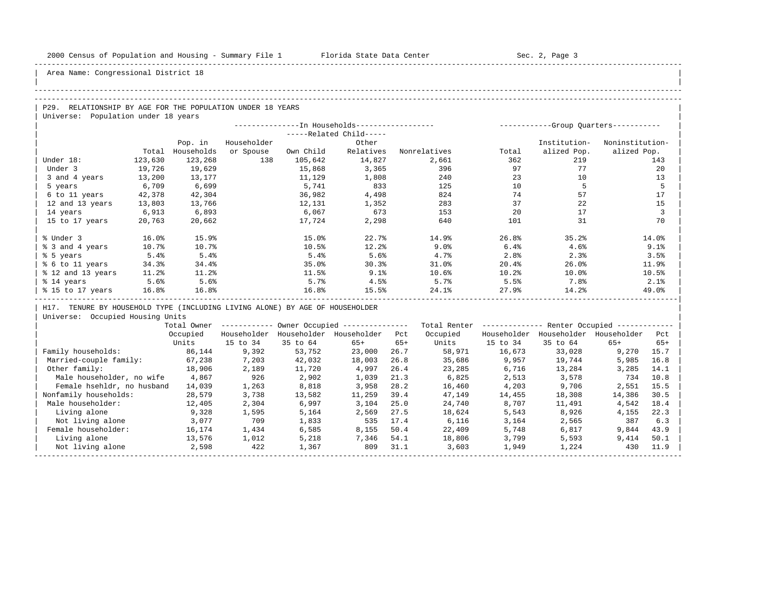| |

Area Name: Congressional District 18

#### -----------------------------------------------------------------------------------------------------------------------------------------------------

## -----------------------------------------------------------------------------------------------------------------------------------------------------

P29. RELATIONSHIP BY AGE FOR THE POPULATION UNDER 18 YEARS | Universe: Population under 18 years

|                   |         |            |             |           | --In Households------------------ |              |       | -----------Group Ouarters----------- |                 |
|-------------------|---------|------------|-------------|-----------|-----------------------------------|--------------|-------|--------------------------------------|-----------------|
|                   |         |            |             |           | -----Related Child-----           |              |       |                                      |                 |
|                   |         | Pop. in    | Householder |           | Other                             |              |       | Institution-                         | Noninstitution- |
|                   | Total   | Households | or Spouse   | Own Child | Relatives                         | Nonrelatives | Total | alized Pop.                          | alized Pop.     |
| Under 18:         | 123,630 | 123,268    | 138         | 105,642   | 14,827                            | 2,661        | 362   | 219                                  | 143             |
| Under 3           | 19,726  | 19,629     |             | 15,868    | 3,365                             | 396          | 97    | 77                                   | 20              |
| 3 and 4 years     | 13,200  | 13,177     |             | 11,129    | 1,808                             | 240          | 23    | 10                                   | 13              |
| 5 years           | 6,709   | 6,699      |             | 5,741     | 833                               | 125          | 10    |                                      | 5               |
| 6 to 11 years     | 42,378  | 42,304     |             | 36,982    | 4,498                             | 824          | 74    | 57                                   | 17              |
| 12 and 13 years   | 13,803  | 13,766     |             | 12,131    | 1,352                             | 283          | 37    | 22                                   | 15              |
| 14 years          | 6,913   | 6,893      |             | 6,067     | 673                               | 153          | 20    | 17                                   | 3               |
| 15 to 17 years    | 20,763  | 20,662     |             | 17,724    | 2,298                             | 640          | 101   | 31                                   | 70              |
|                   |         |            |             |           |                                   |              |       |                                      |                 |
| % Under 3         | 16.0%   | 15.9%      |             | 15.0%     | 22.7%                             | 14.9%        | 26.8% | 35.2%                                | 14.0%           |
| % 3 and 4 years   | 10.7%   | 10.7%      |             | 10.5%     | 12.2%                             | 9.0%         | 6.4%  | 4.6%                                 | 9.1%            |
| % 5 years         | 5.4%    | 5.4%       |             | 5.4%      | 5.6%                              | 4.7%         | 2.8%  | 2.3%                                 | 3.5%            |
| % 6 to 11 years   | 34.3%   | 34.4%      |             | 35.0%     | 30.3%                             | 31.0%        | 20.4% | 26.0%                                | 11.9%           |
| % 12 and 13 years | 11.2%   | 11.2%      |             | 11.5%     | 9.1%                              | 10.6%        | 10.2% | 10.0%                                | 10.5%           |
| % 14 years        | 5.6%    | 5.6%       |             | 5.7%      | 4.5%                              | 5.7%         | 5.5%  | 7.8%                                 | 2.1%            |
| % 15 to 17 years  | 16.8%   | 16.8%      |             | 16.8%     | 15.5%                             | 24.1%        | 27.9% | 14.2%                                | 49.0%           |
|                   |         |            |             |           |                                   |              |       |                                      |                 |

H17. TENURE BY HOUSEHOLD TYPE (INCLUDING LIVING ALONE) BY AGE OF HOUSEHOLDER

|                            | Total Owner |             |             | Owner Occupied --------------- |       | Total Renter |             | Renter Occupied -- |             |       |  |
|----------------------------|-------------|-------------|-------------|--------------------------------|-------|--------------|-------------|--------------------|-------------|-------|--|
|                            | Occupied    | Householder | Householder | Householder                    | Pct   | Occupied     | Householder | Householder        | Householder | Pct   |  |
|                            | Units       | 15 to 34    | 35 to 64    | $65+$                          | $65+$ | Units        | 15 to 34    | 35 to 64           | $65+$       | $65+$ |  |
| Family households:         | 86,144      | 9,392       | 53,752      | 23,000                         | 26.7  | 58,971       | 16,673      | 33,028             | 9,270       | 15.7  |  |
| Married-couple family:     | 67,238      | 7,203       | 42,032      | 18,003                         | 26.8  | 35,686       | 9,957       | 19,744             | 5,985       | 16.8  |  |
| Other family:              | 18,906      | 2,189       | 11,720      | 4,997                          | 26.4  | 23,285       | 6,716       | 13,284             | 3,285       | 14.1  |  |
| Male householder, no wife  | 4,867       | 926         | 2,902       | 1,039                          | 21.3  | 6,825        | 2,513       | 3,578              | 734         | 10.8  |  |
| Female hsehldr, no husband | 14,039      | 1,263       | 8,818       | 3,958                          | 28.2  | 16,460       | 4,203       | 9,706              | 2,551       | 15.5  |  |
| Nonfamily households:      | 28,579      | 3,738       | 13,582      | 11,259                         | 39.4  | 47,149       | 14,455      | 18,308             | 14,386      | 30.5  |  |
| Male householder:          | 12,405      | 2,304       | 6,997       | 3,104                          | 25.0  | 24,740       | 8,707       | 11,491             | 4,542       | 18.4  |  |
| Living alone               | 9,328       | 1,595       | 5,164       | 2,569                          | 27.5  | 18,624       | 5,543       | 8,926              | 4,155       | 22.3  |  |
| Not living alone           | 3,077       | 709         | 1,833       | 535                            | 17.4  | 6,116        | 3,164       | 2,565              | 387         | 6.3   |  |
| Female householder:        | 16,174      | 1,434       | 6,585       | 8,155                          | 50.4  | 22,409       | 5,748       | 6,817              | 9,844       | 43.9  |  |
| Living alone               | 13,576      | 1,012       | 5,218       | 7,346                          | 54.1  | 18,806       | 3,799       | 5,593              | 9,414       | 50.1  |  |
| Not living alone           | 2,598       | 422         | 1,367       | 809                            | 31.1  | 3,603        | 1,949       | 1,224              | 430         | 11.9  |  |
|                            |             |             |             |                                |       |              |             |                    |             |       |  |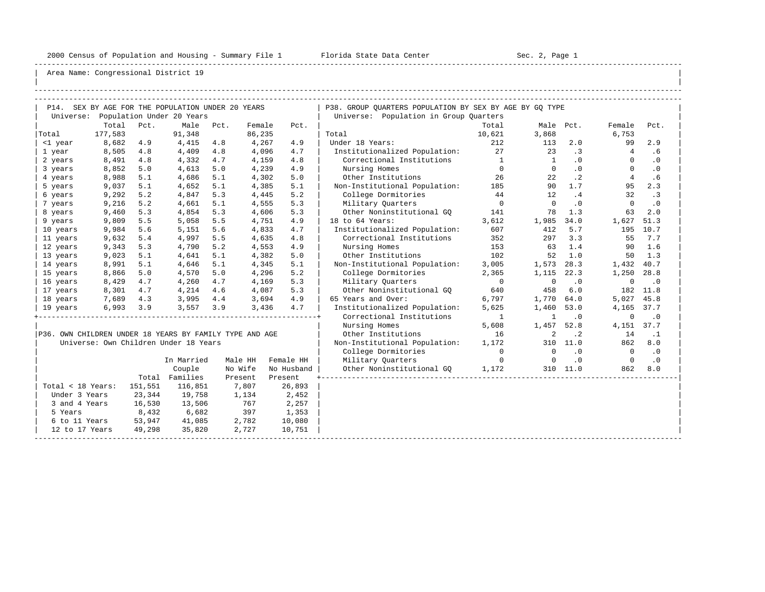-----------------------------------------------------------------------------------------------------------------------------------------------------

| |

|                                                         |         |         | P14. SEX BY AGE FOR THE POPULATION UNDER 20 YEARS |     |                   |                    | P38. GROUP QUARTERS POPULATION BY SEX BY AGE BY GQ TYPE |                |                |           |                |             |
|---------------------------------------------------------|---------|---------|---------------------------------------------------|-----|-------------------|--------------------|---------------------------------------------------------|----------------|----------------|-----------|----------------|-------------|
|                                                         |         |         | Universe: Population Under 20 Years               |     |                   |                    | Universe: Population in Group Quarters                  |                |                |           |                |             |
|                                                         | Total   | Pct.    | Male Pct.                                         |     | Female            | Pct.               |                                                         | Total          | Male Pct.      |           | Female         | Pct.        |
| Total                                                   | 177,583 |         | 91,348                                            |     | 86,235            |                    | Total                                                   | 10,621         | 3,868          |           | 6,753          |             |
| <1 year                                                 | 8,682   | 4.9     | 4,415                                             | 4.8 | 4,267             | 4.9                | Under 18 Years:                                         | 212            | 113            | 2.0       | 99             | 2.9         |
| 1 year                                                  | 8,505   | 4.8     | 4,409                                             | 4.8 | 4,096             | 4.7                | Institutionalized Population: 27                        |                | $\sim$ 23      | $\cdot$ 3 | $\overline{4}$ | .6          |
| 2 years                                                 | 8,491   | 4.8     | 4,332                                             | 4.7 | 4,159             | 4.8                | Correctional Institutions 1                             |                | $\sim$ 1       | .0        | $\Omega$       | $\cdot$ 0   |
| 3 years                                                 | 8,852   | 5.0     | 4,613                                             | 5.0 | 4,239             | 4.9                | Nursing Homes                                           | $\overline{0}$ | $\overline{0}$ | $\cdot$ 0 | $\Omega$       | $\cdot$ 0   |
| 4 years                                                 | 8,988   | 5.1     | 4,686                                             | 5.1 | 4,302             | 5.0                | Other Institutions                                      | 26             | 22             | $\cdot$ 2 | $\overline{4}$ | .6          |
| 5 years                                                 | 9,037   | 5.1     | 4,652                                             | 5.1 | 4,385             | 5.1                | Non-Institutional Population: 185                       |                | 90             | 1.7       | 95             | 2.3         |
| 6 years                                                 | 9,292   | 5.2     | 4,847                                             | 5.3 | 4,445             | 5.2                | College Dormitories                                     | 44             | 12             | .4        | 32             | $\cdot$ 3   |
| 7 years                                                 | 9,216   | 5.2     | 4,661                                             | 5.1 | 4,555             | 5.3                | Military Quarters                                       | $\overline{0}$ | $\overline{0}$ | $\cdot$ 0 | $\overline{0}$ | $\cdot$ 0   |
| 8 years                                                 | 9,460   | 5.3     | 4,854                                             | 5.3 | 4,606             | 5.3                | Other Noninstitutional GO 141                           |                | 78             | 1.3       | 63             | 2.0         |
| 9 years                                                 | 9,809   | 5.5     | 5,058                                             | 5.5 | 4,751             | 4.9                | 18 to 64 Years:                                         | 3,612          | 1,985          | 34.0      | 1,627          | 51.3        |
| 10 years                                                | 9,984   | 5.6     | 5,151                                             | 5.6 | 4,833             | 4.7                | Institutionalized Population:                           | 607            | 412            | 5.7       |                | 195 10.7    |
| 11 years                                                | 9,632   | 5.4     | 4,997                                             | 5.5 | 4,635             | 4.8                | Correctional Institutions                               | 352            | 297            | 3.3       |                | 55 7.7      |
| 12 years                                                | 9,343   | 5.3     | 4,790                                             | 5.2 | 4,553             | 4.9                | Nursing Homes                                           | 153            | 63             | 1.4       | 90             | 1.6         |
| 13 years                                                | 9,023   | 5.1     | 4,641                                             | 5.1 | 4,382             | 5.0                | Other Institutions                                      | 102            | 52             | 1.0       |                | $50 \t 1.3$ |
| 14 years                                                | 8,991   | 5.1     | 4,646                                             | 5.1 | 4,345             | 5.1                | Non-Institutional Population:                           | 3,005          | 1,573          | 28.3      | 1,432 40.7     |             |
| 15 years                                                | 8,866   | 5.0     | 4,570                                             | 5.0 | 4,296             | 5.2                | College Dormitories                                     | 2,365          | 1,115          | 22.3      | 1,250          | 28.8        |
| 16 years                                                | 8,429   | 4.7     | 4,260                                             | 4.7 | 4,169             | 5.3                | Military Ouarters                                       | $\overline{0}$ | $\mathbf 0$    | $\cdot$ 0 | $\mathbf 0$    | $\cdot$ 0   |
| 17 years                                                | 8,301   | 4.7     | 4,214                                             | 4.6 | 4,087             | 5.3                | Other Noninstitutional GQ                               | 640            | 458            | 6.0       |                | 182 11.8    |
| 18 years                                                | 7,689   | 4.3     | 3,995                                             | 4.4 | 3,694             | 4.9                | 65 Years and Over:                                      | 6,797          | 1,770          | 64.0      | 5,027 45.8     |             |
| 19 years                                                | 6,993   | 3.9     | 3,557                                             | 3.9 | 3,436             | 4.7                | Institutionalized Population:                           | 5,625          | 1,460          | 53.0      | 4,165 37.7     |             |
|                                                         |         |         |                                                   |     |                   |                    | Correctional Institutions                               | $\sim$ 1       | $\mathbf{1}$   | $\cdot$ 0 | $\mathbf 0$    | $\cdot$ 0   |
|                                                         |         |         |                                                   |     |                   |                    | Nursing Homes                                           | 5,608          | 1,457 52.8     |           | 4,151 37.7     |             |
| P36. OWN CHILDREN UNDER 18 YEARS BY FAMILY TYPE AND AGE |         |         |                                                   |     |                   |                    | Other Institutions                                      | 16             | 2              | $\cdot$ 2 | 14             | $\cdot$ 1   |
|                                                         |         |         | Universe: Own Children Under 18 Years             |     |                   |                    | Non-Institutional Population:                           | 1,172          |                | 310 11.0  | 862            | 8.0         |
|                                                         |         |         |                                                   |     |                   |                    | College Dormitories                                     | $\overline{0}$ | $\overline{0}$ | $\cdot$ 0 | $\overline{0}$ | $\cdot$ 0   |
|                                                         |         |         | In Married                                        |     | Male HH Female HH |                    | Military Quarters                                       | $\overline{0}$ | $\overline{0}$ | .0        | $\overline{0}$ | $\cdot$ 0   |
|                                                         |         |         | Couple                                            |     |                   | No Wife No Husband | Other Noninstitutional GQ 1,172                         |                |                | 310 11.0  | 862            | 8.0         |
|                                                         |         |         | Total Families                                    |     | Present           | Present            |                                                         |                |                |           |                |             |
| Total < 18 Years:                                       |         | 151,551 | 116,851                                           |     | 7,807             | 26,893             |                                                         |                |                |           |                |             |
| Under 3 Years                                           |         | 23,344  | 19,758                                            |     | 1,134             | 2,452              |                                                         |                |                |           |                |             |
| 3 and 4 Years                                           |         | 16,530  | 13,506                                            |     | 767               | 2,257              |                                                         |                |                |           |                |             |
| 5 Years                                                 |         | 8,432   | 6,682                                             |     | 397               | 1,353              |                                                         |                |                |           |                |             |
| 6 to 11 Years                                           |         | 53,947  | 41,085                                            |     | 2,782             | 10,080             |                                                         |                |                |           |                |             |
| 12 to 17 Years                                          |         | 49,298  | 35,820                                            |     | 2,727             | 10,751             |                                                         |                |                |           |                |             |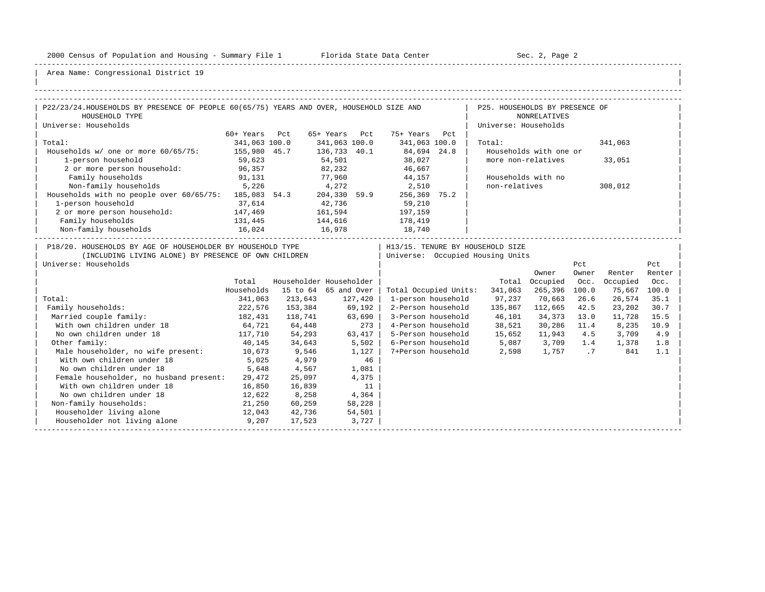-----------------------------------------------------------------------------------------------------------------------------------------------------

| |

| P22/23/24.HOUSEHOLDS BY PRESENCE OF PEOPLE 60(65/75) YEARS AND OVER, HOUSEHOLD SIZE AND                                                    |               |                         |               |         |                       | the contract of the contract | P25. HOUSEHOLDS BY PRESENCE OF                                       |                        |              |          |               |
|--------------------------------------------------------------------------------------------------------------------------------------------|---------------|-------------------------|---------------|---------|-----------------------|------------------------------|----------------------------------------------------------------------|------------------------|--------------|----------|---------------|
| HOUSEHOLD TYPE                                                                                                                             |               |                         |               |         |                       |                              |                                                                      | <b>NONRELATIVES</b>    |              |          |               |
| Universe: Households                                                                                                                       |               |                         |               |         |                       |                              | Universe: Households                                                 |                        |              |          |               |
|                                                                                                                                            | 60+ Years Pct |                         | 65+ Years Pct |         | 75+ Years Pct         |                              |                                                                      |                        |              |          |               |
| Total:                                                                                                                                     | 341,063 100.0 |                         | 341,063 100.0 |         | 341,063 100.0         |                              | Total:                                                               |                        |              | 341,063  |               |
| Households w/ one or more 60/65/75: 155,980 45.7                                                                                           |               |                         | 136,733 40.1  |         | 84,694 24.8           |                              |                                                                      | Households with one or |              |          |               |
| 1-person household                                                                                                                         | 59,623        |                         | 54,501        |         | 38,027<br>46,667      |                              |                                                                      | more non-relatives     |              | 33,051   |               |
| 2 or more person household: 96,357                                                                                                         |               |                         | 82,232        |         |                       |                              |                                                                      |                        |              |          |               |
| Family households                                                                                                                          | 91,131        |                         |               |         | 77,960 44,157         |                              |                                                                      | Households with no     |              |          |               |
| Non-family households 5,226                                                                                                                |               | 4,272                   |               |         | 2,510                 |                              | non-relatives                                                        |                        |              | 308,012  |               |
| Households with no people over 60/65/75: 185,083 54.3 204,330 59.9                                                                         |               |                         |               |         | 256,369 75.2          |                              |                                                                      |                        |              |          |               |
| 1-person household                                                                                                                         | 37,614        | 42,736                  |               |         | 59,210                |                              |                                                                      |                        |              |          |               |
| 2 or more person household: 147,469                                                                                                        |               | 161,594                 |               |         | 197,159               |                              |                                                                      |                        |              |          |               |
| Family households                                                                                                                          | 131,445       | 144,616                 |               |         | 178,419               |                              |                                                                      |                        |              |          |               |
| $16,024 \qquad 16,978 \qquad 18,740 \qquad 1$                                                                                              |               |                         |               |         |                       |                              |                                                                      |                        |              |          |               |
| P18/20. HOUSEHOLDS BY AGE OF HOUSEHOLDER BY HOUSEHOLD TYPE<br>(INCLUDING LIVING ALONE) BY PRESENCE OF OWN CHILDREN<br>Universe: Households |               |                         |               |         |                       |                              | H13/15. TENURE BY HOUSEHOLD SIZE<br>Universe: Occupied Housing Units | Owner                  | Pct<br>Owner | Renter   | Pct<br>Renter |
|                                                                                                                                            | Total         | Householder Householder |               |         |                       |                              |                                                                      | Total Occupied         | Occ.         | Occupied | Occ.          |
|                                                                                                                                            | Households    | 15 to 64 65 and Over    |               |         | Total Occupied Units: |                              | 341,063                                                              | 265,396 100.0          |              | 75,667   | 100.0         |
| Total:                                                                                                                                     | 341,063       | 213,643                 |               | 127,420 | 1-person household    |                              | 97,237                                                               | 70,663                 | 26.6         | 26,574   | 35.1          |
| Family households:                                                                                                                         | 222,576       | 153,384                 | 69,192        |         | 2-Person household    |                              | 135,867 112,665                                                      |                        | 42.5         | 23,202   | 30.7          |
| Married couple family:                                                                                                                     | 182,431       | 118,741                 | 63,690        |         | 3-Person household    |                              | 46,101                                                               | 34,373 13.0            |              | 11,728   | 15.5          |
| 64,721<br>With own children under 18                                                                                                       |               | 64,448                  |               | 273     |                       |                              | 4-Person household 38,521                                            | 30,286 11.4            |              | 8,235    | 10.9          |
| No own children under 18<br>117,710                                                                                                        |               | 54,293                  | 63,417        |         |                       |                              | 5-Person household 15,652                                            | 11,943 4.5             |              | 3,709    | 4.9           |
| Other family:                                                                                                                              | 40,145        | 34,643                  | 5,502         |         |                       |                              | 6-Person household 5,087 3,709 1.4                                   |                        |              | 1,378    | 1.8           |
| Male householder, no wife present: 10,673                                                                                                  |               | 9,546                   |               | 1,127   |                       |                              | 7+Person household 2,598                                             | 1,757 .7               |              | 841      | 1.1           |
| With own children under 18                                                                                                                 | 5,025         | 4,979                   |               | 46      |                       |                              |                                                                      |                        |              |          |               |
| No own children under 18                                                                                                                   | 5,648         | 4,567                   |               | 1,081   |                       |                              |                                                                      |                        |              |          |               |
| Female householder, no husband present:                                                                                                    | 29,472        | 25,097                  |               | 4,375   |                       |                              |                                                                      |                        |              |          |               |
| With own children under 18                                                                                                                 | 16,850        | 16,839                  |               | 11      |                       |                              |                                                                      |                        |              |          |               |
| No own children under 18                                                                                                                   | 12,622        | 8,258                   | 4,364         |         |                       |                              |                                                                      |                        |              |          |               |
| Non-family households:                                                                                                                     | 21,250        | 60,259                  |               | 58,228  |                       |                              |                                                                      |                        |              |          |               |
| Householder living alone<br>12,043                                                                                                         |               | 42,736                  |               | 54,501  |                       |                              |                                                                      |                        |              |          |               |
| Householder not living alone                                                                                                               | 9,207         | 17,523                  |               | 3,727   |                       |                              |                                                                      |                        |              |          |               |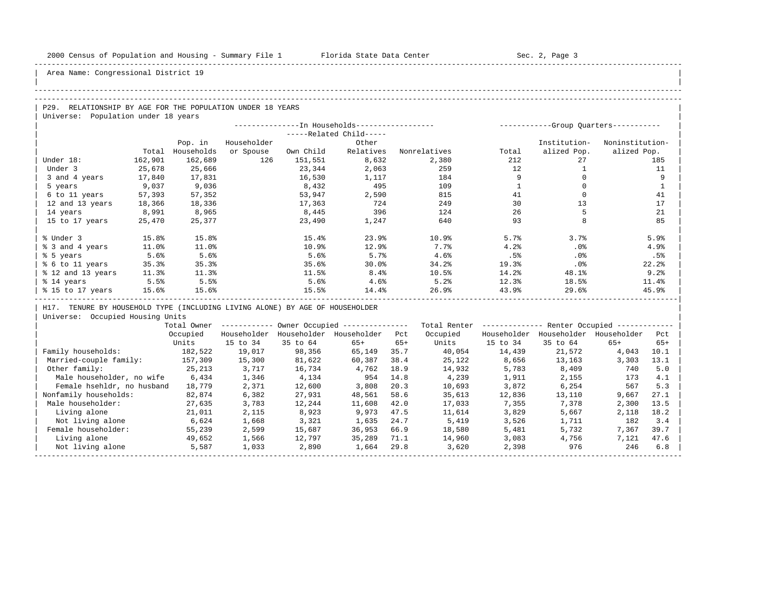| |

Area Name: Congressional District 19

#### -----------------------------------------------------------------------------------------------------------------------------------------------------

#### -----------------------------------------------------------------------------------------------------------------------------------------------------

| P29. RELATIONSHIP BY AGE FOR THE POPULATION UNDER 18 YEARS |
|------------------------------------------------------------|
| Universe: Population under 18 years                        |

|                   |         |            |             | --------------In Households----------------- |                         |              | ----------- |              | -Group Quarters----------- |
|-------------------|---------|------------|-------------|----------------------------------------------|-------------------------|--------------|-------------|--------------|----------------------------|
|                   |         |            |             |                                              | -----Related Child----- |              |             |              |                            |
|                   |         | Pop. in    | Householder |                                              | Other                   |              |             | Institution- | Noninstitution-            |
|                   | Total   | Households | or Spouse   | Own Child                                    | Relatives               | Nonrelatives | Total       | alized Pop.  | alized Pop.                |
| Under 18:         | 162,901 | 162,689    | 126         | 151,551                                      | 8,632                   | 2,380        | 212         | 27           | 185                        |
| Under 3           | 25,678  | 25,666     |             | 23,344                                       | 2,063                   | 259          | 12          |              | 11                         |
| 3 and 4 years     | 17,840  | 17,831     |             | 16,530                                       | 1,117                   | 184          |             |              | 9                          |
| 5 years           | 9,037   | 9,036      |             | 8,432                                        | 495                     | 109          |             |              |                            |
| 6 to 11 years     | 57,393  | 57,352     |             | 53,947                                       | 2,590                   | 815          | 41          |              | 41                         |
| 12 and 13 years   | 18,366  | 18,336     |             | 17,363                                       | 724                     | 249          | 30          | 13           | 17                         |
| 14 years          | 8,991   | 8,965      |             | 8,445                                        | 396                     | 124          | 26          |              | 21                         |
| 15 to 17 years    | 25,470  | 25,377     |             | 23,490                                       | 1,247                   | 640          | 93          | 8            | 85                         |
|                   |         |            |             |                                              |                         |              |             |              |                            |
| % Under 3         | 15.8%   | 15.8%      |             | 15.4%                                        | 23.9%                   | 10.9%        | 5.7%        | 3.7%         | 5.9%                       |
| % 3 and 4 years   | 11.0%   | 11.0%      |             | 10.9%                                        | 12.9%                   | 7.7%         | 4.2%        | .0%          | 4.9%                       |
| % 5 years         | 5.6%    | 5.6%       |             | 5.6%                                         | 5.7%                    | 4.6%         | .5%         | .0%          | .5%                        |
| % 6 to 11 years   | 35.3%   | 35.3%      |             | 35.6%                                        | 30.0%                   | 34.2%        | 19.3%       | .0%          | 22.2%                      |
| % 12 and 13 years | 11.3%   | 11.3%      |             | 11.5%                                        | 8.4%                    | 10.5%        | 14.2%       | 48.1%        | 9.2%                       |
| % 14 years        | 5.5%    | 5.5%       |             | 5.6%                                         | 4.6%                    | 5.2%         | 12.3%       | 18.5%        | 11.4%                      |
| % 15 to 17 years  | 15.6%   | 15.6%      |             | 15.5%                                        | 14.4%                   | 26.9%        | 43.9%       | 29.6%        | 45.9%                      |

| H17. TENURE BY HOUSEHOLD TYPE (INCLUDING LIVING ALONE) BY AGE OF HOUSEHOLDER |

|                            | Total Owner |             |             | Owner Occupied --------------- |       | Total Renter |             | Renter Occupied -- |             |       |  |
|----------------------------|-------------|-------------|-------------|--------------------------------|-------|--------------|-------------|--------------------|-------------|-------|--|
|                            | Occupied    | Householder | Householder | Householder                    | Pct   | Occupied     | Householder | Householder        | Householder | Pct   |  |
|                            | Units       | 15 to 34    | 35 to 64    | $65+$                          | $65+$ | Units        | 15 to 34    | 35 to 64           | $65+$       | $65+$ |  |
| Family households:         | 182,522     | 19,017      | 98,356      | 65,149                         | 35.7  | 40,054       | 14,439      | 21,572             | 4,043       | 10.1  |  |
| Married-couple family:     | 157,309     | 15,300      | 81,622      | 60,387                         | 38.4  | 25,122       | 8,656       | 13,163             | 3,303       | 13.1  |  |
| Other family:              | 25,213      | 3,717       | 16,734      | 4,762                          | 18.9  | 14,932       | 5,783       | 8,409              | 740         | 5.0   |  |
| Male householder, no wife  | 6,434       | 1,346       | 4,134       | 954                            | 14.8  | 4,239        | 1,911       | 2,155              | 173         | 4.1   |  |
| Female hsehldr, no husband | 18,779      | 2,371       | 12,600      | 3,808                          | 20.3  | 10,693       | 3,872       | 6,254              | 567         | 5.3   |  |
| Nonfamily households:      | 82,874      | 6,382       | 27,931      | 48,561                         | 58.6  | 35,613       | 12,836      | 13,110             | 9,667       | 27.1  |  |
| Male householder:          | 27,635      | 3,783       | 12,244      | 11,608                         | 42.0  | 17,033       | 7,355       | 7,378              | 2,300       | 13.5  |  |
| Living alone               | 21,011      | 2,115       | 8,923       | 9,973                          | 47.5  | 11,614       | 3,829       | 5,667              | 2,118       | 18.2  |  |
| Not living alone           | 6,624       | 1,668       | 3,321       | 1,635                          | 24.7  | 5,419        | 3,526       | 1,711              | 182         | 3.4   |  |
| Female householder:        | 55,239      | 2,599       | 15,687      | 36,953                         | 66.9  | 18,580       | 5,481       | 5,732              | 7,367       | 39.7  |  |
| Living alone               | 49,652      | 1,566       | 12,797      | 35,289                         | 71.1  | 14,960       | 3,083       | 4,756              | 7,121       | 47.6  |  |
| Not living alone           | 5,587       | 1,033       | 2,890       | 1,664                          | 29.8  | 3,620        | 2,398       | 976                | 246         | 6.8   |  |
|                            |             |             |             |                                |       |              |             |                    |             |       |  |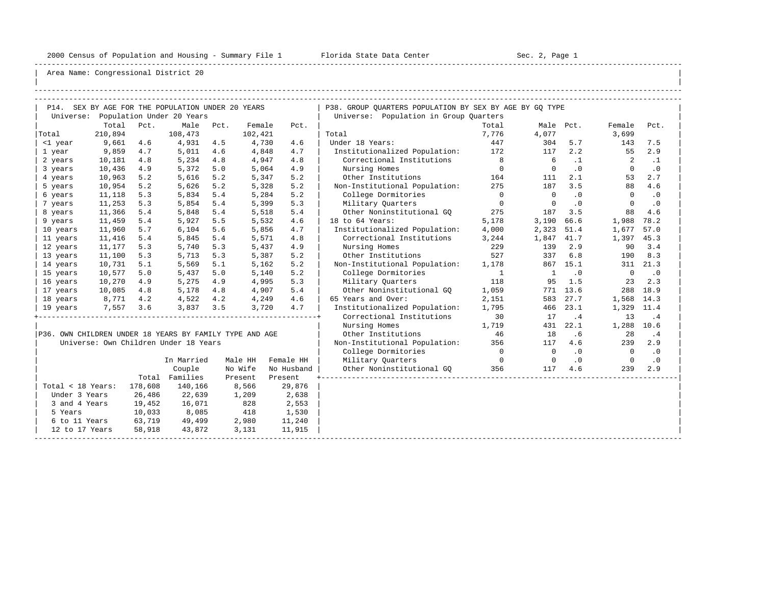-----------------------------------------------------------------------------------------------------------------------------------------------------

| |

|                                                         |         |         | P14. SEX BY AGE FOR THE POPULATION UNDER 20 YEARS |      |         |            | P38. GROUP OUARTERS POPULATION BY SEX BY AGE BY GO TYPE |                |                |           |                          |           |
|---------------------------------------------------------|---------|---------|---------------------------------------------------|------|---------|------------|---------------------------------------------------------|----------------|----------------|-----------|--------------------------|-----------|
|                                                         |         |         | Universe: Population Under 20 Years               |      |         |            | Universe: Population in Group Ouarters                  |                |                |           |                          |           |
|                                                         | Total   | Pct.    | Male                                              | Pct. | Female  | Pct.       |                                                         | Total          |                | Male Pct. | Female                   | Pct.      |
| Total                                                   | 210,894 |         | 108,473                                           |      | 102,421 |            | Total                                                   | 7,776          | 4,077          |           | 3,699                    |           |
| <1 year                                                 | 9,661   | 4.6     | 4,931                                             | 4.5  | 4,730   | 4.6        | Under 18 Years:                                         | 447            | 304            | 5.7       | 143                      | 7.5       |
| 1 year                                                  | 9,859   | 4.7     | 5,011                                             | 4.6  | 4,848   | 4.7        | Institutionalized Population: 172                       |                | 117            | 2.2       | 55                       | 2.9       |
| 2 years                                                 | 10,181  | 4.8     | 5,234                                             | 4.8  | 4,947   | 4.8        | Correctional Institutions                               |                | 6              | $\cdot$ 1 | 2                        | $\cdot$ 1 |
| 3 years                                                 | 10,436  | 4.9     | 5,372                                             | 5.0  | 5,064   | 4.9        | Nursing Homes                                           | $\overline{0}$ | $\Omega$       | .0        | $\Omega$                 | $\cdot$ 0 |
| 4 years                                                 | 10,963  | 5.2     | 5,616                                             | 5.2  | 5,347   | 5.2        | Other Institutions                                      | 164            | 111            | 2.1       | 53                       | 2.7       |
| 5 years                                                 | 10,954  | 5.2     | 5,626                                             | 5.2  | 5,328   | 5.2        | Non-Institutional Population:                           | 275            | 187            | 3.5       | 88                       | 4.6       |
| 6 years                                                 | 11,118  | 5.3     | 5,834                                             | 5.4  | 5,284   | 5.2        | College Dormitories                                     | $\overline{0}$ | $\overline{0}$ | $\cdot$ 0 | $\Omega$                 | .0        |
| 7 years                                                 | 11,253  | 5.3     | 5,854                                             | 5.4  | 5,399   | 5.3        | Military Quarters                                       | $\overline{0}$ | $\Omega$       | $\cdot$ 0 | $\Omega$                 | .0        |
| 8 years                                                 | 11,366  | 5.4     | 5,848                                             | 5.4  | 5,518   | 5.4        | Other Noninstitutional GO                               | 275            | 187            | 3.5       | 88                       | 4.6       |
| 9 years                                                 | 11,459  | 5.4     | 5,927                                             | 5.5  | 5,532   | 4.6        | 18 to 64 Years:                                         | 5,178          | 3,190          | 66.6      | 1,988                    | 78.2      |
| 10 years                                                | 11,960  | 5.7     | 6,104                                             | 5.6  | 5,856   | 4.7        | Institutionalized Population:                           | 4,000          | 2,323          | 51.4      | 1,677                    | 57.0      |
| 11 years                                                | 11,416  | 5.4     | 5,845                                             | 5.4  | 5,571   | 4.8        | Correctional Institutions                               | 3,244          | 1,847          | 41.7      | 1,397                    | 45.3      |
| 12 years                                                | 11,177  | 5.3     | 5,740                                             | 5.3  | 5,437   | 4.9        | Nursing Homes                                           | 229            | 139            | 2.9       | 90                       | 3.4       |
| 13 years                                                | 11,100  | 5.3     | 5,713                                             | 5.3  | 5,387   | 5.2        | Other Institutions                                      | 527            | 337            | 6.8       | 190                      | 8.3       |
| 14 years                                                | 10,731  | 5.1     | 5,569                                             | 5.1  | 5,162   | 5.2        | Non-Institutional Population:                           | 1,178          |                | 867 15.1  |                          | 311 21.3  |
| 15 years                                                | 10,577  | 5.0     | 5,437                                             | 5.0  | 5,140   | 5.2        | College Dormitories                                     | $\overline{1}$ | $\mathbf{1}$   | $\cdot$ 0 | $\overline{0}$           | $\cdot$ 0 |
| 16 years                                                | 10,270  | 4.9     | 5,275                                             | 4.9  | 4,995   | 5.3        | Military Ouarters                                       | 118            | 95             | 1.5       | 23                       | 2.3       |
| 17 years                                                | 10,085  | 4.8     | 5,178                                             | 4.8  | 4,907   | 5.4        | Other Noninstitutional GQ                               | 1,059          |                | 771 13.6  | 288                      | 18.9      |
| 18 years                                                | 8,771   | 4.2     | 4,522                                             | 4.2  | 4,249   | 4.6        | 65 Years and Over:                                      | 2,151          | 583            | 27.7      | 1,568 14.3               |           |
| 19 years                                                | 7,557   | 3.6     | 3,837                                             | 3.5  | 3,720   | 4.7        | Institutionalized Population:                           | 1,795          | 466            | 23.1      | 1,329                    | 11.4      |
|                                                         |         |         |                                                   |      |         |            | Correctional Institutions                               | 30             | 17             | .4        | 13                       | .4        |
|                                                         |         |         |                                                   |      |         |            | Nursing Homes                                           | 1,719          | 431            | 22.1      | 1,288 10.6               |           |
| P36. OWN CHILDREN UNDER 18 YEARS BY FAMILY TYPE AND AGE |         |         |                                                   |      |         |            | Other Institutions                                      | 46             | 18             | . 6       | 28                       | .4        |
|                                                         |         |         | Universe: Own Children Under 18 Years             |      |         |            | Non-Institutional Population: 356                       |                | 117            | 4.6       | 239                      | 2.9       |
|                                                         |         |         |                                                   |      |         |            | College Dormitories                                     | $\overline{0}$ | $\overline{0}$ | $\cdot$ 0 | $\overline{\phantom{0}}$ | $\cdot$ 0 |
|                                                         |         |         | In Married                                        |      | Male HH | Female HH  | Military Quarters                                       | $\overline{0}$ | $\overline{0}$ | $\cdot$ 0 | $\overline{0}$           | $\cdot$ 0 |
|                                                         |         |         | Couple                                            |      | No Wife | No Husband | Other Noninstitutional GQ                               | 356            | 117            | 4.6       | 239                      | 2.9       |
|                                                         |         |         | Total Families                                    |      | Present | Present    |                                                         |                |                |           |                          |           |
| Total < 18 Years:                                       |         | 178,608 | 140,166                                           |      | 8,566   | 29,876     |                                                         |                |                |           |                          |           |
| Under 3 Years                                           |         | 26,486  | 22,639                                            |      | 1,209   | 2,638      |                                                         |                |                |           |                          |           |
| 3 and 4 Years                                           |         | 19,452  | 16,071                                            |      | 828     | 2,553      |                                                         |                |                |           |                          |           |
| 5 Years                                                 |         | 10,033  | 8,085                                             |      | 418     | 1,530      |                                                         |                |                |           |                          |           |
| 6 to 11 Years                                           |         | 63,719  | 49,499                                            |      | 2,980   | 11,240     |                                                         |                |                |           |                          |           |
| 12 to 17 Years                                          |         | 58,918  | 43,872                                            |      | 3,131   | 11,915     |                                                         |                |                |           |                          |           |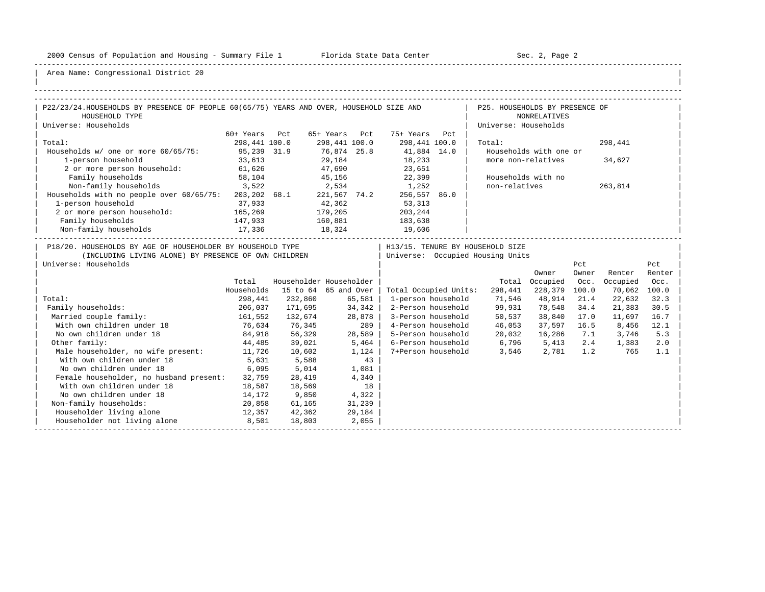-----------------------------------------------------------------------------------------------------------------------------------------------------

| |

| P22/23/24.HOUSEHOLDS BY PRESENCE OF PEOPLE 60(65/75) YEARS AND OVER, HOUSEHOLD SIZE AND                                                    |               |                         |               |                       |                    | P25. HOUSEHOLDS BY PRESENCE OF                                       |                        |              |              |               |
|--------------------------------------------------------------------------------------------------------------------------------------------|---------------|-------------------------|---------------|-----------------------|--------------------|----------------------------------------------------------------------|------------------------|--------------|--------------|---------------|
| HOUSEHOLD TYPE                                                                                                                             |               |                         |               |                       |                    |                                                                      | <b>NONRELATIVES</b>    |              |              |               |
| Universe: Households                                                                                                                       |               |                         |               |                       |                    | Universe: Households                                                 |                        |              |              |               |
|                                                                                                                                            | 60+ Years Pct |                         | 65+ Years Pct | 75+ Years Pct         |                    |                                                                      |                        |              |              |               |
| Total:                                                                                                                                     | 298,441 100.0 |                         | 298,441 100.0 |                       | 298,441 100.0      | Total:                                                               |                        |              | 298,441      |               |
| Households w/ one or more 60/65/75:                                                                                                        | 95,239 31.9   |                         | 76,874 25.8   | 41,884 14.0           |                    |                                                                      | Households with one or |              |              |               |
| 1-person household                                                                                                                         | 33,613        |                         | 29,184        | 18,233<br>23,651      |                    | more non-relatives                                                   |                        |              | 34,627       |               |
| 2 or more person household: 61,626                                                                                                         |               |                         | 47,690        |                       |                    |                                                                      |                        |              |              |               |
| Family households                                                                                                                          | 58,104        |                         |               | 45,156 22,399         |                    |                                                                      | Households with no     |              |              |               |
| Non-family households 3,522                                                                                                                |               | 2,534                   |               | 1,252                 |                    | non-relatives                                                        |                        |              | 263,814      |               |
| Households with no people over 60/65/75: 203,202 68.1 221,567 74.2                                                                         |               |                         |               |                       | 256,557 86.0       |                                                                      |                        |              |              |               |
| 1-person household                                                                                                                         | 37,933        | 42,362                  |               | 53,313                |                    |                                                                      |                        |              |              |               |
| 2 or more person household: 165,269                                                                                                        |               | 179,205                 |               | 203,244               |                    |                                                                      |                        |              |              |               |
| Family households                                                                                                                          | 147,933       | 160,881                 |               | 183,638               |                    |                                                                      |                        |              |              |               |
|                                                                                                                                            |               | 18,324                  |               |                       |                    |                                                                      |                        |              |              |               |
| P18/20. HOUSEHOLDS BY AGE OF HOUSEHOLDER BY HOUSEHOLD TYPE<br>(INCLUDING LIVING ALONE) BY PRESENCE OF OWN CHILDREN<br>Universe: Households |               |                         |               |                       |                    | H13/15. TENURE BY HOUSEHOLD SIZE<br>Universe: Occupied Housing Units | Owner                  | Pct<br>Owner | Renter       | Pct<br>Renter |
|                                                                                                                                            | Total         | Householder Householder |               |                       |                    |                                                                      | Total Occupied         | Occ.         | Occupied     | Occ.          |
|                                                                                                                                            | Households    | 15 to 64 65 and Over    |               | Total Occupied Units: |                    | 298,441                                                              | 228,379 100.0          |              | 70,062 100.0 |               |
| Total:                                                                                                                                     | 298,441       | 232,860                 | 65,581        |                       | 1-person household | 71,546                                                               | 48,914                 | 21.4         | 22,632       | 32.3          |
| Family households:                                                                                                                         | 206,037       | 171,695                 | 34,342        |                       | 2-Person household | 99,931                                                               | 78,548                 | 34.4         | 21,383       | 30.5          |
| Married couple family:                                                                                                                     | 161,552       | 132,674                 | 28,878        |                       | 3-Person household | 50,537                                                               | 38,840                 | 17.0         | 11,697       | 16.7          |
| With own children under 18                                                                                                                 | 76,634        | 76,345                  |               | 289                   |                    | 4-Person household 46,053                                            | 37,597 16.5            |              | 8,456        | 12.1          |
| No own children under 18                                                                                                                   | 84,918        | 56,329                  | 28,589        |                       | 5-Person household | 20,032                                                               | 16,286 7.1             |              | 3,746        | 5.3           |
| Other family:                                                                                                                              | 44,485        | 39,021                  | 5,464         |                       |                    | 6-Person household 6,796 5,413                                       |                        | 2.4          | 1,383        | 2.0           |
| Male householder, no wife present: 11,726                                                                                                  |               | 10,602                  | 1,124         |                       |                    | 7+Person household 3,546                                             | 2,781                  | 1.2          | 765          | 1.1           |
| With own children under 18                                                                                                                 | 5,631         | 5,588                   | 43            |                       |                    |                                                                      |                        |              |              |               |
| No own children under 18                                                                                                                   | 6,095         | 5,014                   | 1,081         |                       |                    |                                                                      |                        |              |              |               |
| Female householder, no husband present:                                                                                                    | 32,759        | 28,419                  | 4,340         |                       |                    |                                                                      |                        |              |              |               |
| With own children under 18                                                                                                                 | 18,587        | 18,569                  | 18            |                       |                    |                                                                      |                        |              |              |               |
| No own children under 18                                                                                                                   | 14,172        | 9,850                   | 4,322         |                       |                    |                                                                      |                        |              |              |               |
| Non-family households:                                                                                                                     | 20,858        | 61,165                  | 31,239        |                       |                    |                                                                      |                        |              |              |               |
| Householder living alone<br>12,357                                                                                                         |               | 42,362                  | 29,184        |                       |                    |                                                                      |                        |              |              |               |
| Householder not living alone                                                                                                               | 8,501         | 18,803                  | 2,055         |                       |                    |                                                                      |                        |              |              |               |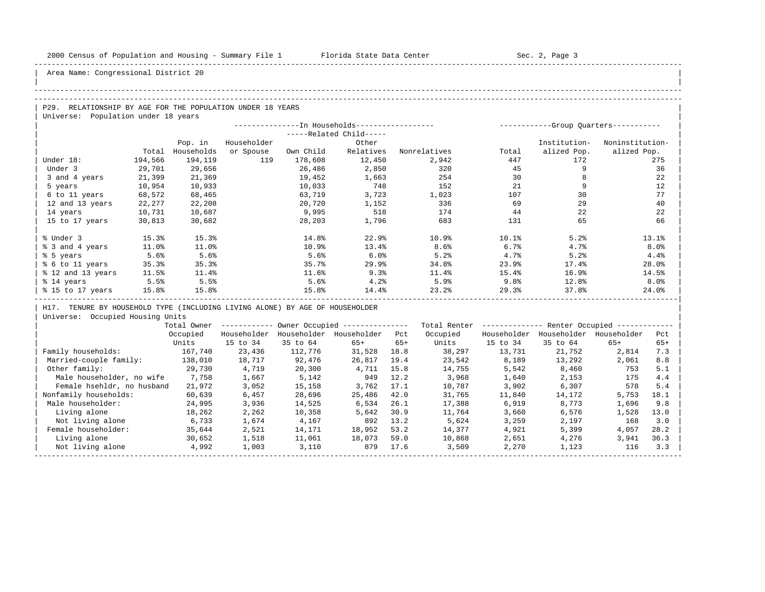| |

## Area Name: Congressional District 20

#### -----------------------------------------------------------------------------------------------------------------------------------------------------

#### -----------------------------------------------------------------------------------------------------------------------------------------------------

| P29. RELATIONSHIP BY AGE FOR THE POPULATION UNDER 18 YEARS |  |
|------------------------------------------------------------|--|
| Universe: Population under 18 years                        |  |

|                   |         |            | --------------In Households----------------- |           | -----------Group Ouarters----------- |              |            |              |                 |
|-------------------|---------|------------|----------------------------------------------|-----------|--------------------------------------|--------------|------------|--------------|-----------------|
|                   |         |            |                                              |           |                                      |              |            |              |                 |
|                   |         | Pop. in    | Householder                                  |           | Other                                |              |            | Institution- | Noninstitution- |
|                   | Total   | Households | or Spouse                                    | Own Child | Relatives                            | Nonrelatives | Total      | alized Pop.  | alized Pop.     |
| Under 18:         | 194,566 | 194,119    | 119                                          | 178,608   | 12,450                               | 2,942        | 447        | 172          | 275             |
| Under 3           | 29,701  | 29,656     |                                              | 26,486    | 2,850                                | 320          | 45         |              | 36              |
| 3 and 4 years     | 21,399  | 21,369     |                                              | 19,452    | 1,663                                | 254          | 30         |              | 22              |
| 5 years           | 10,954  | 10,933     |                                              | 10,033    | 748                                  | 152          | 21         |              | 12              |
| 6 to 11 years     | 68,572  | 68,465     |                                              | 63,719    | 3,723                                | 1,023        | 107        | 30           | 77              |
| 12 and 13 years   | 22,277  | 22,208     |                                              | 20,720    | 1,152                                | 336          | 69         | 29           | 40              |
| 14 years          | 10,731  | 10,687     |                                              | 9,995     | 518                                  | 174          | 44         | 22           | 22              |
| 15 to 17 years    | 30,813  | 30,682     |                                              | 28,203    | 1,796                                | 683          | 131        | 65           | 66              |
| % Under 3         | 15.3%   | 15.3%      |                                              | 14.8%     | 22.9%                                | 10.9%        | $10.1$ $8$ | 5.2%         | 13.1%           |
| % 3 and 4 years   | 11.0%   | 11.0%      |                                              | 10.9%     | 13.4%                                | 8.6%         | 6.7%       | 4.7%         | 8.0%            |
| % 5 years         | 5.6%    | 5.6%       |                                              | 5.6%      | 6.0%                                 | 5.2%         | 4.7%       | 5.2%         | 4.4%            |
| % 6 to 11 years   | 35.3%   | 35.3%      |                                              | 35.7%     | 29.9                                 | 34.8%        | 23.9%      | 17.4%        | 28.0%           |
| % 12 and 13 years | 11.5%   | 11.4%      |                                              | 11.6%     | 9.3%                                 | 11.4%        | 15.4%      | 16.9%        | 14.5%           |
| % 14 years        | 5.5%    | 5.5%       |                                              | 5.6%      | 4.2%                                 | 5.9%         | 9.8%       | 12.8%        | 8.0%            |
| % 15 to 17 years  | 15.8%   | 15.8%      |                                              | 15.8%     | 14.4%                                | 23.2%        | 29.3%      | 37.8%        | 24.0%           |

| H17. TENURE BY HOUSEHOLD TYPE (INCLUDING LIVING ALONE) BY AGE OF HOUSEHOLDER |

|                            | Total Owner |             |             | Owner Occupied --------------- |       | Total Renter |             | Renter Occupied -- |             |       |  |
|----------------------------|-------------|-------------|-------------|--------------------------------|-------|--------------|-------------|--------------------|-------------|-------|--|
|                            | Occupied    | Householder | Householder | Householder                    | Pct   | Occupied     | Householder | Householder        | Householder | Pct   |  |
|                            | Units       | 15 to 34    | 35 to 64    | $65+$                          | $65+$ | Units        | 15 to 34    | 35 to 64           | $65+$       | $65+$ |  |
| Family households:         | 167,740     | 23,436      | 112,776     | 31,528                         | 18.8  | 38,297       | 13,731      | 21,752             | 2,814       | 7.3   |  |
| Married-couple family:     | 138,010     | 18,717      | 92,476      | 26,817                         | 19.4  | 23,542       | 8,189       | 13,292             | 2,061       | 8.8   |  |
| Other family:              | 29,730      | 4,719       | 20,300      | 4,711                          | 15.8  | 14,755       | 5,542       | 8,460              | 753         | 5.1   |  |
| Male householder, no wife  | 7,758       | 1,667       | 5,142       | 949                            | 12.2  | 3,968        | 1,640       | 2,153              | 175         | 4.4   |  |
| Female hsehldr, no husband | 21,972      | 3,052       | 15,158      | 3,762                          | 17.1  | 10,787       | 3,902       | 6,307              | 578         | 5.4   |  |
| Nonfamily households:      | 60,639      | 6,457       | 28,696      | 25,486                         | 42.0  | 31,765       | 11,840      | 14,172             | 5,753       | 18.1  |  |
| Male householder:          | 24,995      | 3,936       | 14,525      | 6,534                          | 26.1  | 17,388       | 6,919       | 8,773              | 1,696       | 9.8   |  |
| Living alone               | 18,262      | 2,262       | 10,358      | 5,642                          | 30.9  | 11,764       | 3,660       | 6,576              | 1,528       | 13.0  |  |
| Not living alone           | 6,733       | 1,674       | 4,167       | 892                            | 13.2  | 5,624        | 3,259       | 2,197              | 168         | 3.0   |  |
| Female householder:        | 35,644      | 2,521       | 14,171      | 18,952                         | 53.2  | 14,377       | 4,921       | 5,399              | 4,057       | 28.2  |  |
| Living alone               | 30,652      | 1,518       | 11,061      | 18,073                         | 59.0  | 10,868       | 2,651       | 4,276              | 3,941       | 36.3  |  |
| Not living alone           | 4,992       | 1,003       | 3,110       | 879                            | 17.6  | 3,509        | 2,270       | 1,123              | 116         | 3.3   |  |
|                            |             |             |             |                                |       |              |             |                    |             |       |  |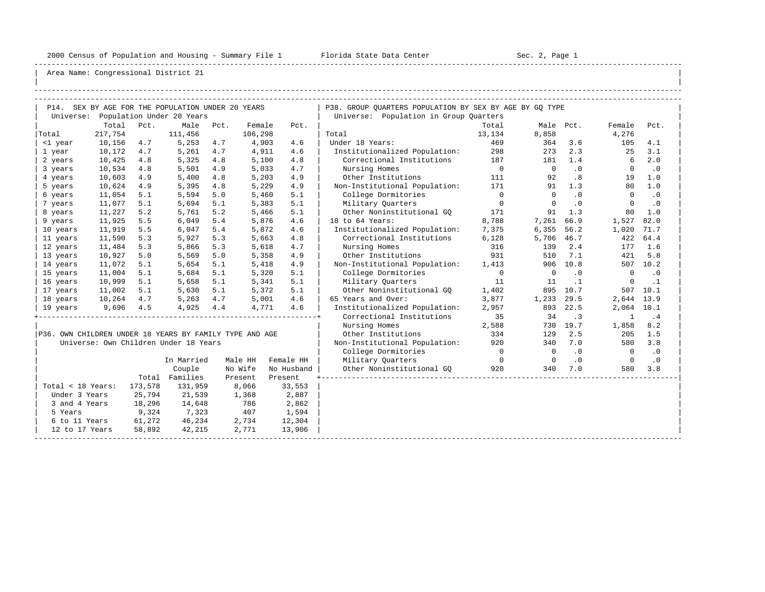-----------------------------------------------------------------------------------------------------------------------------------------------------

| |

| P14. SEX BY AGE FOR THE POPULATION UNDER 20 YEARS       |         |         |                                       |      |         |            | P38. GROUP OUARTERS POPULATION BY SEX BY AGE BY GO TYPE |                          |                |           |                |           |
|---------------------------------------------------------|---------|---------|---------------------------------------|------|---------|------------|---------------------------------------------------------|--------------------------|----------------|-----------|----------------|-----------|
|                                                         |         |         | Universe: Population Under 20 Years   |      |         |            | Universe: Population in Group Quarters                  |                          |                |           |                |           |
|                                                         | Total   | Pct.    | Male                                  | Pct. | Female  | Pct.       |                                                         | Total                    | Male Pct.      |           | Female         | Pct.      |
| Total                                                   | 217,754 |         | 111,456                               |      | 106,298 |            | Total                                                   | 13,134                   | 8,858          |           | 4,276          |           |
| <1 year                                                 | 10,156  | 4.7     | 5,253                                 | 4.7  | 4,903   | 4.6        | Under 18 Years:                                         | 469                      | 364            | 3.6       | 105            | 4.1       |
| 1 year                                                  | 10,172  | 4.7     | 5,261                                 | 4.7  | 4,911   | 4.6        | Institutionalized Population:                           | 298                      | 273            | 2.3       | 25             | 3.1       |
| 2 years                                                 | 10,425  | 4.8     | 5,325                                 | 4.8  | 5,100   | 4.8        | Correctional Institutions 187                           |                          | 181            | 1.4       | 6              | 2.0       |
| 3 years                                                 | 10,534  | 4.8     | 5,501                                 | 4.9  | 5,033   | 4.7        | Nursing Homes                                           | $\overline{\phantom{0}}$ | $\overline{0}$ | $\cdot$ 0 | $\overline{0}$ | $\cdot$ 0 |
| 4 years                                                 | 10,603  | 4.9     | 5,400                                 | 4.8  | 5,203   | 4.9        | Other Institutions                                      | 111                      | 92             | .8        | 19             | 1.0       |
| 5 years                                                 | 10,624  | 4.9     | 5,395                                 | 4.8  | 5,229   | 4.9        | Non-Institutional Population:                           | 171                      | 91             | 1.3       | 80             | 1.0       |
| 6 years                                                 | 11,054  | 5.1     | 5,594                                 | 5.0  | 5,460   | 5.1        | College Dormitories                                     | $\overline{0}$           | $\Omega$       | $\cdot$ 0 | $\mathbf 0$    | $\cdot$ 0 |
| 7 years                                                 | 11,077  | 5.1     | 5,694                                 | 5.1  | 5,383   | 5.1        | Military Ouarters                                       | $\overline{0}$           | $\Omega$       | $\cdot$ 0 | $\Omega$       | $\cdot$ 0 |
| 8 years                                                 | 11,227  | 5.2     | 5,761                                 | 5.2  | 5,466   | 5.1        | Other Noninstitutional GO                               | 171                      | 91             | 1.3       | 80             | 1.0       |
| 9 years                                                 | 11,925  | 5.5     | 6,049                                 | 5.4  | 5,876   | 4.6        | 18 to 64 Years:                                         | 8,788                    | 7,261          | 66.9      | 1,527          | 82.0      |
| 10 years                                                | 11,919  | 5.5     | 6,047                                 | 5.4  | 5,872   | 4.6        | Institutionalized Population:                           | 7,375                    | 6,355          | 56.2      | 1,020          | 71.7      |
| 11 years                                                | 11,590  | 5.3     | 5,927                                 | 5.3  | 5,663   | 4.8        | Correctional Institutions                               | 6,128                    | 5,706          | 46.7      | 422            | 64.4      |
| 12 years                                                | 11,484  | 5.3     | 5,866                                 | 5.3  | 5,618   | 4.7        | Nursing Homes                                           | 316                      | 139            | 2.4       |                | 177 1.6   |
| 13 years                                                | 10,927  | 5.0     | 5,569                                 | 5.0  | 5,358   | 4.9        | Other Institutions                                      | 931                      | 510            | 7.1       | 421            | 5.8       |
| 14 years                                                | 11,072  | 5.1     | 5,654                                 | 5.1  | 5,418   | 4.9        | Non-Institutional Population:                           | 1,413                    |                | 906 10.8  |                | 507 10.2  |
| 15 years                                                | 11,004  | 5.1     | 5,684                                 | 5.1  | 5,320   | 5.1        | College Dormitories                                     | $\overline{0}$           | $\circ$        | .0        | $\mathbf 0$    | $\cdot$ 0 |
| 16 years                                                | 10,999  | 5.1     | 5,658                                 | 5.1  | 5,341   | 5.1        | Military Ouarters                                       | 11                       | 11             | $\cdot$ 1 | $\mathbf 0$    | $\cdot$ 1 |
| 17 years                                                | 11,002  | 5.1     | 5,630                                 | 5.1  | 5,372   | 5.1        | Other Noninstitutional GO                               | 1,402                    | 895            | 10.7      |                | 507 10.1  |
| 18 years                                                | 10,264  | 4.7     | 5,263                                 | 4.7  | 5,001   | 4.6        | 65 Years and Over:                                      | 3,877                    | 1,233          | 29.5      | 2,644          | 13.9      |
| 19 years                                                | 9,696   | 4.5     | 4,925                                 | 4.4  | 4,771   | 4.6        | Institutionalized Population:                           | 2,957                    | 893            | 22.5      | 2,064          | 10.1      |
|                                                         |         |         |                                       |      |         |            | Correctional Institutions                               | 35                       | 34             | $\cdot$ 3 | $\mathbf{1}$   | .4        |
|                                                         |         |         |                                       |      |         |            | Nursing Homes                                           | 2,588                    |                | 730 19.7  | 1,858          | 8.2       |
| P36. OWN CHILDREN UNDER 18 YEARS BY FAMILY TYPE AND AGE |         |         |                                       |      |         |            | Other Institutions                                      | 334                      | 129            | 2.5       | 205            | 1.5       |
|                                                         |         |         | Universe: Own Children Under 18 Years |      |         |            | Non-Institutional Population: 920                       |                          | 340            | 7.0       | 580            | 3.8       |
|                                                         |         |         |                                       |      |         |            | College Dormitories                                     | $\overline{\phantom{0}}$ | $\overline{0}$ | $\cdot$ 0 | $\overline{0}$ | $\cdot$ 0 |
|                                                         |         |         | In Married                            |      | Male HH | Female HH  | Military Ouarters                                       | $\overline{0}$           | $\circ$        | $\cdot$ 0 | $\overline{0}$ | $\cdot$ 0 |
|                                                         |         |         | Couple                                |      | No Wife | No Husband | Other Noninstitutional GO                               | 920                      | 340            | 7.0       | 580            | 3.8       |
|                                                         |         |         | Total Families                        |      | Present | Present    |                                                         |                          |                |           |                |           |
| Total < 18 Years:                                       |         | 173,578 | 131,959                               |      | 8,066   | 33,553     |                                                         |                          |                |           |                |           |
| Under 3 Years                                           |         | 25,794  | 21,539                                |      | 1,368   | 2,887      |                                                         |                          |                |           |                |           |
| 3 and 4 Years                                           |         | 18,296  | 14,648                                |      | 786     | 2,862      |                                                         |                          |                |           |                |           |
| 5 Years                                                 |         | 9,324   | 7,323                                 |      | 407     | 1,594      |                                                         |                          |                |           |                |           |
| 6 to 11 Years                                           |         | 61,272  | 46,234                                |      | 2,734   | 12,304     |                                                         |                          |                |           |                |           |
| 12 to 17 Years                                          |         | 58,892  | 42,215                                |      | 2,771   | 13,906     |                                                         |                          |                |           |                |           |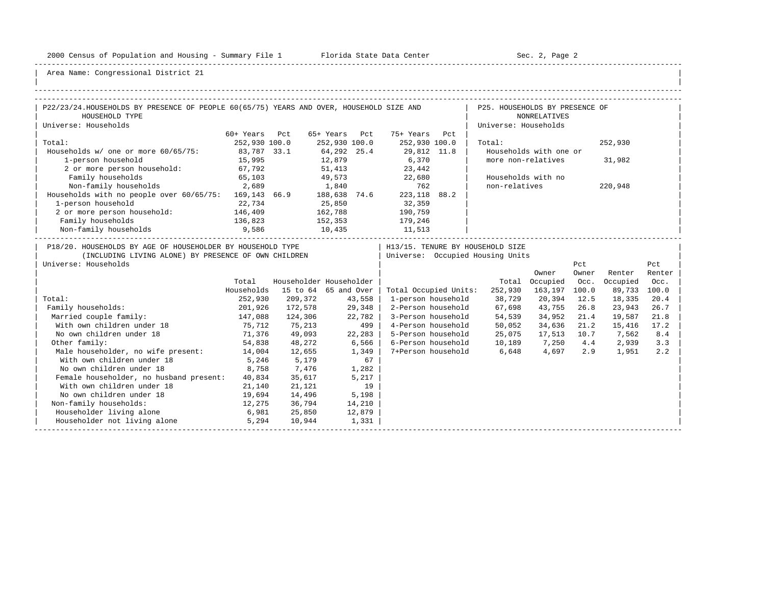-----------------------------------------------------------------------------------------------------------------------------------------------------

| |

| P22/23/24.HOUSEHOLDS BY PRESENCE OF PEOPLE 60(65/75) YEARS AND OVER, HOUSEHOLD SIZE AND                                                    |               |                         |               |         |                       | the contract of the contract | P25. HOUSEHOLDS BY PRESENCE OF                                         |                        |              |          |               |
|--------------------------------------------------------------------------------------------------------------------------------------------|---------------|-------------------------|---------------|---------|-----------------------|------------------------------|------------------------------------------------------------------------|------------------------|--------------|----------|---------------|
| HOUSEHOLD TYPE                                                                                                                             |               |                         |               |         |                       |                              |                                                                        | <b>NONRELATIVES</b>    |              |          |               |
| Universe: Households                                                                                                                       |               |                         |               |         |                       |                              | Universe: Households                                                   |                        |              |          |               |
|                                                                                                                                            | 60+ Years Pct |                         | 65+ Years Pct |         | 75+ Years Pct         |                              |                                                                        |                        |              |          |               |
| Total:                                                                                                                                     | 252,930 100.0 |                         | 252,930 100.0 |         | 252,930 100.0         |                              | Total:                                                                 |                        |              | 252,930  |               |
| Households w/ one or more 60/65/75:                                                                                                        | 83,787 33.1   |                         | 64, 292 25.4  |         | 29,812 11.8           |                              |                                                                        | Households with one or |              |          |               |
| 1-person household                                                                                                                         | 15,995        |                         | 12,879        |         | 6,370                 |                              | more non-relatives                                                     |                        |              | 31,982   |               |
| 2 or more person household: 67,792                                                                                                         |               |                         | 51,413        |         | 23,442                |                              |                                                                        |                        |              |          |               |
| Family households                                                                                                                          | 65,103        |                         |               |         | 49,573 22,680         |                              |                                                                        | Households with no     |              |          |               |
| Non-family households 2,689                                                                                                                |               | 1,840                   |               |         | 762                   |                              | non-relatives                                                          |                        |              | 220,948  |               |
| Households with no people over 60/65/75: 169,143 66.9 188,638 74.6                                                                         |               |                         |               |         | 223, 118 88.2         |                              |                                                                        |                        |              |          |               |
| 1-person household                                                                                                                         | 22,734        | 25,850                  |               |         | 32,359                |                              |                                                                        |                        |              |          |               |
| 2 or more person household: 146,409                                                                                                        |               | 162,788                 |               |         | 190,759               |                              |                                                                        |                        |              |          |               |
| Family households                                                                                                                          | 136,823       |                         |               |         | 179,246               |                              |                                                                        |                        |              |          |               |
|                                                                                                                                            |               | 152,353<br>10,435       |               |         | 11,513                |                              |                                                                        |                        |              |          |               |
| P18/20. HOUSEHOLDS BY AGE OF HOUSEHOLDER BY HOUSEHOLD TYPE<br>(INCLUDING LIVING ALONE) BY PRESENCE OF OWN CHILDREN<br>Universe: Households |               |                         |               |         |                       |                              | H13/15. TENURE BY HOUSEHOLD SIZE<br>  Universe: Occupied Housing Units | Owner                  | Pct<br>Owner | Renter   | Pct<br>Renter |
|                                                                                                                                            | Total         | Householder Householder |               |         |                       |                              | Total                                                                  | Occupied               | Occ.         | Occupied | Occ.          |
|                                                                                                                                            | Households    | 15 to 64 65 and Over    |               |         | Total Occupied Units: |                              | 252,930                                                                | 163,197 100.0          |              | 89,733   | 100.0         |
| Total:                                                                                                                                     | 252,930       | 209,372                 |               | 43,558  | 1-person household    |                              | 38,729                                                                 | 20,394                 | 12.5         | 18,335   | 20.4          |
| Family households:                                                                                                                         | 201,926       | 172,578                 |               | 29,348  | 2-Person household    |                              | 67,698                                                                 | 43,755                 | 26.8         | 23,943   | 26.7          |
| Married couple family:                                                                                                                     | 147,088       | 124,306                 |               | 22,782  | 3-Person household    |                              | 54,539                                                                 | 34,952                 | 21.4         | 19,587   | 21.8          |
| 75,712<br>With own children under 18                                                                                                       |               | 75,213                  |               | 499     | 4-Person household    |                              | 50,052                                                                 | 34,636                 | 21.2         | 15,416   | 17.2          |
| No own children under 18                                                                                                                   | 71,376        | 49,093                  |               | 22, 283 | 5-Person household    |                              | 25,075                                                                 | 17,513 10.7            |              | 7,562    | 8.4           |
| Other family:                                                                                                                              | 54,838        | 48,272                  | 6,566         |         |                       |                              | 6-Person household 10,189                                              | 7,250                  | 4.4          | 2,939    | 3.3           |
| Male householder, no wife present: 14,004                                                                                                  |               | 12,655                  |               | 1,349   |                       |                              | 7+Person household 6,648                                               | 4,697                  | 2.9          | 1,951    | 2.2           |
| With own children under 18                                                                                                                 | 5,246         | 5,179                   |               | 67      |                       |                              |                                                                        |                        |              |          |               |
| No own children under 18                                                                                                                   | 8,758         | 7,476                   |               | 1,282   |                       |                              |                                                                        |                        |              |          |               |
| Female householder, no husband present:                                                                                                    | 40,834        | 35,617                  |               | 5,217   |                       |                              |                                                                        |                        |              |          |               |
| With own children under 18                                                                                                                 | 21,140        | 21,121                  |               | 19      |                       |                              |                                                                        |                        |              |          |               |
| No own children under 18                                                                                                                   | 19,694        | 14,496                  |               | 5,198   |                       |                              |                                                                        |                        |              |          |               |
| Non-family households:                                                                                                                     | 12,275        | 36,794                  |               | 14,210  |                       |                              |                                                                        |                        |              |          |               |
| Householder living alone<br>6,981                                                                                                          |               | 25,850                  |               | 12,879  |                       |                              |                                                                        |                        |              |          |               |
| Householder not living alone                                                                                                               | 5,294         | 10,944                  |               | 1,331   |                       |                              |                                                                        |                        |              |          |               |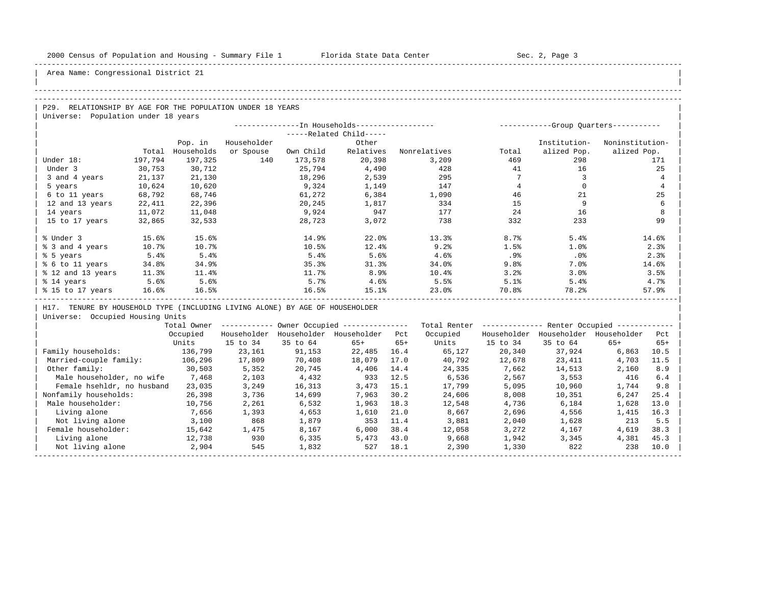| |

Area Name: Congressional District 21

## -----------------------------------------------------------------------------------------------------------------------------------------------------

## -----------------------------------------------------------------------------------------------------------------------------------------------------

P29. RELATIONSHIP BY AGE FOR THE POPULATION UNDER 18 YEARS | Universe: Population under 18 years

|                   |         |            | --In Households------------------ |           | -----------Group Quarters----------- |              |       |              |                 |
|-------------------|---------|------------|-----------------------------------|-----------|--------------------------------------|--------------|-------|--------------|-----------------|
|                   |         |            |                                   |           | -----Related Child-----              |              |       |              |                 |
|                   |         | Pop. in    | Householder                       |           | Other                                |              |       | Institution- | Noninstitution- |
|                   | Total   | Households | or Spouse                         | Own Child | Relatives                            | Nonrelatives | Total | alized Pop.  | alized Pop.     |
| Under 18:         | 197,794 | 197,325    | 140                               | 173,578   | 20,398                               | 3,209        | 469   | 298          | 171             |
| Under 3           | 30,753  | 30,712     |                                   | 25,794    | 4,490                                | 428          | 41    | 16           | 25              |
| 3 and 4 years     | 21,137  | 21,130     |                                   | 18,296    | 2,539                                | 295          |       |              | 4               |
| 5 years           | 10,624  | 10,620     |                                   | 9,324     | 1,149                                | 147          |       |              | $\overline{4}$  |
| 6 to 11 years     | 68,792  | 68,746     |                                   | 61,272    | 6,384                                | 1,090        | 46    | 21           | 25              |
| 12 and 13 years   | 22,411  | 22,396     |                                   | 20,245    | 1,817                                | 334          | 15    |              | 6               |
| 14 years          | 11,072  | 11,048     |                                   | 9,924     | 947                                  | 177          | 24    | 16           | 8               |
| 15 to 17 years    | 32,865  | 32,533     |                                   | 28,723    | 3,072                                | 738          | 332   | 233          | 99              |
|                   |         |            |                                   |           |                                      |              |       |              |                 |
| % Under 3         | 15.6%   | 15.6%      |                                   | 14.9%     | 22.0%                                | 13.3%        | 8.7%  | 5.4%         | 14.6%           |
| % 3 and 4 years   | 10.7%   | 10.7%      |                                   | 10.5%     | 12.4%                                | 9.2%         | 1.5%  | 1.0%         | 2.3%            |
| % 5 years         | 5.4%    | 5.4%       |                                   | 5.4%      | 5.6%                                 | 4.6%         | .9%   | $.0\%$       | 2.3%            |
| % 6 to 11 years   | 34.8%   | 34.9%      |                                   | 35.3%     | 31.3%                                | 34.0%        | 9.8%  | 7.0%         | 14.6%           |
| % 12 and 13 years | 11.3%   | 11.4%      |                                   | 11.7%     | 8.9%                                 | 10.4%        | 3.2%  | 3.0%         | 3.5%            |
| % 14 years        | 5.6%    | 5.6%       |                                   | 5.7%      | 4.6%                                 | 5.5%         | 5.1%  | 5.4%         | 4.7%            |
| % 15 to 17 years  | 16.6%   | 16.5%      |                                   | 16.5%     | 15.1%                                | 23.0%        | 70.8% | 78.2%        | 57.9%           |
|                   |         |            |                                   |           |                                      |              |       |              |                 |

H17. TENURE BY HOUSEHOLD TYPE (INCLUDING LIVING ALONE) BY AGE OF HOUSEHOLDER

|                            | Total Owner |             |             | Owner Occupied --------------- |       | Total Renter | Renter Occupied -- |             |             |       |  |
|----------------------------|-------------|-------------|-------------|--------------------------------|-------|--------------|--------------------|-------------|-------------|-------|--|
|                            | Occupied    | Householder | Householder | Householder                    | Pct   | Occupied     | Householder        | Householder | Householder | Pct   |  |
|                            | Units       | 15 to 34    | 35 to 64    | $65+$                          | $65+$ | Units        | 15 to 34           | 35 to 64    | $65+$       | $65+$ |  |
| Family households:         | 136,799     | 23,161      | 91,153      | 22,485                         | 16.4  | 65,127       | 20,340             | 37,924      | 6,863       | 10.5  |  |
| Married-couple family:     | 106,296     | 17,809      | 70,408      | 18,079                         | 17.0  | 40,792       | 12,678             | 23,411      | 4,703       | 11.5  |  |
| Other family:              | 30,503      | 5,352       | 20,745      | 4,406                          | 14.4  | 24,335       | 7,662              | 14,513      | 2,160       | 8.9   |  |
| Male householder, no wife  | 7,468       | 2,103       | 4,432       | 933                            | 12.5  | 6,536        | 2,567              | 3,553       | 416         | 6.4   |  |
| Female hsehldr, no husband | 23,035      | 3,249       | 16,313      | 3,473                          | 15.1  | 17,799       | 5,095              | 10,960      | 1,744       | 9.8   |  |
| Nonfamily households:      | 26,398      | 3,736       | 14,699      | 7,963                          | 30.2  | 24,606       | 8,008              | 10,351      | 6,247       | 25.4  |  |
| Male householder:          | 10,756      | 2,261       | 6,532       | 1,963                          | 18.3  | 12,548       | 4,736              | 6,184       | 1,628       | 13.0  |  |
| Living alone               | 7,656       | 1,393       | 4,653       | 1,610                          | 21.0  | 8,667        | 2,696              | 4,556       | 1,415       | 16.3  |  |
| Not living alone           | 3,100       | 868         | 1,879       | 353                            | 11.4  | 3,881        | 2,040              | 1,628       | 213         | 5.5   |  |
| Female householder:        | 15,642      | 1,475       | 8,167       | 6.000                          | 38.4  | 12,058       | 3,272              | 4,167       | 4,619       | 38.3  |  |
| Living alone               | 12,738      | 930         | 6,335       | 5,473                          | 43.0  | 9,668        | 1,942              | 3,345       | 4,381       | 45.3  |  |
| Not living alone           | 2,904       | 545         | 1,832       | 527                            | 18.1  | 2,390        | 1,330              | 822         | 238         | 10.0  |  |
|                            |             |             |             |                                |       |              |                    |             |             |       |  |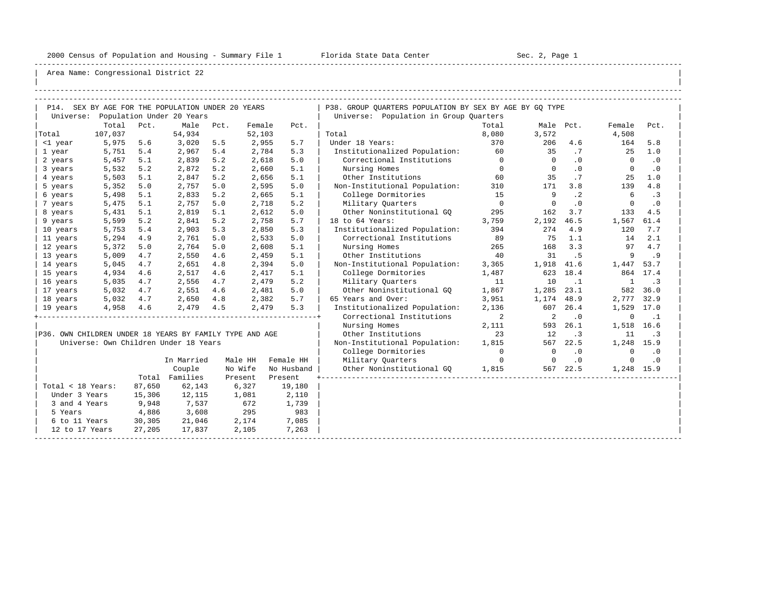-----------------------------------------------------------------------------------------------------------------------------------------------------

| |

|                                                      | P14. SEX BY AGE FOR THE POPULATION UNDER 20 YEARS<br>Universe: Population Under 20 Years<br>Total<br>Pct.<br>Male<br>Pct.<br>Female<br>Pct. |        |                                                         |     |         |            | P38. GROUP QUARTERS POPULATION BY SEX BY AGE BY GQ TYPE |                |             |           |              |                          |
|------------------------------------------------------|---------------------------------------------------------------------------------------------------------------------------------------------|--------|---------------------------------------------------------|-----|---------|------------|---------------------------------------------------------|----------------|-------------|-----------|--------------|--------------------------|
|                                                      |                                                                                                                                             |        |                                                         |     |         |            | Universe: Population in Group Quarters                  |                |             |           |              |                          |
|                                                      |                                                                                                                                             |        |                                                         |     |         |            |                                                         | Total          |             | Male Pct. | Female       | Pct.                     |
| Total                                                | 107,037                                                                                                                                     |        | 54,934                                                  |     | 52,103  |            | Total                                                   | 8,080          | 3,572       |           | 4,508        |                          |
| <1 year                                              | 5,975                                                                                                                                       | 5.6    | 3,020                                                   | 5.5 | 2,955   | 5.7        | Under 18 Years:                                         | 370            | 206         | 4.6       | 164          | 5.8                      |
| 1 year                                               | 5,751                                                                                                                                       | 5.4    | 2,967                                                   | 5.4 | 2,784   | 5.3        | Institutionalized Population:                           | 60             | 35          | .7        | 25           | 1.0                      |
| 2 years                                              | 5,457                                                                                                                                       | 5.1    | 2,839                                                   | 5.2 | 2,618   | 5.0        | Correctional Institutions                               | $\overline{0}$ | $\Omega$    | .0        | $\Omega$     | $\cdot$ 0                |
| 3 years                                              | 5,532                                                                                                                                       | 5.2    | 2,872                                                   | 5.2 | 2,660   | 5.1        | Nursing Homes                                           | $\Omega$       | $\Omega$    | .0        | $\Omega$     | $\cdot$ 0                |
| 4 years                                              | 5,503                                                                                                                                       | 5.1    | 2,847                                                   | 5.2 | 2,656   | 5.1        | Other Institutions                                      | 60             | 35          | .7        | 25           | 1.0                      |
| 5 years                                              | 5,352                                                                                                                                       | 5.0    | 2,757                                                   | 5.0 | 2,595   | 5.0        | Non-Institutional Population:                           | 310            | 171         | 3.8       | 139          | 4.8                      |
| 6 years                                              | 5,498                                                                                                                                       | 5.1    | 2,833                                                   | 5.2 | 2,665   | 5.1        | College Dormitories                                     | 15             | 9           | $\cdot$ 2 | 6            | $\cdot$ 3                |
| 7 years                                              | 5,475                                                                                                                                       | 5.1    | 2,757                                                   | 5.0 | 2,718   | 5.2        | Military Quarters                                       | $\overline{0}$ | $\mathbf 0$ | .0        | $\mathbf 0$  | $\cdot$ 0                |
| 8 years                                              | 5,431                                                                                                                                       | 5.1    | 2,819                                                   | 5.1 | 2,612   | 5.0        | Other Noninstitutional GO                               | 295            | 162         | 3.7       | 133          | 4.5                      |
| 9 years                                              | 5,599                                                                                                                                       | 5.2    | 2,841                                                   | 5.2 | 2,758   | 5.7        | 18 to 64 Years:                                         | 3,759          | 2,192       | 46.5      | 1,567        | 61.4                     |
| 10 years                                             | 5,753                                                                                                                                       | 5.4    | 2,903                                                   | 5.3 | 2,850   | 5.3        | Institutionalized Population:                           | 394            | 274         | 4.9       | 120          | 7.7                      |
| 11 years                                             | 5,294                                                                                                                                       | 4.9    | 2,761                                                   | 5.0 | 2,533   | 5.0        | Correctional Institutions                               | 89             | 75          | 1.1       | 14           | 2.1                      |
| 12 years                                             | 5,372                                                                                                                                       | 5.0    | 2,764                                                   | 5.0 | 2,608   | 5.1        | Nursing Homes                                           | 265            | 168         | 3.3       | 97           | 4.7                      |
| 13 years                                             | 5,009                                                                                                                                       | 4.7    | 2,550                                                   | 4.6 | 2,459   | 5.1        | Other Institutions                                      | 40             | 31          | .5        | 9            | .9                       |
| 14 years                                             | 5,045                                                                                                                                       | 4.7    | 2,651                                                   | 4.8 | 2,394   | 5.0        | Non-Institutional Population:                           | 3,365          | 1,918       | 41.6      | 1,447 53.7   |                          |
| 15 years                                             | 4,934                                                                                                                                       | 4.6    | 2,517                                                   | 4.6 | 2,417   | 5.1        | College Dormitories                                     | 1,487          | 623         | 18.4      |              | 864 17.4                 |
| 16 years                                             | 5,035                                                                                                                                       | 4.7    | 2,556                                                   | 4.7 | 2,479   | 5.2        | Military Ouarters                                       | 11             | 10          | $\cdot$ 1 | $\mathbf{1}$ | $\overline{\phantom{a}}$ |
| 17 years                                             | 5,032                                                                                                                                       | 4.7    | 2,551                                                   | 4.6 | 2,481   | 5.0        | Other Noninstitutional GO                               | 1,867          | 1,285       | 23.1      |              | 582 36.0                 |
| 18 years                                             | 5,032                                                                                                                                       | 4.7    | 2,650                                                   | 4.8 | 2,382   | 5.7        | 65 Years and Over:                                      | 3,951          | 1,174       | 48.9      | 2,777 32.9   |                          |
| 19 years                                             | 4,958                                                                                                                                       | 4.6    | 2,479                                                   | 4.5 | 2,479   | 5.3        | Institutionalized Population:                           | 2,136          | 607         | 26.4      | 1,529        | 17.0                     |
|                                                      |                                                                                                                                             |        |                                                         |     |         |            | Correctional Institutions                               | 2              | 2           | $\cdot$ 0 | $\mathbf 0$  | $\cdot$ 1                |
|                                                      |                                                                                                                                             |        |                                                         |     |         |            | Nursing Homes                                           | 2,111          | 593         | 26.1      | 1,518 16.6   |                          |
|                                                      |                                                                                                                                             |        | P36. OWN CHILDREN UNDER 18 YEARS BY FAMILY TYPE AND AGE |     |         |            | Other Institutions                                      | 23             | 12          | $\cdot$ 3 | 11           | $\cdot$ 3                |
|                                                      |                                                                                                                                             |        | Universe: Own Children Under 18 Years                   |     |         |            | Non-Institutional Population:                           | 1,815          |             | 567 22.5  | 1,248 15.9   |                          |
|                                                      |                                                                                                                                             |        |                                                         |     |         |            | College Dormitories                                     | $\overline{0}$ | $\mathbf 0$ | $\cdot$ 0 | $\mathbf 0$  | $\cdot$ 0                |
|                                                      |                                                                                                                                             |        | In Married                                              |     | Male HH | Female HH  | Military Quarters                                       | $\Omega$       | $\Omega$    | .0        | $\Omega$     | .0                       |
|                                                      |                                                                                                                                             |        | Couple                                                  |     | No Wife | No Husband | Other Noninstitutional GQ                               | 1,815          |             | 567 22.5  | 1,248 15.9   |                          |
|                                                      |                                                                                                                                             |        | Total Families                                          |     | Present | Present    |                                                         |                |             |           |              |                          |
| Total < 18 Years:                                    |                                                                                                                                             | 87,650 | 62,143                                                  |     | 6,327   | 19,180     |                                                         |                |             |           |              |                          |
| Under 3 Years                                        |                                                                                                                                             | 15,306 | 12,115                                                  |     | 1,081   | 2,110      |                                                         |                |             |           |              |                          |
| 3 and 4 Years                                        |                                                                                                                                             | 9,948  | 7,537                                                   |     | 672     | 1,739      |                                                         |                |             |           |              |                          |
| 5 Years                                              |                                                                                                                                             | 4,886  | 3,608                                                   |     | 295     | 983        |                                                         |                |             |           |              |                          |
| 6 to 11 Years                                        |                                                                                                                                             | 30,305 | 21,046                                                  |     | 2,174   | 7,085      |                                                         |                |             |           |              |                          |
| 27,205<br>17,837<br>2,105<br>7,263<br>12 to 17 Years |                                                                                                                                             |        |                                                         |     |         |            |                                                         |                |             |           |              |                          |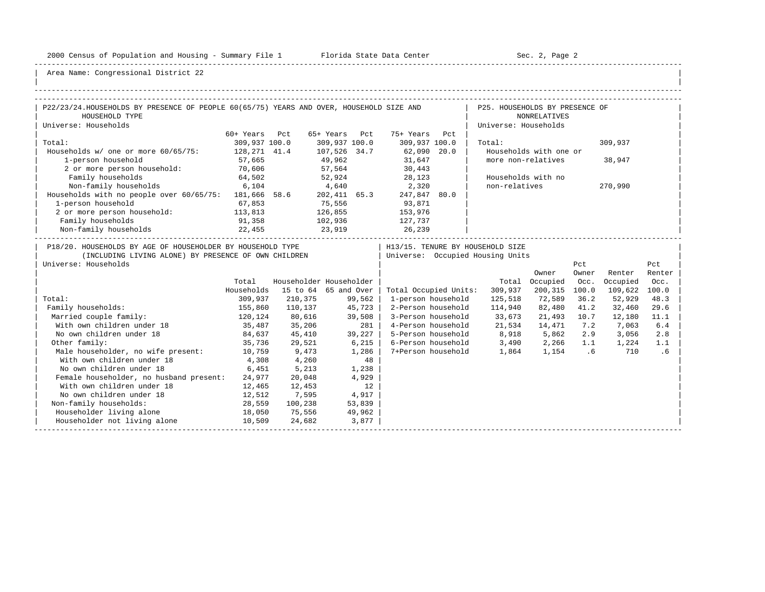-----------------------------------------------------------------------------------------------------------------------------------------------------

| |

| P22/23/24.HOUSEHOLDS BY PRESENCE OF PEOPLE 60(65/75) YEARS AND OVER, HOUSEHOLD SIZE AND                                                    |               |                         |               |        |                       | P25. HOUSEHOLDS BY PRESENCE OF                                       |                        |              |          |               |
|--------------------------------------------------------------------------------------------------------------------------------------------|---------------|-------------------------|---------------|--------|-----------------------|----------------------------------------------------------------------|------------------------|--------------|----------|---------------|
| HOUSEHOLD TYPE                                                                                                                             |               |                         |               |        |                       |                                                                      | <b>NONRELATIVES</b>    |              |          |               |
| Universe: Households                                                                                                                       |               |                         |               |        |                       | Universe: Households                                                 |                        |              |          |               |
|                                                                                                                                            | 60+ Years Pct |                         | 65+ Years Pct |        | 75+ Years Pct         |                                                                      |                        |              |          |               |
| Total:                                                                                                                                     | 309,937 100.0 |                         | 309,937 100.0 |        | 309,937 100.0         | Total:                                                               |                        |              | 309,937  |               |
| Households w/ one or more 60/65/75: 128,271 41.4                                                                                           |               |                         | 107,526 34.7  |        | $62,090$ 20.0         |                                                                      | Households with one or |              |          |               |
| 1-person household                                                                                                                         | 57,665        |                         | 49,962        |        | 31,647                | more non-relatives                                                   |                        |              | 38,947   |               |
| 2 or more person household: 70,606                                                                                                         |               |                         | 57,564        |        | 30,443                |                                                                      |                        |              |          |               |
| Family households                                                                                                                          | 64,502        |                         |               |        | 52,924 28,123         |                                                                      | Households with no     |              |          |               |
| Non-family households 6,104                                                                                                                |               | 4,640                   |               |        | 2,320                 | non-relatives                                                        |                        |              | 270,990  |               |
| Households with no people over 60/65/75: 181,666 58.6                                                                                      |               |                         | 202,411 65.3  |        | 247,847 80.0          |                                                                      |                        |              |          |               |
| 1-person household                                                                                                                         | 67,853        | 75,556                  |               |        | 93,871                |                                                                      |                        |              |          |               |
| 2 or more person household: 113,813                                                                                                        |               | 126,855                 |               |        | 153,976               |                                                                      |                        |              |          |               |
| Family households                                                                                                                          | 91,358        | 102,936                 |               |        | 127,737               |                                                                      |                        |              |          |               |
|                                                                                                                                            |               |                         |               |        |                       |                                                                      |                        |              |          |               |
| P18/20. HOUSEHOLDS BY AGE OF HOUSEHOLDER BY HOUSEHOLD TYPE<br>(INCLUDING LIVING ALONE) BY PRESENCE OF OWN CHILDREN<br>Universe: Households |               |                         |               |        |                       | H13/15. TENURE BY HOUSEHOLD SIZE<br>Universe: Occupied Housing Units | Owner                  | Pct<br>Owner | Renter   | Pct<br>Renter |
|                                                                                                                                            | Total         | Householder Householder |               |        |                       |                                                                      | Total Occupied         | Occ.         | Occupied | Occ.          |
|                                                                                                                                            | Households    | 15 to 64 65 and Over    |               |        | Total Occupied Units: | 309,937                                                              | 200,315 100.0          |              | 109,622  | 100.0         |
| Total:                                                                                                                                     | 309,937       | 210,375                 |               | 99,562 | 1-person household    | 125,518                                                              | 72,589                 | 36.2         | 52,929   | 48.3          |
| Family households:                                                                                                                         | 155,860       | 110,137                 | 45,723        |        | 2-Person household    | 114,940                                                              | 82,480                 | 41.2         | 32,460   | 29.6          |
| Married couple family:                                                                                                                     | 120,124       | 80,616                  |               | 39,508 | 3-Person household    | 33,673                                                               | 21,493 10.7            |              | 12,180   | 11.1          |
| 35,487<br>With own children under 18                                                                                                       |               | 35,206                  |               | 281    |                       | 4-Person household 21,534                                            | 14,471                 | 7.2          | 7,063    | 6.4           |
| No own children under 18                                                                                                                   | 84,637        | 45,410                  |               | 39,227 |                       | 5-Person household 8,918                                             | 5,862                  | 2.9          | 3,056    | 2.8           |
| Other family:                                                                                                                              | 35,736        | 29,521                  | 6,215         |        |                       | 6-Person household 3,490 2,266                                       |                        | 1.1          | 1,224    | 1.1           |
| Male householder, no wife present: 10,759                                                                                                  |               | 9,473                   |               | 1,286  |                       | 7+Person household 1,864                                             | 1,154 .6               |              | 710      | .6            |
| With own children under 18                                                                                                                 | 4,308         | 4,260                   |               | 48     |                       |                                                                      |                        |              |          |               |
| No own children under 18                                                                                                                   | 6,451         | 5,213                   |               | 1,238  |                       |                                                                      |                        |              |          |               |
| Female householder, no husband present:                                                                                                    | 24,977        | 20,048                  |               | 4,929  |                       |                                                                      |                        |              |          |               |
| With own children under 18                                                                                                                 | 12,465        | 12,453                  |               | 12     |                       |                                                                      |                        |              |          |               |
| No own children under 18                                                                                                                   | 12,512        | 7,595                   | 4,917         |        |                       |                                                                      |                        |              |          |               |
| Non-family households:                                                                                                                     | 28,559        | 100,238                 |               | 53,839 |                       |                                                                      |                        |              |          |               |
| Householder living alone                                                                                                                   | 18,050        | 75,556                  |               | 49,962 |                       |                                                                      |                        |              |          |               |
| Householder not living alone                                                                                                               | 10,509        | 24,682                  |               | 3,877  |                       |                                                                      |                        |              |          |               |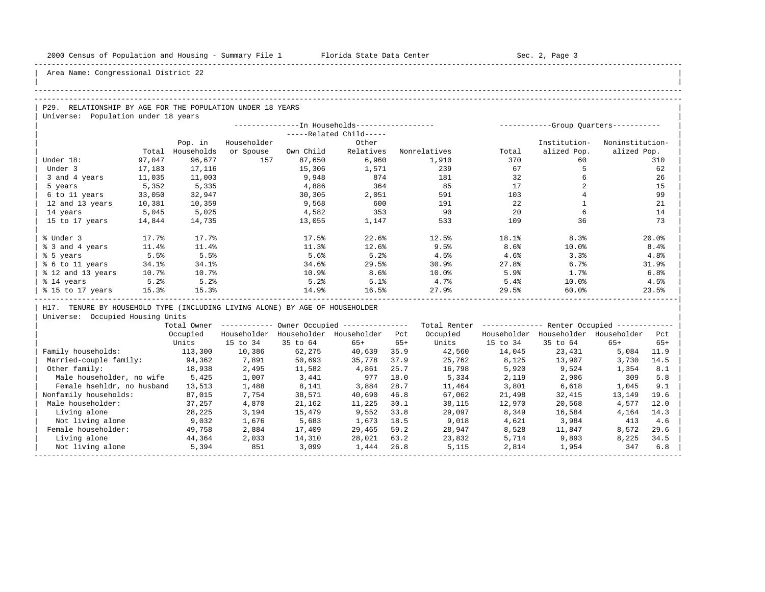| |

Area Name: Congressional District 22

### -----------------------------------------------------------------------------------------------------------------------------------------------------

## -----------------------------------------------------------------------------------------------------------------------------------------------------

P29. RELATIONSHIP BY AGE FOR THE POPULATION UNDER 18 YEARS | Universe: Population under 18 years

|                   |        |            | --In Households----------------- |           |                         | -Group Quarters----------- |       |              |                 |
|-------------------|--------|------------|----------------------------------|-----------|-------------------------|----------------------------|-------|--------------|-----------------|
|                   |        |            |                                  |           | -----Related Child----- |                            |       |              |                 |
|                   |        | Pop. in    | Householder                      |           | Other                   |                            |       | Institution- | Noninstitution- |
|                   | Total  | Households | or Spouse                        | Own Child | Relatives               | Nonrelatives               | Total | alized Pop.  | alized Pop.     |
| Under 18:         | 97,047 | 96,677     | 157                              | 87,650    | 6,960                   | 1,910                      | 370   | 60           | 310             |
| Under 3           | 17,183 | 17,116     |                                  | 15,306    | 1,571                   | 239                        | 67    |              | 62              |
| 3 and 4 years     | 11,035 | 11,003     |                                  | 9,948     | 874                     | 181                        | 32    |              | 26              |
| 5 years           | 5,352  | 5,335      |                                  | 4,886     | 364                     | 85                         | 17    |              | 15              |
| 6 to 11 years     | 33,050 | 32,947     |                                  | 30,305    | 2,051                   | 591                        | 103   |              | 99              |
| 12 and 13 years   | 10,381 | 10,359     |                                  | 9,568     | 600                     | 191                        | 22    |              | 21              |
| 14 years          | 5,045  | 5,025      |                                  | 4,582     | 353                     | 90                         | 20    |              | 14              |
| 15 to 17 years    | 14,844 | 14,735     |                                  | 13,055    | 1,147                   | 533                        | 109   | 36           | 73              |
|                   |        |            |                                  |           |                         |                            |       |              |                 |
| % Under 3         | 17.7%  | 17.7%      |                                  | 17.5%     | 22.6%                   | 12.5%                      | 18.1% | 8.3%         | 20.0%           |
| % 3 and 4 years   | 11.4%  | 11.4%      |                                  | 11.3%     | 12.6%                   | 9.5%                       | 8.6%  | 10.0%        | 8.4%            |
| % 5 years         | 5.5%   | 5.5%       |                                  | 5.6%      | 5.2%                    | 4.5%                       | 4.6%  | 3.3%         | 4.8%            |
| % 6 to 11 years   | 34.1%  | 34.1%      |                                  | 34.6%     | 29.5%                   | 30.9%                      | 27.8% | 6.7%         | 31.9%           |
| % 12 and 13 years | 10.7%  | 10.7%      |                                  | 10.9%     | 8.6%                    | 10.0%                      | 5.9%  | 1.7%         | 6.8%            |
| % 14 years        | 5.2%   | 5.2%       |                                  | 5.2%      | 5.1%                    | 4.7%                       | 5.4%  | 10.0%        | 4.5%            |
| % 15 to 17 years  | 15.3%  | 27.9%      | 29.5%                            | 60.0%     | 23.5%                   |                            |       |              |                 |
|                   |        |            |                                  |           |                         |                            |       |              |                 |

H17. TENURE BY HOUSEHOLD TYPE (INCLUDING LIVING ALONE) BY AGE OF HOUSEHOLDER

|                            | Total Owner |             |             | Owner Occupied --------------- |       | Total Renter | Renter Occupied -- |             |             |       |  |
|----------------------------|-------------|-------------|-------------|--------------------------------|-------|--------------|--------------------|-------------|-------------|-------|--|
|                            | Occupied    | Householder | Householder | Householder                    | Pct   | Occupied     | Householder        | Householder | Householder | Pct   |  |
|                            | Units       | 15 to 34    | 35 to 64    | $65+$                          | $65+$ | Units        | 15 to 34           | 35 to 64    | $65+$       | $65+$ |  |
| Family households:         | 113,300     | 10,386      | 62,275      | 40,639                         | 35.9  | 42,560       | 14,045             | 23,431      | 5,084       | 11.9  |  |
| Married-couple family:     | 94,362      | 7,891       | 50,693      | 35,778                         | 37.9  | 25,762       | 8,125              | 13,907      | 3,730       | 14.5  |  |
| Other family:              | 18,938      | 2,495       | 11,582      | 4,861                          | 25.7  | 16,798       | 5,920              | 9,524       | 1,354       | 8.1   |  |
| Male householder, no wife  | 5,425       | 1,007       | 3,441       | 977                            | 18.0  | 5,334        | 2,119              | 2,906       | 309         | 5.8   |  |
| Female hsehldr, no husband | 13,513      | 1,488       | 8,141       | 3,884                          | 28.7  | 11,464       | 3,801              | 6,618       | 1,045       | 9.1   |  |
| Nonfamily households:      | 87,015      | 7,754       | 38,571      | 40,690                         | 46.8  | 67,062       | 21,498             | 32,415      | 13,149      | 19.6  |  |
| Male householder:          | 37,257      | 4,870       | 21,162      | 11,225                         | 30.1  | 38,115       | 12,970             | 20,568      | 4,577       | 12.0  |  |
| Living alone               | 28,225      | 3,194       | 15,479      | 9,552                          | 33.8  | 29,097       | 8,349              | 16,584      | 4,164       | 14.3  |  |
| Not living alone           | 9,032       | 1,676       | 5,683       | 1,673                          | 18.5  | 9,018        | 4,621              | 3,984       | 413         | 4.6   |  |
| Female householder:        | 49,758      | 2,884       | 17,409      | 29,465                         | 59.2  | 28,947       | 8,528              | 11,847      | 8,572       | 29.6  |  |
| Living alone               | 44,364      | 2,033       | 14,310      | 28,021                         | 63.2  | 23,832       | 5,714              | 9,893       | 8,225       | 34.5  |  |
| Not living alone           | 5,394       | 851         | 3,099       | 1,444                          | 26.8  | 5,115        | 2,814              | 1,954       | 347         | 6.8   |  |
|                            |             |             |             |                                |       |              |                    |             |             |       |  |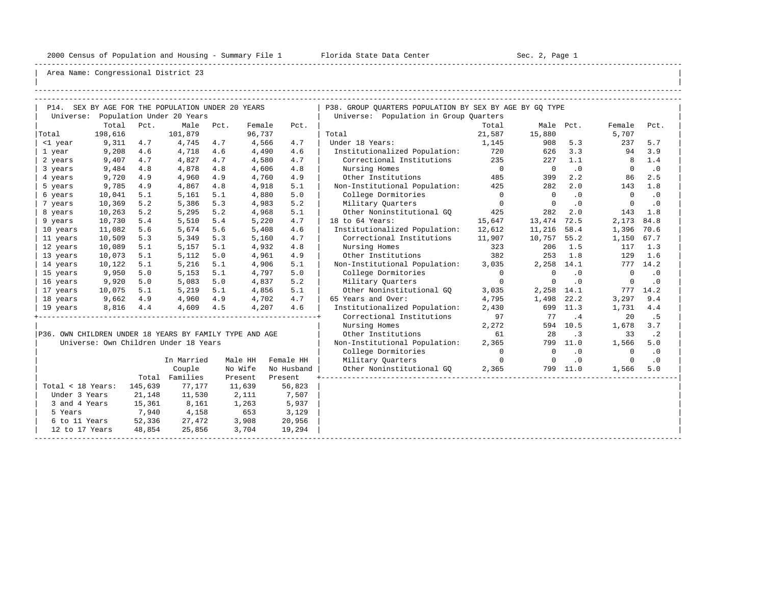-----------------------------------------------------------------------------------------------------------------------------------------------------

| |

| P14. SEX BY AGE FOR THE POPULATION UNDER 20 YEARS |               |         |                                                         |      |                                        |            | P38. GROUP OUARTERS POPULATION BY SEX BY AGE BY GO TYPE |                |                          |           |                |           |  |  |  |
|---------------------------------------------------|---------------|---------|---------------------------------------------------------|------|----------------------------------------|------------|---------------------------------------------------------|----------------|--------------------------|-----------|----------------|-----------|--|--|--|
| Universe: Population Under 20 Years               |               |         |                                                         |      | Universe: Population in Group Quarters |            |                                                         |                |                          |           |                |           |  |  |  |
|                                                   | Total         | Pct.    | Male                                                    | Pct. | Female                                 | Pct.       |                                                         | Total          | Male Pct.                |           | Female         | Pct.      |  |  |  |
| Total                                             | 198,616       |         | 101,879                                                 |      | 96,737                                 |            | Total                                                   | 21,587         | 15,880                   |           | 5,707          |           |  |  |  |
| <1 year                                           | 9,311         | 4.7     | 4,745                                                   | 4.7  | 4,566                                  | 4.7        | Under 18 Years:                                         | 1,145          | 908                      | 5.3       | 237            | 5.7       |  |  |  |
| 1 year                                            | 9,208         | 4.6     | 4,718                                                   | 4.6  | 4,490                                  | 4.6        | Institutionalized Population: 720                       |                | 626                      | 3.3       | 94             | 3.9       |  |  |  |
| 2 years                                           | 9,407         | 4.7     | 4,827                                                   | 4.7  | 4,580                                  | 4.7        | Correctional Institutions 235                           |                | 227                      | 1.1       | 8              | 1.4       |  |  |  |
| 3 years                                           | 9,484         | 4.8     | 4,878                                                   | 4.8  | 4,606                                  | 4.8        | Nursing Homes                                           | $\overline{0}$ | $\overline{\phantom{0}}$ | $\cdot$ 0 | $\overline{0}$ | .0        |  |  |  |
| 4 years                                           | 9,720         | 4.9     | 4,960                                                   | 4.9  | 4,760                                  | 4.9        | Other Institutions                                      | 485            | 399                      | 2.2       | 86             | 2.5       |  |  |  |
| 5 years                                           | 9,785         | 4.9     | 4,867                                                   | 4.8  | 4,918                                  | 5.1        | Non-Institutional Population:                           | 425            | 282                      | 2.0       | 143            | 1.8       |  |  |  |
| 6 years                                           | 10,041        | 5.1     | 5,161                                                   | 5.1  | 4,880                                  | 5.0        | College Dormitories                                     | $\overline{0}$ | $\overline{0}$           | $\cdot$ 0 | $\bigcirc$     | $\cdot$ 0 |  |  |  |
| 7 years                                           | 10,369        | 5.2     | 5,386                                                   | 5.3  | 4,983                                  | 5.2        | Military Quarters                                       | $\overline{0}$ | $\overline{0}$           | .0        | $\overline{0}$ | $\cdot$ 0 |  |  |  |
| 8 years                                           | 10,263        | 5.2     | 5,295                                                   | 5.2  | 4,968                                  | 5.1        | Other Noninstitutional GO                               | 425            | 282                      | 2.0       | 143            | 1.8       |  |  |  |
| 9 years                                           | 10,730        | 5.4     | 5,510                                                   | 5.4  | 5,220                                  | 4.7        | 18 to 64 Years:                                         | 15,647         | 13,474                   | 72.5      | 2,173          | 84.8      |  |  |  |
| 10 years                                          | 11,082        | 5.6     | 5,674                                                   | 5.6  | 5,408                                  | 4.6        | Institutionalized Population: 12,612                    |                | 11,216                   | 58.4      | 1,396 70.6     |           |  |  |  |
| 11 years                                          | 10,509        | 5.3     | 5,349                                                   | 5.3  | 5,160                                  | 4.7        | Correctional Institutions 11,907                        |                | 10,757                   | 55.2      | 1,150          | 67.7      |  |  |  |
| 12 years                                          | 10,089        | 5.1     | 5,157                                                   | 5.1  | 4,932                                  | 4.8        | Nursing Homes                                           | 323            | 206                      | 1.5       |                | $117$ 1.3 |  |  |  |
| 13 years                                          | 10,073        | 5.1     | 5,112                                                   | 5.0  | 4,961                                  | 4.9        | Other Institutions                                      | 382            | 253                      | 1.8       | 129            | 1.6       |  |  |  |
| 14 years                                          | 10,122        | 5.1     | 5,216                                                   | 5.1  | 4,906                                  | 5.1        | Non-Institutional Population:                           | 3,035          | 2,258 14.1               |           |                | 777 14.2  |  |  |  |
| 15 years                                          | 9,950         | 5.0     | 5,153                                                   | 5.1  | 4,797                                  | 5.0        | College Dormitories                                     | $\overline{0}$ | $\Omega$                 | $\cdot$ 0 | $\Omega$       | $\cdot$ 0 |  |  |  |
| 16 years                                          | 9,920         | 5.0     | 5,083                                                   | 5.0  | 4,837                                  | 5.2        | Military Ouarters                                       | $\Omega$       | $\Omega$                 | $\cdot$ 0 | $\Omega$       | $\cdot$ 0 |  |  |  |
| 17 years                                          | 10,075        | 5.1     | 5,219                                                   | 5.1  | 4,856                                  | 5.1        | Other Noninstitutional GO                               | 3,035          | 2,258 14.1               |           |                | 777 14.2  |  |  |  |
| 18 years                                          | 9,662         | 4.9     | 4,960                                                   | 4.9  | 4,702                                  | 4.7        | 65 Years and Over:                                      | 4,795          | 1,498                    | 22.2      | 3,297          | 9.4       |  |  |  |
| 19 years                                          | 8,816         | 4.4     | 4,609                                                   | 4.5  | 4,207                                  | 4.6        | Institutionalized Population:                           | 2,430          |                          | 699 11.3  | 1,731          | 4.4       |  |  |  |
|                                                   |               |         |                                                         |      |                                        |            | Correctional Institutions                               | 97             | 77                       | .4        | 20             | . 5       |  |  |  |
|                                                   |               |         |                                                         |      |                                        |            | Nursing Homes                                           | 2,272          |                          | 594 10.5  | 1,678          | 3.7       |  |  |  |
|                                                   |               |         | P36. OWN CHILDREN UNDER 18 YEARS BY FAMILY TYPE AND AGE |      |                                        |            | Other Institutions<br>61<br>28                          |                |                          |           | 33             | $\cdot$ 2 |  |  |  |
|                                                   |               |         | Universe: Own Children Under 18 Years                   |      |                                        |            | Non-Institutional Population:                           | 2,365          |                          | 799 11.0  | 1,566          | 5.0       |  |  |  |
|                                                   |               |         |                                                         |      |                                        |            | College Dormitories                                     | $\overline{0}$ | $\mathbf 0$              | $\cdot$ 0 | $\mathbf{0}$   | $\cdot$ 0 |  |  |  |
|                                                   |               |         | In Married                                              |      | Male HH                                | Female HH  | Military Ouarters                                       | $\overline{0}$ | $\mathbf 0$              | .0        | $\mathbf 0$    | $\cdot$ 0 |  |  |  |
|                                                   |               |         | Couple                                                  |      | No Wife                                | No Husband | Other Noninstitutional GO                               | 2,365          |                          | 799 11.0  | 1,566          | 5.0       |  |  |  |
|                                                   |               |         | Total Families                                          |      | Present                                | Present    |                                                         |                |                          |           |                |           |  |  |  |
| Total < 18 Years:                                 |               | 145,639 | 77.177                                                  |      | 11,639                                 | 56,823     |                                                         |                |                          |           |                |           |  |  |  |
| Under 3 Years                                     |               | 21,148  | 11,530                                                  |      | 2,111                                  | 7,507      |                                                         |                |                          |           |                |           |  |  |  |
| 3 and 4 Years                                     |               | 15,361  | 8,161                                                   |      | 1,263                                  | 5,937      |                                                         |                |                          |           |                |           |  |  |  |
| 5 Years                                           |               | 7,940   | 4,158                                                   |      | 653                                    | 3,129      |                                                         |                |                          |           |                |           |  |  |  |
|                                                   | 6 to 11 Years | 52,336  | 27,472                                                  |      | 3,908                                  | 20,956     |                                                         |                |                          |           |                |           |  |  |  |
| 12 to 17 Years                                    |               | 48,854  | 25,856                                                  |      | 3,704                                  | 19,294     |                                                         |                |                          |           |                |           |  |  |  |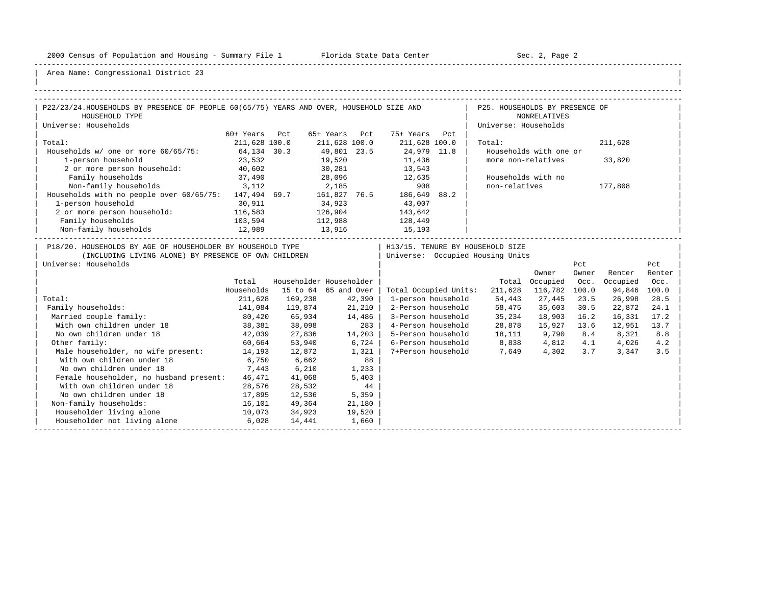-----------------------------------------------------------------------------------------------------------------------------------------------------

| |

| P22/23/24. HOUSEHOLDS BY PRESENCE OF PEOPLE 60(65/75) YEARS AND OVER, HOUSEHOLD SIZE AND | P25. HOUSEHOLDS BY PRESENCE OF                       |                              |                      |                     |                                                                        |  |                                 |                        |              |          |        |  |
|------------------------------------------------------------------------------------------|------------------------------------------------------|------------------------------|----------------------|---------------------|------------------------------------------------------------------------|--|---------------------------------|------------------------|--------------|----------|--------|--|
| HOUSEHOLD TYPE                                                                           |                                                      |                              |                      | <b>NONRELATIVES</b> |                                                                        |  |                                 |                        |              |          |        |  |
| Universe: Households                                                                     |                                                      |                              | Universe: Households |                     |                                                                        |  |                                 |                        |              |          |        |  |
|                                                                                          | 60+ Years Pct                                        |                              | 65+ Years Pct        |                     | 75+ Years Pct                                                          |  |                                 |                        |              |          |        |  |
| Total:                                                                                   | 211,628 100.0                                        |                              | 211,628 100.0        |                     | 211,628 100.0                                                          |  | Total:                          |                        |              | 211,628  |        |  |
| Households w/ one or more 60/65/75: 64,134 30.3                                          |                                                      |                              | 49,801 23.5          |                     | 24,979 11.8                                                            |  |                                 | Households with one or |              |          |        |  |
| 1-person household                                                                       | 23,532                                               |                              | 19,520               |                     | 11,436                                                                 |  | more non-relatives              |                        |              | 33,820   |        |  |
| 2 or more person household: 40,602                                                       |                                                      | 30,281                       |                      |                     | 13,543                                                                 |  |                                 |                        |              |          |        |  |
| Family households                                                                        | 37,490                                               |                              |                      |                     | 28,096 12,635                                                          |  |                                 | Households with no     |              |          |        |  |
| Non-family households 3,112                                                              |                                                      | 2,185                        |                      |                     | 908                                                                    |  | non-relatives                   |                        |              | 177,808  |        |  |
| Households with no people over 60/65/75: 147,494 69.7 161,827 76.5 186,649 88.2          |                                                      |                              |                      |                     |                                                                        |  |                                 |                        |              |          |        |  |
| 1-person household                                                                       | 30,911                                               |                              | 34,923               |                     | 43,007                                                                 |  |                                 |                        |              |          |        |  |
| 2 or more person household: 116,583                                                      |                                                      | 126,904<br>112,988<br>13,916 |                      |                     | 143,642                                                                |  |                                 |                        |              |          |        |  |
| Family households                                                                        | 103,594                                              |                              |                      |                     | 128,449<br>15,193                                                      |  |                                 |                        |              |          |        |  |
| Non-family households 12,989                                                             |                                                      |                              |                      |                     |                                                                        |  |                                 |                        |              |          |        |  |
|                                                                                          |                                                      |                              |                      |                     |                                                                        |  |                                 |                        |              |          |        |  |
| P18/20. HOUSEHOLDS BY AGE OF HOUSEHOLDER BY HOUSEHOLD TYPE                               |                                                      |                              |                      |                     | H13/15. TENURE BY HOUSEHOLD SIZE<br>  Universe: Occupied Housing Units |  |                                 |                        |              |          |        |  |
| Universe: Households                                                                     | (INCLUDING LIVING ALONE) BY PRESENCE OF OWN CHILDREN |                              |                      |                     |                                                                        |  |                                 |                        |              |          | Pct    |  |
|                                                                                          |                                                      |                              |                      |                     |                                                                        |  |                                 | Owner                  | Pct<br>Owner | Renter   | Renter |  |
|                                                                                          | Total                                                | Householder Householder      |                      |                     |                                                                        |  |                                 | Total Occupied Occ.    |              | Occupied | Occ.   |  |
|                                                                                          | Households                                           | 15 to 64 65 and Over         |                      |                     | Total Occupied Units:                                                  |  | 211,628                         | 116,782 100.0          |              | 94,846   | 100.0  |  |
| Total:                                                                                   | 211,628                                              | 169,238                      |                      | 42,390              | 1-person household                                                     |  | 54,443                          | 27,445                 | 23.5         | 26,998   | 28.5   |  |
| Family households:                                                                       | 141,084                                              | 119,874                      |                      | 21,210              | 2-Person household                                                     |  | 58,475                          | 35,603                 | 30.5         | 22,872   | 24.1   |  |
| Married couple family:                                                                   | 80,420                                               | 65,934                       |                      | 14,486              |                                                                        |  | 3-Person household 35,234       | 18,903 16.2            |              | 16,331   | 17.2   |  |
| With own children under 18                                                               | 38,381                                               | 38,098                       |                      | $283$               | 4-Person household                                                     |  | 28,878                          | 15,927 13.6            |              | 12,951   | 13.7   |  |
| No own children under 18                                                                 | 42,039                                               | 27,836                       |                      | 14,203              |                                                                        |  | 5-Person household 18,111 9,790 |                        | 8.4          | 8,321    | 8.8    |  |
| Other family:                                                                            | 60,664                                               | 53,940                       |                      | 6,724               |                                                                        |  | 6-Person household 8,838 4,812  |                        | 4.1          | 4,026    | 4.2    |  |
| Male householder, no wife present: 14,193                                                |                                                      | 12,872                       |                      | $1,321$             |                                                                        |  | 7+Person household 7,649        | 4,302                  | 3.7          | 3,347    | 3.5    |  |
| With own children under 18                                                               | 6,750                                                | 6,662                        |                      | 88                  |                                                                        |  |                                 |                        |              |          |        |  |
| No own children under 18                                                                 | 7,443                                                | 6,210                        |                      | 1,233               |                                                                        |  |                                 |                        |              |          |        |  |
| Female householder, no husband present:                                                  | 46,471                                               | 41,068                       |                      | 5,403               |                                                                        |  |                                 |                        |              |          |        |  |
| With own children under 18                                                               | 28,576                                               | 28,532                       |                      | 44                  |                                                                        |  |                                 |                        |              |          |        |  |
| No own children under 18                                                                 | 17,895                                               | 12,536                       | 5,359                |                     |                                                                        |  |                                 |                        |              |          |        |  |
| Non-family households:                                                                   | 16,101                                               | 49,364                       |                      | 21,180              |                                                                        |  |                                 |                        |              |          |        |  |
| Householder living alone                                                                 | 10,073                                               | 34,923                       |                      | 19,520              |                                                                        |  |                                 |                        |              |          |        |  |
| Householder not living alone                                                             | 6,028                                                | 14,441                       |                      | 1,660               |                                                                        |  |                                 |                        |              |          |        |  |
|                                                                                          |                                                      |                              |                      |                     |                                                                        |  |                                 |                        |              |          |        |  |